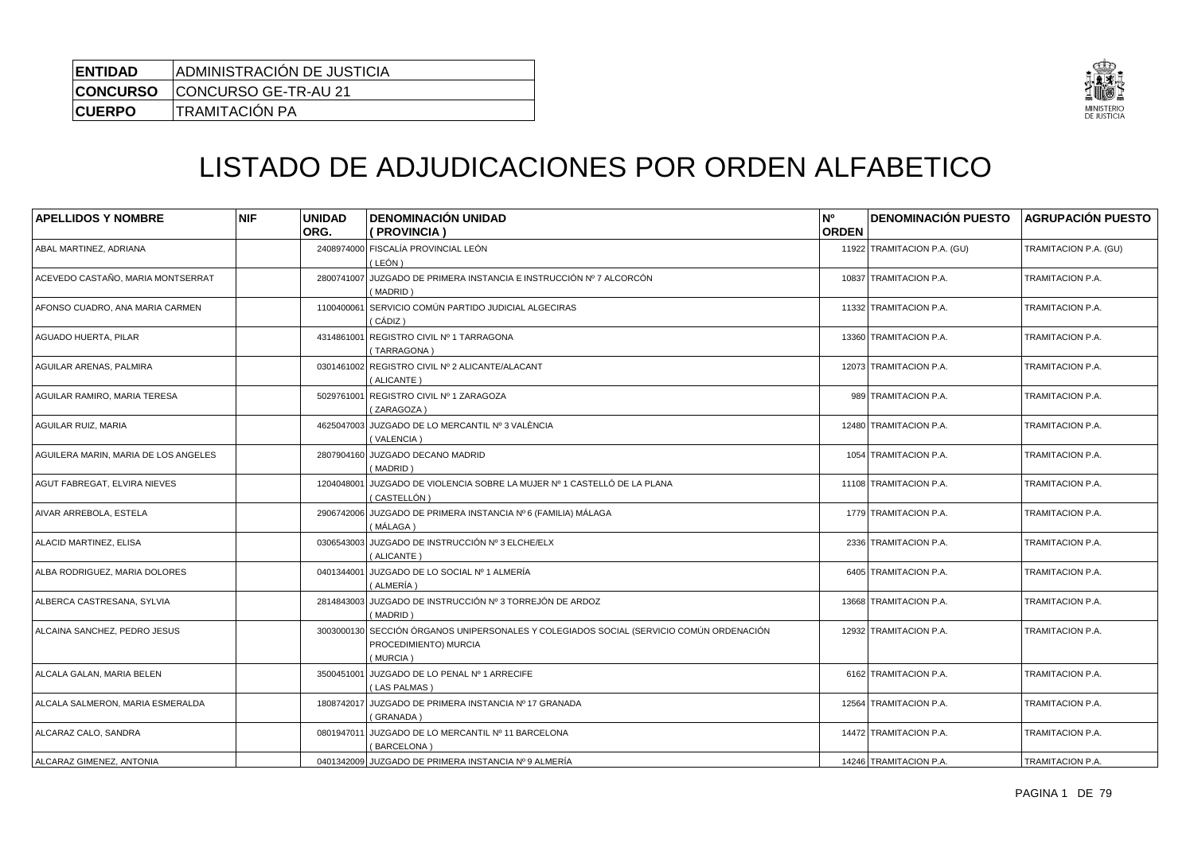| <b>ENTIDAD</b> | ADMINISTRACIÓN DE JUSTICIA           |
|----------------|--------------------------------------|
|                | <b>CONCURSO</b> CONCURSO GE-TR-AU 21 |
| <b>CUERPO</b>  | TRAMITACIÓN PA                       |



## LISTADO DE ADJUDICACIONES POR ORDEN ALFABETICO

| <b>APELLIDOS Y NOMBRE</b>            | <b>NIF</b> | <b>UNIDAD</b><br>ORG. | <b>DENOMINACIÓN UNIDAD</b><br>(PROVINCIA)                                                                         | <b>N°</b><br><b>ORDEN</b> | <b>DENOMINACIÓN PUESTO</b>  | <b>AGRUPACIÓN PUESTO</b> |
|--------------------------------------|------------|-----------------------|-------------------------------------------------------------------------------------------------------------------|---------------------------|-----------------------------|--------------------------|
| ABAL MARTINEZ, ADRIANA               |            | 2408974000            | FISCALÍA PROVINCIAL LEÓN<br>( LEÓN )                                                                              |                           | 11922 TRAMITACION P.A. (GU) | TRAMITACION P.A. (GU)    |
| ACEVEDO CASTAÑO, MARIA MONTSERRAT    |            | 2800741007            | JUZGADO DE PRIMERA INSTANCIA E INSTRUCCIÓN Nº 7 ALCORCÓN<br>(MADRID)                                              |                           | 10837 TRAMITACION P.A.      | TRAMITACION P.A.         |
| AFONSO CUADRO, ANA MARIA CARMEN      |            | 1100400061            | SERVICIO COMÚN PARTIDO JUDICIAL ALGECIRAS<br>( CÁDIZ )                                                            |                           | 11332 TRAMITACION P.A.      | TRAMITACION P.A.         |
| AGUADO HUERTA, PILAR                 |            | 4314861001            | REGISTRO CIVIL Nº 1 TARRAGONA<br>(TARRAGONA)                                                                      |                           | 13360 TRAMITACION P.A.      | TRAMITACION P.A.         |
| AGUILAR ARENAS, PALMIRA              |            |                       | 0301461002 REGISTRO CIVIL Nº 2 ALICANTE/ALACANT<br>(ALICANTE)                                                     |                           | 12073 TRAMITACION P.A.      | TRAMITACION P.A.         |
| AGUILAR RAMIRO, MARIA TERESA         |            | 5029761001            | REGISTRO CIVIL Nº 1 ZARAGOZA<br>(ZARAGOZA)                                                                        |                           | 989 TRAMITACION P.A.        | TRAMITACION P.A.         |
| AGUILAR RUIZ, MARIA                  |            |                       | 4625047003 JUZGADO DE LO MERCANTIL Nº 3 VALÈNCIA<br>(VALENCIA)                                                    |                           | 12480 TRAMITACION P.A.      | TRAMITACION P.A.         |
| AGUILERA MARIN, MARIA DE LOS ANGELES |            |                       | 2807904160 JUZGADO DECANO MADRID<br>(MADRID)                                                                      |                           | 1054 TRAMITACION P.A.       | TRAMITACION P.A.         |
| AGUT FABREGAT, ELVIRA NIEVES         |            | 1204048001            | JUZGADO DE VIOLENCIA SOBRE LA MUJER Nº 1 CASTELLÓ DE LA PLANA<br>(CASTELLÓN)                                      |                           | 11108 TRAMITACION P.A.      | TRAMITACION P.A.         |
| AIVAR ARREBOLA, ESTELA               |            |                       | 2906742006 JUZGADO DE PRIMERA INSTANCIA Nº 6 (FAMILIA) MÁLAGA<br>( MÁLAGA )                                       |                           | 1779 TRAMITACION P.A.       | TRAMITACION P.A.         |
| ALACID MARTINEZ, ELISA               |            | 0306543003            | JUZGADO DE INSTRUCCIÓN Nº 3 ELCHE/ELX<br>(ALICANTE)                                                               |                           | 2336 TRAMITACION P.A.       | TRAMITACION P.A.         |
| ALBA RODRIGUEZ, MARIA DOLORES        |            | 0401344001            | JUZGADO DE LO SOCIAL Nº 1 ALMERÍA<br>(ALMERÍA)                                                                    |                           | 6405 TRAMITACION P.A.       | TRAMITACION P.A.         |
| ALBERCA CASTRESANA, SYLVIA           |            | 2814843003            | JUZGADO DE INSTRUCCIÓN Nº 3 TORREJÓN DE ARDOZ<br>(MADRID)                                                         |                           | 13668 TRAMITACION P.A.      | TRAMITACION P.A.         |
| ALCAINA SANCHEZ, PEDRO JESUS         |            | 3003000130            | SECCIÓN ÓRGANOS UNIPERSONALES Y COLEGIADOS SOCIAL (SERVICIO COMÚN ORDENACIÓN<br>PROCEDIMIENTO) MURCIA<br>(MURCIA) |                           | 12932 TRAMITACION P.A.      | TRAMITACION P.A.         |
| ALCALA GALAN, MARIA BELEN            |            | 3500451001            | JUZGADO DE LO PENAL Nº 1 ARRECIFE<br>(LAS PALMAS)                                                                 |                           | 6162 TRAMITACION P.A.       | TRAMITACION P.A.         |
| ALCALA SALMERON, MARIA ESMERALDA     |            | 1808742017            | JUZGADO DE PRIMERA INSTANCIA Nº 17 GRANADA<br>(GRANADA)                                                           |                           | 12564 TRAMITACION P.A.      | TRAMITACION P.A.         |
| ALCARAZ CALO, SANDRA                 |            | 0801947011            | JUZGADO DE LO MERCANTIL Nº 11 BARCELONA<br>(BARCELONA)                                                            |                           | 14472 TRAMITACION P.A.      | TRAMITACION P.A.         |
| <b>ALCARAZ GIMENEZ, ANTONIA</b>      |            |                       | 0401342009 JUZGADO DE PRIMERA INSTANCIA Nº 9 ALMERÍA                                                              |                           | 14246 TRAMITACION P.A.      | TRAMITACION P.A.         |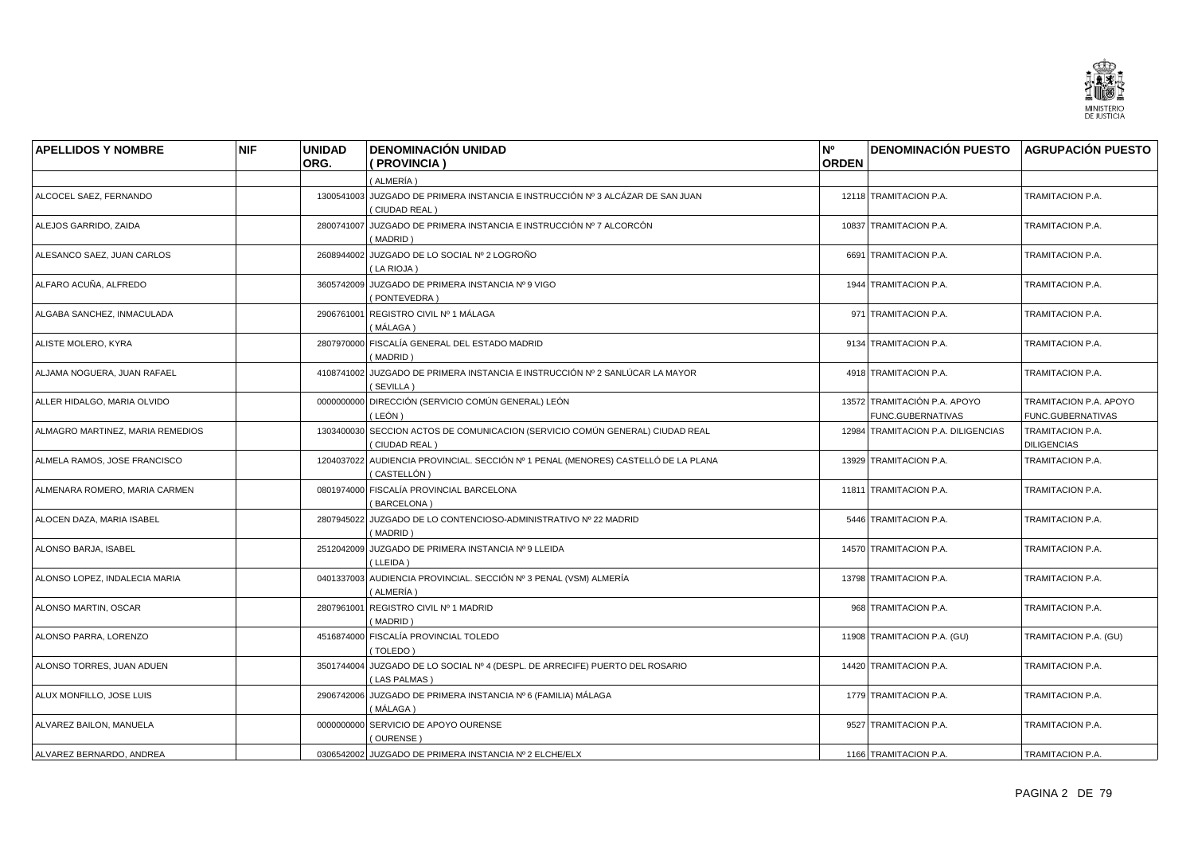

| <b>APELLIDOS Y NOMBRE</b>        | <b>NIF</b> | <b>UNIDAD</b> | <b>DENOMINACIÓN UNIDAD</b>                                                                        | N°           | <b>DENOMINACIÓN PUESTO AGRUPACIÓN PUESTO</b>      |                                             |
|----------------------------------|------------|---------------|---------------------------------------------------------------------------------------------------|--------------|---------------------------------------------------|---------------------------------------------|
|                                  |            | ORG.          | (PROVINCIA)                                                                                       | <b>ORDEN</b> |                                                   |                                             |
|                                  |            |               | (ALMERÍA)                                                                                         |              |                                                   |                                             |
| ALCOCEL SAEZ, FERNANDO           |            |               | 1300541003 JUZGADO DE PRIMERA INSTANCIA E INSTRUCCIÓN Nº 3 ALCÁZAR DE SAN JUAN<br>(CIUDAD REAL)   |              | 12118 TRAMITACION P.A.                            | TRAMITACION P.A.                            |
| ALEJOS GARRIDO, ZAIDA            |            | 2800741007    | JUZGADO DE PRIMERA INSTANCIA E INSTRUCCIÓN Nº 7 ALCORCÓN<br>(MADRID)                              |              | 10837 TRAMITACION P.A.                            | TRAMITACION P.A.                            |
| ALESANCO SAEZ, JUAN CARLOS       |            |               | 2608944002 JUZGADO DE LO SOCIAL Nº 2 LOGROÑO<br>(LA RIOJA)                                        |              | 6691 TRAMITACION P.A.                             | TRAMITACION P.A.                            |
| ALFARO ACUÑA, ALFREDO            |            | 3605742009    | JUZGADO DE PRIMERA INSTANCIA Nº 9 VIGO<br>(PONTEVEDRA)                                            |              | 1944 TRAMITACION P.A.                             | TRAMITACION P.A.                            |
| ALGABA SANCHEZ, INMACULADA       |            | 2906761001    | REGISTRO CIVIL Nº 1 MÁLAGA<br>( MÁLAGA )                                                          |              | 971 TRAMITACION P.A.                              | TRAMITACION P.A.                            |
| ALISTE MOLERO, KYRA              |            | 2807970000    | FISCALÍA GENERAL DEL ESTADO MADRID<br>(MADRID)                                                    |              | 9134 TRAMITACION P.A.                             | TRAMITACION P.A.                            |
| ALJAMA NOGUERA, JUAN RAFAEL      |            |               | 4108741002 JUZGADO DE PRIMERA INSTANCIA E INSTRUCCIÓN Nº 2 SANLÚCAR LA MAYOR<br>(SEVILLA)         |              | 4918 TRAMITACION P.A.                             | TRAMITACION P.A.                            |
| ALLER HIDALGO, MARIA OLVIDO      |            |               | 0000000000 DIRECCIÓN (SERVICIO COMÚN GENERAL) LEÓN<br>( LEÓN )                                    |              | 13572 TRAMITACIÓN P.A. APOYO<br>FUNC.GUBERNATIVAS | TRAMITACION P.A. APOYO<br>FUNC.GUBERNATIVAS |
| ALMAGRO MARTINEZ, MARIA REMEDIOS |            |               | 1303400030 SECCION ACTOS DE COMUNICACION (SERVICIO COMÚN GENERAL) CIUDAD REAL<br>(CIUDAD REAL)    |              | 12984 TRAMITACION P.A. DILIGENCIAS                | TRAMITACION P.A.<br><b>DILIGENCIAS</b>      |
| ALMELA RAMOS, JOSE FRANCISCO     |            |               | 1204037022 AUDIENCIA PROVINCIAL. SECCIÓN Nº 1 PENAL (MENORES) CASTELLÓ DE LA PLANA<br>(CASTELLÓN) |              | 13929 TRAMITACION P.A.                            | TRAMITACION P.A.                            |
| ALMENARA ROMERO, MARIA CARMEN    |            |               | 0801974000 FISCALÍA PROVINCIAL BARCELONA<br>(BARCELONA)                                           |              | 11811 TRAMITACION P.A.                            | TRAMITACION P.A.                            |
| ALOCEN DAZA, MARIA ISABEL        |            |               | 2807945022 JUZGADO DE LO CONTENCIOSO-ADMINISTRATIVO Nº 22 MADRID<br>(MADRID)                      |              | 5446 TRAMITACION P.A.                             | TRAMITACION P.A.                            |
| ALONSO BARJA, ISABEL             |            |               | 2512042009 JUZGADO DE PRIMERA INSTANCIA Nº 9 LLEIDA<br>(LLEIDA)                                   |              | 14570 TRAMITACION P.A.                            | TRAMITACION P.A.                            |
| ALONSO LOPEZ, INDALECIA MARIA    |            |               | 0401337003 AUDIENCIA PROVINCIAL. SECCIÓN Nº 3 PENAL (VSM) ALMERÍA<br>( ALMERÍA )                  |              | 13798 TRAMITACION P.A.                            | TRAMITACION P.A.                            |
| ALONSO MARTIN, OSCAR             |            | 2807961001    | REGISTRO CIVIL Nº 1 MADRID<br>(MADRID)                                                            |              | 968 TRAMITACION P.A.                              | TRAMITACION P.A.                            |
| ALONSO PARRA, LORENZO            |            |               | 4516874000 FISCALÍA PROVINCIAL TOLEDO<br>(TOLEDO)                                                 |              | 11908 TRAMITACION P.A. (GU)                       | TRAMITACION P.A. (GU)                       |
| ALONSO TORRES, JUAN ADUEN        |            |               | 3501744004 JUZGADO DE LO SOCIAL Nº 4 (DESPL. DE ARRECIFE) PUERTO DEL ROSARIO<br>(LAS PALMAS)      |              | 14420 TRAMITACION P.A.                            | TRAMITACION P.A.                            |
| ALUX MONFILLO, JOSE LUIS         |            |               | 2906742006 JUZGADO DE PRIMERA INSTANCIA Nº 6 (FAMILIA) MÁLAGA<br>(MÁLAGA)                         |              | 1779 TRAMITACION P.A.                             | TRAMITACION P.A.                            |
| ALVAREZ BAILON, MANUELA          |            |               | 0000000000 SERVICIO DE APOYO OURENSE<br>(OURENSE)                                                 |              | 9527 TRAMITACION P.A.                             | TRAMITACION P.A.                            |
| ALVAREZ BERNARDO, ANDREA         |            |               | 0306542002 JUZGADO DE PRIMERA INSTANCIA Nº 2 ELCHE/ELX                                            |              | 1166 TRAMITACION P.A.                             | TRAMITACION P.A.                            |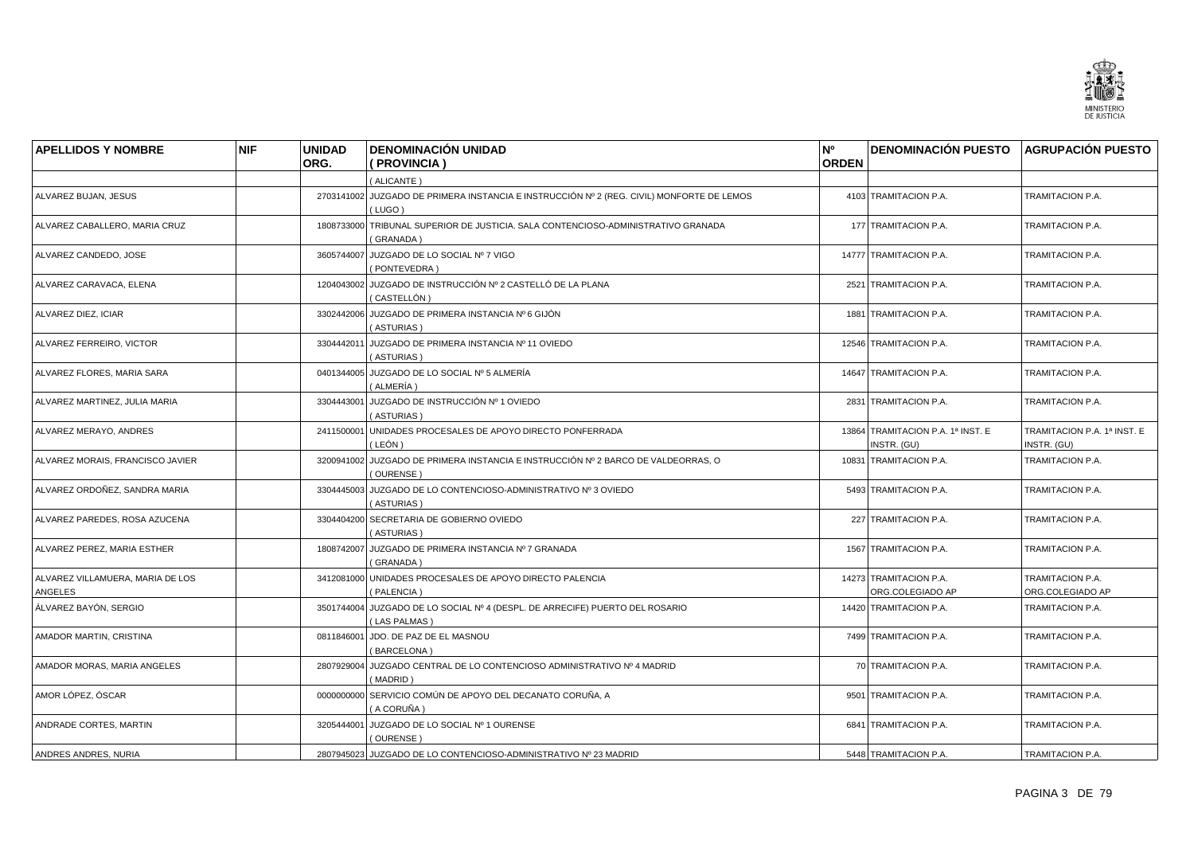

| <b>APELLIDOS Y NOMBRE</b>                   | <b>NIF</b> | <b>UNIDAD</b><br>ORG. | <b>DENOMINACIÓN UNIDAD</b><br>(PROVINCIA)                                                           | N°<br><b>ORDEN</b> | DENOMINACIÓN PUESTO AGRUPACIÓN PUESTO            |                                            |
|---------------------------------------------|------------|-----------------------|-----------------------------------------------------------------------------------------------------|--------------------|--------------------------------------------------|--------------------------------------------|
|                                             |            |                       | (ALICANTE)                                                                                          |                    |                                                  |                                            |
| ALVAREZ BUJAN, JESUS                        |            |                       | 2703141002 JUZGADO DE PRIMERA INSTANCIA E INSTRUCCIÓN Nº 2 (REG. CIVIL) MONFORTE DE LEMOS<br>(LUGO) |                    | 4103 TRAMITACION P.A.                            | TRAMITACION P.A.                           |
| ALVAREZ CABALLERO, MARIA CRUZ               |            |                       | 1808733000 TRIBUNAL SUPERIOR DE JUSTICIA. SALA CONTENCIOSO-ADMINISTRATIVO GRANADA<br>(GRANADA)      |                    | 177 TRAMITACION P.A.                             | TRAMITACION P.A.                           |
| ALVAREZ CANDEDO, JOSE                       |            |                       | 3605744007 JUZGADO DE LO SOCIAL Nº 7 VIGO<br>(PONTEVEDRA)                                           |                    | 14777 TRAMITACION P.A.                           | TRAMITACION P.A.                           |
| ALVAREZ CARAVACA, ELENA                     |            |                       | 1204043002 JUZGADO DE INSTRUCCIÓN Nº 2 CASTELLÓ DE LA PLANA<br>( CASTELLÓN )                        |                    | 2521 TRAMITACION P.A.                            | TRAMITACION P.A.                           |
| ALVAREZ DIEZ, ICIAR                         |            |                       | 3302442006 JUZGADO DE PRIMERA INSTANCIA Nº 6 GIJÓN<br>(ASTURIAS)                                    |                    | 1881 TRAMITACION P.A.                            | <b>TRAMITACION P.A.</b>                    |
| ALVAREZ FERREIRO, VICTOR                    |            | 3304442011            | JUZGADO DE PRIMERA INSTANCIA Nº 11 OVIEDO<br>(ASTURIAS)                                             |                    | 12546 TRAMITACION P.A.                           | TRAMITACION P.A.                           |
| ALVAREZ FLORES, MARIA SARA                  |            |                       | 0401344005 JUZGADO DE LO SOCIAL Nº 5 ALMERÍA<br>( ALMERÍA )                                         |                    | 14647 TRAMITACION P.A.                           | TRAMITACION P.A.                           |
| ALVAREZ MARTINEZ, JULIA MARIA               |            | 3304443001            | JUZGADO DE INSTRUCCIÓN Nº 1 OVIEDO<br>(ASTURIAS)                                                    |                    | 2831 TRAMITACION P.A.                            | TRAMITACION P.A.                           |
| ALVAREZ MERAYO, ANDRES                      |            |                       | 2411500001 UNIDADES PROCESALES DE APOYO DIRECTO PONFERRADA<br>( LEÓN )                              |                    | 13864 TRAMITACION P.A. 1ª INST. E<br>INSTR. (GU) | TRAMITACION P.A. 1ª INST. E<br>INSTR. (GU) |
| ALVAREZ MORAIS, FRANCISCO JAVIER            |            |                       | 3200941002 JUZGADO DE PRIMERA INSTANCIA E INSTRUCCIÓN Nº 2 BARCO DE VALDEORRAS, O<br>(OURENSE)      |                    | 10831 TRAMITACION P.A.                           | TRAMITACION P.A.                           |
| ALVAREZ ORDOÑEZ, SANDRA MARIA               |            |                       | 3304445003 JUZGADO DE LO CONTENCIOSO-ADMINISTRATIVO Nº 3 OVIEDO<br>(ASTURIAS)                       |                    | 5493 TRAMITACION P.A.                            | TRAMITACION P.A.                           |
| ALVAREZ PAREDES, ROSA AZUCENA               |            |                       | 3304404200 SECRETARIA DE GOBIERNO OVIEDO<br>(ASTURIAS)                                              |                    | 227 TRAMITACION P.A.                             | TRAMITACION P.A.                           |
| ALVAREZ PEREZ, MARIA ESTHER                 |            |                       | 1808742007 JUZGADO DE PRIMERA INSTANCIA Nº 7 GRANADA<br>(GRANADA)                                   |                    | 1567 TRAMITACION P.A.                            | TRAMITACION P.A.                           |
| ALVAREZ VILLAMUERA, MARIA DE LOS<br>ANGELES |            |                       | 3412081000 UNIDADES PROCESALES DE APOYO DIRECTO PALENCIA<br>(PALENCIA)                              |                    | 14273 TRAMITACION P.A.<br>ORG.COLEGIADO AP       | TRAMITACION P.A.<br>ORG.COLEGIADO AP       |
| ÁLVAREZ BAYÓN, SERGIO                       |            |                       | 3501744004 JUZGADO DE LO SOCIAL Nº 4 (DESPL. DE ARRECIFE) PUERTO DEL ROSARIO<br>(LAS PALMAS)        |                    | 14420 TRAMITACION P.A.                           | TRAMITACION P.A.                           |
| AMADOR MARTIN, CRISTINA                     |            |                       | 0811846001 JDO. DE PAZ DE EL MASNOU<br>(BARCELONA)                                                  |                    | 7499 TRAMITACION P.A.                            | TRAMITACION P.A.                           |
| AMADOR MORAS, MARIA ANGELES                 |            | 2807929004            | JUZGADO CENTRAL DE LO CONTENCIOSO ADMINISTRATIVO Nº 4 MADRID<br>(MADRID)                            |                    | 70 TRAMITACION P.A.                              | TRAMITACION P.A.                           |
| AMOR LÓPEZ, ÓSCAR                           |            |                       | 0000000000 SERVICIO COMÚN DE APOYO DEL DECANATO CORUÑA, A<br>(A CORUÑA)                             |                    | 9501 TRAMITACION P.A.                            | TRAMITACION P.A.                           |
| ANDRADE CORTES, MARTIN                      |            | 3205444001            | JUZGADO DE LO SOCIAL Nº 1 OURENSE<br>(OURENSE)                                                      |                    | 6841 TRAMITACION P.A.                            | TRAMITACION P.A.                           |
| ANDRES ANDRES, NURIA                        |            |                       | 2807945023 JUZGADO DE LO CONTENCIOSO-ADMINISTRATIVO Nº 23 MADRID                                    |                    | 5448 TRAMITACION P.A.                            | TRAMITACION P.A.                           |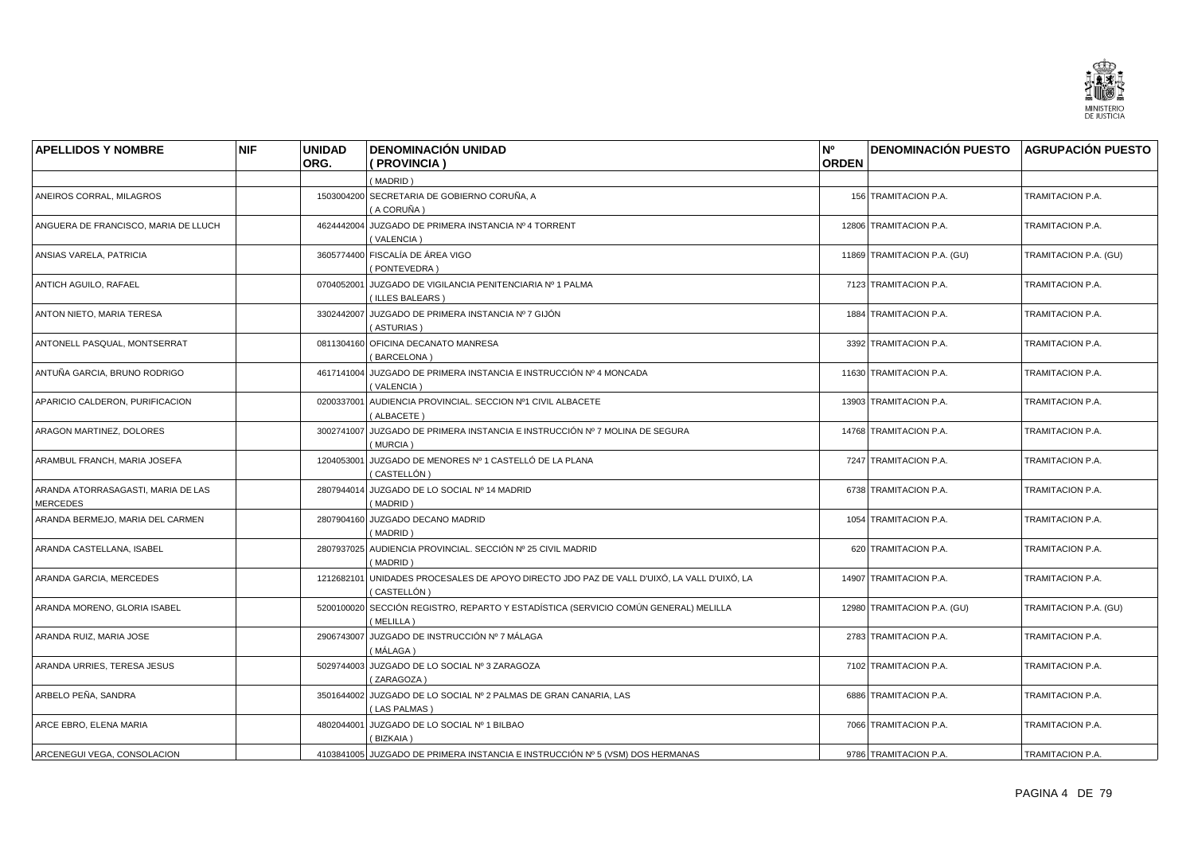

| <b>APELLIDOS Y NOMBRE</b>                      | <b>NIF</b> | <b>UNIDAD</b><br>ORG. | <b>DENOMINACIÓN UNIDAD</b><br>(PROVINCIA)                                                      | N°<br><b>ORDEN</b> | DENOMINACIÓN PUESTO AGRUPACIÓN PUESTO |                       |
|------------------------------------------------|------------|-----------------------|------------------------------------------------------------------------------------------------|--------------------|---------------------------------------|-----------------------|
|                                                |            |                       | (MADRID)                                                                                       |                    |                                       |                       |
| ANEIROS CORRAL, MILAGROS                       |            |                       | 1503004200 SECRETARIA DE GOBIERNO CORUÑA, A<br>( A CORUÑA )                                    |                    | 156 TRAMITACION P.A.                  | TRAMITACION P.A.      |
| ANGUERA DE FRANCISCO, MARIA DE LLUCH           |            | 4624442004            | JUZGADO DE PRIMERA INSTANCIA Nº 4 TORRENT<br>(VALENCIA)                                        |                    | 12806 TRAMITACION P.A.                | TRAMITACION P.A.      |
| ANSIAS VARELA, PATRICIA                        |            |                       | 3605774400 FISCALÍA DE ÁREA VIGO<br>(PONTEVEDRA)                                               |                    | 11869 TRAMITACION P.A. (GU)           | TRAMITACION P.A. (GU) |
| ANTICH AGUILO, RAFAEL                          |            | 0704052001            | JUZGADO DE VIGILANCIA PENITENCIARIA Nº 1 PALMA<br>(ILLES BALEARS)                              |                    | 7123 TRAMITACION P.A.                 | TRAMITACION P.A.      |
| ANTON NIETO, MARIA TERESA                      |            |                       | 3302442007 JUZGADO DE PRIMERA INSTANCIA Nº 7 GIJÓN<br>(ASTURIAS)                               |                    | 1884 TRAMITACION P.A.                 | TRAMITACION P.A.      |
| ANTONELL PASQUAL, MONTSERRAT                   |            |                       | 0811304160 OFICINA DECANATO MANRESA<br>(BARCELONA)                                             |                    | 3392 TRAMITACION P.A.                 | TRAMITACION P.A.      |
| ANTUÑA GARCIA, BRUNO RODRIGO                   |            |                       | 4617141004 JUZGADO DE PRIMERA INSTANCIA E INSTRUCCIÓN Nº 4 MONCADA<br>(VALENCIA)               |                    | 11630 TRAMITACION P.A.                | TRAMITACION P.A.      |
| APARICIO CALDERON, PURIFICACION                |            | 0200337001            | AUDIENCIA PROVINCIAL. SECCION Nº1 CIVIL ALBACETE<br>(ALBACETE)                                 |                    | 13903 TRAMITACION P.A.                | TRAMITACION P.A.      |
| ARAGON MARTINEZ, DOLORES                       |            |                       | 3002741007 JUZGADO DE PRIMERA INSTANCIA E INSTRUCCIÓN Nº 7 MOLINA DE SEGURA<br>(MURCIA)        |                    | 14768 TRAMITACION P.A.                | TRAMITACION P.A.      |
| ARAMBUL FRANCH, MARIA JOSEFA                   |            | 1204053001            | JUZGADO DE MENORES Nº 1 CASTELLÓ DE LA PLANA<br>(CASTELLÓN)                                    |                    | 7247 TRAMITACION P.A.                 | TRAMITACION P.A.      |
| ARANDA ATORRASAGASTI, MARIA DE LAS<br>MERCEDES |            |                       | 2807944014 JUZGADO DE LO SOCIAL Nº 14 MADRID<br>(MADRID)                                       |                    | 6738 TRAMITACION P.A.                 | TRAMITACION P.A.      |
| ARANDA BERMEJO, MARIA DEL CARMEN               |            | 2807904160            | JUZGADO DECANO MADRID<br>(MADRID)                                                              |                    | 1054 TRAMITACION P.A.                 | TRAMITACION P.A.      |
| ARANDA CASTELLANA, ISABEL                      |            |                       | 2807937025 AUDIENCIA PROVINCIAL. SECCIÓN Nº 25 CIVIL MADRID<br>(MADRID)                        |                    | 620 TRAMITACION P.A.                  | TRAMITACION P.A.      |
| ARANDA GARCIA, MERCEDES                        |            | 1212682101            | UNIDADES PROCESALES DE APOYO DIRECTO JDO PAZ DE VALL D'UIXÓ, LA VALL D'UIXÓ, LA<br>(CASTELLÓN) |                    | 14907 TRAMITACION P.A.                | TRAMITACION P.A.      |
| ARANDA MORENO, GLORIA ISABEL                   |            | 5200100020            | SECCIÓN REGISTRO, REPARTO Y ESTADÍSTICA (SERVICIO COMÚN GENERAL) MELILLA<br>(MELILLA)          |                    | 12980 TRAMITACION P.A. (GU)           | TRAMITACION P.A. (GU) |
| ARANDA RUIZ, MARIA JOSE                        |            | 2906743007            | JUZGADO DE INSTRUCCIÓN Nº 7 MÁLAGA<br>(MÁLAGA)                                                 |                    | 2783 TRAMITACION P.A.                 | TRAMITACION P.A.      |
| ARANDA URRIES, TERESA JESUS                    |            | 5029744003            | JUZGADO DE LO SOCIAL Nº 3 ZARAGOZA<br>(ZARAGOZA)                                               |                    | 7102 TRAMITACION P.A.                 | TRAMITACION P.A.      |
| ARBELO PEÑA, SANDRA                            |            |                       | 3501644002 JUZGADO DE LO SOCIAL Nº 2 PALMAS DE GRAN CANARIA, LAS<br>(LAS PALMAS)               |                    | 6886 TRAMITACION P.A.                 | TRAMITACION P.A.      |
| ARCE EBRO, ELENA MARIA                         |            | 4802044001            | JUZGADO DE LO SOCIAL Nº 1 BILBAO<br>(BIZKAIA)                                                  |                    | 7066 TRAMITACION P.A.                 | TRAMITACION P.A.      |
| ARCENEGUI VEGA, CONSOLACION                    |            |                       | 4103841005 JUZGADO DE PRIMERA INSTANCIA E INSTRUCCIÓN Nº 5 (VSM) DOS HERMANAS                  |                    | 9786 TRAMITACION P.A.                 | TRAMITACION P.A.      |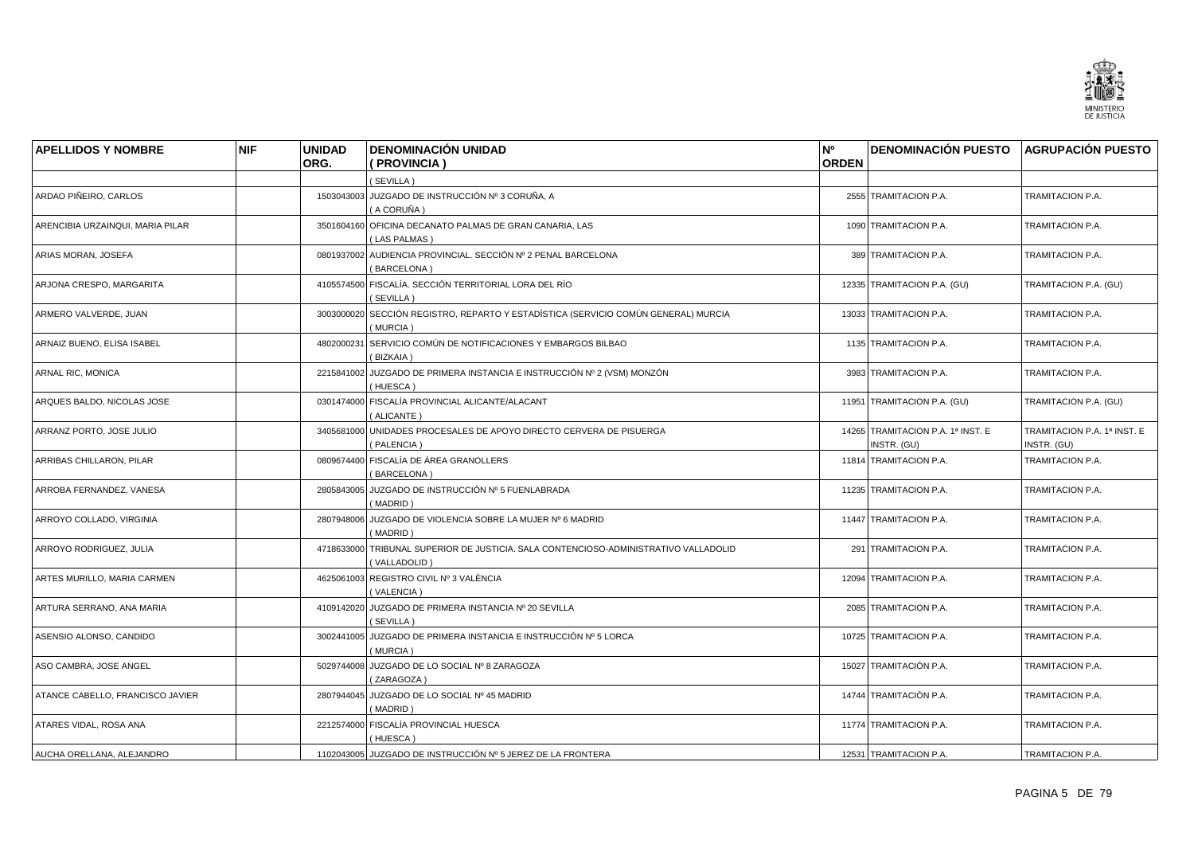

| <b>APELLIDOS Y NOMBRE</b>        | <b>NIF</b> | <b>UNIDAD</b> | <b>DENOMINACIÓN UNIDAD</b>                                                                           | N <sup>o</sup> | <b>DENOMINACIÓN PUESTO AGRUPACIÓN PUESTO</b>     |                                            |
|----------------------------------|------------|---------------|------------------------------------------------------------------------------------------------------|----------------|--------------------------------------------------|--------------------------------------------|
|                                  |            | ORG.          | (PROVINCIA)                                                                                          | <b>ORDEN</b>   |                                                  |                                            |
|                                  |            |               | (SEVILLA)                                                                                            |                |                                                  |                                            |
| ARDAO PIÑEIRO, CARLOS            |            |               | 1503043003 JUZGADO DE INSTRUCCIÓN Nº 3 CORUÑA, A<br>(A CORUÑA)                                       |                | 2555 TRAMITACION P.A.                            | TRAMITACION P.A.                           |
| ARENCIBIA URZAINQUI, MARIA PILAR |            |               | 3501604160 OFICINA DECANATO PALMAS DE GRAN CANARIA, LAS<br>(LAS PALMAS)                              |                | 1090 TRAMITACION P.A.                            | TRAMITACION P.A.                           |
| ARIAS MORAN, JOSEFA              |            |               | 0801937002 AUDIENCIA PROVINCIAL. SECCIÓN Nº 2 PENAL BARCELONA<br>(BARCELONA)                         |                | 389 TRAMITACION P.A.                             | TRAMITACION P.A.                           |
| ARJONA CRESPO, MARGARITA         |            |               | 4105574500 FISCALÍA. SECCIÓN TERRITORIAL LORA DEL RÍO<br>(SEVILLA)                                   |                | 12335 TRAMITACION P.A. (GU)                      | TRAMITACION P.A. (GU)                      |
| ARMERO VALVERDE, JUAN            |            |               | 3003000020 SECCIÓN REGISTRO, REPARTO Y ESTADÍSTICA (SERVICIO COMÚN GENERAL) MURCIA<br>(MURCIA)       |                | 13033 TRAMITACION P.A.                           | TRAMITACION P.A.                           |
| ARNAIZ BUENO, ELISA ISABEL       |            |               | 4802000231 SERVICIO COMÚN DE NOTIFICACIONES Y EMBARGOS BILBAO<br>(BIZKAIA)                           |                | 1135 TRAMITACION P.A.                            | TRAMITACION P.A.                           |
| ARNAL RIC, MONICA                |            |               | 2215841002 JUZGADO DE PRIMERA INSTANCIA E INSTRUCCIÓN Nº 2 (VSM) MONZÓN<br>(HUESCA)                  |                | 3983 TRAMITACION P.A.                            | TRAMITACION P.A.                           |
| ARQUES BALDO, NICOLAS JOSE       |            |               | 0301474000 FISCALÍA PROVINCIAL ALICANTE/ALACANT<br>(ALICANTE)                                        |                | 11951 TRAMITACION P.A. (GU)                      | TRAMITACION P.A. (GU)                      |
| ARRANZ PORTO, JOSE JULIO         |            |               | 3405681000 UNIDADES PROCESALES DE APOYO DIRECTO CERVERA DE PISUERGA<br>(PALENCIA)                    |                | 14265 TRAMITACION P.A. 1ª INST. E<br>INSTR. (GU) | TRAMITACION P.A. 1ª INST. E<br>INSTR. (GU) |
| ARRIBAS CHILLARON, PILAR         |            |               | 0809674400 FISCALÍA DE ÁREA GRANOLLERS<br>(BARCELONA)                                                |                | 11814 TRAMITACION P.A.                           | TRAMITACION P.A.                           |
| ARROBA FERNANDEZ, VANESA         |            |               | 2805843005 JUZGADO DE INSTRUCCIÓN Nº 5 FUENLABRADA<br>(MADRID)                                       |                | 11235 TRAMITACION P.A.                           | TRAMITACION P.A.                           |
| ARROYO COLLADO, VIRGINIA         |            |               | 2807948006 JUZGADO DE VIOLENCIA SOBRE LA MUJER Nº 6 MADRID<br>(MADRID)                               |                | 11447 TRAMITACION P.A.                           | TRAMITACION P.A.                           |
| ARROYO RODRIGUEZ, JULIA          |            |               | 4718633000 TRIBUNAL SUPERIOR DE JUSTICIA. SALA CONTENCIOSO-ADMINISTRATIVO VALLADOLID<br>(VALLADOLID) |                | 291 TRAMITACION P.A.                             | TRAMITACION P.A.                           |
| ARTES MURILLO, MARIA CARMEN      |            |               | 4625061003 REGISTRO CIVIL Nº 3 VALÈNCIA<br>(VALENCIA)                                                |                | 12094 TRAMITACION P.A.                           | TRAMITACION P.A.                           |
| ARTURA SERRANO, ANA MARIA        |            | 4109142020    | JUZGADO DE PRIMERA INSTANCIA Nº 20 SEVILLA<br>(SEVILLA)                                              |                | 2085 TRAMITACION P.A.                            | TRAMITACION P.A.                           |
| ASENSIO ALONSO, CANDIDO          |            |               | 3002441005 JUZGADO DE PRIMERA INSTANCIA E INSTRUCCIÓN Nº 5 LORCA<br>(MURCIA)                         |                | 10725 TRAMITACION P.A.                           | TRAMITACION P.A.                           |
| ASO CAMBRA, JOSE ANGEL           |            |               | 5029744008 JUZGADO DE LO SOCIAL Nº 8 ZARAGOZA<br>(ZARAGOZA)                                          |                | 15027 TRAMITACIÓN P.A.                           | TRAMITACION P.A.                           |
| ATANCE CABELLO, FRANCISCO JAVIER |            |               | 2807944045 JUZGADO DE LO SOCIAL Nº 45 MADRID<br>(MADRID)                                             |                | 14744 TRAMITACIÓN P.A.                           | TRAMITACION P.A.                           |
| ATARES VIDAL, ROSA ANA           |            |               | 2212574000 FISCALÍA PROVINCIAL HUESCA<br>(HUESCA)                                                    |                | 11774 TRAMITACION P.A.                           | TRAMITACION P.A.                           |
| AUCHA ORELLANA, ALEJANDRO        |            |               | 1102043005 JUZGADO DE INSTRUCCIÓN Nº 5 JEREZ DE LA FRONTERA                                          |                | 12531 TRAMITACION P.A.                           | TRAMITACION P.A.                           |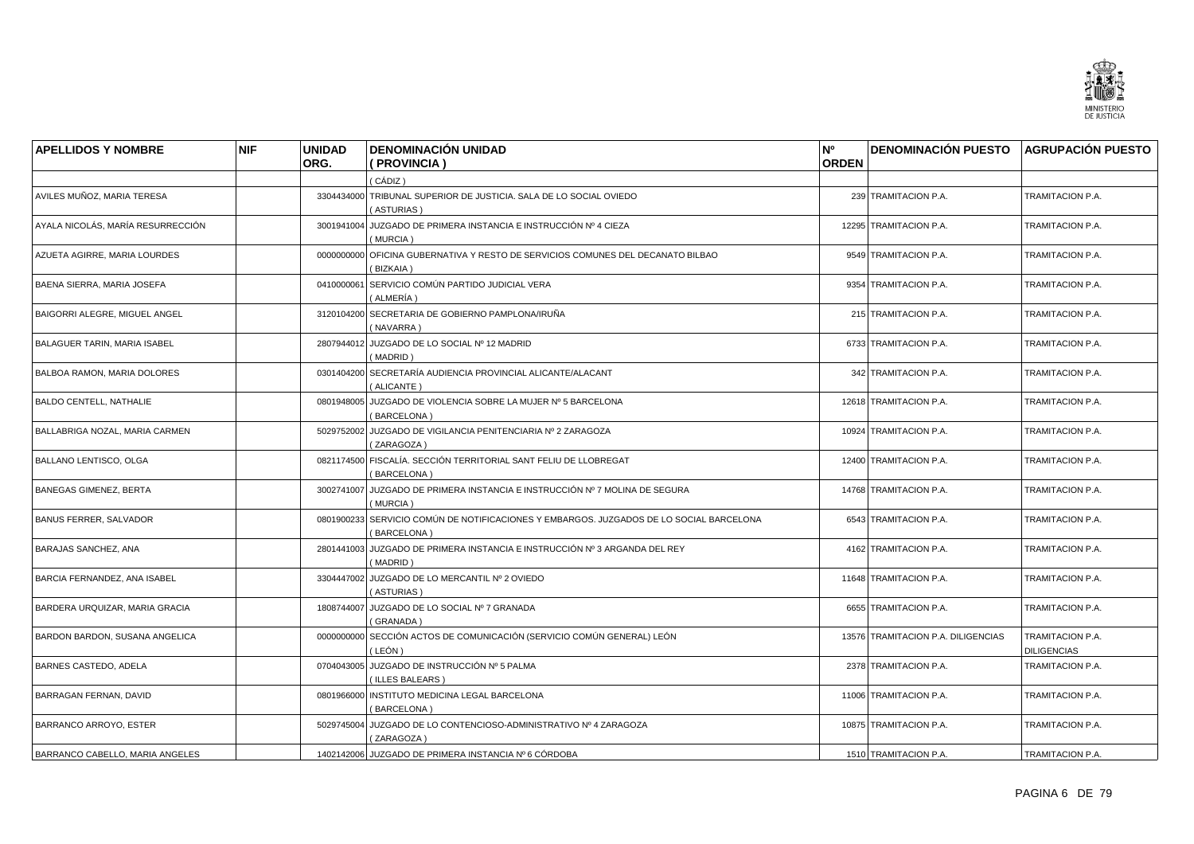

| <b>APELLIDOS Y NOMBRE</b>           | <b>NIF</b> | <b>UNIDAD</b> | <b>DENOMINACIÓN UNIDAD</b>                                                                             | N°           | <b>DENOMINACIÓN PUESTO AGRUPACIÓN PUESTO</b> |                                        |
|-------------------------------------|------------|---------------|--------------------------------------------------------------------------------------------------------|--------------|----------------------------------------------|----------------------------------------|
|                                     |            | ORG.          | (PROVINCIA)                                                                                            | <b>ORDEN</b> |                                              |                                        |
|                                     |            |               | ( CÁDIZ )                                                                                              |              |                                              |                                        |
| AVILES MUÑOZ, MARIA TERESA          |            |               | 3304434000 TRIBUNAL SUPERIOR DE JUSTICIA. SALA DE LO SOCIAL OVIEDO<br>(ASTURIAS)                       |              | 239 TRAMITACION P.A.                         | TRAMITACION P.A.                       |
| AYALA NICOLÁS, MARÍA RESURRECCIÓN   |            |               | 3001941004 JUZGADO DE PRIMERA INSTANCIA E INSTRUCCIÓN Nº 4 CIEZA<br>(MURCIA)                           |              | 12295 TRAMITACION P.A.                       | TRAMITACION P.A.                       |
| AZUETA AGIRRE, MARIA LOURDES        |            |               | 0000000000 OFICINA GUBERNATIVA Y RESTO DE SERVICIOS COMUNES DEL DECANATO BILBAO<br>(BIZKAIA)           |              | 9549 TRAMITACION P.A.                        | TRAMITACION P.A.                       |
| BAENA SIERRA, MARIA JOSEFA          |            | 0410000061    | SERVICIO COMÚN PARTIDO JUDICIAL VERA<br>(ALMERÍA)                                                      |              | 9354 TRAMITACION P.A.                        | TRAMITACION P.A.                       |
| BAIGORRI ALEGRE, MIGUEL ANGEL       |            |               | 3120104200 SECRETARIA DE GOBIERNO PAMPLONA/IRUÑA<br>(NAVARRA)                                          |              | 215 TRAMITACION P.A.                         | TRAMITACION P.A.                       |
| <b>BALAGUER TARIN, MARIA ISABEL</b> |            |               | 2807944012 JUZGADO DE LO SOCIAL Nº 12 MADRID<br>(MADRID)                                               |              | 6733 TRAMITACION P.A.                        | TRAMITACION P.A.                       |
| <b>BALBOA RAMON, MARIA DOLORES</b>  |            |               | 0301404200 SECRETARÍA AUDIENCIA PROVINCIAL ALICANTE/ALACANT<br>(ALICANTE)                              |              | 342 TRAMITACION P.A.                         | TRAMITACION P.A.                       |
| <b>BALDO CENTELL, NATHALIE</b>      |            |               | 0801948005 JUZGADO DE VIOLENCIA SOBRE LA MUJER Nº 5 BARCELONA<br>(BARCELONA)                           |              | 12618 TRAMITACION P.A.                       | TRAMITACION P.A.                       |
| BALLABRIGA NOZAL, MARIA CARMEN      |            |               | 5029752002 JUZGADO DE VIGILANCIA PENITENCIARIA Nº 2 ZARAGOZA<br>(ZARAGOZA)                             |              | 10924 TRAMITACION P.A.                       | TRAMITACION P.A.                       |
| BALLANO LENTISCO, OLGA              |            |               | 0821174500 FISCALÍA. SECCIÓN TERRITORIAL SANT FELIU DE LLOBREGAT<br>(BARCELONA)                        |              | 12400 TRAMITACION P.A.                       | TRAMITACION P.A.                       |
| <b>BANEGAS GIMENEZ, BERTA</b>       |            |               | 3002741007 JUZGADO DE PRIMERA INSTANCIA E INSTRUCCIÓN Nº 7 MOLINA DE SEGURA<br>(MURCIA)                |              | 14768 TRAMITACION P.A.                       | TRAMITACION P.A.                       |
| <b>BANUS FERRER, SALVADOR</b>       |            |               | 0801900233 SERVICIO COMÚN DE NOTIFICACIONES Y EMBARGOS. JUZGADOS DE LO SOCIAL BARCELONA<br>(BARCELONA) |              | 6543 TRAMITACION P.A.                        | TRAMITACION P.A.                       |
| BARAJAS SANCHEZ, ANA                |            |               | 2801441003 JUZGADO DE PRIMERA INSTANCIA E INSTRUCCIÓN Nº 3 ARGANDA DEL REY<br>(MADRID)                 |              | 4162 TRAMITACION P.A.                        | TRAMITACION P.A.                       |
| BARCIA FERNANDEZ, ANA ISABEL        |            |               | 3304447002 JUZGADO DE LO MERCANTIL Nº 2 OVIEDO<br>(ASTURIAS)                                           |              | 11648 TRAMITACION P.A.                       | TRAMITACION P.A.                       |
| BARDERA URQUIZAR, MARIA GRACIA      |            | 1808744007    | JUZGADO DE LO SOCIAL Nº 7 GRANADA<br>(GRANADA)                                                         |              | 6655 TRAMITACION P.A.                        | TRAMITACION P.A.                       |
| BARDON BARDON, SUSANA ANGELICA      |            |               | 0000000000 SECCIÓN ACTOS DE COMUNICACIÓN (SERVICIO COMÚN GENERAL) LEÓN<br>( LEÓN )                     |              | 13576 TRAMITACION P.A. DILIGENCIAS           | TRAMITACION P.A.<br><b>DILIGENCIAS</b> |
| <b>BARNES CASTEDO, ADELA</b>        |            |               | 0704043005 JUZGADO DE INSTRUCCIÓN Nº 5 PALMA<br>(ILLES BALEARS)                                        |              | 2378 TRAMITACION P.A.                        | TRAMITACION P.A.                       |
| BARRAGAN FERNAN, DAVID              |            |               | 0801966000 INSTITUTO MEDICINA LEGAL BARCELONA<br>(BARCELONA)                                           |              | 11006 TRAMITACION P.A.                       | TRAMITACION P.A.                       |
| <b>BARRANCO ARROYO, ESTER</b>       |            |               | 5029745004 JUZGADO DE LO CONTENCIOSO-ADMINISTRATIVO Nº 4 ZARAGOZA<br>(ZARAGOZA)                        |              | 10875 TRAMITACION P.A.                       | TRAMITACION P.A.                       |
| BARRANCO CABELLO, MARIA ANGELES     |            |               | 1402142006 JUZGADO DE PRIMERA INSTANCIA Nº 6 CÓRDOBA                                                   |              | 1510 TRAMITACION P.A.                        | TRAMITACION P.A.                       |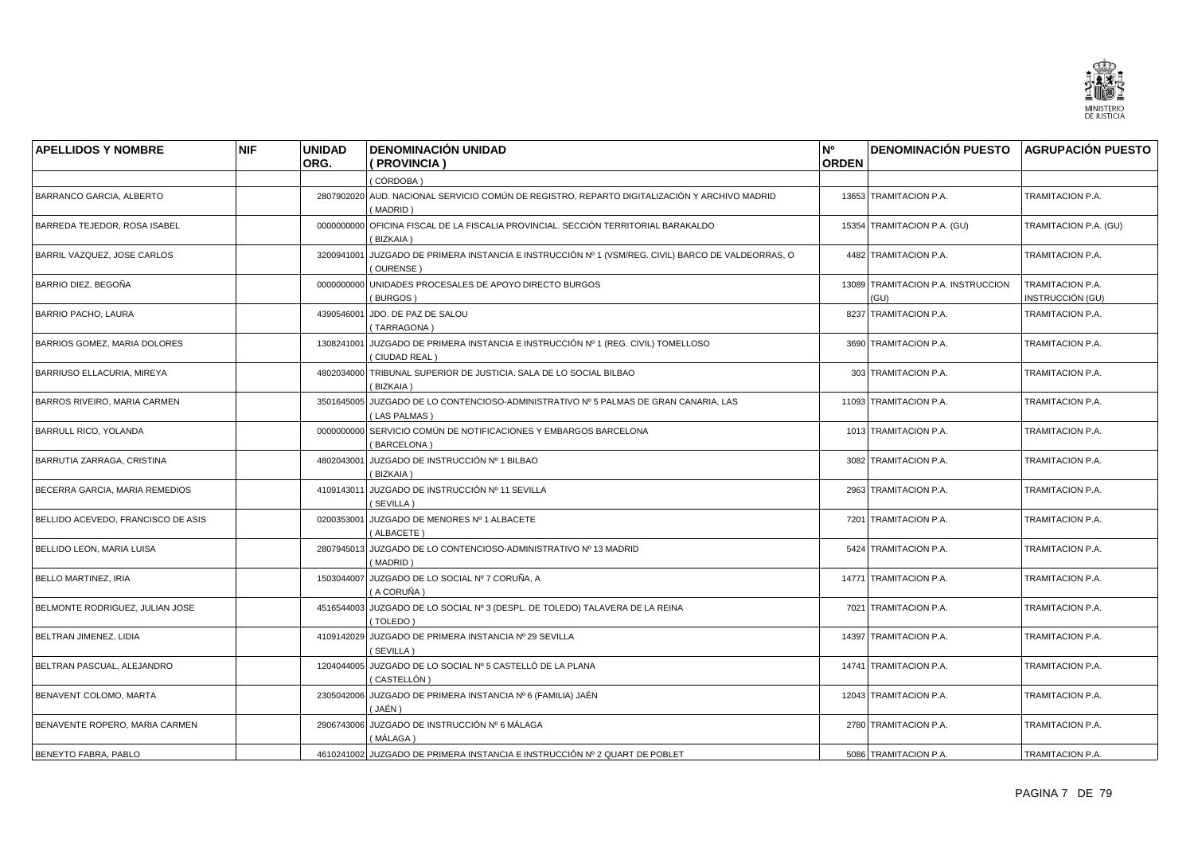

| <b>APELLIDOS Y NOMBRE</b>          | <b>NIF</b> | <b>UNIDAD</b> | <b>DENOMINACIÓN UNIDAD</b>                                                                                      | N <sup>o</sup> | <b>DENOMINACIÓN PUESTO AGRUPACIÓN PUESTO</b> |                                      |
|------------------------------------|------------|---------------|-----------------------------------------------------------------------------------------------------------------|----------------|----------------------------------------------|--------------------------------------|
|                                    |            | ORG.          | (PROVINCIA)                                                                                                     | <b>ORDEN</b>   |                                              |                                      |
|                                    |            |               | (CÓRDOBA)                                                                                                       |                |                                              |                                      |
| BARRANCO GARCIA, ALBERTO           |            |               | 2807902020 AUD. NACIONAL SERVICIO COMÚN DE REGISTRO, REPARTO DIGITALIZACIÓN Y ARCHIVO MADRID<br>(MADRID)        |                | 13653 TRAMITACION P.A.                       | TRAMITACION P.A.                     |
| BARREDA TEJEDOR, ROSA ISABEL       |            |               | 0000000000 OFICINA FISCAL DE LA FISCALIA PROVINCIAL. SECCIÓN TERRITORIAL BARAKALDO<br>(BIZKAIA)                 |                | 15354 TRAMITACION P.A. (GU)                  | TRAMITACION P.A. (GU)                |
| BARRIL VAZQUEZ, JOSE CARLOS        |            |               | 3200941001 JUZGADO DE PRIMERA INSTANCIA E INSTRUCCIÓN Nº 1 (VSM/REG. CIVIL) BARCO DE VALDEORRAS, O<br>(OURENSE) |                | 4482 TRAMITACION P.A.                        | TRAMITACION P.A.                     |
| BARRIO DIEZ, BEGOÑA                |            |               | 0000000000 UNIDADES PROCESALES DE APOYO DIRECTO BURGOS<br>(BURGOS)                                              |                | 13089 TRAMITACION P.A. INSTRUCCION<br>(GU)   | TRAMITACION P.A.<br>INSTRUCCIÓN (GU) |
| <b>BARRIO PACHO, LAURA</b>         |            |               | 4390546001 JDO. DE PAZ DE SALOU<br>(TARRAGONA)                                                                  |                | 8237 TRAMITACION P.A.                        | TRAMITACION P.A.                     |
| BARRIOS GOMEZ, MARIA DOLORES       |            |               | 1308241001 JUZGADO DE PRIMERA INSTANCIA E INSTRUCCIÓN Nº 1 (REG. CIVIL) TOMELLOSO<br>(CIUDAD REAL)              |                | 3690 TRAMITACION P.A.                        | TRAMITACION P.A.                     |
| BARRIUSO ELLACURIA, MIREYA         |            |               | 4802034000 TRIBUNAL SUPERIOR DE JUSTICIA. SALA DE LO SOCIAL BILBAO<br>(BIZKAIA)                                 |                | 303 TRAMITACION P.A.                         | TRAMITACION P.A.                     |
| BARROS RIVEIRO, MARIA CARMEN       |            |               | 3501645005 JUZGADO DE LO CONTENCIOSO-ADMINISTRATIVO Nº 5 PALMAS DE GRAN CANARIA. LAS<br>(LAS PALMAS)            |                | 11093 TRAMITACION P.A.                       | TRAMITACION P.A.                     |
| <b>BARRULL RICO, YOLANDA</b>       |            |               | 0000000000 SERVICIO COMÚN DE NOTIFICACIONES Y EMBARGOS BARCELONA<br>(BARCELONA)                                 |                | 1013 TRAMITACION P.A.                        | TRAMITACION P.A.                     |
| BARRUTIA ZARRAGA, CRISTINA         |            |               | 4802043001 JUZGADO DE INSTRUCCIÓN Nº 1 BILBAO<br>(BIZKAIA)                                                      |                | 3082 TRAMITACION P.A.                        | TRAMITACION P.A.                     |
| BECERRA GARCIA, MARIA REMEDIOS     |            | 4109143011    | JUZGADO DE INSTRUCCIÓN Nº 11 SEVILLA<br>(SEVILLA)                                                               |                | 2963 TRAMITACION P.A.                        | TRAMITACION P.A.                     |
| BELLIDO ACEVEDO, FRANCISCO DE ASIS |            |               | 0200353001 JUZGADO DE MENORES Nº 1 ALBACETE<br>(ALBACETE)                                                       |                | 7201 TRAMITACION P.A.                        | TRAMITACION P.A.                     |
| BELLIDO LEON, MARIA LUISA          |            |               | 2807945013 JUZGADO DE LO CONTENCIOSO-ADMINISTRATIVO Nº 13 MADRID<br>(MADRID)                                    |                | 5424 TRAMITACION P.A.                        | TRAMITACION P.A.                     |
| <b>BELLO MARTINEZ, IRIA</b>        |            |               | 1503044007 JUZGADO DE LO SOCIAL Nº 7 CORUÑA, A<br>( A CORUÑA )                                                  |                | 14771 TRAMITACION P.A.                       | TRAMITACION P.A.                     |
| BELMONTE RODRIGUEZ, JULIAN JOSE    |            |               | 4516544003 JUZGADO DE LO SOCIAL Nº 3 (DESPL. DE TOLEDO) TALAVERA DE LA REINA<br>(TOLEDO)                        |                | 7021 TRAMITACION P.A.                        | TRAMITACION P.A.                     |
| BELTRAN JIMENEZ, LIDIA             |            |               | 4109142029 JUZGADO DE PRIMERA INSTANCIA Nº 29 SEVILLA<br>(SEVILLA)                                              |                | 14397 TRAMITACION P.A.                       | TRAMITACION P.A.                     |
| BELTRAN PASCUAL, ALEJANDRO         |            |               | 1204044005 JUZGADO DE LO SOCIAL Nº 5 CASTELLÓ DE LA PLANA<br>( CASTELLÓN )                                      |                | 14741 TRAMITACION P.A.                       | TRAMITACION P.A.                     |
| BENAVENT COLOMO, MARTA             |            |               | 2305042006 JUZGADO DE PRIMERA INSTANCIA Nº 6 (FAMILIA) JAÉN<br>(JAÉN )                                          |                | 12043 TRAMITACION P.A.                       | TRAMITACION P.A.                     |
| BENAVENTE ROPERO, MARIA CARMEN     |            |               | 2906743006 JUZGADO DE INSTRUCCIÓN Nº 6 MÁLAGA<br>( MÁLAGA )                                                     |                | 2780 TRAMITACION P.A.                        | TRAMITACION P.A.                     |
| BENEYTO FABRA, PABLO               |            |               | 4610241002 JUZGADO DE PRIMERA INSTANCIA E INSTRUCCIÓN Nº 2 QUART DE POBLET                                      |                | 5086 TRAMITACION P.A.                        | TRAMITACION P.A.                     |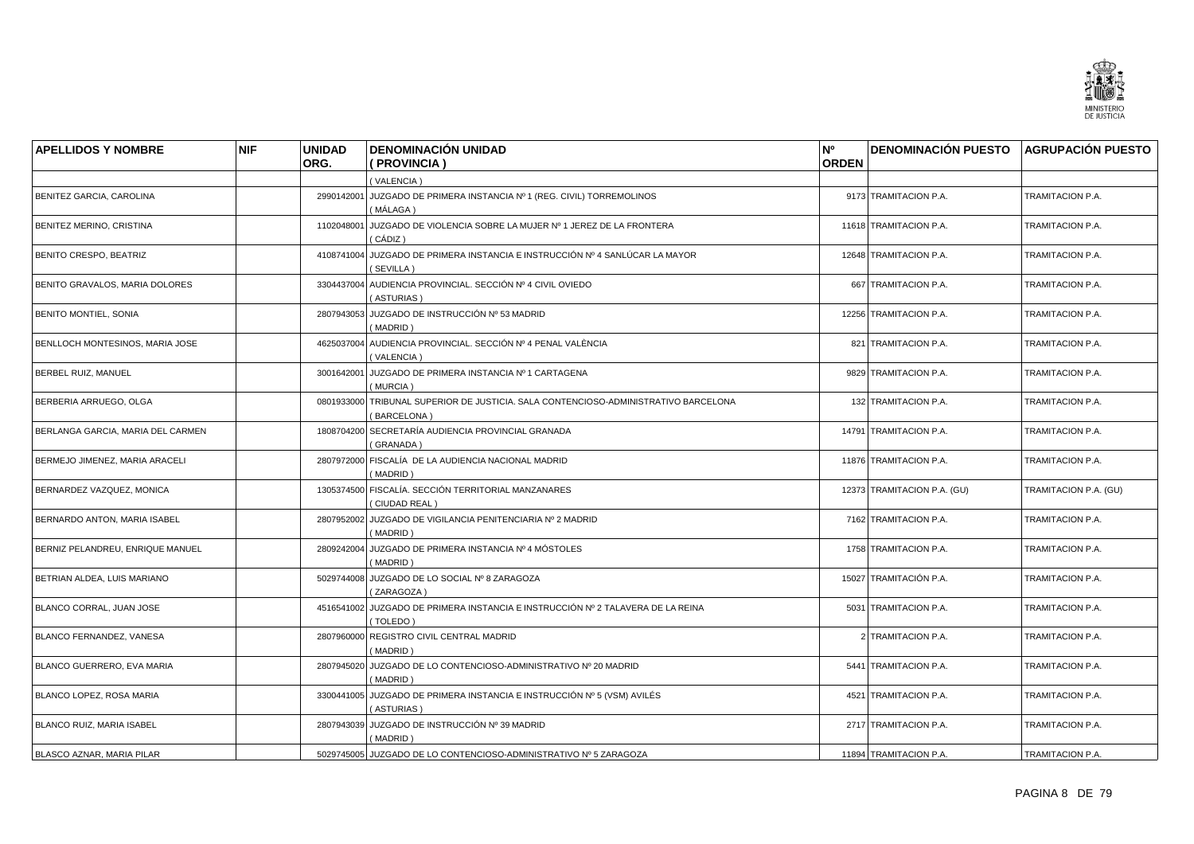

| <b>APELLIDOS Y NOMBRE</b>         | <b>NIF</b> | <b>UNIDAD</b><br>ORG. | <b>DENOMINACIÓN UNIDAD</b><br>(PROVINCIA)                                                          | N°<br><b>ORDEN</b> | <b>DENOMINACIÓN PUESTO AGRUPACIÓN PUESTO</b> |                       |
|-----------------------------------|------------|-----------------------|----------------------------------------------------------------------------------------------------|--------------------|----------------------------------------------|-----------------------|
|                                   |            |                       | (VALENCIA)                                                                                         |                    |                                              |                       |
| BENITEZ GARCIA, CAROLINA          |            |                       | 2990142001 JUZGADO DE PRIMERA INSTANCIA Nº 1 (REG. CIVIL) TORREMOLINOS<br>( MÁLAGA )               |                    | 9173 TRAMITACION P.A.                        | TRAMITACION P.A.      |
| BENITEZ MERINO, CRISTINA          |            | 1102048001            | JUZGADO DE VIOLENCIA SOBRE LA MUJER Nº 1 JEREZ DE LA FRONTERA<br>(CÁDIZ)                           |                    | 11618 TRAMITACION P.A.                       | TRAMITACION P.A.      |
| BENITO CRESPO, BEATRIZ            |            |                       | 4108741004 JUZGADO DE PRIMERA INSTANCIA E INSTRUCCIÓN Nº 4 SANLÚCAR LA MAYOR<br>(SEVILLA)          |                    | 12648 TRAMITACION P.A.                       | TRAMITACION P.A.      |
| BENITO GRAVALOS, MARIA DOLORES    |            |                       | 3304437004 AUDIENCIA PROVINCIAL. SECCIÓN Nº 4 CIVIL OVIEDO<br>(ASTURIAS)                           |                    | 667 TRAMITACION P.A.                         | TRAMITACION P.A.      |
| <b>BENITO MONTIEL, SONIA</b>      |            |                       | 2807943053 JUZGADO DE INSTRUCCIÓN Nº 53 MADRID<br>(MADRID)                                         |                    | 12256 TRAMITACION P.A.                       | TRAMITACION P.A.      |
| BENLLOCH MONTESINOS, MARIA JOSE   |            |                       | 4625037004 AUDIENCIA PROVINCIAL. SECCIÓN Nº 4 PENAL VALÈNCIA<br>(VALENCIA)                         |                    | 821 TRAMITACION P.A.                         | TRAMITACION P.A.      |
| BERBEL RUIZ, MANUEL               |            |                       | 3001642001 JUZGADO DE PRIMERA INSTANCIA Nº 1 CARTAGENA<br>(MURCIA)                                 |                    | 9829 TRAMITACION P.A.                        | TRAMITACION P.A.      |
| BERBERIA ARRUEGO, OLGA            |            |                       | 0801933000 TRIBUNAL SUPERIOR DE JUSTICIA. SALA CONTENCIOSO-ADMINISTRATIVO BARCELONA<br>(BARCELONA) |                    | 132 TRAMITACION P.A.                         | TRAMITACION P.A.      |
| BERLANGA GARCIA, MARIA DEL CARMEN |            |                       | 1808704200 SECRETARÍA AUDIENCIA PROVINCIAL GRANADA<br>(GRANADA)                                    |                    | 14791 TRAMITACION P.A.                       | TRAMITACION P.A.      |
| BERMEJO JIMENEZ, MARIA ARACELI    |            |                       | 2807972000 FISCALÍA DE LA AUDIENCIA NACIONAL MADRID<br>(MADRID)                                    |                    | 11876 TRAMITACION P.A.                       | TRAMITACION P.A.      |
| BERNARDEZ VAZQUEZ, MONICA         |            |                       | 1305374500 FISCALÍA. SECCIÓN TERRITORIAL MANZANARES<br>(CIUDAD REAL)                               |                    | 12373 TRAMITACION P.A. (GU)                  | TRAMITACION P.A. (GU) |
| BERNARDO ANTON, MARIA ISABEL      |            |                       | 2807952002 JUZGADO DE VIGILANCIA PENITENCIARIA Nº 2 MADRID<br>(MADRID)                             |                    | 7162 TRAMITACION P.A.                        | TRAMITACION P.A.      |
| BERNIZ PELANDREU, ENRIQUE MANUEL  |            |                       | 2809242004 JUZGADO DE PRIMERA INSTANCIA Nº 4 MÓSTOLES<br>(MADRID)                                  |                    | 1758 TRAMITACION P.A.                        | TRAMITACION P.A.      |
| BETRIAN ALDEA, LUIS MARIANO       |            |                       | 5029744008 JUZGADO DE LO SOCIAL Nº 8 ZARAGOZA<br>(ZARAGOZA)                                        |                    | 15027 TRAMITACIÓN P.A.                       | TRAMITACION P.A.      |
| BLANCO CORRAL, JUAN JOSE          |            |                       | 4516541002 JUZGADO DE PRIMERA INSTANCIA E INSTRUCCIÓN Nº 2 TALAVERA DE LA REINA<br>(TOLEDO)        |                    | 5031 TRAMITACION P.A.                        | TRAMITACION P.A.      |
| BLANCO FERNANDEZ, VANESA          |            |                       | 2807960000 REGISTRO CIVIL CENTRAL MADRID<br>(MADRID)                                               |                    | 2 TRAMITACION P.A.                           | TRAMITACION P.A.      |
| BLANCO GUERRERO. EVA MARIA        |            |                       | 2807945020 JUZGADO DE LO CONTENCIOSO-ADMINISTRATIVO Nº 20 MADRID<br>(MADRID)                       |                    | 5441 TRAMITACION P.A.                        | TRAMITACION P.A.      |
| BLANCO LOPEZ, ROSA MARIA          |            |                       | 3300441005 JUZGADO DE PRIMERA INSTANCIA E INSTRUCCIÓN Nº 5 (VSM) AVILÉS<br>(ASTURIAS)              |                    | 4521 TRAMITACION P.A.                        | TRAMITACION P.A.      |
| <b>BLANCO RUIZ, MARIA ISABEL</b>  |            |                       | 2807943039 JUZGADO DE INSTRUCCIÓN Nº 39 MADRID<br>(MADRID)                                         |                    | 2717 TRAMITACION P.A.                        | TRAMITACION P.A.      |
| <b>BLASCO AZNAR, MARIA PILAR</b>  |            |                       | 5029745005 JUZGADO DE LO CONTENCIOSO-ADMINISTRATIVO Nº 5 ZARAGOZA                                  |                    | 11894 TRAMITACION P.A.                       | TRAMITACION P.A.      |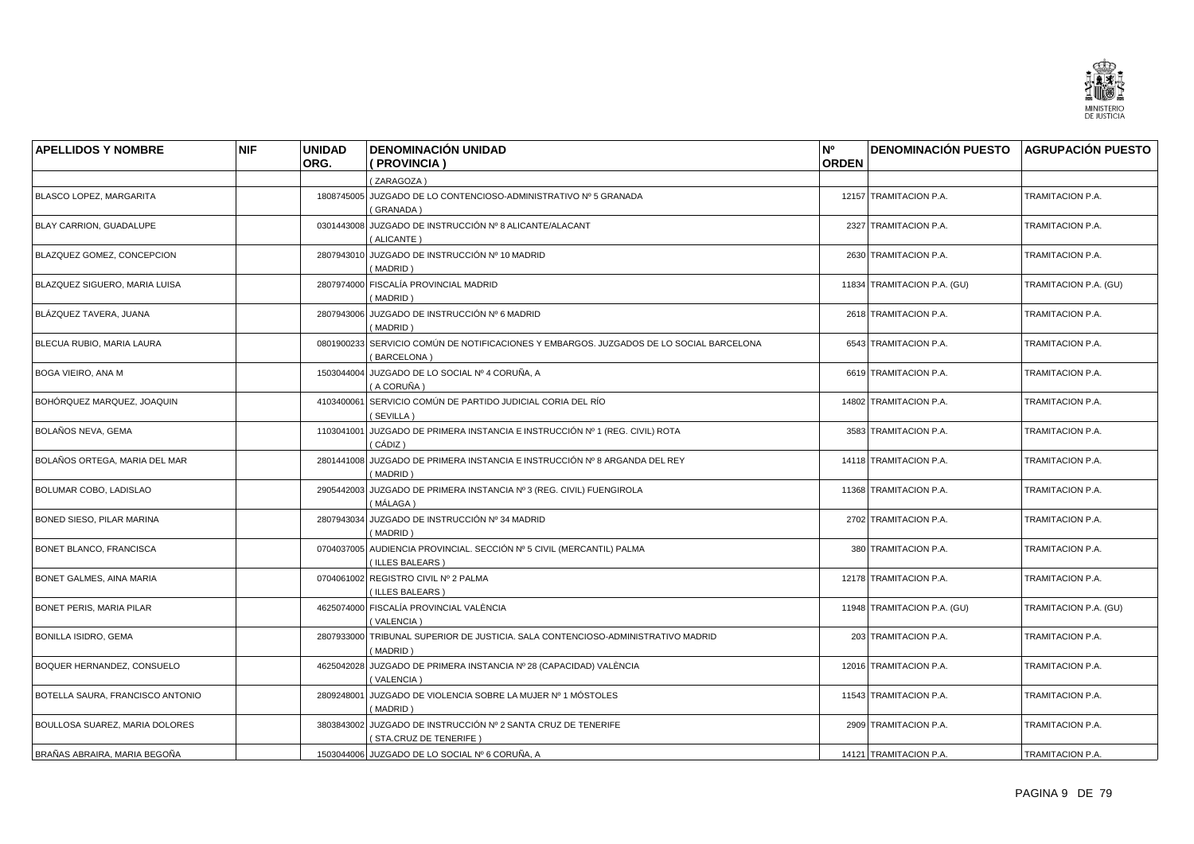

| <b>APELLIDOS Y NOMBRE</b>        | <b>NIF</b> | <b>UNIDAD</b> | <b>DENOMINACIÓN UNIDAD</b>                                                                   | N <sup>o</sup> | <b>DENOMINACIÓN PUESTO AGRUPACIÓN PUESTO</b> |                       |
|----------------------------------|------------|---------------|----------------------------------------------------------------------------------------------|----------------|----------------------------------------------|-----------------------|
|                                  |            | ORG.          | (PROVINCIA)                                                                                  | <b>ORDEN</b>   |                                              |                       |
|                                  |            |               | (ZARAGOZA)                                                                                   |                |                                              |                       |
| <b>BLASCO LOPEZ, MARGARITA</b>   |            |               | 1808745005 JUZGADO DE LO CONTENCIOSO-ADMINISTRATIVO Nº 5 GRANADA<br>(GRANADA)                |                | 12157 TRAMITACION P.A.                       | TRAMITACION P.A.      |
| BLAY CARRION, GUADALUPE          |            |               | 0301443008 JUZGADO DE INSTRUCCIÓN Nº 8 ALICANTE/ALACANT<br>(ALICANTE)                        |                | 2327 TRAMITACION P.A.                        | TRAMITACION P.A.      |
| BLAZQUEZ GOMEZ, CONCEPCION       |            |               | 2807943010 JUZGADO DE INSTRUCCIÓN Nº 10 MADRID<br>(MADRID)                                   |                | 2630 TRAMITACION P.A.                        | TRAMITACION P.A.      |
| BLAZQUEZ SIGUERO, MARIA LUISA    |            |               | 2807974000 FISCALÍA PROVINCIAL MADRID<br>(MADRID)                                            |                | 11834 TRAMITACION P.A. (GU)                  | TRAMITACION P.A. (GU) |
| BLÁZQUEZ TAVERA, JUANA           |            |               | 2807943006 JUZGADO DE INSTRUCCIÓN Nº 6 MADRID<br>(MADRID)                                    |                | 2618 TRAMITACION P.A.                        | TRAMITACION P.A.      |
| BLECUA RUBIO, MARIA LAURA        |            | 0801900233    | SERVICIO COMÚN DE NOTIFICACIONES Y EMBARGOS. JUZGADOS DE LO SOCIAL BARCELONA<br>(BARCELONA)  |                | 6543 TRAMITACION P.A.                        | TRAMITACION P.A.      |
| BOGA VIEIRO, ANA M               |            |               | 1503044004 JUZGADO DE LO SOCIAL Nº 4 CORUÑA, A<br>(A CORUÑA)                                 |                | 6619 TRAMITACION P.A.                        | TRAMITACION P.A.      |
| BOHÓRQUEZ MARQUEZ, JOAQUIN       |            |               | 4103400061 SERVICIO COMÚN DE PARTIDO JUDICIAL CORIA DEL RÍO<br>(SEVILLA)                     |                | 14802 TRAMITACION P.A.                       | TRAMITACION P.A.      |
| BOLAÑOS NEVA, GEMA               |            |               | 1103041001 JUZGADO DE PRIMERA INSTANCIA E INSTRUCCIÓN Nº 1 (REG. CIVIL) ROTA<br>(CÁDIZ)      |                | 3583 TRAMITACION P.A.                        | TRAMITACION P.A.      |
| BOLAÑOS ORTEGA, MARIA DEL MAR    |            |               | 2801441008 JUZGADO DE PRIMERA INSTANCIA E INSTRUCCIÓN Nº 8 ARGANDA DEL REY<br>(MADRID)       |                | 14118 TRAMITACION P.A.                       | TRAMITACION P.A.      |
| BOLUMAR COBO, LADISLAO           |            | 2905442003    | JUZGADO DE PRIMERA INSTANCIA Nº 3 (REG. CIVIL) FUENGIROLA<br>( MÁLAGA )                      |                | 11368 TRAMITACION P.A.                       | TRAMITACION P.A.      |
| BONED SIESO, PILAR MARINA        |            |               | 2807943034 JUZGADO DE INSTRUCCIÓN Nº 34 MADRID<br>(MADRID)                                   |                | 2702 TRAMITACION P.A.                        | TRAMITACION P.A.      |
| BONET BLANCO, FRANCISCA          |            |               | 0704037005 AUDIENCIA PROVINCIAL. SECCIÓN Nº 5 CIVIL (MERCANTIL) PALMA<br>(ILLES BALEARS)     |                | 380 TRAMITACION P.A.                         | TRAMITACION P.A.      |
| <b>BONET GALMES, AINA MARIA</b>  |            |               | 0704061002 REGISTRO CIVIL Nº 2 PALMA<br>(ILLES BALEARS)                                      |                | 12178 TRAMITACION P.A.                       | TRAMITACION P.A.      |
| <b>BONET PERIS, MARIA PILAR</b>  |            |               | 4625074000 FISCALÍA PROVINCIAL VALÈNCIA<br>(VALENCIA)                                        |                | 11948 TRAMITACION P.A. (GU)                  | TRAMITACION P.A. (GU) |
| <b>BONILLA ISIDRO, GEMA</b>      |            |               | 2807933000 TRIBUNAL SUPERIOR DE JUSTICIA. SALA CONTENCIOSO-ADMINISTRATIVO MADRID<br>(MADRID) |                | 203 TRAMITACION P.A.                         | TRAMITACION P.A.      |
| BOQUER HERNANDEZ, CONSUELO       |            | 4625042028    | JUZGADO DE PRIMERA INSTANCIA Nº 28 (CAPACIDAD) VALENCIA<br>(VALENCIA)                        |                | 12016 TRAMITACION P.A.                       | TRAMITACION P.A.      |
| BOTELLA SAURA, FRANCISCO ANTONIO |            |               | 2809248001 JUZGADO DE VIOLENCIA SOBRE LA MUJER Nº 1 MÓSTOLES<br>(MADRID)                     |                | 11543 TRAMITACION P.A.                       | TRAMITACION P.A.      |
| BOULLOSA SUAREZ, MARIA DOLORES   |            |               | 3803843002 JUZGADO DE INSTRUCCIÓN Nº 2 SANTA CRUZ DE TENERIFE<br>(STA.CRUZ DE TENERIFE)      |                | 2909 TRAMITACION P.A.                        | TRAMITACION P.A.      |
| BRAÑAS ABRAIRA, MARIA BEGOÑA     |            |               | 1503044006 JUZGADO DE LO SOCIAL Nº 6 CORUÑA, A                                               |                | 14121 TRAMITACION P.A.                       | TRAMITACION P.A.      |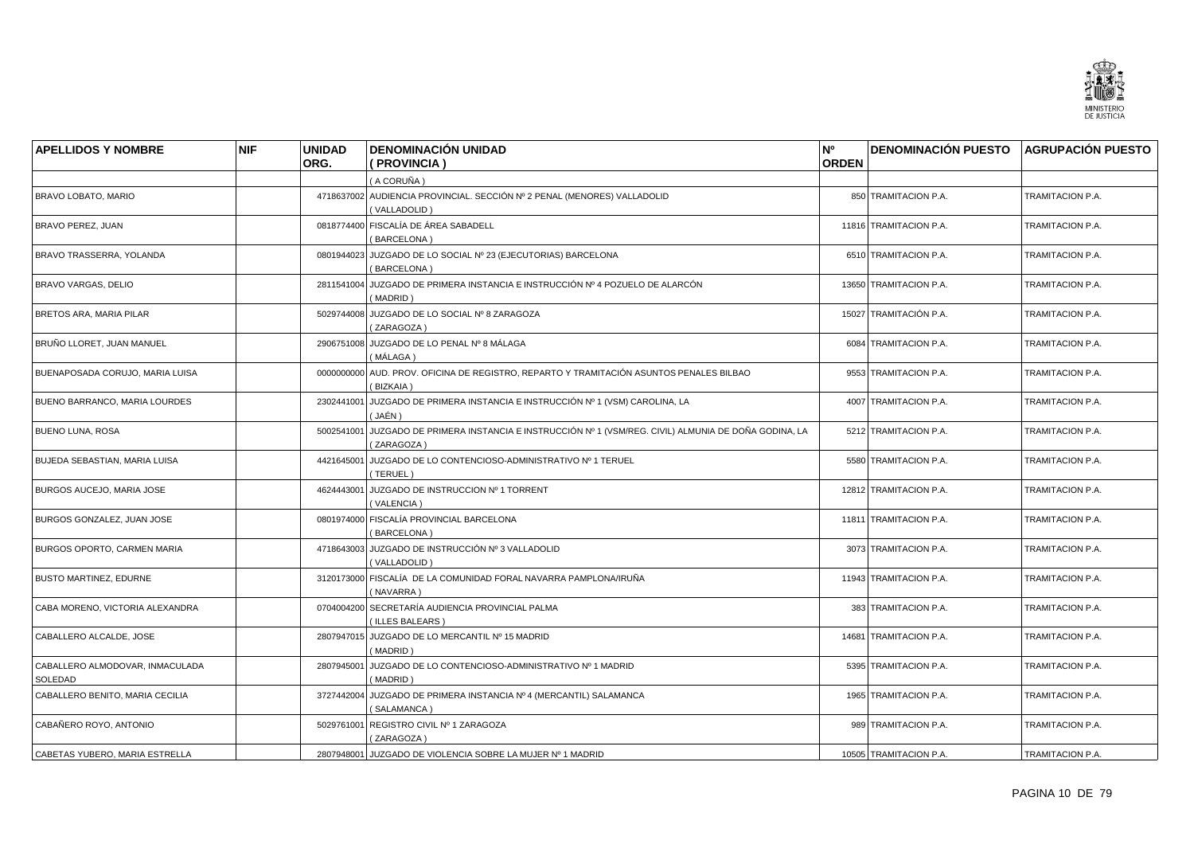

| <b>APELLIDOS Y NOMBRE</b>                  | <b>NIF</b> | <b>UNIDAD</b><br>ORG. | <b>DENOMINACIÓN UNIDAD</b><br>(PROVINCIA)                                                                            | N°<br><b>ORDEN</b> | DENOMINACIÓN PUESTO AGRUPACIÓN PUESTO |                         |
|--------------------------------------------|------------|-----------------------|----------------------------------------------------------------------------------------------------------------------|--------------------|---------------------------------------|-------------------------|
|                                            |            |                       | (A CORUÑA )                                                                                                          |                    |                                       |                         |
| <b>BRAVO LOBATO, MARIO</b>                 |            |                       | 4718637002 AUDIENCIA PROVINCIAL. SECCIÓN Nº 2 PENAL (MENORES) VALLADOLID<br>(VALLADOLID)                             |                    | 850 TRAMITACION P.A.                  | TRAMITACION P.A.        |
| BRAVO PEREZ, JUAN                          |            |                       | 0818774400 FISCALÍA DE ÁREA SABADELL<br>(BARCELONA)                                                                  |                    | 11816 TRAMITACION P.A.                | TRAMITACION P.A.        |
| BRAVO TRASSERRA, YOLANDA                   |            |                       | 0801944023 JUZGADO DE LO SOCIAL Nº 23 (EJECUTORIAS) BARCELONA<br>(BARCELONA)                                         |                    | 6510 TRAMITACION P.A.                 | TRAMITACION P.A.        |
| <b>BRAVO VARGAS, DELIO</b>                 |            |                       | 2811541004 JUZGADO DE PRIMERA INSTANCIA E INSTRUCCIÓN Nº 4 POZUELO DE ALARCÓN<br>(MADRID)                            |                    | 13650 TRAMITACION P.A.                | TRAMITACION P.A.        |
| <b>BRETOS ARA, MARIA PILAR</b>             |            |                       | 5029744008 JUZGADO DE LO SOCIAL Nº 8 ZARAGOZA<br>(ZARAGOZA)                                                          |                    | 15027 TRAMITACIÓN P.A.                | TRAMITACION P.A.        |
| BRUÑO LLORET, JUAN MANUEL                  |            |                       | 2906751008 JUZGADO DE LO PENAL Nº 8 MÁLAGA<br>(MÁLAGA)                                                               |                    | 6084 TRAMITACION P.A.                 | TRAMITACION P.A.        |
| BUENAPOSADA CORUJO, MARIA LUISA            |            |                       | 0000000000 AUD. PROV. OFICINA DE REGISTRO, REPARTO Y TRAMITACIÓN ASUNTOS PENALES BILBAO<br>(BIZKAIA)                 |                    | 9553 TRAMITACION P.A.                 | TRAMITACION P.A.        |
| BUENO BARRANCO, MARIA LOURDES              |            | 2302441001            | JUZGADO DE PRIMERA INSTANCIA E INSTRUCCIÓN Nº 1 (VSM) CAROLINA, LA<br>( JAÉN )                                       |                    | 4007 TRAMITACION P.A.                 | TRAMITACION P.A.        |
| <b>BUENO LUNA, ROSA</b>                    |            |                       | 5002541001 JUZGADO DE PRIMERA INSTANCIA E INSTRUCCIÓN Nº 1 (VSM/REG. CIVIL) ALMUNIA DE DOÑA GODINA, LA<br>(ZARAGOZA) |                    | 5212 TRAMITACION P.A.                 | TRAMITACION P.A.        |
| BUJEDA SEBASTIAN, MARIA LUISA              |            |                       | 4421645001 JUZGADO DE LO CONTENCIOSO-ADMINISTRATIVO Nº 1 TERUEL<br>(TERUEL)                                          |                    | 5580 TRAMITACION P.A.                 | TRAMITACION P.A.        |
| BURGOS AUCEJO, MARIA JOSE                  |            | 4624443001            | JUZGADO DE INSTRUCCION Nº 1 TORRENT<br>(VALENCIA)                                                                    |                    | 12812 TRAMITACION P.A.                | TRAMITACION P.A.        |
| BURGOS GONZALEZ, JUAN JOSE                 |            |                       | 0801974000 FISCALÍA PROVINCIAL BARCELONA<br>(BARCELONA)                                                              |                    | 11811 TRAMITACION P.A.                | TRAMITACION P.A.        |
| <b>BURGOS OPORTO, CARMEN MARIA</b>         |            |                       | 4718643003 JUZGADO DE INSTRUCCIÓN Nº 3 VALLADOLID<br>(VALLADOLID)                                                    |                    | 3073 TRAMITACION P.A.                 | TRAMITACION P.A.        |
| <b>BUSTO MARTINEZ, EDURNE</b>              |            |                       | 3120173000 FISCALÍA DE LA COMUNIDAD FORAL NAVARRA PAMPLONA/IRUÑA<br>(NAVARRA)                                        |                    | 11943 TRAMITACION P.A.                | <b>TRAMITACION P.A.</b> |
| CABA MORENO, VICTORIA ALEXANDRA            |            |                       | 0704004200 SECRETARÍA AUDIENCIA PROVINCIAL PALMA<br>(ILLES BALEARS)                                                  |                    | 383 TRAMITACION P.A.                  | TRAMITACION P.A.        |
| CABALLERO ALCALDE, JOSE                    |            |                       | 2807947015 JUZGADO DE LO MERCANTIL Nº 15 MADRID<br>(MADRID)                                                          |                    | 14681 TRAMITACION P.A.                | TRAMITACION P.A.        |
| CABALLERO ALMODOVAR, INMACULADA<br>SOLEDAD |            | 2807945001            | JUZGADO DE LO CONTENCIOSO-ADMINISTRATIVO Nº 1 MADRID<br>(MADRID)                                                     |                    | 5395 TRAMITACION P.A.                 | TRAMITACION P.A.        |
| CABALLERO BENITO, MARIA CECILIA            |            |                       | 3727442004 JUZGADO DE PRIMERA INSTANCIA Nº 4 (MERCANTIL) SALAMANCA<br>(SALAMANCA)                                    |                    | 1965 TRAMITACION P.A.                 | TRAMITACION P.A.        |
| CABAÑERO ROYO, ANTONIO                     |            |                       | 5029761001 REGISTRO CIVIL Nº 1 ZARAGOZA<br>(ZARAGOZA)                                                                |                    | 989 TRAMITACION P.A.                  | TRAMITACION P.A.        |
| CABETAS YUBERO, MARIA ESTRELLA             |            |                       | 2807948001 JUZGADO DE VIOLENCIA SOBRE LA MUJER Nº 1 MADRID                                                           |                    | 10505 TRAMITACION P.A.                | TRAMITACION P.A.        |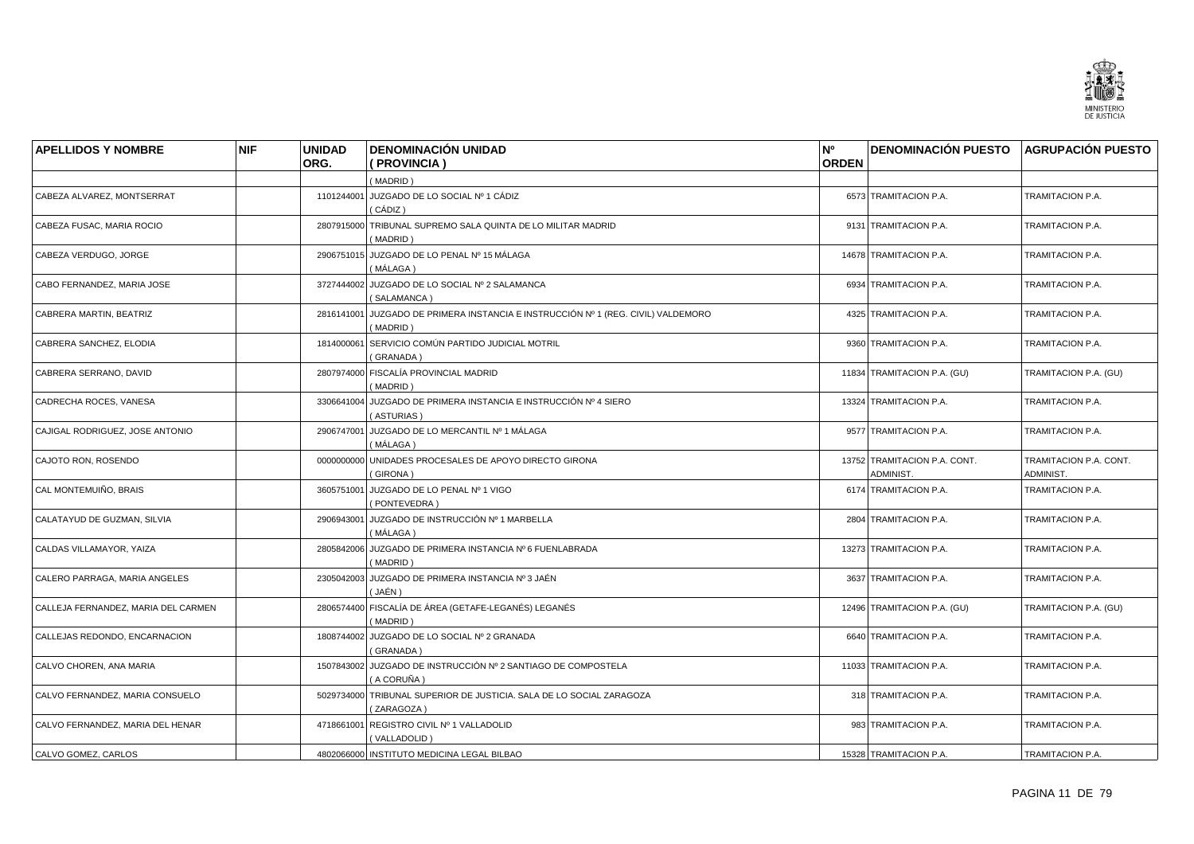

| <b>APELLIDOS Y NOMBRE</b>           | <b>NIF</b> | <b>UNIDAD</b> | <b>DENOMINACIÓN UNIDAD</b>                                                                    | N°           | <b>DENOMINACIÓN PUESTO AGRUPACIÓN PUESTO</b> |                                     |
|-------------------------------------|------------|---------------|-----------------------------------------------------------------------------------------------|--------------|----------------------------------------------|-------------------------------------|
|                                     |            | ORG.          | (PROVINCIA)                                                                                   | <b>ORDEN</b> |                                              |                                     |
|                                     |            |               | (MADRID)                                                                                      |              |                                              |                                     |
| CABEZA ALVAREZ, MONTSERRAT          |            |               | 1101244001 JUZGADO DE LO SOCIAL Nº 1 CÁDIZ<br>(CÁDIZ)                                         |              | 6573 TRAMITACION P.A.                        | TRAMITACION P.A.                    |
| CABEZA FUSAC, MARIA ROCIO           |            |               | 2807915000 TRIBUNAL SUPREMO SALA QUINTA DE LO MILITAR MADRID<br>(MADRID)                      |              | 9131 TRAMITACION P.A.                        | TRAMITACION P.A.                    |
| CABEZA VERDUGO, JORGE               |            |               | 2906751015 JUZGADO DE LO PENAL Nº 15 MÁLAGA<br>( MÁLAGA )                                     |              | 14678 TRAMITACION P.A.                       | TRAMITACION P.A.                    |
| CABO FERNANDEZ, MARIA JOSE          |            |               | 3727444002 JUZGADO DE LO SOCIAL Nº 2 SALAMANCA<br>(SALAMANCA)                                 |              | 6934 TRAMITACION P.A.                        | TRAMITACION P.A.                    |
| CABRERA MARTIN, BEATRIZ             |            |               | 2816141001 JUZGADO DE PRIMERA INSTANCIA E INSTRUCCIÓN Nº 1 (REG. CIVIL) VALDEMORO<br>(MADRID) |              | 4325 TRAMITACION P.A.                        | TRAMITACION P.A.                    |
| CABRERA SANCHEZ, ELODIA             |            |               | 1814000061 SERVICIO COMÚN PARTIDO JUDICIAL MOTRIL<br>(GRANADA)                                |              | 9360 TRAMITACION P.A.                        | TRAMITACION P.A.                    |
| CABRERA SERRANO, DAVID              |            |               | 2807974000 FISCALÍA PROVINCIAL MADRID<br>(MADRID)                                             |              | 11834 TRAMITACION P.A. (GU)                  | TRAMITACION P.A. (GU)               |
| CADRECHA ROCES, VANESA              |            |               | 3306641004 JUZGADO DE PRIMERA INSTANCIA E INSTRUCCIÓN Nº 4 SIERO<br>(ASTURIAS)                |              | 13324 TRAMITACION P.A.                       | TRAMITACION P.A.                    |
| CAJIGAL RODRIGUEZ, JOSE ANTONIO     |            |               | 2906747001 JUZGADO DE LO MERCANTIL Nº 1 MÁLAGA<br>(MÁLAGA)                                    |              | 9577 TRAMITACION P.A.                        | TRAMITACION P.A.                    |
| CAJOTO RON, ROSENDO                 |            |               | 0000000000 UNIDADES PROCESALES DE APOYO DIRECTO GIRONA<br>(GIRONA)                            |              | 13752 TRAMITACION P.A. CONT.<br>ADMINIST.    | TRAMITACION P.A. CONT.<br>ADMINIST. |
| CAL MONTEMUIÑO, BRAIS               |            | 3605751001    | JUZGADO DE LO PENAL Nº 1 VIGO<br>(PONTEVEDRA)                                                 |              | 6174 TRAMITACION P.A.                        | TRAMITACION P.A.                    |
| CALATAYUD DE GUZMAN, SILVIA         |            |               | 2906943001 JUZGADO DE INSTRUCCIÓN Nº 1 MARBELLA<br>( MÁLAGA )                                 |              | 2804 TRAMITACION P.A.                        | TRAMITACION P.A.                    |
| CALDAS VILLAMAYOR, YAIZA            |            |               | 2805842006 JUZGADO DE PRIMERA INSTANCIA Nº 6 FUENLABRADA<br>(MADRID)                          |              | 13273 TRAMITACION P.A.                       | TRAMITACION P.A.                    |
| CALERO PARRAGA, MARIA ANGELES       |            |               | 2305042003 JUZGADO DE PRIMERA INSTANCIA Nº 3 JAÉN<br>(JAÉN )                                  |              | 3637 TRAMITACION P.A.                        | TRAMITACION P.A.                    |
| CALLEJA FERNANDEZ, MARIA DEL CARMEN |            |               | 2806574400 FISCALÍA DE ÁREA (GETAFE-LEGANÉS) LEGANÉS<br>(MADRID)                              |              | 12496 TRAMITACION P.A. (GU)                  | TRAMITACION P.A. (GU)               |
| CALLEJAS REDONDO, ENCARNACION       |            |               | 1808744002 JUZGADO DE LO SOCIAL Nº 2 GRANADA<br>(GRANADA)                                     |              | 6640 TRAMITACION P.A.                        | TRAMITACION P.A.                    |
| CALVO CHOREN, ANA MARIA             |            |               | 1507843002 JUZGADO DE INSTRUCCIÓN Nº 2 SANTIAGO DE COMPOSTELA<br>(A CORUÑA)                   |              | 11033 TRAMITACION P.A.                       | TRAMITACION P.A.                    |
| CALVO FERNANDEZ, MARIA CONSUELO     |            |               | 5029734000 TRIBUNAL SUPERIOR DE JUSTICIA. SALA DE LO SOCIAL ZARAGOZA<br>(ZARAGOZA)            |              | 318 TRAMITACION P.A.                         | TRAMITACION P.A.                    |
| CALVO FERNANDEZ, MARIA DEL HENAR    |            |               | 4718661001 REGISTRO CIVIL Nº 1 VALLADOLID<br>(VALLADOLID)                                     |              | 983 TRAMITACION P.A.                         | TRAMITACION P.A.                    |
| CALVO GOMEZ, CARLOS                 |            |               | 4802066000 INSTITUTO MEDICINA LEGAL BILBAO                                                    |              | 15328 TRAMITACION P.A.                       | TRAMITACION P.A.                    |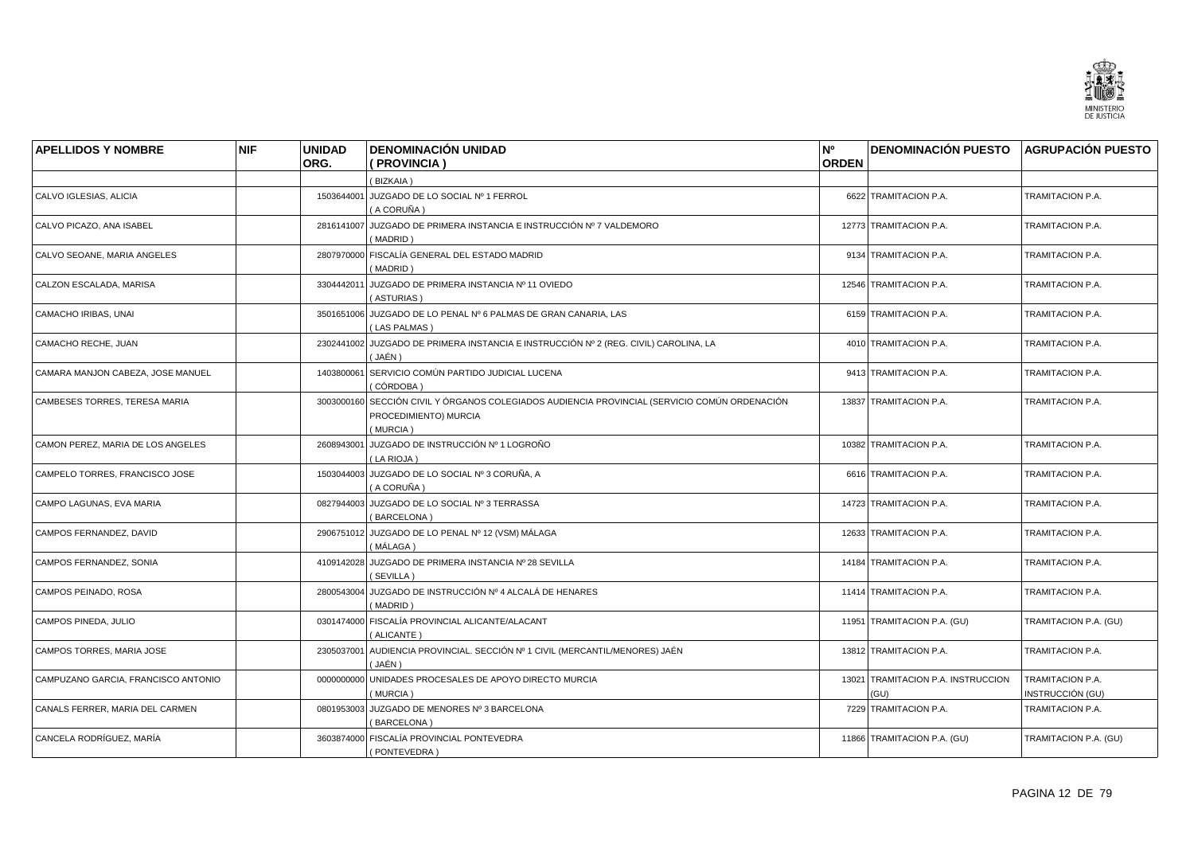

| <b>APELLIDOS Y NOMBRE</b>           | <b>NIF</b> | <b>UNIDAD</b> | <b>DENOMINACIÓN UNIDAD</b>                                                                                                         | N°           | <b>DENOMINACIÓN PUESTO AGRUPACIÓN PUESTO</b> |                                      |
|-------------------------------------|------------|---------------|------------------------------------------------------------------------------------------------------------------------------------|--------------|----------------------------------------------|--------------------------------------|
|                                     |            | ORG.          | (PROVINCIA)                                                                                                                        | <b>ORDEN</b> |                                              |                                      |
|                                     |            |               | (BIZKAIA)                                                                                                                          |              |                                              |                                      |
| CALVO IGLESIAS, ALICIA              |            |               | 1503644001 JUZGADO DE LO SOCIAL Nº 1 FERROL<br>(A CORUÑA)                                                                          |              | 6622 TRAMITACION P.A.                        | TRAMITACION P.A.                     |
| CALVO PICAZO, ANA ISABEL            |            |               | 2816141007 JUZGADO DE PRIMERA INSTANCIA E INSTRUCCIÓN Nº 7 VALDEMORO<br>(MADRID)                                                   |              | 12773 TRAMITACION P.A.                       | TRAMITACION P.A.                     |
| CALVO SEOANE. MARIA ANGELES         |            |               | 2807970000 FISCALÍA GENERAL DEL ESTADO MADRID<br>(MADRID)                                                                          |              | 9134 TRAMITACION P.A.                        | TRAMITACION P.A.                     |
| CALZON ESCALADA, MARISA             |            | 3304442011    | JUZGADO DE PRIMERA INSTANCIA Nº 11 OVIEDO<br>(ASTURIAS)                                                                            |              | 12546 TRAMITACION P.A.                       | TRAMITACION P.A.                     |
| CAMACHO IRIBAS, UNAI                |            |               | 3501651006 JUZGADO DE LO PENAL Nº 6 PALMAS DE GRAN CANARIA, LAS<br>(LAS PALMAS)                                                    |              | 6159 TRAMITACION P.A.                        | TRAMITACION P.A.                     |
| CAMACHO RECHE, JUAN                 |            |               | 2302441002 JUZGADO DE PRIMERA INSTANCIA E INSTRUCCIÓN Nº 2 (REG. CIVIL) CAROLINA, LA<br>(JAÉN)                                     |              | 4010 TRAMITACION P.A.                        | TRAMITACION P.A.                     |
| CAMARA MANJON CABEZA, JOSE MANUEL   |            | 1403800061    | SERVICIO COMÚN PARTIDO JUDICIAL LUCENA<br>( CÓRDOBA )                                                                              |              | 9413 TRAMITACION P.A.                        | TRAMITACION P.A.                     |
| CAMBESES TORRES, TERESA MARIA       |            |               | 3003000160 SECCIÓN CIVIL Y ÓRGANOS COLEGIADOS AUDIENCIA PROVINCIAL (SERVICIO COMÚN ORDENACIÓN<br>PROCEDIMIENTO) MURCIA<br>(MURCIA) |              | 13837 TRAMITACION P.A.                       | TRAMITACION P.A.                     |
| CAMON PEREZ, MARIA DE LOS ANGELES   |            |               | 2608943001 JUZGADO DE INSTRUCCIÓN Nº 1 LOGROÑO<br>(LA RIOJA)                                                                       |              | 10382 TRAMITACION P.A.                       | TRAMITACION P.A.                     |
| CAMPELO TORRES, FRANCISCO JOSE      |            |               | 1503044003 JUZGADO DE LO SOCIAL Nº 3 CORUÑA, A<br>(A CORUÑA )                                                                      |              | 6616 TRAMITACION P.A.                        | TRAMITACION P.A.                     |
| CAMPO LAGUNAS, EVA MARIA            |            |               | 0827944003 JUZGADO DE LO SOCIAL Nº 3 TERRASSA<br>(BARCELONA)                                                                       |              | 14723 TRAMITACION P.A.                       | TRAMITACION P.A.                     |
| CAMPOS FERNANDEZ, DAVID             |            |               | 2906751012 JUZGADO DE LO PENAL Nº 12 (VSM) MÁLAGA<br>( MÁLAGA )                                                                    |              | 12633 TRAMITACION P.A.                       | TRAMITACION P.A.                     |
| CAMPOS FERNANDEZ, SONIA             |            |               | 4109142028 JUZGADO DE PRIMERA INSTANCIA Nº 28 SEVILLA<br>(SEVILLA)                                                                 |              | 14184 TRAMITACION P.A.                       | TRAMITACION P.A.                     |
| CAMPOS PEINADO, ROSA                |            |               | 2800543004 JUZGADO DE INSTRUCCIÓN Nº 4 ALCALÁ DE HENARES<br>(MADRID)                                                               |              | 11414 TRAMITACION P.A.                       | TRAMITACION P.A.                     |
| CAMPOS PINEDA, JULIO                |            |               | 0301474000 FISCALÍA PROVINCIAL ALICANTE/ALACANT<br>(ALICANTE)                                                                      |              | 11951 TRAMITACION P.A. (GU)                  | TRAMITACION P.A. (GU)                |
| CAMPOS TORRES, MARIA JOSE           |            | 2305037001    | AUDIENCIA PROVINCIAL. SECCIÓN Nº 1 CIVIL (MERCANTIL/MENORES) JAÉN<br>( JAÉN )                                                      |              | 13812 TRAMITACION P.A.                       | TRAMITACION P.A.                     |
| CAMPUZANO GARCIA, FRANCISCO ANTONIO |            | 0000000000    | UNIDADES PROCESALES DE APOYO DIRECTO MURCIA<br>(MURCIA)                                                                            |              | 13021 TRAMITACION P.A. INSTRUCCION<br>(GU)   | TRAMITACION P.A.<br>INSTRUCCIÓN (GU) |
| CANALS FERRER, MARIA DEL CARMEN     |            |               | 0801953003 JUZGADO DE MENORES Nº 3 BARCELONA<br>(BARCELONA)                                                                        |              | 7229 TRAMITACION P.A.                        | TRAMITACION P.A.                     |
| CANCELA RODRÍGUEZ. MARÍA            |            |               | 3603874000 FISCALÍA PROVINCIAL PONTEVEDRA<br>(PONTEVEDRA)                                                                          |              | 11866 TRAMITACION P.A. (GU)                  | TRAMITACION P.A. (GU)                |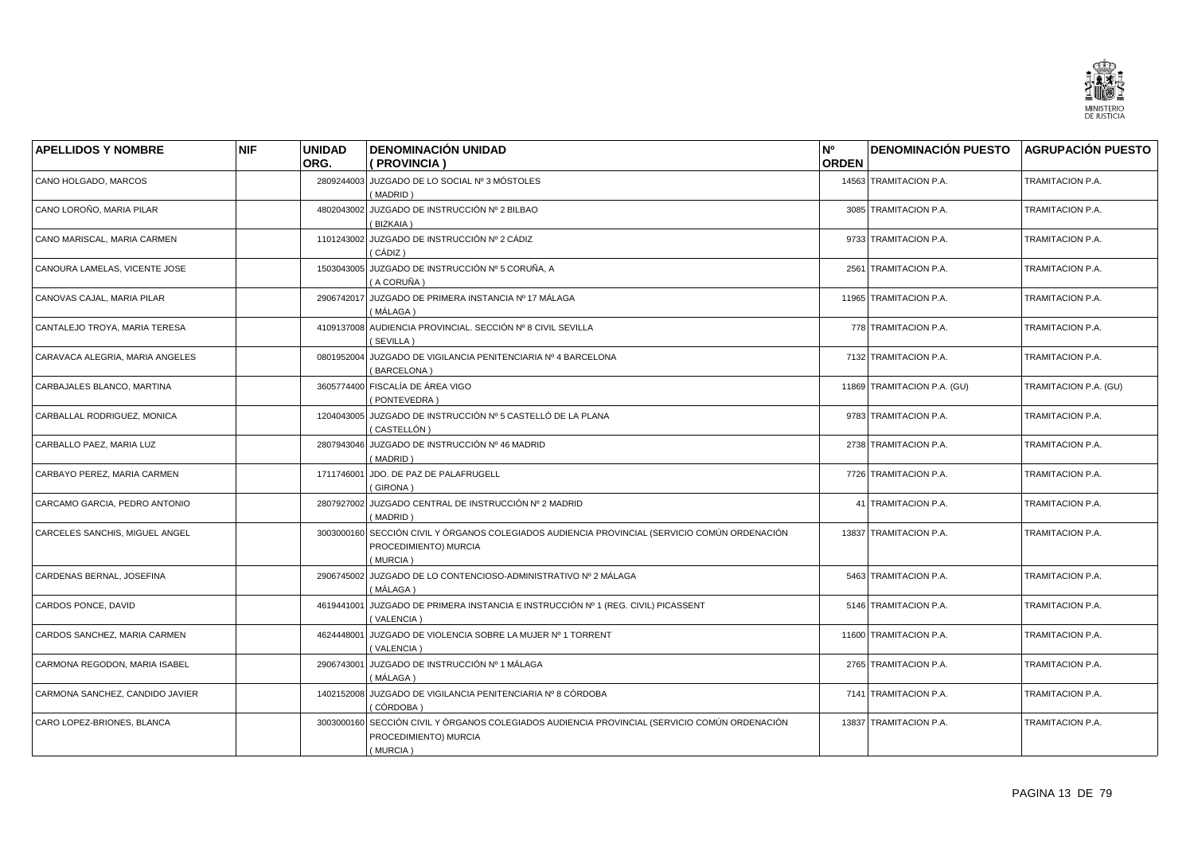

| <b>APELLIDOS Y NOMBRE</b>       | <b>NIF</b> | <b>UNIDAD</b> | <b>DENOMINACIÓN UNIDAD</b>                                                                                              | N°           | DENOMINACIÓN PUESTO AGRUPACIÓN PUESTO |                       |
|---------------------------------|------------|---------------|-------------------------------------------------------------------------------------------------------------------------|--------------|---------------------------------------|-----------------------|
|                                 |            | ORG.          | ( PROVINCIA )                                                                                                           | <b>ORDEN</b> |                                       |                       |
| CANO HOLGADO, MARCOS            |            |               | 2809244003 JUZGADO DE LO SOCIAL Nº 3 MÓSTOLES<br>(MADRID)                                                               |              | 14563 TRAMITACION P.A.                | TRAMITACION P.A.      |
| CANO LOROÑO, MARIA PILAR        |            | 4802043002    | JUZGADO DE INSTRUCCIÓN Nº 2 BILBAO<br>BIZKAIA)                                                                          |              | 3085 TRAMITACION P.A.                 | TRAMITACION P.A.      |
| CANO MARISCAL, MARIA CARMEN     |            |               | 1101243002 JUZGADO DE INSTRUCCIÓN Nº 2 CÁDIZ<br>( CÁDIZ )                                                               |              | 9733 TRAMITACION P.A.                 | TRAMITACION P.A.      |
| CANOURA LAMELAS, VICENTE JOSE   |            |               | 1503043005 JUZGADO DE INSTRUCCIÓN Nº 5 CORUÑA, A<br>(A CORUÑA)                                                          |              | 2561 TRAMITACION P.A.                 | TRAMITACION P.A.      |
| CANOVAS CAJAL, MARIA PILAR      |            |               | 2906742017 JUZGADO DE PRIMERA INSTANCIA Nº 17 MÁLAGA<br>( MÁLAGA )                                                      |              | 11965 TRAMITACION P.A.                | TRAMITACION P.A.      |
| CANTALEJO TROYA, MARIA TERESA   |            |               | 4109137008 AUDIENCIA PROVINCIAL. SECCIÓN Nº 8 CIVIL SEVILLA<br>(SEVILLA)                                                |              | 778 TRAMITACION P.A.                  | TRAMITACION P.A.      |
| CARAVACA ALEGRIA, MARIA ANGELES |            | 0801952004    | JUZGADO DE VIGILANCIA PENITENCIARIA Nº 4 BARCELONA<br>(BARCELONA)                                                       |              | 7132 TRAMITACION P.A.                 | TRAMITACION P.A.      |
| CARBAJALES BLANCO, MARTINA      |            |               | 3605774400 FISCALÍA DE ÁREA VIGO<br>(PONTEVEDRA)                                                                        |              | 11869 TRAMITACION P.A. (GU)           | TRAMITACION P.A. (GU) |
| CARBALLAL RODRIGUEZ, MONICA     |            | 1204043005    | JUZGADO DE INSTRUCCIÓN Nº 5 CASTELLÓ DE LA PLANA<br>(CASTELLÓN)                                                         |              | 9783 TRAMITACION P.A.                 | TRAMITACION P.A.      |
| CARBALLO PAEZ, MARIA LUZ        |            |               | 2807943046 JUZGADO DE INSTRUCCIÓN Nº 46 MADRID<br>(MADRID)                                                              |              | 2738 TRAMITACION P.A.                 | TRAMITACION P.A.      |
| CARBAYO PEREZ, MARIA CARMEN     |            | 1711746001    | JDO. DE PAZ DE PALAFRUGELL<br>(GIRONA)                                                                                  |              | 7726 TRAMITACION P.A.                 | TRAMITACION P.A.      |
| CARCAMO GARCIA, PEDRO ANTONIO   |            |               | 2807927002 JUZGADO CENTRAL DE INSTRUCCIÓN Nº 2 MADRID<br>(MADRID)                                                       |              | 41 TRAMITACION P.A.                   | TRAMITACION P.A.      |
| CARCELES SANCHIS, MIGUEL ANGEL  |            | 3003000160    | SECCIÓN CIVIL Y ÓRGANOS COLEGIADOS AUDIENCIA PROVINCIAL (SERVICIO COMÚN ORDENACIÓN<br>PROCEDIMIENTO) MURCIA<br>(MURCIA) |              | 13837 TRAMITACION P.A.                | TRAMITACION P.A.      |
| CARDENAS BERNAL, JOSEFINA       |            |               | 2906745002 JUZGADO DE LO CONTENCIOSO-ADMINISTRATIVO Nº 2 MÁLAGA<br>(MÁLAGA)                                             |              | 5463 TRAMITACION P.A.                 | TRAMITACION P.A.      |
| CARDOS PONCE, DAVID             |            | 4619441001    | JUZGADO DE PRIMERA INSTANCIA E INSTRUCCIÓN Nº 1 (REG. CIVIL) PICASSENT<br>(VALENCIA)                                    |              | 5146 TRAMITACION P.A.                 | TRAMITACION P.A.      |
| CARDOS SANCHEZ, MARIA CARMEN    |            | 4624448001    | JUZGADO DE VIOLENCIA SOBRE LA MUJER Nº 1 TORRENT<br>(VALENCIA)                                                          |              | 11600 TRAMITACION P.A.                | TRAMITACION P.A.      |
| CARMONA REGODON, MARIA ISABEL   |            | 2906743001    | JUZGADO DE INSTRUCCIÓN Nº 1 MÁLAGA<br>(MÁLAGA)                                                                          |              | 2765 TRAMITACION P.A.                 | TRAMITACION P.A.      |
| CARMONA SANCHEZ, CANDIDO JAVIER |            | 1402152008    | JUZGADO DE VIGILANCIA PENITENCIARIA Nº 8 CÓRDOBA<br>(CÓRDOBA)                                                           |              | 7141 TRAMITACION P.A.                 | TRAMITACION P.A.      |
| CARO LOPEZ-BRIONES, BLANCA      |            | 3003000160    | SECCIÓN CIVIL Y ÓRGANOS COLEGIADOS AUDIENCIA PROVINCIAL (SERVICIO COMÚN ORDENACIÓN<br>PROCEDIMIENTO) MURCIA<br>(MURCIA) |              | 13837 TRAMITACION P.A.                | TRAMITACION P.A.      |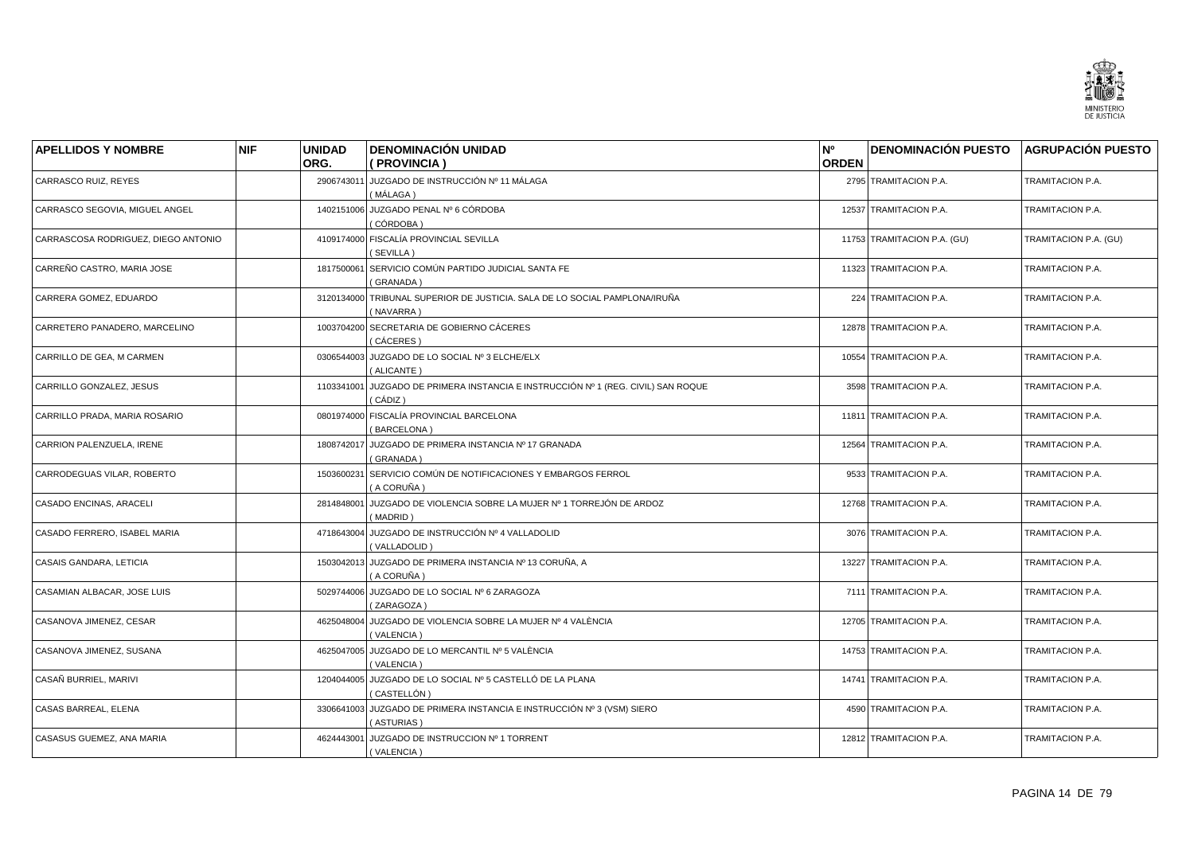

| <b>APELLIDOS Y NOMBRE</b>           | <b>NIF</b> | <b>UNIDAD</b> | <b>DENOMINACIÓN UNIDAD</b>                                                           | N°           | DENOMINACIÓN PUESTO AGRUPACIÓN PUESTO |                       |
|-------------------------------------|------------|---------------|--------------------------------------------------------------------------------------|--------------|---------------------------------------|-----------------------|
|                                     |            | ORG.          | (PROVINCIA)                                                                          | <b>ORDEN</b> |                                       |                       |
| CARRASCO RUIZ, REYES                |            | 2906743011    | JUZGADO DE INSTRUCCIÓN Nº 11 MÁLAGA<br>(MÁLAGA)                                      |              | 2795 TRAMITACION P.A.                 | TRAMITACION P.A.      |
| CARRASCO SEGOVIA, MIGUEL ANGEL      |            | 1402151006    | JUZGADO PENAL Nº 6 CÓRDOBA<br>(CÓRDOBA)                                              |              | 12537 TRAMITACION P.A.                | TRAMITACION P.A.      |
| CARRASCOSA RODRIGUEZ, DIEGO ANTONIO |            | 4109174000    | FISCALÍA PROVINCIAL SEVILLA<br>(SEVILLA)                                             |              | 11753 TRAMITACION P.A. (GU)           | TRAMITACION P.A. (GU) |
| CARREÑO CASTRO, MARIA JOSE          |            | 1817500061    | SERVICIO COMÚN PARTIDO JUDICIAL SANTA FE<br>(GRANADA)                                |              | 11323 TRAMITACION P.A.                | TRAMITACION P.A.      |
| CARRERA GOMEZ, EDUARDO              |            | 3120134000    | TRIBUNAL SUPERIOR DE JUSTICIA. SALA DE LO SOCIAL PAMPLONA/IRUÑA<br>(NAVARRA)         |              | 224 TRAMITACION P.A.                  | TRAMITACION P.A.      |
| CARRETERO PANADERO, MARCELINO       |            | 1003704200    | SECRETARIA DE GOBIERNO CÁCERES<br>(CÁCERES)                                          |              | 12878 TRAMITACION P.A.                | TRAMITACION P.A.      |
| CARRILLO DE GEA, M CARMEN           |            | 0306544003    | JUZGADO DE LO SOCIAL Nº 3 ELCHE/ELX<br>(ALICANTE)                                    |              | 10554 TRAMITACION P.A.                | TRAMITACION P.A.      |
| CARRILLO GONZALEZ, JESUS            |            | 1103341001    | JUZGADO DE PRIMERA INSTANCIA E INSTRUCCIÓN Nº 1 (REG. CIVIL) SAN ROQUE<br>( CÁDIZ )  |              | 3598 TRAMITACION P.A.                 | TRAMITACION P.A.      |
| CARRILLO PRADA, MARIA ROSARIO       |            | 0801974000    | FISCALÍA PROVINCIAL BARCELONA<br>(BARCELONA)                                         |              | 11811 TRAMITACION P.A.                | TRAMITACION P.A.      |
| CARRION PALENZUELA, IRENE           |            | 1808742017    | JUZGADO DE PRIMERA INSTANCIA Nº 17 GRANADA<br>(GRANADA)                              |              | 12564 TRAMITACION P.A.                | TRAMITACION P.A.      |
| CARRODEGUAS VILAR, ROBERTO          |            | 1503600231    | SERVICIO COMÚN DE NOTIFICACIONES Y EMBARGOS FERROL<br>(A CORUÑA)                     |              | 9533 TRAMITACION P.A.                 | TRAMITACION P.A.      |
| CASADO ENCINAS, ARACELI             |            | 2814848001    | JUZGADO DE VIOLENCIA SOBRE LA MUJER Nº 1 TORREJÓN DE ARDOZ<br>(MADRID)               |              | 12768 TRAMITACION P.A.                | TRAMITACION P.A.      |
| CASADO FERRERO, ISABEL MARIA        |            | 4718643004    | JUZGADO DE INSTRUCCIÓN Nº 4 VALLADOLID<br>(VALLADOLID)                               |              | 3076 TRAMITACION P.A.                 | TRAMITACION P.A.      |
| CASAIS GANDARA, LETICIA             |            | 1503042013    | JUZGADO DE PRIMERA INSTANCIA Nº 13 CORUÑA, A<br>(A CORUÑA)                           |              | 13227 TRAMITACION P.A.                | TRAMITACION P.A.      |
| CASAMIAN ALBACAR, JOSE LUIS         |            |               | 5029744006 JUZGADO DE LO SOCIAL Nº 6 ZARAGOZA<br>(ZARAGOZA)                          |              | 7111 TRAMITACION P.A.                 | TRAMITACION P.A.      |
| CASANOVA JIMENEZ, CESAR             |            | 4625048004    | JUZGADO DE VIOLENCIA SOBRE LA MUJER Nº 4 VALÈNCIA<br>(VALENCIA)                      |              | 12705 TRAMITACION P.A.                | TRAMITACION P.A.      |
| CASANOVA JIMENEZ, SUSANA            |            | 4625047005    | JUZGADO DE LO MERCANTIL Nº 5 VALÈNCIA<br>(VALENCIA)                                  |              | 14753 TRAMITACION P.A.                | TRAMITACION P.A.      |
| CASAÑ BURRIEL, MARIVI               |            | 1204044005    | JUZGADO DE LO SOCIAL Nº 5 CASTELLÓ DE LA PLANA<br>( CASTELLÓN )                      |              | 14741 TRAMITACION P.A.                | TRAMITACION P.A.      |
| CASAS BARREAL, ELENA                |            |               | 3306641003 JUZGADO DE PRIMERA INSTANCIA E INSTRUCCIÓN Nº 3 (VSM) SIERO<br>(ASTURIAS) |              | 4590 TRAMITACION P.A.                 | TRAMITACION P.A.      |
| CASASUS GUEMEZ, ANA MARIA           |            | 4624443001    | JUZGADO DE INSTRUCCION Nº 1 TORRENT<br>(VALENCIA)                                    |              | 12812 TRAMITACION P.A.                | TRAMITACION P.A.      |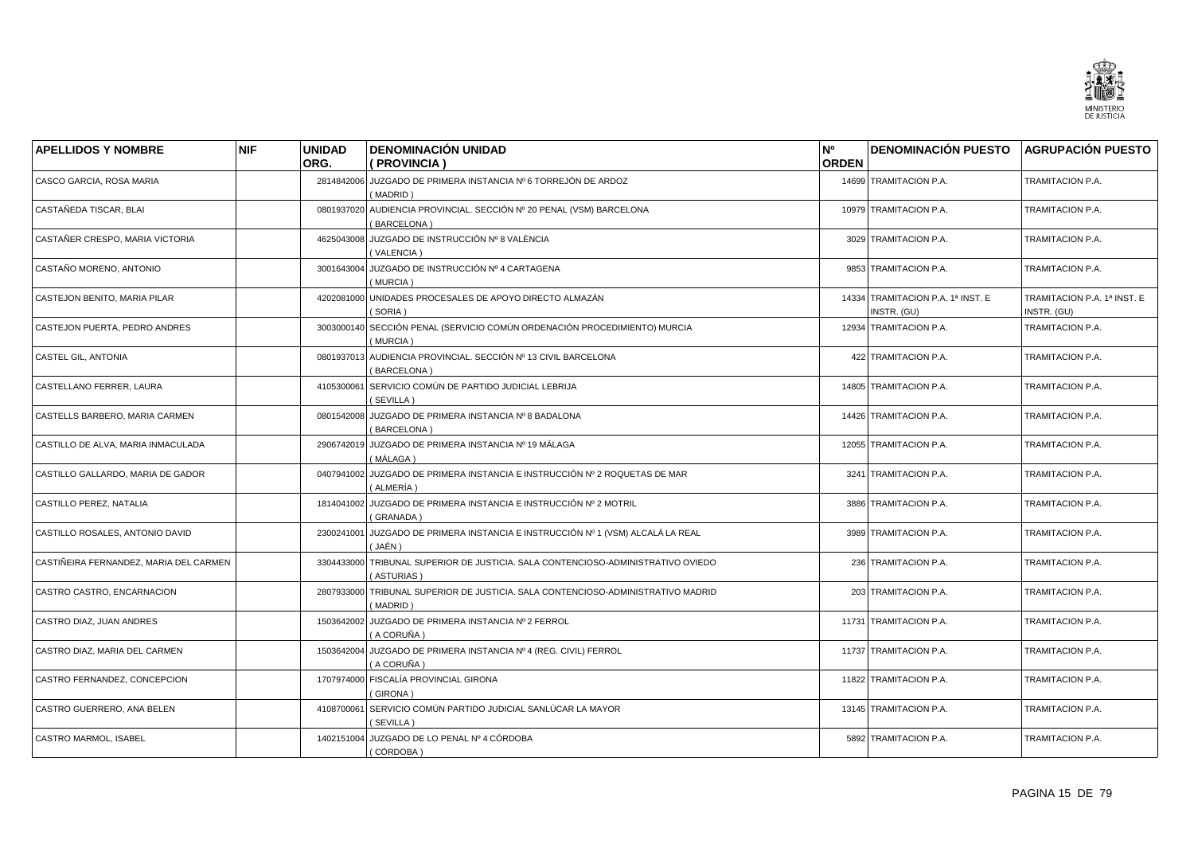

| <b>APELLIDOS Y NOMBRE</b>              | <b>NIF</b> | <b>UNIDAD</b><br>ORG. | <b>DENOMINACIÓN UNIDAD</b><br>( PROVINCIA )                                         | N°<br><b>ORDEN</b> | DENOMINACIÓN PUESTO AGRUPACIÓN PUESTO            |                                            |
|----------------------------------------|------------|-----------------------|-------------------------------------------------------------------------------------|--------------------|--------------------------------------------------|--------------------------------------------|
| CASCO GARCIA, ROSA MARIA               |            | 2814842006            | JUZGADO DE PRIMERA INSTANCIA Nº 6 TORREJÓN DE ARDOZ<br>(MADRID)                     |                    | 14699 TRAMITACION P.A.                           | TRAMITACION P.A.                           |
| CASTAÑEDA TISCAR, BLAI                 |            | 0801937020            | AUDIENCIA PROVINCIAL. SECCIÓN Nº 20 PENAL (VSM) BARCELONA<br>(BARCELONA)            |                    | 10979 TRAMITACION P.A.                           | TRAMITACION P.A.                           |
| CASTAÑER CRESPO, MARIA VICTORIA        |            | 4625043008            | JUZGADO DE INSTRUCCIÓN Nº 8 VALÈNCIA<br>(VALENCIA)                                  |                    | 3029 TRAMITACION P.A.                            | TRAMITACION P.A.                           |
| CASTAÑO MORENO, ANTONIO                |            | 3001643004            | JUZGADO DE INSTRUCCIÓN Nº 4 CARTAGENA<br>(MURCIA)                                   |                    | 9853 TRAMITACION P.A.                            | TRAMITACION P.A.                           |
| CASTEJON BENITO, MARIA PILAR           |            |                       | 4202081000 UNIDADES PROCESALES DE APOYO DIRECTO ALMAZÁN<br>(SORIA)                  |                    | 14334 TRAMITACION P.A. 1ª INST. E<br>INSTR. (GU) | TRAMITACION P.A. 1ª INST. E<br>INSTR. (GU) |
| CASTEJON PUERTA. PEDRO ANDRES          |            | 3003000140            | SECCIÓN PENAL (SERVICIO COMÚN ORDENACIÓN PROCEDIMIENTO) MURCIA<br>(MURCIA)          |                    | 12934 TRAMITACION P.A.                           | TRAMITACION P.A.                           |
| CASTEL GIL, ANTONIA                    |            | 0801937013            | AUDIENCIA PROVINCIAL. SECCIÓN Nº 13 CIVIL BARCELONA<br>(BARCELONA)                  |                    | 422 TRAMITACION P.A.                             | TRAMITACION P.A.                           |
| CASTELLANO FERRER, LAURA               |            | 4105300061            | SERVICIO COMÚN DE PARTIDO JUDICIAL LEBRIJA<br>(SEVILLA)                             |                    | 14805 TRAMITACION P.A.                           | TRAMITACION P.A.                           |
| CASTELLS BARBERO, MARIA CARMEN         |            | 0801542008            | JUZGADO DE PRIMERA INSTANCIA Nº 8 BADALONA<br>(BARCELONA)                           |                    | 14426 TRAMITACION P.A.                           | TRAMITACION P.A.                           |
| CASTILLO DE ALVA, MARIA INMACULADA     |            | 2906742019            | JUZGADO DE PRIMERA INSTANCIA Nº 19 MÁLAGA<br>( MÁLAGA )                             |                    | 12055 TRAMITACION P.A.                           | TRAMITACION P.A.                           |
| CASTILLO GALLARDO, MARIA DE GADOR      |            | 0407941002            | JUZGADO DE PRIMERA INSTANCIA E INSTRUCCIÓN № 2 ROQUETAS DE MAR<br>( ALMERÍA )       |                    | 3241 TRAMITACION P.A.                            | TRAMITACION P.A.                           |
| CASTILLO PEREZ, NATALIA                |            |                       | 1814041002 JUZGADO DE PRIMERA INSTANCIA E INSTRUCCIÓN Nº 2 MOTRIL<br>(GRANADA)      |                    | 3886 TRAMITACION P.A.                            | TRAMITACION P.A.                           |
| CASTILLO ROSALES, ANTONIO DAVID        |            | 2300241001            | JUZGADO DE PRIMERA INSTANCIA E INSTRUCCIÓN № 1 (VSM) ALCALÁ LA REAL<br>(JAÉN)       |                    | 3989 TRAMITACION P.A.                            | TRAMITACION P.A.                           |
| CASTIÑEIRA FERNANDEZ, MARIA DEL CARMEN |            | 3304433000            | TRIBUNAL SUPERIOR DE JUSTICIA. SALA CONTENCIOSO-ADMINISTRATIVO OVIEDO<br>(ASTURIAS) |                    | 236 TRAMITACION P.A.                             | TRAMITACION P.A.                           |
| CASTRO CASTRO, ENCARNACION             |            | 2807933000            | TRIBUNAL SUPERIOR DE JUSTICIA. SALA CONTENCIOSO-ADMINISTRATIVO MADRID<br>(MADRID)   |                    | 203 TRAMITACION P.A.                             | TRAMITACION P.A.                           |
| CASTRO DIAZ, JUAN ANDRES               |            | 1503642002            | JUZGADO DE PRIMERA INSTANCIA Nº 2 FERROL<br>( A CORUÑA )                            |                    | 11731 TRAMITACION P.A.                           | TRAMITACION P.A.                           |
| CASTRO DIAZ, MARIA DEL CARMEN          |            | 1503642004            | JUZGADO DE PRIMERA INSTANCIA Nº 4 (REG. CIVIL) FERROL<br>( A CORUÑA )               |                    | 11737 TRAMITACION P.A.                           | TRAMITACION P.A.                           |
| CASTRO FERNANDEZ, CONCEPCION           |            | 1707974000            | FISCALÍA PROVINCIAL GIRONA<br>(GIRONA)                                              |                    | 11822 TRAMITACION P.A.                           | TRAMITACION P.A.                           |
| CASTRO GUERRERO, ANA BELEN             |            | 4108700061            | SERVICIO COMÚN PARTIDO JUDICIAL SANLÚCAR LA MAYOR<br>(SEVILLA)                      |                    | 13145 TRAMITACION P.A.                           | TRAMITACION P.A.                           |
| <b>CASTRO MARMOL. ISABEL</b>           |            |                       | 1402151004 JUZGADO DE LO PENAL Nº 4 CÓRDOBA<br>(CÓRDOBA )                           |                    | 5892 TRAMITACION P.A.                            | <b>TRAMITACION P.A.</b>                    |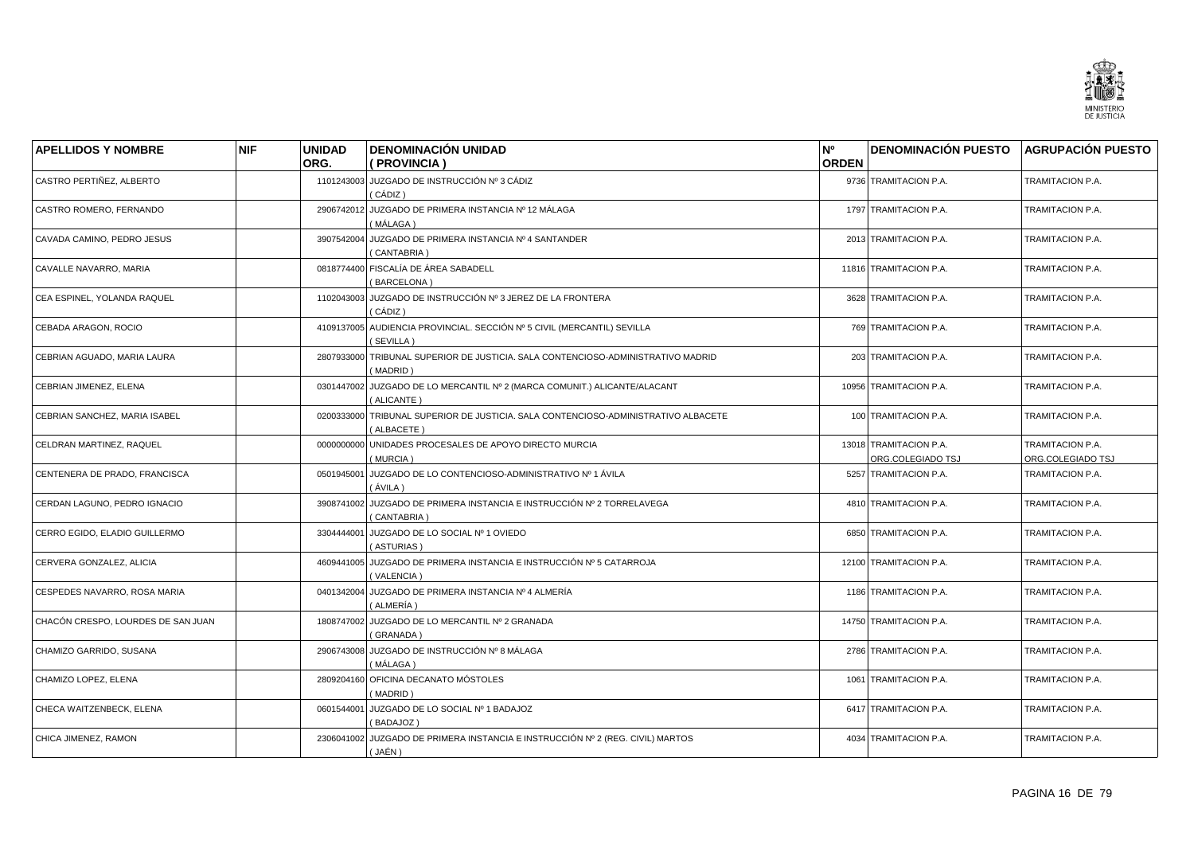

| <b>APELLIDOS Y NOMBRE</b>          | <b>NIF</b> | <b>UNIDAD</b> | <b>DENOMINACIÓN UNIDAD</b>                                                               | N°           | <b>DENOMINACIÓN PUESTO AGRUPACIÓN PUESTO</b> |                                       |
|------------------------------------|------------|---------------|------------------------------------------------------------------------------------------|--------------|----------------------------------------------|---------------------------------------|
|                                    |            | ORG.          | (PROVINCIA)                                                                              | <b>ORDEN</b> |                                              |                                       |
| CASTRO PERTIÑEZ, ALBERTO           |            |               | 1101243003 JUZGADO DE INSTRUCCIÓN Nº 3 CÁDIZ<br>( CÁDIZ )                                |              | 9736 TRAMITACION P.A.                        | TRAMITACION P.A.                      |
| CASTRO ROMERO, FERNANDO            |            | 2906742012    | JUZGADO DE PRIMERA INSTANCIA Nº 12 MÁLAGA<br>(MÁLAGA)                                    |              | 1797 TRAMITACION P.A.                        | TRAMITACION P.A.                      |
| CAVADA CAMINO, PEDRO JESUS         |            |               | 3907542004 JUZGADO DE PRIMERA INSTANCIA Nº 4 SANTANDER<br>(CANTABRIA)                    |              | 2013 TRAMITACION P.A.                        | TRAMITACION P.A.                      |
| CAVALLE NAVARRO, MARIA             |            |               | 0818774400 FISCALÍA DE ÁREA SABADELL<br>(BARCELONA)                                      |              | 11816 TRAMITACION P.A.                       | TRAMITACION P.A.                      |
| CEA ESPINEL, YOLANDA RAQUEL        |            |               | 1102043003 JUZGADO DE INSTRUCCIÓN Nº 3 JEREZ DE LA FRONTERA<br>(CÁDIZ)                   |              | 3628 TRAMITACION P.A.                        | TRAMITACION P.A.                      |
| CEBADA ARAGON, ROCIO               |            |               | 4109137005 AUDIENCIA PROVINCIAL. SECCIÓN Nº 5 CIVIL (MERCANTIL) SEVILLA<br>(SEVILLA)     |              | 769 TRAMITACION P.A.                         | TRAMITACION P.A.                      |
| CEBRIAN AGUADO, MARIA LAURA        |            | 2807933000    | TRIBUNAL SUPERIOR DE JUSTICIA. SALA CONTENCIOSO-ADMINISTRATIVO MADRID<br>(MADRID)        |              | 203 TRAMITACION P.A.                         | TRAMITACION P.A.                      |
| CEBRIAN JIMENEZ, ELENA             |            |               | 0301447002 JUZGADO DE LO MERCANTIL Nº 2 (MARCA COMUNIT.) ALICANTE/ALACANT<br>(ALICANTE)  |              | 10956 TRAMITACION P.A.                       | TRAMITACION P.A.                      |
| CEBRIAN SANCHEZ, MARIA ISABEL      |            | 0200333000    | TRIBUNAL SUPERIOR DE JUSTICIA. SALA CONTENCIOSO-ADMINISTRATIVO ALBACETE<br>(ALBACETE)    |              | 100 TRAMITACION P.A.                         | TRAMITACION P.A.                      |
| CELDRAN MARTINEZ, RAQUEL           |            | 0000000000    | UNIDADES PROCESALES DE APOYO DIRECTO MURCIA<br>(MURCIA)                                  |              | 13018 TRAMITACION P.A.<br>ORG.COLEGIADO TSJ  | TRAMITACION P.A.<br>ORG.COLEGIADO TSJ |
| CENTENERA DE PRADO, FRANCISCA      |            | 0501945001    | JUZGADO DE LO CONTENCIOSO-ADMINISTRATIVO Nº 1 ÁVILA<br>(ÁVILA )                          |              | 5257 TRAMITACION P.A.                        | TRAMITACION P.A.                      |
| CERDAN LAGUNO, PEDRO IGNACIO       |            |               | 3908741002 JUZGADO DE PRIMERA INSTANCIA E INSTRUCCIÓN Nº 2 TORRELAVEGA<br>(CANTABRIA)    |              | 4810 TRAMITACION P.A.                        | TRAMITACION P.A.                      |
| CERRO EGIDO, ELADIO GUILLERMO      |            | 3304444001    | JUZGADO DE LO SOCIAL Nº 1 OVIEDO<br>(ASTURIAS)                                           |              | 6850 TRAMITACION P.A.                        | TRAMITACION P.A.                      |
| CERVERA GONZALEZ, ALICIA           |            |               | 4609441005 JUZGADO DE PRIMERA INSTANCIA E INSTRUCCIÓN Nº 5 CATARROJA<br>(VALENCIA)       |              | 12100 TRAMITACION P.A.                       | TRAMITACION P.A.                      |
| CESPEDES NAVARRO, ROSA MARIA       |            |               | 0401342004 JUZGADO DE PRIMERA INSTANCIA Nº 4 ALMERÍA<br>( ALMERÍA )                      |              | 1186 TRAMITACION P.A.                        | TRAMITACION P.A.                      |
| CHACÓN CRESPO, LOURDES DE SAN JUAN |            | 1808747002    | JUZGADO DE LO MERCANTIL Nº 2 GRANADA<br>(GRANADA)                                        |              | 14750 TRAMITACION P.A.                       | TRAMITACION P.A.                      |
| CHAMIZO GARRIDO, SUSANA            |            |               | 2906743008 JUZGADO DE INSTRUCCIÓN Nº 8 MÁLAGA<br>(MÁLAGA)                                |              | 2786 TRAMITACION P.A.                        | TRAMITACION P.A.                      |
| CHAMIZO LOPEZ, ELENA               |            |               | 2809204160 OFICINA DECANATO MÓSTOLES<br>(MADRID)                                         |              | 1061 TRAMITACION P.A.                        | TRAMITACION P.A.                      |
| CHECA WAITZENBECK, ELENA           |            |               | 0601544001 JUZGADO DE LO SOCIAL Nº 1 BADAJOZ<br>(BADAJOZ)                                |              | 6417 TRAMITACION P.A.                        | TRAMITACION P.A.                      |
| CHICA JIMENEZ, RAMON               |            |               | 2306041002 JUZGADO DE PRIMERA INSTANCIA E INSTRUCCIÓN Nº 2 (REG. CIVIL) MARTOS<br>(JAÉN) |              | 4034 TRAMITACION P.A.                        | TRAMITACION P.A.                      |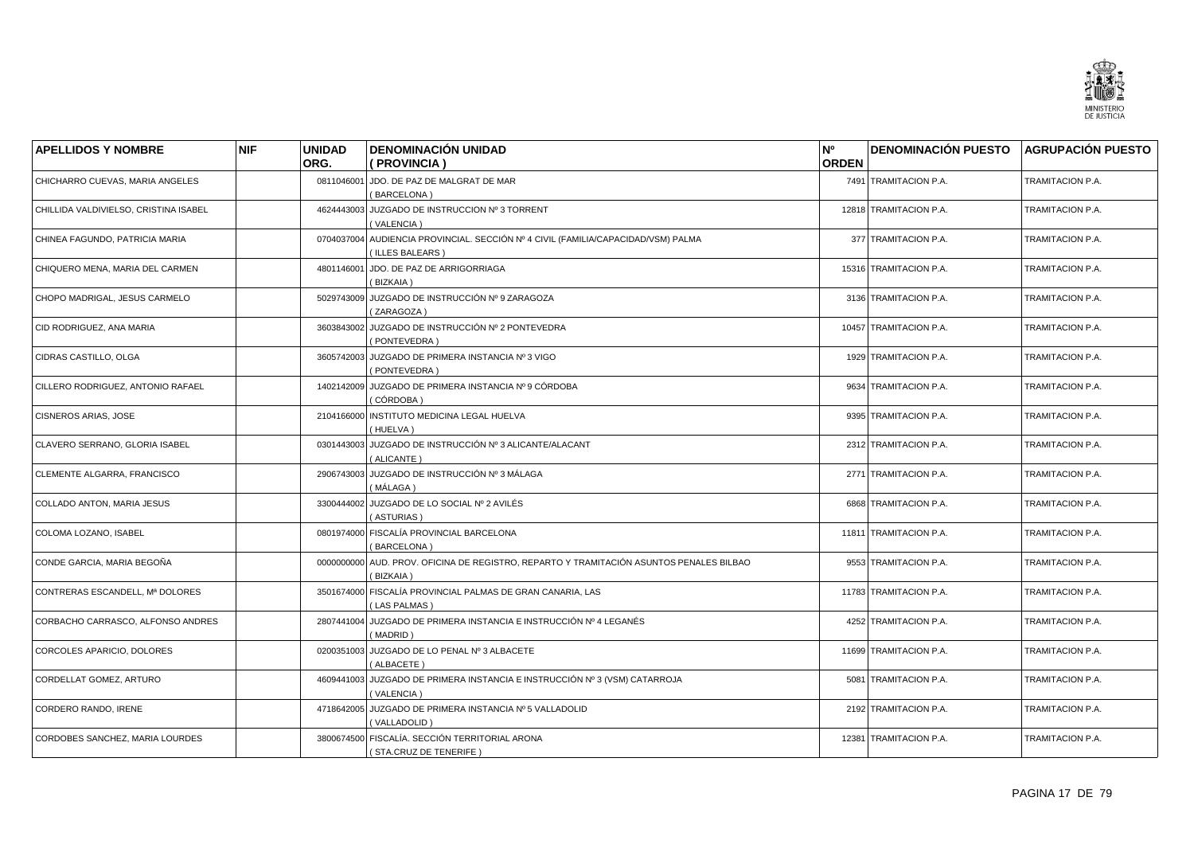

| <b>APELLIDOS Y NOMBRE</b>             | <b>NIF</b> | <b>UNIDAD</b> | <b>DENOMINACIÓN UNIDAD</b>                                                                                 | N°           | <b>DENOMINACIÓN PUESTO AGRUPACIÓN PUESTO</b> |                  |
|---------------------------------------|------------|---------------|------------------------------------------------------------------------------------------------------------|--------------|----------------------------------------------|------------------|
|                                       |            | ORG.          | (PROVINCIA)                                                                                                | <b>ORDEN</b> |                                              |                  |
| CHICHARRO CUEVAS, MARIA ANGELES       |            | 0811046001    | JDO. DE PAZ DE MALGRAT DE MAR<br>(BARCELONA)                                                               |              | 7491 TRAMITACION P.A.                        | TRAMITACION P.A. |
| CHILLIDA VALDIVIELSO, CRISTINA ISABEL |            | 4624443003    | JUZGADO DE INSTRUCCION Nº 3 TORRENT<br>(VALENCIA)                                                          |              | 12818 TRAMITACION P.A.                       | TRAMITACION P.A. |
| CHINEA FAGUNDO, PATRICIA MARIA        |            |               | 0704037004 AUDIENCIA PROVINCIAL. SECCIÓN Nº 4 CIVIL (FAMILIA/CAPACIDAD/VSM) PALMA<br><b>ILLES BALEARS)</b> |              | 377 TRAMITACION P.A.                         | TRAMITACION P.A. |
| CHIQUERO MENA, MARIA DEL CARMEN       |            | 4801146001    | JDO. DE PAZ DE ARRIGORRIAGA<br>(BIZKAIA)                                                                   |              | 15316 TRAMITACION P.A.                       | TRAMITACION P.A. |
| CHOPO MADRIGAL, JESUS CARMELO         |            |               | 5029743009 JUZGADO DE INSTRUCCIÓN Nº 9 ZARAGOZA<br>(ZARAGOZA)                                              |              | 3136 TRAMITACION P.A.                        | TRAMITACION P.A. |
| CID RODRIGUEZ, ANA MARIA              |            | 3603843002    | JUZGADO DE INSTRUCCIÓN Nº 2 PONTEVEDRA<br>(PONTEVEDRA)                                                     |              | 10457 TRAMITACION P.A.                       | TRAMITACION P.A. |
| CIDRAS CASTILLO, OLGA                 |            | 3605742003    | JUZGADO DE PRIMERA INSTANCIA Nº 3 VIGO<br>(PONTEVEDRA)                                                     |              | 1929 TRAMITACION P.A.                        | TRAMITACION P.A. |
| CILLERO RODRIGUEZ, ANTONIO RAFAEL     |            |               | 1402142009 JUZGADO DE PRIMERA INSTANCIA Nº 9 CÓRDOBA<br>(CÓRDOBA)                                          |              | 9634 TRAMITACION P.A.                        | TRAMITACION P.A. |
| CISNEROS ARIAS, JOSE                  |            | 2104166000    | INSTITUTO MEDICINA LEGAL HUELVA<br>(HUELVA)                                                                |              | 9395 TRAMITACION P.A.                        | TRAMITACION P.A. |
| CLAVERO SERRANO, GLORIA ISABEL        |            |               | 0301443003 JUZGADO DE INSTRUCCIÓN Nº 3 ALICANTE/ALACANT<br>(ALICANTE)                                      |              | 2312 TRAMITACION P.A.                        | TRAMITACION P.A. |
| CLEMENTE ALGARRA, FRANCISCO           |            |               | 2906743003 JUZGADO DE INSTRUCCIÓN Nº 3 MÁLAGA<br>(MÁLAGA)                                                  |              | 2771 TRAMITACION P.A.                        | TRAMITACION P.A. |
| COLLADO ANTON, MARIA JESUS            |            |               | 3300444002 JUZGADO DE LO SOCIAL Nº 2 AVILÉS<br>(ASTURIAS)                                                  |              | 6868 TRAMITACION P.A.                        | TRAMITACION P.A. |
| COLOMA LOZANO, ISABEL                 |            |               | 0801974000 FISCALÍA PROVINCIAL BARCELONA<br>(BARCELONA)                                                    |              | 11811 TRAMITACION P.A.                       | TRAMITACION P.A. |
| CONDE GARCIA, MARIA BEGOÑA            |            |               | 0000000000 AUD. PROV. OFICINA DE REGISTRO, REPARTO Y TRAMITACIÓN ASUNTOS PENALES BILBAO<br>(BIZKAIA)       |              | 9553 TRAMITACION P.A.                        | TRAMITACION P.A. |
| CONTRERAS ESCANDELL, Mª DOLORES       |            |               | 3501674000 FISCALÍA PROVINCIAL PALMAS DE GRAN CANARIA, LAS<br>(LAS PALMAS)                                 |              | 11783 TRAMITACION P.A.                       | TRAMITACION P.A. |
| CORBACHO CARRASCO, ALFONSO ANDRES     |            | 2807441004    | JUZGADO DE PRIMERA INSTANCIA E INSTRUCCIÓN Nº 4 LEGANÉS<br>(MADRID)                                        |              | 4252 TRAMITACION P.A.                        | TRAMITACION P.A. |
| CORCOLES APARICIO, DOLORES            |            |               | 0200351003 JUZGADO DE LO PENAL Nº 3 ALBACETE<br>(ALBACETE)                                                 |              | 11699 TRAMITACION P.A.                       | TRAMITACION P.A. |
| CORDELLAT GOMEZ, ARTURO               |            | 4609441003    | JUZGADO DE PRIMERA INSTANCIA E INSTRUCCIÓN Nº 3 (VSM) CATARROJA<br>(VALENCIA)                              |              | 5081 TRAMITACION P.A.                        | TRAMITACION P.A. |
| CORDERO RANDO, IRENE                  |            |               | 4718642005 JUZGADO DE PRIMERA INSTANCIA Nº 5 VALLADOLID<br>(VALLADOLID)                                    |              | 2192 TRAMITACION P.A.                        | TRAMITACION P.A. |
| CORDOBES SANCHEZ. MARIA LOURDES       |            |               | 3800674500 FISCALÍA, SECCIÓN TERRITORIAL ARONA<br>(STA.CRUZ DE TENERIFE)                                   |              | 12381 TRAMITACION P.A.                       | TRAMITACION P.A. |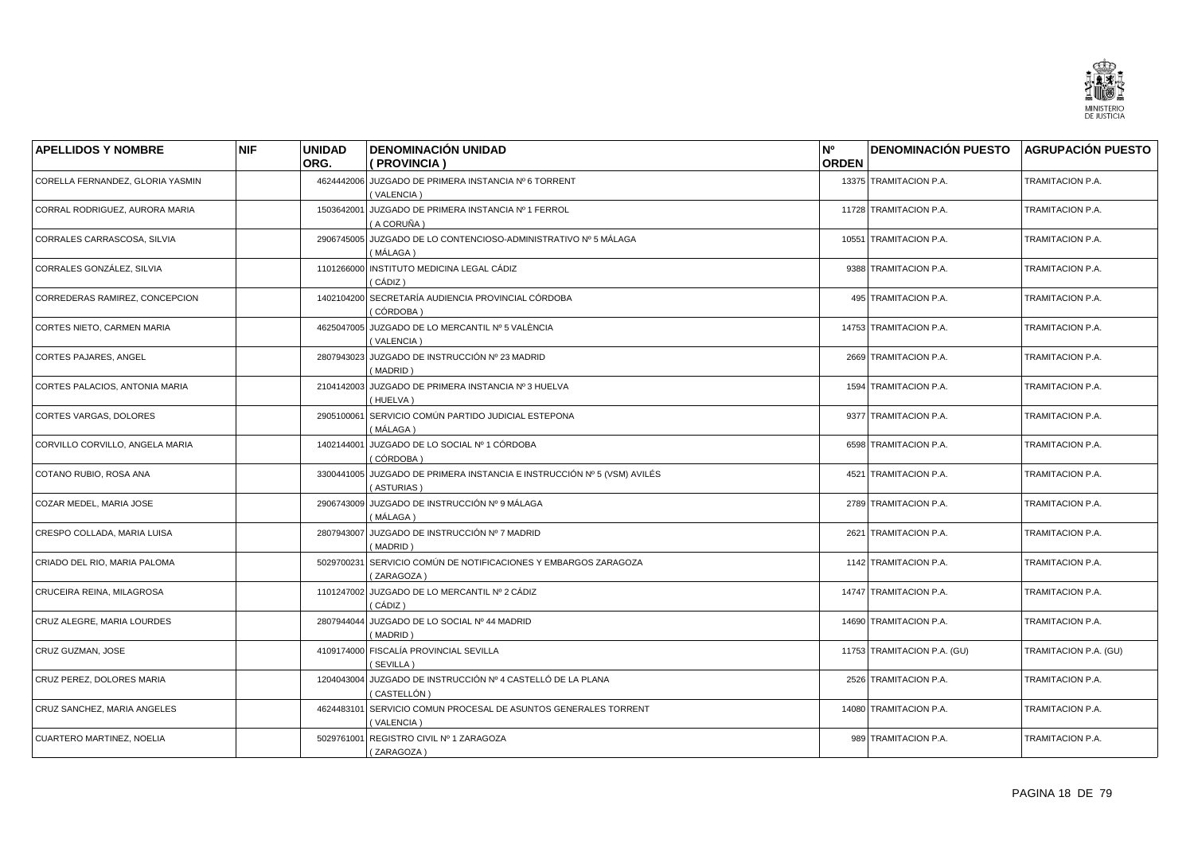

| <b>APELLIDOS Y NOMBRE</b>        | <b>NIF</b> | <b>UNIDAD</b> | <b>DENOMINACIÓN UNIDAD</b>                                                    | N°           | <b>DENOMINACIÓN PUESTO AGRUPACIÓN PUESTO</b> |                       |
|----------------------------------|------------|---------------|-------------------------------------------------------------------------------|--------------|----------------------------------------------|-----------------------|
|                                  |            | ORG.          | (PROVINCIA)                                                                   | <b>ORDEN</b> |                                              |                       |
| CORELLA FERNANDEZ, GLORIA YASMIN |            |               | 4624442006 JUZGADO DE PRIMERA INSTANCIA Nº 6 TORRENT<br>(VALENCIA)            |              | 13375 TRAMITACION P.A.                       | TRAMITACION P.A.      |
| CORRAL RODRIGUEZ, AURORA MARIA   |            | 1503642001    | JUZGADO DE PRIMERA INSTANCIA Nº 1 FERROL<br>( A CORUÑA )                      |              | 11728 TRAMITACION P.A.                       | TRAMITACION P.A.      |
| CORRALES CARRASCOSA, SILVIA      |            |               | 2906745005 JUZGADO DE LO CONTENCIOSO-ADMINISTRATIVO Nº 5 MÁLAGA<br>(MÁLAGA)   |              | 10551 TRAMITACION P.A.                       | TRAMITACION P.A.      |
| CORRALES GONZÁLEZ, SILVIA        |            | 1101266000    | INSTITUTO MEDICINA LEGAL CÁDIZ<br>( CÁDIZ )                                   |              | 9388 TRAMITACION P.A.                        | TRAMITACION P.A.      |
| CORREDERAS RAMIREZ, CONCEPCION   |            |               | 1402104200 SECRETARÍA AUDIENCIA PROVINCIAL CÓRDOBA<br>(CÓRDOBA)               |              | 495 TRAMITACION P.A.                         | TRAMITACION P.A.      |
| CORTES NIETO, CARMEN MARIA       |            |               | 4625047005 JUZGADO DE LO MERCANTIL Nº 5 VALÈNCIA<br>(VALENCIA)                |              | 14753 TRAMITACION P.A.                       | TRAMITACION P.A.      |
| CORTES PAJARES, ANGEL            |            | 2807943023    | JUZGADO DE INSTRUCCIÓN Nº 23 MADRID<br>(MADRID)                               |              | 2669 TRAMITACION P.A.                        | TRAMITACION P.A.      |
| CORTES PALACIOS, ANTONIA MARIA   |            |               | 2104142003 JUZGADO DE PRIMERA INSTANCIA Nº 3 HUELVA<br>(HUELVA)               |              | 1594 TRAMITACION P.A.                        | TRAMITACION P.A.      |
| CORTES VARGAS, DOLORES           |            | 2905100061    | SERVICIO COMÚN PARTIDO JUDICIAL ESTEPONA<br>( MÁLAGA )                        |              | 9377 TRAMITACION P.A.                        | TRAMITACION P.A.      |
| CORVILLO CORVILLO, ANGELA MARIA  |            | 1402144001    | JUZGADO DE LO SOCIAL Nº 1 CÓRDOBA<br>(CÓRDOBA)                                |              | 6598 TRAMITACION P.A.                        | TRAMITACION P.A.      |
| COTANO RUBIO, ROSA ANA           |            | 3300441005    | JUZGADO DE PRIMERA INSTANCIA E INSTRUCCIÓN Nº 5 (VSM) AVILÉS<br>(ASTURIAS)    |              | 4521 TRAMITACION P.A.                        | TRAMITACION P.A.      |
| COZAR MEDEL, MARIA JOSE          |            |               | 2906743009 JUZGADO DE INSTRUCCIÓN Nº 9 MÁLAGA<br>(MÁLAGA)                     |              | 2789 TRAMITACION P.A.                        | TRAMITACION P.A.      |
| CRESPO COLLADA, MARIA LUISA      |            | 2807943007    | JUZGADO DE INSTRUCCIÓN Nº 7 MADRID<br>(MADRID)                                |              | 2621 TRAMITACION P.A.                        | TRAMITACION P.A.      |
| CRIADO DEL RIO, MARIA PALOMA     |            | 5029700231    | SERVICIO COMÚN DE NOTIFICACIONES Y EMBARGOS ZARAGOZA<br>(ZARAGOZA)            |              | 1142 TRAMITACION P.A.                        | TRAMITACION P.A.      |
| CRUCEIRA REINA, MILAGROSA        |            |               | 1101247002 JUZGADO DE LO MERCANTIL Nº 2 CÁDIZ<br>( CÁDIZ )                    |              | 14747 TRAMITACION P.A.                       | TRAMITACION P.A.      |
| CRUZ ALEGRE, MARIA LOURDES       |            | 2807944044    | JUZGADO DE LO SOCIAL Nº 44 MADRID<br>(MADRID)                                 |              | 14690 TRAMITACION P.A.                       | TRAMITACION P.A.      |
| CRUZ GUZMAN, JOSE                |            |               | 4109174000 FISCALÍA PROVINCIAL SEVILLA<br>(SEVILLA)                           |              | 11753 TRAMITACION P.A. (GU)                  | TRAMITACION P.A. (GU) |
| CRUZ PEREZ, DOLORES MARIA        |            | 1204043004    | JUZGADO DE INSTRUCCIÓN Nº 4 CASTELLÓ DE LA PLANA<br>(CASTELLÓN)               |              | 2526 TRAMITACION P.A.                        | TRAMITACION P.A.      |
| CRUZ SANCHEZ, MARIA ANGELES      |            |               | 4624483101 SERVICIO COMUN PROCESAL DE ASUNTOS GENERALES TORRENT<br>(VALENCIA) |              | 14080 TRAMITACION P.A.                       | TRAMITACION P.A.      |
| <b>CUARTERO MARTINEZ, NOELIA</b> |            |               | 5029761001 REGISTRO CIVIL Nº 1 ZARAGOZA<br>(ZARAGOZA)                         |              | 989 TRAMITACION P.A.                         | TRAMITACION P.A.      |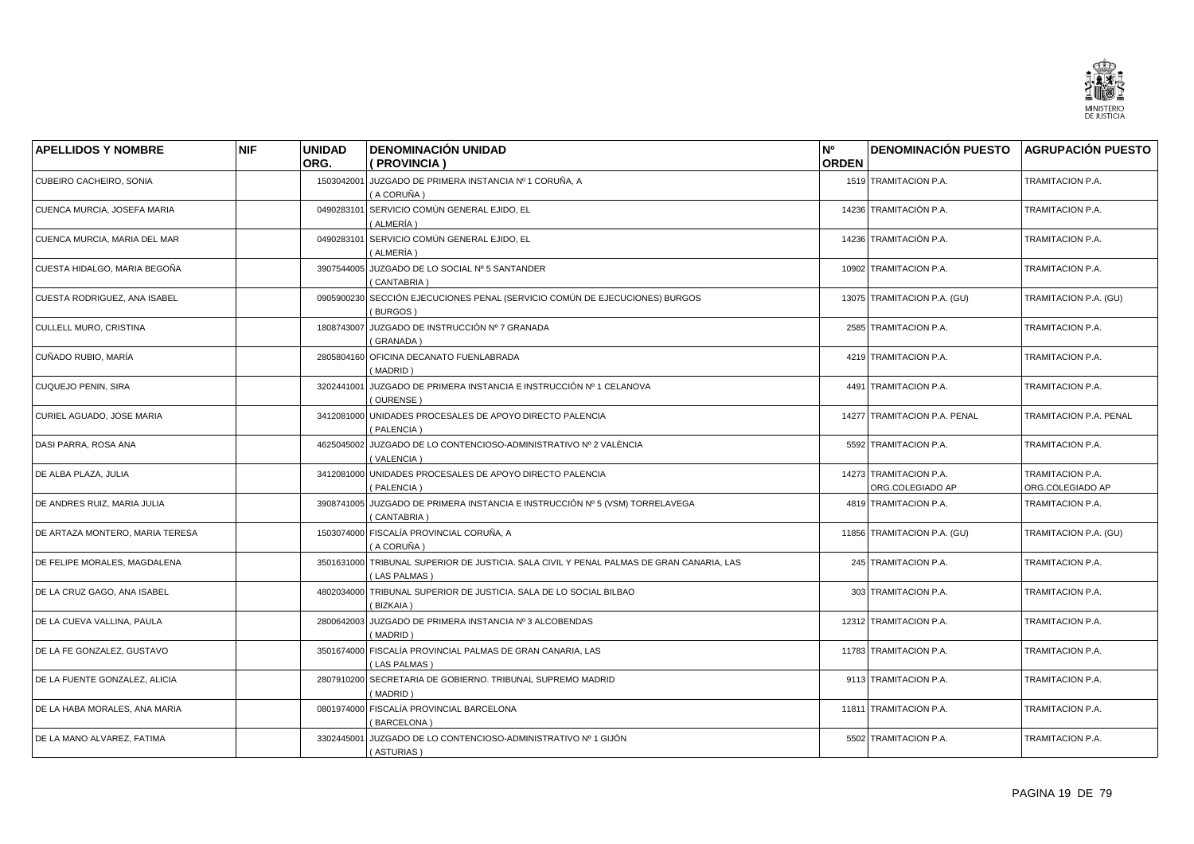

| <b>APELLIDOS Y NOMBRE</b>       | <b>NIF</b> | <b>UNIDAD</b> | <b>DENOMINACIÓN UNIDAD</b>                                                                               | N°           | <b>DENOMINACIÓN PUESTO</b>                 | <b>AGRUPACIÓN PUESTO</b>             |
|---------------------------------|------------|---------------|----------------------------------------------------------------------------------------------------------|--------------|--------------------------------------------|--------------------------------------|
|                                 |            | ORG.          | (PROVINCIA)                                                                                              | <b>ORDEN</b> |                                            |                                      |
| CUBEIRO CACHEIRO, SONIA         |            | 1503042001    | JUZGADO DE PRIMERA INSTANCIA Nº 1 CORUÑA, A<br>(A CORUÑA)                                                |              | 1519 TRAMITACION P.A.                      | TRAMITACION P.A.                     |
| CUENCA MURCIA, JOSEFA MARIA     |            | 0490283101    | SERVICIO COMÚN GENERAL EJIDO, EL<br>(ALMERÍA)                                                            |              | 14236 TRAMITACIÓN P.A.                     | TRAMITACION P.A.                     |
| CUENCA MURCIA, MARIA DEL MAR    |            | 0490283101    | SERVICIO COMÚN GENERAL EJIDO, EL<br>( ALMERÍA )                                                          |              | 14236 TRAMITACIÓN P.A.                     | TRAMITACION P.A.                     |
| CUESTA HIDALGO, MARIA BEGOÑA    |            |               | 3907544005 JUZGADO DE LO SOCIAL Nº 5 SANTANDER<br>(CANTABRIA)                                            |              | 10902 TRAMITACION P.A.                     | TRAMITACION P.A.                     |
| CUESTA RODRIGUEZ, ANA ISABEL    |            | 0905900230    | SECCIÓN EJECUCIONES PENAL (SERVICIO COMÚN DE EJECUCIONES) BURGOS<br>(BURGOS)                             |              | 13075 TRAMITACION P.A. (GU)                | TRAMITACION P.A. (GU)                |
| CULLELL MURO, CRISTINA          |            | 1808743007    | JUZGADO DE INSTRUCCIÓN Nº 7 GRANADA<br>(GRANADA)                                                         |              | 2585 TRAMITACION P.A.                      | TRAMITACION P.A.                     |
| CUÑADO RUBIO, MARÍA             |            | 2805804160    | OFICINA DECANATO FUENLABRADA<br>MADRID                                                                   |              | 4219 TRAMITACION P.A.                      | TRAMITACION P.A.                     |
| <b>CUQUEJO PENIN, SIRA</b>      |            | 3202441001    | JUZGADO DE PRIMERA INSTANCIA E INSTRUCCIÓN Nº 1 CELANOVA<br>(OURENSE)                                    |              | 4491 TRAMITACION P.A.                      | TRAMITACION P.A.                     |
| CURIEL AGUADO, JOSE MARIA       |            | 3412081000    | UNIDADES PROCESALES DE APOYO DIRECTO PALENCIA<br>(PALENCIA)                                              |              | 14277 TRAMITACION P.A. PENAL               | TRAMITACION P.A. PENAL               |
| DASI PARRA, ROSA ANA            |            | 4625045002    | JUZGADO DE LO CONTENCIOSO-ADMINISTRATIVO Nº 2 VALÈNCIA<br>(VALENCIA)                                     |              | 5592 TRAMITACION P.A.                      | TRAMITACION P.A.                     |
| DE ALBA PLAZA, JULIA            |            | 3412081000    | UNIDADES PROCESALES DE APOYO DIRECTO PALENCIA<br>(PALENCIA)                                              |              | 14273 TRAMITACION P.A.<br>ORG.COLEGIADO AP | TRAMITACION P.A.<br>ORG.COLEGIADO AP |
| DE ANDRES RUIZ, MARIA JULIA     |            | 3908741005    | JUZGADO DE PRIMERA INSTANCIA E INSTRUCCIÓN Nº 5 (VSM) TORRELAVEGA<br>(CANTABRIA)                         |              | 4819 TRAMITACION P.A.                      | TRAMITACION P.A.                     |
| DE ARTAZA MONTERO, MARIA TERESA |            | 1503074000    | FISCALÍA PROVINCIAL CORUÑA. A<br>( A CORUÑA )                                                            |              | 11856 TRAMITACION P.A. (GU)                | TRAMITACION P.A. (GU)                |
| DE FELIPE MORALES, MAGDALENA    |            |               | 3501631000 TRIBUNAL SUPERIOR DE JUSTICIA. SALA CIVIL Y PENAL PALMAS DE GRAN CANARIA, LAS<br>(LAS PALMAS) |              | 245 TRAMITACION P.A.                       | TRAMITACION P.A.                     |
| DE LA CRUZ GAGO, ANA ISABEL     |            |               | 4802034000 TRIBUNAL SUPERIOR DE JUSTICIA. SALA DE LO SOCIAL BILBAO<br>(BIZKAIA)                          |              | 303 TRAMITACION P.A.                       | TRAMITACION P.A.                     |
| DE LA CUEVA VALLINA, PAULA      |            | 2800642003    | JUZGADO DE PRIMERA INSTANCIA Nº 3 ALCOBENDAS<br>(MADRID)                                                 |              | 12312 TRAMITACION P.A.                     | TRAMITACION P.A.                     |
| DE LA FE GONZALEZ, GUSTAVO      |            | 3501674000    | FISCALÍA PROVINCIAL PALMAS DE GRAN CANARIA, LAS<br>(LAS PALMAS)                                          |              | 11783 TRAMITACION P.A.                     | TRAMITACION P.A.                     |
| DE LA FUENTE GONZALEZ, ALICIA   |            | 2807910200    | SECRETARIA DE GOBIERNO. TRIBUNAL SUPREMO MADRID<br>(MADRID)                                              |              | 9113 TRAMITACION P.A.                      | TRAMITACION P.A.                     |
| DE LA HABA MORALES, ANA MARIA   |            |               | 0801974000 FISCALÍA PROVINCIAL BARCELONA<br>(BARCELONA)                                                  |              | 11811 TRAMITACION P.A.                     | TRAMITACION P.A.                     |
| DE LA MANO ALVAREZ. FATIMA      |            | 3302445001    | JUZGADO DE LO CONTENCIOSO-ADMINISTRATIVO Nº 1 GIJÓN<br>(ASTURIAS)                                        |              | 5502 TRAMITACION P.A.                      | <b>TRAMITACION P.A.</b>              |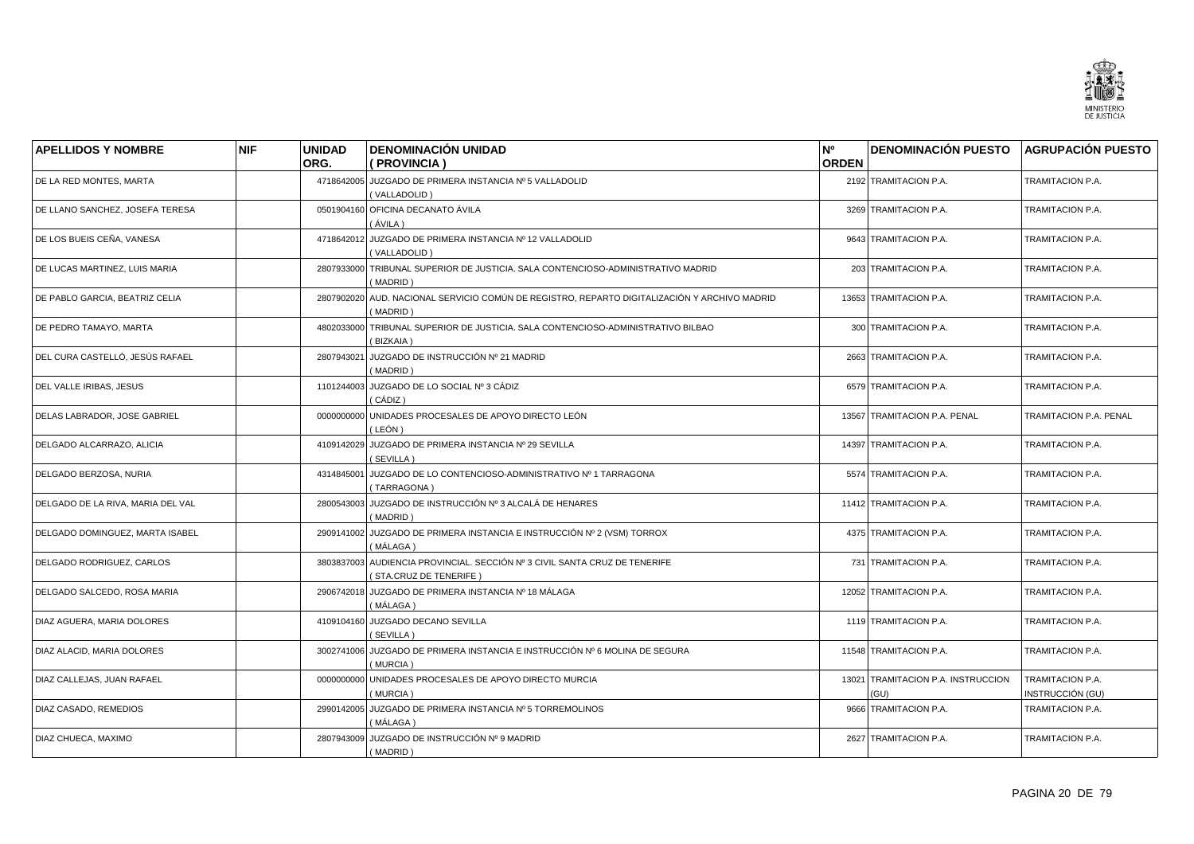![](_page_19_Picture_0.jpeg)

| <b>APELLIDOS Y NOMBRE</b>         | <b>NIF</b> | <b>UNIDAD</b> | <b>DENOMINACIÓN UNIDAD</b>                                                                               | N°           | <b>DENOMINACIÓN PUESTO AGRUPACIÓN PUESTO</b> |                                      |
|-----------------------------------|------------|---------------|----------------------------------------------------------------------------------------------------------|--------------|----------------------------------------------|--------------------------------------|
|                                   |            | ORG.          | ( PROVINCIA )                                                                                            | <b>ORDEN</b> |                                              |                                      |
| DE LA RED MONTES, MARTA           |            |               | 4718642005 JUZGADO DE PRIMERA INSTANCIA Nº 5 VALLADOLID<br>(VALLADOLID)                                  |              | 2192 TRAMITACION P.A.                        | TRAMITACION P.A.                     |
| DE LLANO SANCHEZ, JOSEFA TERESA   |            |               | 0501904160 OFICINA DECANATO ÁVILA<br>(ÁVILA )                                                            |              | 3269 TRAMITACION P.A.                        | TRAMITACION P.A.                     |
| DE LOS BUEIS CEÑA, VANESA         |            |               | 4718642012 JUZGADO DE PRIMERA INSTANCIA Nº 12 VALLADOLID<br>(VALLADOLID)                                 |              | 9643 TRAMITACION P.A.                        | TRAMITACION P.A.                     |
| DE LUCAS MARTINEZ, LUIS MARIA     |            |               | 2807933000 TRIBUNAL SUPERIOR DE JUSTICIA. SALA CONTENCIOSO-ADMINISTRATIVO MADRID<br>(MADRID)             |              | 203 TRAMITACION P.A.                         | TRAMITACION P.A.                     |
| DE PABLO GARCIA, BEATRIZ CELIA    |            |               | 2807902020 AUD. NACIONAL SERVICIO COMÚN DE REGISTRO, REPARTO DIGITALIZACIÓN Y ARCHIVO MADRID<br>(MADRID) |              | 13653 TRAMITACION P.A.                       | TRAMITACION P.A.                     |
| DE PEDRO TAMAYO, MARTA            |            | 4802033000    | TRIBUNAL SUPERIOR DE JUSTICIA. SALA CONTENCIOSO-ADMINISTRATIVO BILBAO<br>(BIZKAIA)                       |              | 300 TRAMITACION P.A.                         | TRAMITACION P.A.                     |
| DEL CURA CASTELLÓ, JESÚS RAFAEL   |            | 2807943021    | JUZGADO DE INSTRUCCIÓN Nº 21 MADRID<br>(MADRID)                                                          |              | 2663 TRAMITACION P.A.                        | TRAMITACION P.A.                     |
| DEL VALLE IRIBAS, JESUS           |            |               | 1101244003 JUZGADO DE LO SOCIAL Nº 3 CÁDIZ<br>( CÁDIZ )                                                  |              | 6579 TRAMITACION P.A.                        | TRAMITACION P.A.                     |
| DELAS LABRADOR, JOSE GABRIEL      |            | 0000000000    | UNIDADES PROCESALES DE APOYO DIRECTO LEÓN<br>( LEÓN )                                                    |              | 13567 TRAMITACION P.A. PENAL                 | TRAMITACION P.A. PENAL               |
| DELGADO ALCARRAZO, ALICIA         |            |               | 4109142029 JUZGADO DE PRIMERA INSTANCIA Nº 29 SEVILLA<br>(SEVILLA)                                       |              | 14397 TRAMITACION P.A.                       | TRAMITACION P.A.                     |
| DELGADO BERZOSA, NURIA            |            | 4314845001    | JUZGADO DE LO CONTENCIOSO-ADMINISTRATIVO Nº 1 TARRAGONA<br>(TARRAGONA)                                   |              | 5574 TRAMITACION P.A.                        | TRAMITACION P.A.                     |
| DELGADO DE LA RIVA, MARIA DEL VAL |            | 2800543003    | JUZGADO DE INSTRUCCIÓN Nº 3 ALCALÁ DE HENARES<br>(MADRID)                                                |              | 11412 TRAMITACION P.A.                       | TRAMITACION P.A.                     |
| DELGADO DOMINGUEZ, MARTA ISABEL   |            |               | 2909141002 JUZGADO DE PRIMERA INSTANCIA E INSTRUCCIÓN Nº 2 (VSM) TORROX<br>(MÁLAGA)                      |              | 4375 TRAMITACION P.A.                        | TRAMITACION P.A.                     |
| DELGADO RODRIGUEZ, CARLOS         |            |               | 3803837003 AUDIENCIA PROVINCIAL. SECCIÓN Nº 3 CIVIL SANTA CRUZ DE TENERIFE<br>(STA.CRUZ DE TENERIFE)     |              | 731 TRAMITACION P.A.                         | TRAMITACION P.A.                     |
| DELGADO SALCEDO, ROSA MARIA       |            |               | 2906742018 JUZGADO DE PRIMERA INSTANCIA Nº 18 MÁLAGA<br>(MÁLAGA)                                         |              | 12052 TRAMITACION P.A.                       | TRAMITACION P.A.                     |
| DIAZ AGUERA, MARIA DOLORES        |            | 4109104160    | JUZGADO DECANO SEVILLA<br>(SEVILLA)                                                                      |              | 1119 TRAMITACION P.A.                        | TRAMITACION P.A.                     |
| DIAZ ALACID, MARIA DOLORES        |            |               | 3002741006 JUZGADO DE PRIMERA INSTANCIA E INSTRUCCIÓN Nº 6 MOLINA DE SEGURA<br>(MURCIA)                  |              | 11548 TRAMITACION P.A.                       | TRAMITACION P.A.                     |
| DIAZ CALLEJAS, JUAN RAFAEL        |            | 0000000000    | UNIDADES PROCESALES DE APOYO DIRECTO MURCIA<br>(MURCIA)                                                  |              | 13021 TRAMITACION P.A. INSTRUCCION<br>(GU)   | TRAMITACION P.A.<br>INSTRUCCIÓN (GU) |
| DIAZ CASADO, REMEDIOS             |            |               | 2990142005 JUZGADO DE PRIMERA INSTANCIA Nº 5 TORREMOLINOS<br>( MÁLAGA )                                  |              | 9666 TRAMITACION P.A.                        | TRAMITACION P.A.                     |
| DIAZ CHUECA, MAXIMO               |            |               | 2807943009 JUZGADO DE INSTRUCCIÓN Nº 9 MADRID<br>(MADRID)                                                |              | 2627 TRAMITACION P.A.                        | TRAMITACION P.A.                     |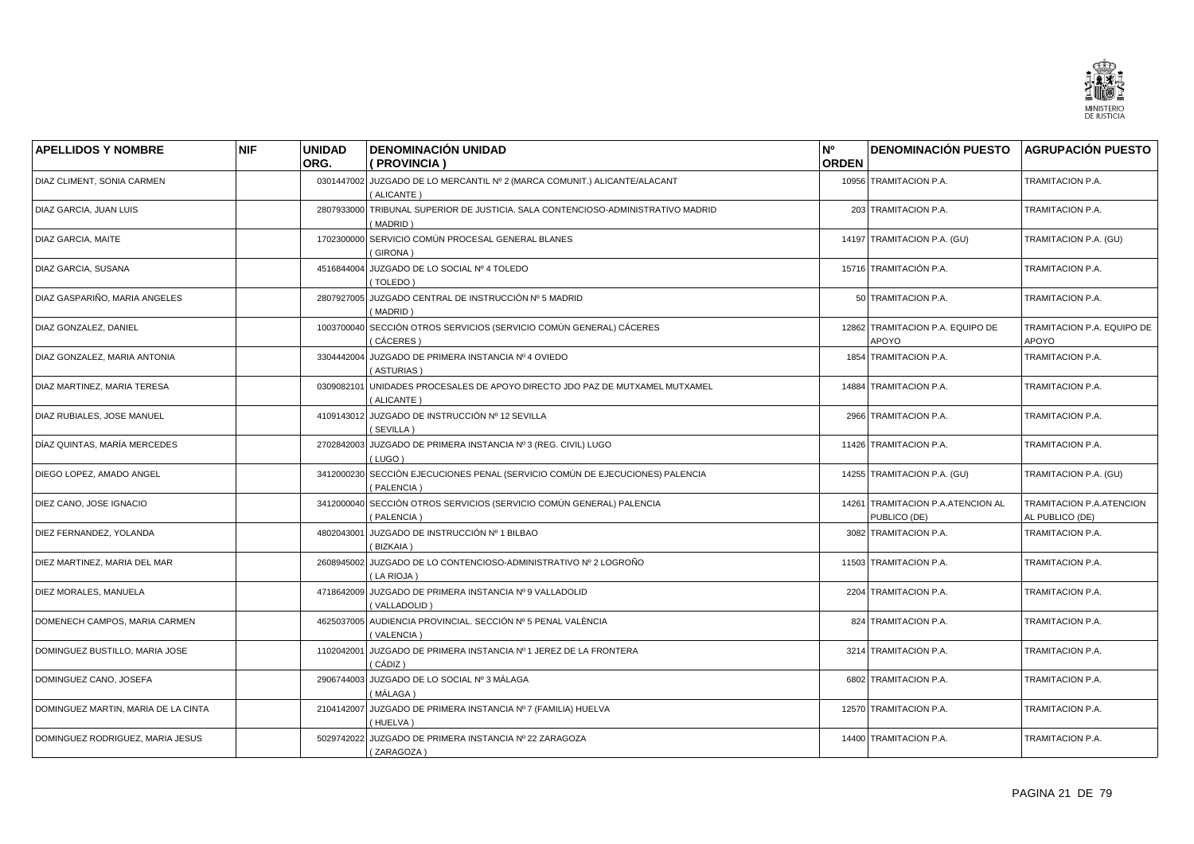![](_page_20_Picture_0.jpeg)

| <b>APELLIDOS Y NOMBRE</b>           | <b>NIF</b> | <b>UNIDAD</b><br>ORG. | <b>DENOMINACIÓN UNIDAD</b><br>( PROVINCIA )                                             | N°<br><b>ORDEN</b> | <b>DENOMINACIÓN PUESTO</b>                        | <b>AGRUPACIÓN PUESTO</b>                    |
|-------------------------------------|------------|-----------------------|-----------------------------------------------------------------------------------------|--------------------|---------------------------------------------------|---------------------------------------------|
| DIAZ CLIMENT, SONIA CARMEN          |            |                       | 0301447002 JUZGADO DE LO MERCANTIL Nº 2 (MARCA COMUNIT.) ALICANTE/ALACANT<br>(ALICANTE) |                    | 10956 TRAMITACION P.A.                            | TRAMITACION P.A.                            |
| DIAZ GARCIA, JUAN LUIS              |            | 2807933000            | TRIBUNAL SUPERIOR DE JUSTICIA. SALA CONTENCIOSO-ADMINISTRATIVO MADRID<br>(MADRID)       |                    | 203 TRAMITACION P.A.                              | TRAMITACION P.A.                            |
| DIAZ GARCIA, MAITE                  |            | 1702300000            | SERVICIO COMÚN PROCESAL GENERAL BLANES<br>(GIRONA)                                      |                    | 14197 TRAMITACION P.A. (GU)                       | TRAMITACION P.A. (GU)                       |
| DIAZ GARCIA, SUSANA                 |            | 4516844004            | JUZGADO DE LO SOCIAL Nº 4 TOLEDO<br>(TOLEDO)                                            |                    | 15716 TRAMITACIÓN P.A.                            | TRAMITACION P.A.                            |
| DIAZ GASPARIÑO, MARIA ANGELES       |            |                       | 2807927005 JUZGADO CENTRAL DE INSTRUCCIÓN Nº 5 MADRID<br>(MADRID)                       |                    | 50 TRAMITACION P.A.                               | TRAMITACION P.A.                            |
| DIAZ GONZALEZ, DANIEL               |            | 1003700040            | SECCIÓN OTROS SERVICIOS (SERVICIO COMÚN GENERAL) CÁCERES<br>(CÁCERES)                   |                    | 12862 TRAMITACION P.A. EQUIPO DE<br>APOYO         | TRAMITACION P.A. EQUIPO DE<br>APOYO         |
| DIAZ GONZALEZ, MARIA ANTONIA        |            | 3304442004            | JUZGADO DE PRIMERA INSTANCIA Nº 4 OVIEDO<br>(ASTURIAS)                                  |                    | 1854 TRAMITACION P.A.                             | TRAMITACION P.A.                            |
| DIAZ MARTINEZ, MARIA TERESA         |            | 0309082101            | UNIDADES PROCESALES DE APOYO DIRECTO JDO PAZ DE MUTXAMEL MUTXAMEL<br>(ALICANTE)         |                    | 14884 TRAMITACION P.A.                            | TRAMITACION P.A.                            |
| DIAZ RUBIALES, JOSE MANUEL          |            | 4109143012            | JUZGADO DE INSTRUCCIÓN Nº 12 SEVILLA<br>(SEVILLA)                                       |                    | 2966 TRAMITACION P.A.                             | TRAMITACION P.A.                            |
| DÍAZ QUINTAS, MARÍA MERCEDES        |            | 2702842003            | JUZGADO DE PRIMERA INSTANCIA Nº 3 (REG. CIVIL) LUGO<br>(LUGO)                           |                    | 11426 TRAMITACION P.A.                            | TRAMITACION P.A.                            |
| DIEGO LOPEZ, AMADO ANGEL            |            | 3412000230            | SECCIÓN EJECUCIONES PENAL (SERVICIO COMÚN DE EJECUCIONES) PALENCIA<br>(PALENCIA)        |                    | 14255 TRAMITACION P.A. (GU)                       | TRAMITACION P.A. (GU)                       |
| DIEZ CANO, JOSE IGNACIO             |            | 3412000040            | SECCIÓN OTROS SERVICIOS (SERVICIO COMÚN GENERAL) PALENCIA<br>(PALENCIA)                 |                    | 14261 TRAMITACION P.A.ATENCION AL<br>PUBLICO (DE) | TRAMITACION P.A.ATENCION<br>AL PUBLICO (DE) |
| DIEZ FERNANDEZ, YOLANDA             |            | 4802043001            | JUZGADO DE INSTRUCCIÓN Nº 1 BILBAO<br>(BIZKAIA)                                         |                    | 3082 TRAMITACION P.A.                             | TRAMITACION P.A.                            |
| DIEZ MARTINEZ, MARIA DEL MAR        |            | 2608945002            | JUZGADO DE LO CONTENCIOSO-ADMINISTRATIVO Nº 2 LOGROÑO<br>(LA RIOJA)                     |                    | 11503 TRAMITACION P.A.                            | TRAMITACION P.A.                            |
| DIEZ MORALES, MANUELA               |            | 4718642009            | JUZGADO DE PRIMERA INSTANCIA Nº 9 VALLADOLID<br>(VALLADOLID)                            |                    | 2204 TRAMITACION P.A.                             | TRAMITACION P.A.                            |
| DOMENECH CAMPOS, MARIA CARMEN       |            | 4625037005            | AUDIENCIA PROVINCIAL. SECCIÓN Nº 5 PENAL VALÈNCIA<br>(VALENCIA)                         |                    | 824 TRAMITACION P.A.                              | TRAMITACION P.A.                            |
| DOMINGUEZ BUSTILLO, MARIA JOSE      |            | 1102042001            | JUZGADO DE PRIMERA INSTANCIA Nº 1 JEREZ DE LA FRONTERA<br>( CÁDIZ )                     |                    | 3214 TRAMITACION P.A.                             | TRAMITACION P.A.                            |
| DOMINGUEZ CANO, JOSEFA              |            | 2906744003            | JUZGADO DE LO SOCIAL Nº 3 MÁLAGA<br>(MÁLAGA )                                           |                    | 6802 TRAMITACION P.A.                             | TRAMITACION P.A.                            |
| DOMINGUEZ MARTIN, MARIA DE LA CINTA |            |                       | 2104142007 JUZGADO DE PRIMERA INSTANCIA Nº 7 (FAMILIA) HUELVA<br>(HUELVA)               |                    | 12570 TRAMITACION P.A.                            | TRAMITACION P.A.                            |
| DOMINGUEZ RODRIGUEZ, MARIA JESUS    |            | 5029742022            | JUZGADO DE PRIMERA INSTANCIA Nº 22 ZARAGOZA<br>(ZARAGOZA)                               |                    | 14400 TRAMITACION P.A.                            | <b>TRAMITACION P.A.</b>                     |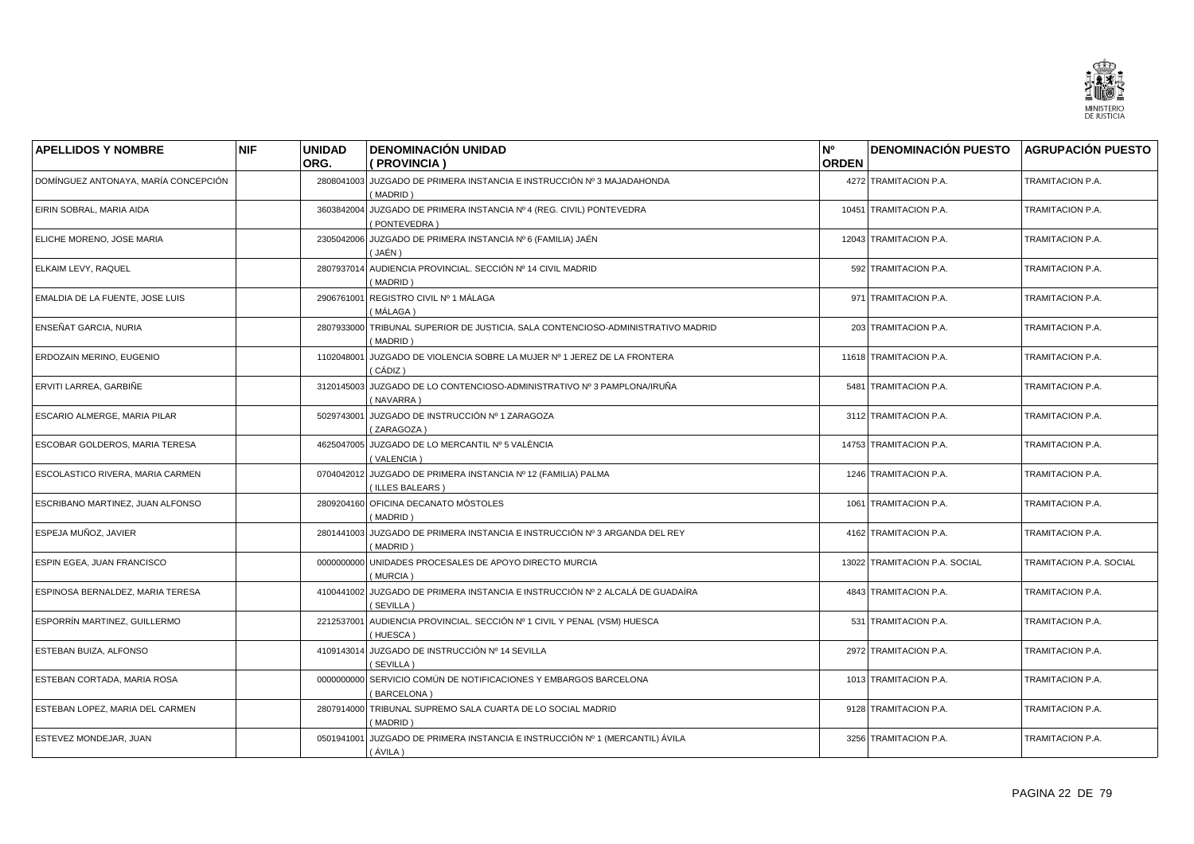![](_page_21_Picture_0.jpeg)

| <b>APELLIDOS Y NOMBRE</b>            | <b>NIF</b> | <b>UNIDAD</b><br>ORG. | <b>DENOMINACIÓN UNIDAD</b><br>(PROVINCIA)                                                  | N°<br><b>ORDEN</b> | <b>DENOMINACIÓN PUESTO</b>    | <b>AGRUPACIÓN PUESTO</b> |
|--------------------------------------|------------|-----------------------|--------------------------------------------------------------------------------------------|--------------------|-------------------------------|--------------------------|
| DOMÍNGUEZ ANTONAYA, MARÍA CONCEPCIÓN |            | 2808041003            | JUZGADO DE PRIMERA INSTANCIA E INSTRUCCIÓN Nº 3 MAJADAHONDA<br>(MADRID)                    |                    | 4272 TRAMITACION P.A.         | TRAMITACION P.A.         |
| EIRIN SOBRAL, MARIA AIDA             |            | 3603842004            | JUZGADO DE PRIMERA INSTANCIA Nº 4 (REG. CIVIL) PONTEVEDRA<br>PONTEVEDRA)                   |                    | 10451 TRAMITACION P.A.        | TRAMITACION P.A.         |
| ELICHE MORENO, JOSE MARIA            |            | 2305042006            | JUZGADO DE PRIMERA INSTANCIA Nº 6 (FAMILIA) JAÉN<br>( JAÉN )                               |                    | 12043 TRAMITACION P.A.        | TRAMITACION P.A.         |
| ELKAIM LEVY, RAQUEL                  |            |                       | 2807937014 AUDIENCIA PROVINCIAL. SECCIÓN Nº 14 CIVIL MADRID<br>(MADRID)                    |                    | 592 TRAMITACION P.A.          | TRAMITACION P.A.         |
| EMALDIA DE LA FUENTE, JOSE LUIS      |            | 2906761001            | REGISTRO CIVIL Nº 1 MÁLAGA<br>(MÁLAGA)                                                     |                    | 971 TRAMITACION P.A.          | TRAMITACION P.A.         |
| ENSEÑAT GARCIA, NURIA                |            | 2807933000            | TRIBUNAL SUPERIOR DE JUSTICIA. SALA CONTENCIOSO-ADMINISTRATIVO MADRID<br>MADRID)           |                    | 203 TRAMITACION P.A.          | TRAMITACION P.A.         |
| ERDOZAIN MERINO, EUGENIO             |            | 1102048001            | JUZGADO DE VIOLENCIA SOBRE LA MUJER Nº 1 JEREZ DE LA FRONTERA<br>( CÁDIZ )                 |                    | 11618 TRAMITACION P.A.        | TRAMITACION P.A.         |
| ERVITI LARREA, GARBIÑE               |            | 3120145003            | JUZGADO DE LO CONTENCIOSO-ADMINISTRATIVO Nº 3 PAMPLONA/IRUÑA<br>(NAVARRA)                  |                    | 5481 TRAMITACION P.A.         | TRAMITACION P.A.         |
| ESCARIO ALMERGE, MARIA PILAR         |            | 5029743001            | JUZGADO DE INSTRUCCIÓN Nº 1 ZARAGOZA<br>(ZARAGOZA)                                         |                    | 3112 TRAMITACION P.A.         | TRAMITACION P.A.         |
| ESCOBAR GOLDEROS, MARIA TERESA       |            | 4625047005            | JUZGADO DE LO MERCANTIL Nº 5 VALÈNCIA<br>(VALENCIA)                                        |                    | 14753 TRAMITACION P.A.        | TRAMITACION P.A.         |
| ESCOLASTICO RIVERA, MARIA CARMEN     |            | 0704042012            | JUZGADO DE PRIMERA INSTANCIA Nº 12 (FAMILIA) PALMA<br>(ILLES BALEARS)                      |                    | 1246 TRAMITACION P.A.         | TRAMITACION P.A.         |
| ESCRIBANO MARTINEZ, JUAN ALFONSO     |            |                       | 2809204160 OFICINA DECANATO MÓSTOLES<br>MADRID)                                            |                    | 1061 TRAMITACION P.A.         | TRAMITACION P.A.         |
| ESPEJA MUÑOZ, JAVIER                 |            |                       | 2801441003 JUZGADO DE PRIMERA INSTANCIA E INSTRUCCIÓN Nº 3 ARGANDA DEL REY<br>MADRID)      |                    | 4162 TRAMITACION P.A.         | TRAMITACION P.A.         |
| ESPIN EGEA, JUAN FRANCISCO           |            | 0000000000            | UNIDADES PROCESALES DE APOYO DIRECTO MURCIA<br>(MURCIA)                                    |                    | 13022 TRAMITACION P.A. SOCIAL | TRAMITACION P.A. SOCIAL  |
| ESPINOSA BERNALDEZ, MARIA TERESA     |            |                       | 4100441002 JUZGADO DE PRIMERA INSTANCIA E INSTRUCCIÓN Nº 2 ALCALÁ DE GUADAÍRA<br>(SEVILLA) |                    | 4843 TRAMITACION P.A.         | TRAMITACION P.A.         |
| ESPORRÍN MARTINEZ, GUILLERMO         |            | 2212537001            | AUDIENCIA PROVINCIAL. SECCIÓN Nº 1 CIVIL Y PENAL (VSM) HUESCA<br>(HUESCA)                  |                    | 531 TRAMITACION P.A.          | TRAMITACION P.A.         |
| ESTEBAN BUIZA, ALFONSO               |            | 4109143014            | JUZGADO DE INSTRUCCIÓN Nº 14 SEVILLA<br>(SEVILLA)                                          |                    | 2972 TRAMITACION P.A.         | TRAMITACION P.A.         |
| ESTEBAN CORTADA, MARIA ROSA          |            | 0000000000            | SERVICIO COMÚN DE NOTIFICACIONES Y EMBARGOS BARCELONA<br>(BARCELONA)                       |                    | 1013 TRAMITACION P.A.         | TRAMITACION P.A.         |
| ESTEBAN LOPEZ, MARIA DEL CARMEN      |            |                       | 2807914000 TRIBUNAL SUPREMO SALA CUARTA DE LO SOCIAL MADRID<br>(MADRID)                    |                    | 9128 TRAMITACION P.A.         | TRAMITACION P.A.         |
| ESTEVEZ MONDEJAR, JUAN               |            | 0501941001            | JUZGADO DE PRIMERA INSTANCIA E INSTRUCCIÓN Nº 1 (MERCANTIL) ÁVILA<br>(ÁVILA)               |                    | 3256 TRAMITACION P.A.         | TRAMITACION P.A.         |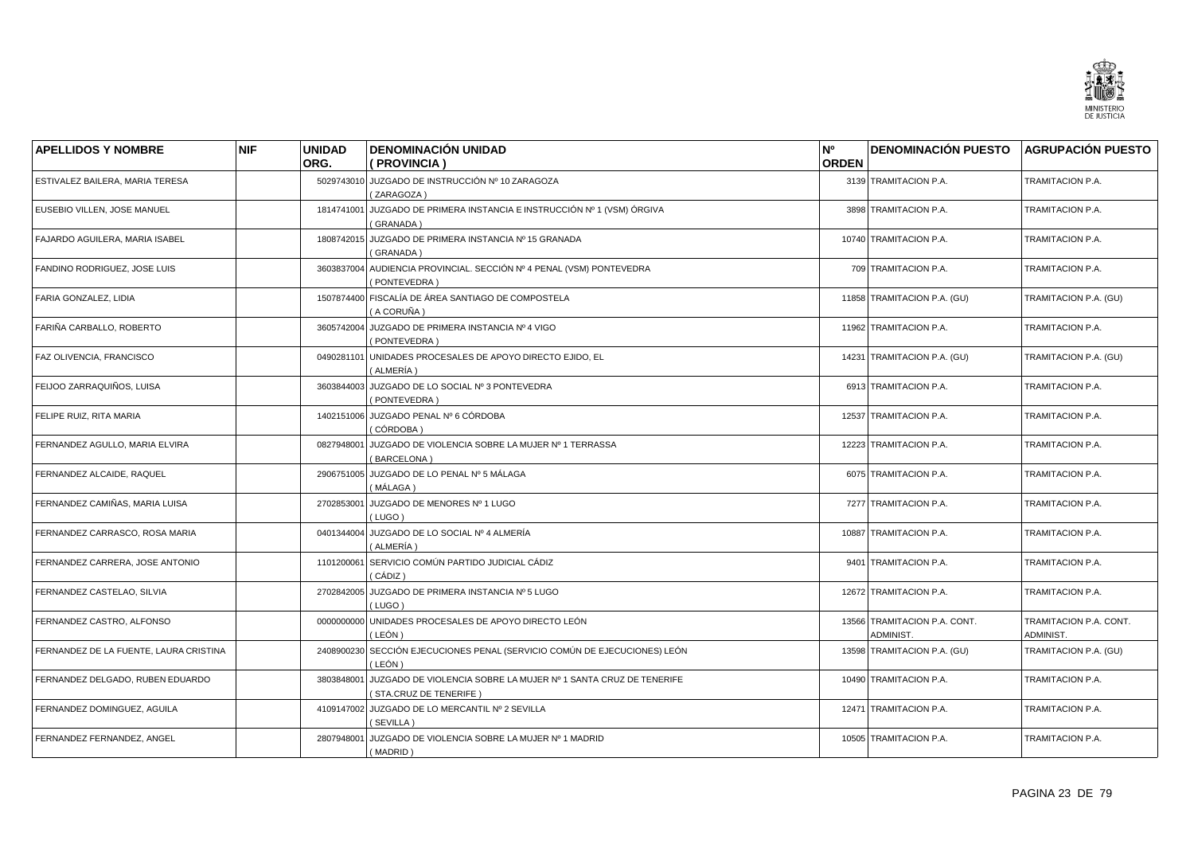![](_page_22_Picture_0.jpeg)

| <b>APELLIDOS Y NOMBRE</b>              | <b>NIF</b> | <b>UNIDAD</b> | <b>DENOMINACIÓN UNIDAD</b>                                                                | N°           | <b>DENOMINACIÓN PUESTO AGRUPACIÓN PUESTO</b> |                                     |
|----------------------------------------|------------|---------------|-------------------------------------------------------------------------------------------|--------------|----------------------------------------------|-------------------------------------|
|                                        |            | ORG.          | (PROVINCIA)                                                                               | <b>ORDEN</b> |                                              |                                     |
| ESTIVALEZ BAILERA, MARIA TERESA        |            |               | 5029743010 JUZGADO DE INSTRUCCIÓN Nº 10 ZARAGOZA<br>(ZARAGOZA)                            |              | 3139 TRAMITACION P.A.                        | TRAMITACION P.A.                    |
| EUSEBIO VILLEN, JOSE MANUEL            |            | 1814741001    | JUZGADO DE PRIMERA INSTANCIA E INSTRUCCIÓN Nº 1 (VSM) ÓRGIVA<br>(GRANADA)                 |              | 3898 TRAMITACION P.A.                        | TRAMITACION P.A.                    |
| FAJARDO AGUILERA, MARIA ISABEL         |            |               | 1808742015 JUZGADO DE PRIMERA INSTANCIA Nº 15 GRANADA<br>(GRANADA)                        |              | 10740 TRAMITACION P.A.                       | TRAMITACION P.A.                    |
| FANDINO RODRIGUEZ, JOSE LUIS           |            |               | 3603837004 AUDIENCIA PROVINCIAL. SECCIÓN Nº 4 PENAL (VSM) PONTEVEDRA<br>(PONTEVEDRA)      |              | 709 TRAMITACION P.A.                         | TRAMITACION P.A.                    |
| FARIA GONZALEZ, LIDIA                  |            |               | 1507874400 FISCALÍA DE ÁREA SANTIAGO DE COMPOSTELA<br>(A CORUÑA)                          |              | 11858 TRAMITACION P.A. (GU)                  | TRAMITACION P.A. (GU)               |
| FARIÑA CARBALLO, ROBERTO               |            | 3605742004    | JUZGADO DE PRIMERA INSTANCIA Nº 4 VIGO<br>(PONTEVEDRA)                                    |              | 11962 TRAMITACION P.A.                       | TRAMITACION P.A.                    |
| FAZ OLIVENCIA, FRANCISCO               |            | 0490281101    | UNIDADES PROCESALES DE APOYO DIRECTO EJIDO, EL<br>(ALMERÍA)                               |              | 14231 TRAMITACION P.A. (GU)                  | TRAMITACION P.A. (GU)               |
| FEIJOO ZARRAQUIÑOS, LUISA              |            |               | 3603844003 JUZGADO DE LO SOCIAL Nº 3 PONTEVEDRA<br>(PONTEVEDRA)                           |              | 6913 TRAMITACION P.A.                        | TRAMITACION P.A.                    |
| FELIPE RUIZ, RITA MARIA                |            |               | 1402151006 JUZGADO PENAL Nº 6 CÓRDOBA<br>(CÓRDOBA)                                        |              | 12537 TRAMITACION P.A.                       | TRAMITACION P.A.                    |
| FERNANDEZ AGULLO, MARIA ELVIRA         |            | 0827948001    | JUZGADO DE VIOLENCIA SOBRE LA MUJER Nº 1 TERRASSA<br>(BARCELONA)                          |              | 12223 TRAMITACION P.A.                       | TRAMITACION P.A.                    |
| FERNANDEZ ALCAIDE, RAQUEL              |            | 2906751005    | JUZGADO DE LO PENAL Nº 5 MÁLAGA<br>(MÁLAGA)                                               |              | 6075 TRAMITACION P.A.                        | TRAMITACION P.A.                    |
| FERNANDEZ CAMIÑAS, MARIA LUISA         |            | 2702853001    | JUZGADO DE MENORES Nº 1 LUGO<br>(LUGO)                                                    |              | 7277 TRAMITACION P.A.                        | TRAMITACION P.A.                    |
| FERNANDEZ CARRASCO, ROSA MARIA         |            |               | 0401344004 JUZGADO DE LO SOCIAL Nº 4 ALMERÍA<br>( ALMERÍA )                               |              | 10887 TRAMITACION P.A.                       | TRAMITACION P.A.                    |
| FERNANDEZ CARRERA, JOSE ANTONIO        |            | 1101200061    | SERVICIO COMÚN PARTIDO JUDICIAL CÁDIZ<br>(CÁDIZ)                                          |              | 9401 TRAMITACION P.A.                        | TRAMITACION P.A.                    |
| FERNANDEZ CASTELAO, SILVIA             |            |               | 2702842005 JUZGADO DE PRIMERA INSTANCIA Nº 5 LUGO<br>(LUGO)                               |              | 12672 TRAMITACION P.A.                       | TRAMITACION P.A.                    |
| FERNANDEZ CASTRO, ALFONSO              |            | 0000000000    | UNIDADES PROCESALES DE APOYO DIRECTO LEÓN<br>(LEÓN)                                       |              | 13566 TRAMITACION P.A. CONT.<br>ADMINIST.    | TRAMITACION P.A. CONT.<br>ADMINIST. |
| FERNANDEZ DE LA FUENTE, LAURA CRISTINA |            | 2408900230    | SECCIÓN EJECUCIONES PENAL (SERVICIO COMÚN DE EJECUCIONES) LEÓN<br>( LEÓN )                |              | 13598 TRAMITACION P.A. (GU)                  | TRAMITACION P.A. (GU)               |
| FERNANDEZ DELGADO, RUBEN EDUARDO       |            | 3803848001    | JUZGADO DE VIOLENCIA SOBRE LA MUJER Nº 1 SANTA CRUZ DE TENERIFE<br>(STA.CRUZ DE TENERIFE) |              | 10490 TRAMITACION P.A.                       | TRAMITACION P.A.                    |
| FERNANDEZ DOMINGUEZ, AGUILA            |            |               | 4109147002 JUZGADO DE LO MERCANTIL Nº 2 SEVILLA<br>(SEVILLA)                              |              | 12471 TRAMITACION P.A.                       | TRAMITACION P.A.                    |
| FERNANDEZ FERNANDEZ, ANGEL             |            | 2807948001    | JUZGADO DE VIOLENCIA SOBRE LA MUJER Nº 1 MADRID<br>(MADRID)                               |              | 10505 TRAMITACION P.A.                       | TRAMITACION P.A.                    |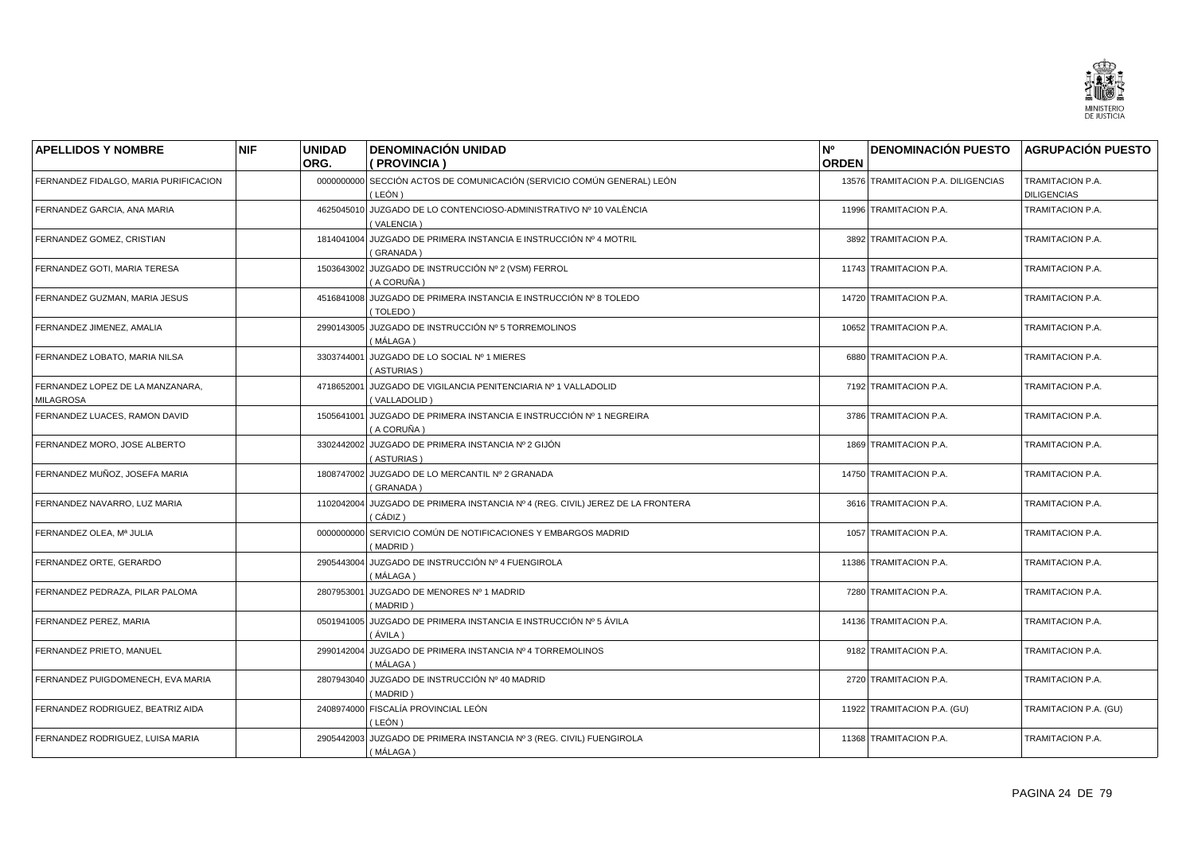![](_page_23_Picture_0.jpeg)

| <b>APELLIDOS Y NOMBRE</b>                            | <b>NIF</b> | <b>UNIDAD</b> | <b>DENOMINACIÓN UNIDAD</b>                                                                  | N <sup>o</sup> | <b>DENOMINACIÓN PUESTO</b>         | <b>AGRUPACIÓN PUESTO</b>               |
|------------------------------------------------------|------------|---------------|---------------------------------------------------------------------------------------------|----------------|------------------------------------|----------------------------------------|
|                                                      |            | ORG.          | ( PROVINCIA )                                                                               | <b>ORDEN</b>   |                                    |                                        |
| FERNANDEZ FIDALGO, MARIA PURIFICACION                |            |               | 0000000000 SECCIÓN ACTOS DE COMUNICACIÓN (SERVICIO COMÚN GENERAL) LEÓN<br>(LEÓN)            |                | 13576 TRAMITACION P.A. DILIGENCIAS | TRAMITACION P.A.<br><b>DILIGENCIAS</b> |
| FERNANDEZ GARCIA, ANA MARIA                          |            | 4625045010    | JUZGADO DE LO CONTENCIOSO-ADMINISTRATIVO Nº 10 VALÈNCIA<br>(VALENCIA)                       |                | 11996 TRAMITACION P.A.             | TRAMITACION P.A.                       |
| FERNANDEZ GOMEZ, CRISTIAN                            |            |               | 1814041004 JUZGADO DE PRIMERA INSTANCIA E INSTRUCCIÓN Nº 4 MOTRIL<br>(GRANADA)              |                | 3892 TRAMITACION P.A.              | TRAMITACION P.A.                       |
| FERNANDEZ GOTI, MARIA TERESA                         |            |               | 1503643002 JUZGADO DE INSTRUCCIÓN Nº 2 (VSM) FERROL<br>(A CORUÑA)                           |                | 11743 TRAMITACION P.A.             | TRAMITACION P.A.                       |
| FERNANDEZ GUZMAN, MARIA JESUS                        |            |               | 4516841008 JUZGADO DE PRIMERA INSTANCIA E INSTRUCCIÓN Nº 8 TOLEDO<br>(TOLEDO)               |                | 14720 TRAMITACION P.A.             | TRAMITACION P.A.                       |
| FERNANDEZ JIMENEZ, AMALIA                            |            |               | 2990143005 JUZGADO DE INSTRUCCIÓN Nº 5 TORREMOLINOS<br>( MÁLAGA )                           |                | 10652 TRAMITACION P.A.             | TRAMITACION P.A.                       |
| FERNANDEZ LOBATO, MARIA NILSA                        |            | 3303744001    | JUZGADO DE LO SOCIAL Nº 1 MIERES<br>(ASTURIAS)                                              |                | 6880 TRAMITACION P.A.              | TRAMITACION P.A.                       |
| FERNANDEZ LOPEZ DE LA MANZANARA,<br><b>MILAGROSA</b> |            |               | 4718652001 JUZGADO DE VIGILANCIA PENITENCIARIA Nº 1 VALLADOLID<br>(VALLADOLID)              |                | 7192 TRAMITACION P.A.              | TRAMITACION P.A.                       |
| FERNANDEZ LUACES, RAMON DAVID                        |            | 1505641001    | JUZGADO DE PRIMERA INSTANCIA E INSTRUCCIÓN Nº 1 NEGREIRA<br>( A CORUÑA )                    |                | 3786 TRAMITACION P.A.              | TRAMITACION P.A.                       |
| FERNANDEZ MORO, JOSE ALBERTO                         |            |               | 3302442002 JUZGADO DE PRIMERA INSTANCIA Nº 2 GIJÓN<br>(ASTURIAS)                            |                | 1869 TRAMITACION P.A.              | TRAMITACION P.A.                       |
| FERNANDEZ MUÑOZ, JOSEFA MARIA                        |            |               | 1808747002 JUZGADO DE LO MERCANTIL Nº 2 GRANADA<br>(GRANADA)                                |                | 14750 TRAMITACION P.A.             | TRAMITACION P.A.                       |
| FERNANDEZ NAVARRO, LUZ MARIA                         |            |               | 1102042004 JUZGADO DE PRIMERA INSTANCIA Nº 4 (REG. CIVIL) JEREZ DE LA FRONTERA<br>( CÁDIZ ) |                | 3616 TRAMITACION P.A.              | TRAMITACION P.A.                       |
| FERNANDEZ OLEA, Mª JULIA                             |            |               | 0000000000 SERVICIO COMÚN DE NOTIFICACIONES Y EMBARGOS MADRID<br>(MADRID)                   |                | 1057 TRAMITACION P.A.              | TRAMITACION P.A.                       |
| FERNANDEZ ORTE, GERARDO                              |            |               | 2905443004 JUZGADO DE INSTRUCCIÓN Nº 4 FUENGIROLA<br>(MÁLAGA)                               |                | 11386 TRAMITACION P.A.             | TRAMITACION P.A.                       |
| FERNANDEZ PEDRAZA, PILAR PALOMA                      |            |               | 2807953001 JUZGADO DE MENORES Nº 1 MADRID<br>(MADRID)                                       |                | 7280 TRAMITACION P.A.              | TRAMITACION P.A.                       |
| FERNANDEZ PEREZ, MARIA                               |            |               | 0501941005 JUZGADO DE PRIMERA INSTANCIA E INSTRUCCIÓN Nº 5 ÁVILA<br>(ÁVILA)                 |                | 14136 TRAMITACION P.A.             | TRAMITACION P.A.                       |
| FERNANDEZ PRIETO, MANUEL                             |            |               | 2990142004 JUZGADO DE PRIMERA INSTANCIA Nº 4 TORREMOLINOS<br>( MÁLAGA )                     |                | 9182 TRAMITACION P.A.              | TRAMITACION P.A.                       |
| FERNANDEZ PUIGDOMENECH, EVA MARIA                    |            |               | 2807943040 JUZGADO DE INSTRUCCIÓN Nº 40 MADRID<br>(MADRID)                                  |                | 2720 TRAMITACION P.A.              | TRAMITACION P.A.                       |
| FERNANDEZ RODRIGUEZ, BEATRIZ AIDA                    |            |               | 2408974000 FISCALÍA PROVINCIAL LEÓN<br>(LEÓN)                                               |                | 11922 TRAMITACION P.A. (GU)        | TRAMITACION P.A. (GU)                  |
| FERNANDEZ RODRIGUEZ, LUISA MARIA                     |            |               | 2905442003 JUZGADO DE PRIMERA INSTANCIA Nº 3 (REG. CIVIL) FUENGIROLA<br>(MÁLAGA)            |                | 11368 TRAMITACION P.A.             | TRAMITACION P.A.                       |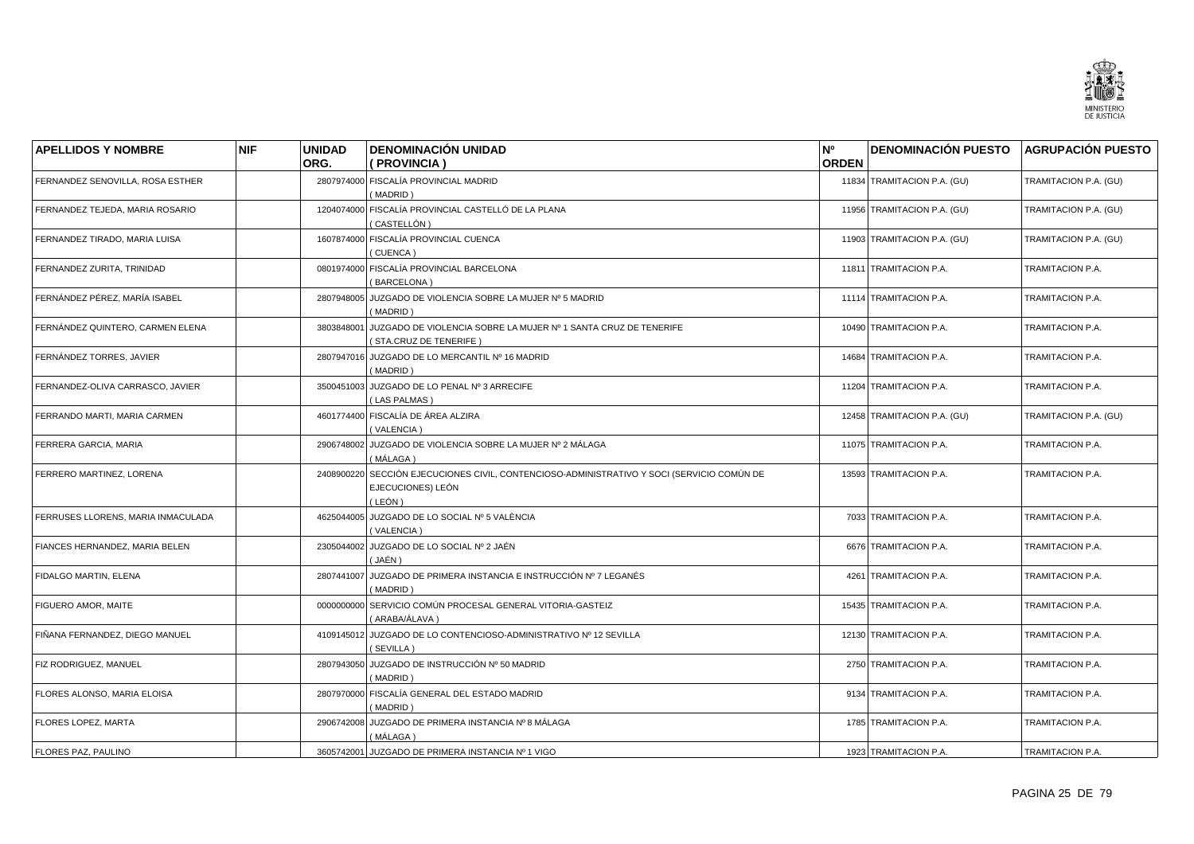![](_page_24_Picture_0.jpeg)

| <b>APELLIDOS Y NOMBRE</b>          | <b>NIF</b> | <b>UNIDAD</b> | <b>DENOMINACIÓN UNIDAD</b>                                                                                       | N°           | <b>DENOMINACIÓN PUESTO</b>  | <b>AGRUPACIÓN PUESTO</b> |
|------------------------------------|------------|---------------|------------------------------------------------------------------------------------------------------------------|--------------|-----------------------------|--------------------------|
|                                    |            | ORG.          | ( PROVINCIA )                                                                                                    | <b>ORDEN</b> |                             |                          |
| FERNANDEZ SENOVILLA, ROSA ESTHER   |            |               | 2807974000 FISCALÍA PROVINCIAL MADRID<br>(MADRID)                                                                |              | 11834 TRAMITACION P.A. (GU) | TRAMITACION P.A. (GU)    |
| FERNANDEZ TEJEDA, MARIA ROSARIO    |            | 1204074000    | FISCALÍA PROVINCIAL CASTELLÓ DE LA PLANA<br>(CASTELLÓN)                                                          |              | 11956 TRAMITACION P.A. (GU) | TRAMITACION P.A. (GU)    |
| FERNANDEZ TIRADO, MARIA LUISA      |            |               | 1607874000 FISCALÍA PROVINCIAL CUENCA<br>(CUENCA)                                                                |              | 11903 TRAMITACION P.A. (GU) | TRAMITACION P.A. (GU)    |
| FERNANDEZ ZURITA, TRINIDAD         |            |               | 0801974000 FISCALÍA PROVINCIAL BARCELONA<br>(BARCELONA)                                                          |              | 11811 TRAMITACION P.A.      | TRAMITACION P.A.         |
| FERNÁNDEZ PÉREZ, MARÍA ISABEL      |            |               | 2807948005 JUZGADO DE VIOLENCIA SOBRE LA MUJER Nº 5 MADRID<br>(MADRID)                                           |              | 11114 TRAMITACION P.A.      | TRAMITACION P.A.         |
| FERNÁNDEZ QUINTERO, CARMEN ELENA   |            | 3803848001    | JUZGADO DE VIOLENCIA SOBRE LA MUJER Nº 1 SANTA CRUZ DE TENERIFE<br>(STA.CRUZ DE TENERIFE)                        |              | 10490 TRAMITACION P.A.      | TRAMITACION P.A.         |
| FERNÁNDEZ TORRES, JAVIER           |            | 2807947016    | JUZGADO DE LO MERCANTIL Nº 16 MADRID<br>(MADRID)                                                                 |              | 14684 TRAMITACION P.A.      | TRAMITACION P.A.         |
| FERNANDEZ-OLIVA CARRASCO, JAVIER   |            |               | 3500451003 JUZGADO DE LO PENAL Nº 3 ARRECIFE<br>(LAS PALMAS)                                                     |              | 11204 TRAMITACION P.A.      | TRAMITACION P.A.         |
| FERRANDO MARTI, MARIA CARMEN       |            |               | 4601774400 FISCALÍA DE ÁREA ALZIRA<br>(VALENCIA)                                                                 |              | 12458 TRAMITACION P.A. (GU) | TRAMITACION P.A. (GU)    |
| FERRERA GARCIA, MARIA              |            |               | 2906748002 JUZGADO DE VIOLENCIA SOBRE LA MUJER Nº 2 MÁLAGA<br>( MÁLAGA )                                         |              | 11075 TRAMITACION P.A.      | TRAMITACION P.A.         |
| FERRERO MARTINEZ, LORENA           |            | 2408900220    | SECCIÓN EJECUCIONES CIVIL, CONTENCIOSO-ADMINISTRATIVO Y SOCI (SERVICIO COMÚN DE<br>EJECUCIONES) LEÓN<br>( LEÓN ) |              | 13593 TRAMITACION P.A.      | TRAMITACION P.A.         |
| FERRUSES LLORENS, MARIA INMACULADA |            |               | 4625044005 JUZGADO DE LO SOCIAL Nº 5 VALÈNCIA<br>(VALENCIA)                                                      |              | 7033 TRAMITACION P.A.       | TRAMITACION P.A.         |
| FIANCES HERNANDEZ, MARIA BELEN     |            |               | 2305044002 JUZGADO DE LO SOCIAL Nº 2 JAÉN<br>( JAÉN )                                                            |              | 6676 TRAMITACION P.A.       | TRAMITACION P.A.         |
| FIDALGO MARTIN, ELENA              |            |               | 2807441007 JUZGADO DE PRIMERA INSTANCIA E INSTRUCCIÓN Nº 7 LEGANÉS<br>(MADRID)                                   |              | 4261 TRAMITACION P.A.       | TRAMITACION P.A.         |
| FIGUERO AMOR, MAITE                |            | 0000000000    | SERVICIO COMÚN PROCESAL GENERAL VITORIA-GASTEIZ<br>(ARABA/ÁLAVA)                                                 |              | 15435 TRAMITACION P.A.      | TRAMITACION P.A.         |
| FIÑANA FERNANDEZ. DIEGO MANUEL     |            |               | 4109145012 JUZGADO DE LO CONTENCIOSO-ADMINISTRATIVO Nº 12 SEVILLA<br>(SEVILLA)                                   |              | 12130 TRAMITACION P.A.      | TRAMITACION P.A.         |
| FIZ RODRIGUEZ, MANUEL              |            | 2807943050    | JUZGADO DE INSTRUCCIÓN Nº 50 MADRID<br>(MADRID)                                                                  |              | 2750 TRAMITACION P.A.       | TRAMITACION P.A.         |
| FLORES ALONSO, MARIA ELOISA        |            |               | 2807970000 FISCALÍA GENERAL DEL ESTADO MADRID<br>(MADRID)                                                        |              | 9134 TRAMITACION P.A.       | TRAMITACION P.A.         |
| FLORES LOPEZ, MARTA                |            |               | 2906742008 JUZGADO DE PRIMERA INSTANCIA Nº 8 MÁLAGA<br>(MÁLAGA)                                                  |              | 1785 TRAMITACION P.A.       | TRAMITACION P.A.         |
| FLORES PAZ, PAULINO                |            |               | 3605742001 JUZGADO DE PRIMERA INSTANCIA Nº 1 VIGO                                                                |              | 1923 TRAMITACION P.A.       | TRAMITACION P.A.         |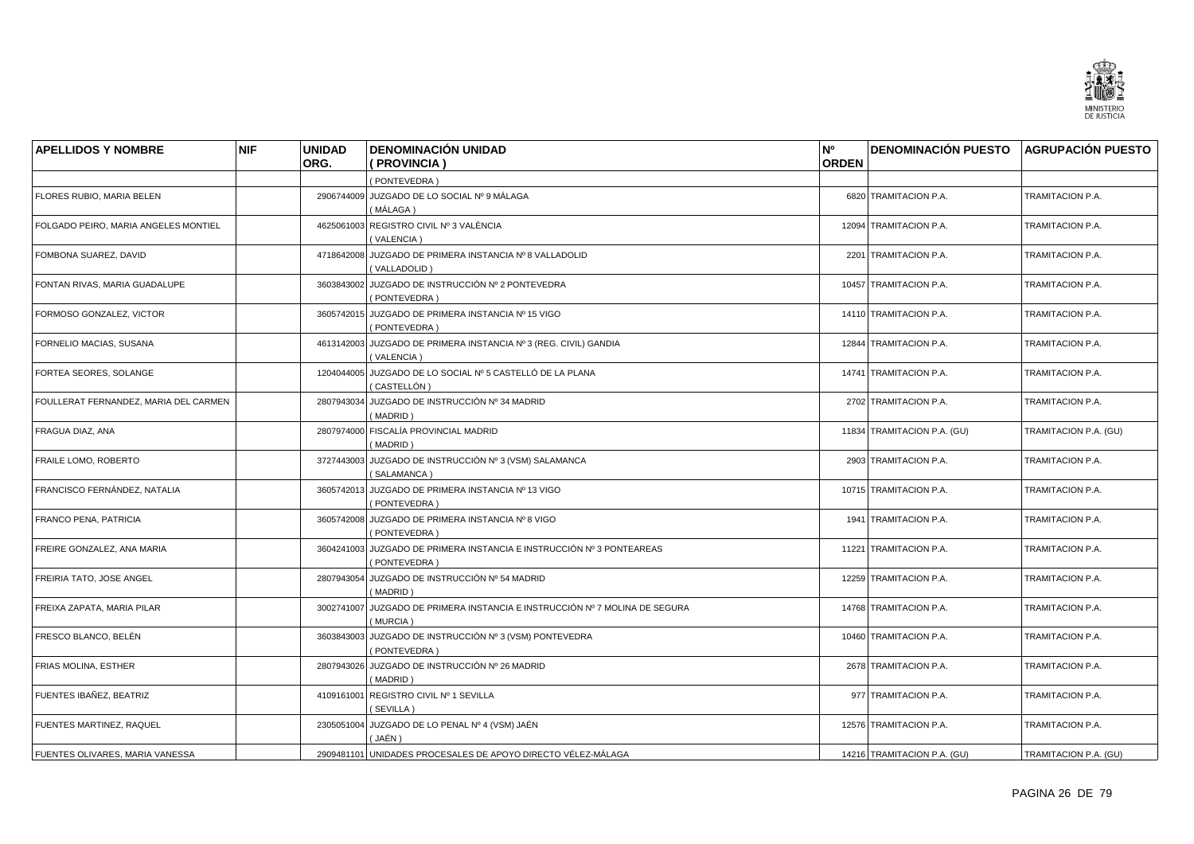![](_page_25_Picture_0.jpeg)

| <b>APELLIDOS Y NOMBRE</b>             | <b>NIF</b> | <b>UNIDAD</b> | <b>DENOMINACIÓN UNIDAD</b>                                                            | N°           | <b>DENOMINACIÓN PUESTO AGRUPACIÓN PUESTO</b> |                       |
|---------------------------------------|------------|---------------|---------------------------------------------------------------------------------------|--------------|----------------------------------------------|-----------------------|
|                                       |            | ORG.          | ( PROVINCIA )                                                                         | <b>ORDEN</b> |                                              |                       |
|                                       |            |               | (PONTEVEDRA)                                                                          |              |                                              |                       |
| FLORES RUBIO, MARIA BELEN             |            |               | 2906744009 JUZGADO DE LO SOCIAL Nº 9 MÁLAGA<br>(MÁLAGA)                               |              | 6820 TRAMITACION P.A.                        | TRAMITACION P.A.      |
| FOLGADO PEIRO, MARIA ANGELES MONTIEL  |            |               | 4625061003 REGISTRO CIVIL Nº 3 VALÈNCIA<br>(VALENCIA)                                 |              | 12094 TRAMITACION P.A.                       | TRAMITACION P.A.      |
| FOMBONA SUAREZ, DAVID                 |            |               | 4718642008 JUZGADO DE PRIMERA INSTANCIA Nº 8 VALLADOLID<br>(VALLADOLID)               |              | 2201 TRAMITACION P.A.                        | TRAMITACION P.A.      |
| FONTAN RIVAS, MARIA GUADALUPE         |            |               | 3603843002 JUZGADO DE INSTRUCCIÓN Nº 2 PONTEVEDRA<br>(PONTEVEDRA)                     |              | 10457 TRAMITACION P.A.                       | TRAMITACION P.A.      |
| FORMOSO GONZALEZ, VICTOR              |            |               | 3605742015 JUZGADO DE PRIMERA INSTANCIA Nº 15 VIGO<br>(PONTEVEDRA)                    |              | 14110 TRAMITACION P.A.                       | TRAMITACION P.A.      |
| FORNELIO MACIAS, SUSANA               |            |               | 4613142003 JUZGADO DE PRIMERA INSTANCIA Nº 3 (REG. CIVIL) GANDIA<br>(VALENCIA)        |              | 12844 TRAMITACION P.A.                       | TRAMITACION P.A.      |
| FORTEA SEORES, SOLANGE                |            |               | 1204044005 JUZGADO DE LO SOCIAL Nº 5 CASTELLÓ DE LA PLANA<br>(CASTELLÓN)              |              | 14741 TRAMITACION P.A.                       | TRAMITACION P.A.      |
| FOULLERAT FERNANDEZ, MARIA DEL CARMEN |            |               | 2807943034 JUZGADO DE INSTRUCCIÓN Nº 34 MADRID<br>(MADRID)                            |              | 2702 TRAMITACION P.A.                        | TRAMITACION P.A.      |
| FRAGUA DIAZ, ANA                      |            |               | 2807974000 FISCALÍA PROVINCIAL MADRID<br>(MADRID)                                     |              | 11834 TRAMITACION P.A. (GU)                  | TRAMITACION P.A. (GU) |
| FRAILE LOMO, ROBERTO                  |            | 3727443003    | JUZGADO DE INSTRUCCIÓN Nº 3 (VSM) SALAMANCA<br>(SALAMANCA)                            |              | 2903 TRAMITACION P.A.                        | TRAMITACION P.A.      |
| FRANCISCO FERNÁNDEZ, NATALIA          |            | 3605742013    | JUZGADO DE PRIMERA INSTANCIA Nº 13 VIGO<br>(PONTEVEDRA)                               |              | 10715 TRAMITACION P.A.                       | TRAMITACION P.A.      |
| <b>FRANCO PENA, PATRICIA</b>          |            |               | 3605742008 JUZGADO DE PRIMERA INSTANCIA Nº 8 VIGO<br>(PONTEVEDRA)                     |              | 1941 TRAMITACION P.A.                        | TRAMITACION P.A.      |
| FREIRE GONZALEZ, ANA MARIA            |            |               | 3604241003 JUZGADO DE PRIMERA INSTANCIA E INSTRUCCIÓN Nº 3 PONTEAREAS<br>(PONTEVEDRA) |              | 11221 TRAMITACION P.A.                       | TRAMITACION P.A.      |
| FREIRIA TATO, JOSE ANGEL              |            |               | 2807943054 JUZGADO DE INSTRUCCIÓN Nº 54 MADRID<br>(MADRID)                            |              | 12259 TRAMITACION P.A.                       | TRAMITACION P.A.      |
| FREIXA ZAPATA, MARIA PILAR            |            | 3002741007    | JUZGADO DE PRIMERA INSTANCIA E INSTRUCCIÓN Nº 7 MOLINA DE SEGURA<br>(MURCIA)          |              | 14768 TRAMITACION P.A.                       | TRAMITACION P.A.      |
| FRESCO BLANCO, BELÉN                  |            | 3603843003    | JUZGADO DE INSTRUCCIÓN Nº 3 (VSM) PONTEVEDRA<br>(PONTEVEDRA)                          |              | 10460 TRAMITACION P.A.                       | TRAMITACION P.A.      |
| FRIAS MOLINA, ESTHER                  |            |               | 2807943026 JUZGADO DE INSTRUCCIÓN Nº 26 MADRID<br>(MADRID)                            |              | 2678 TRAMITACION P.A.                        | TRAMITACION P.A.      |
| FUENTES IBAÑEZ, BEATRIZ               |            |               | 4109161001 REGISTRO CIVIL Nº 1 SEVILLA<br>(SEVILLA)                                   |              | 977 TRAMITACION P.A.                         | TRAMITACION P.A.      |
| FUENTES MARTINEZ, RAQUEL              |            |               | 2305051004 JUZGADO DE LO PENAL Nº 4 (VSM) JAÉN<br>( JAÉN )                            |              | 12576 TRAMITACION P.A.                       | TRAMITACION P.A.      |
| FUENTES OLIVARES, MARIA VANESSA       |            |               | 2909481101 UNIDADES PROCESALES DE APOYO DIRECTO VÉLEZ-MÁLAGA                          |              | 14216 TRAMITACION P.A. (GU)                  | TRAMITACION P.A. (GU) |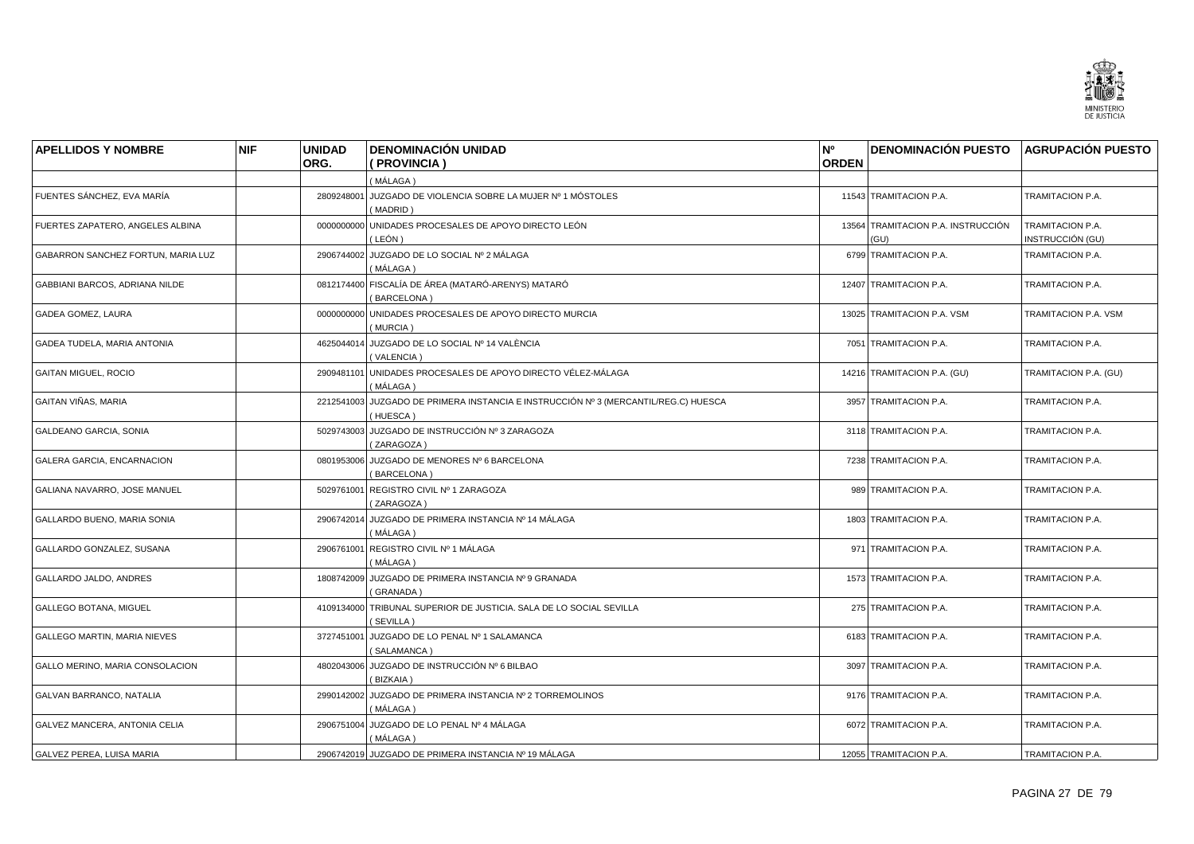![](_page_26_Picture_0.jpeg)

| <b>APELLIDOS Y NOMBRE</b>           | <b>NIF</b> | <b>UNIDAD</b> | <b>DENOMINACIÓN UNIDAD</b>                                                                      | N°           | <b>DENOMINACIÓN PUESTO AGRUPACIÓN PUESTO</b> |                                      |
|-------------------------------------|------------|---------------|-------------------------------------------------------------------------------------------------|--------------|----------------------------------------------|--------------------------------------|
|                                     |            | ORG.          | (PROVINCIA)                                                                                     | <b>ORDEN</b> |                                              |                                      |
|                                     |            |               | (MÁLAGA)                                                                                        |              |                                              |                                      |
| FUENTES SÁNCHEZ. EVA MARÍA          |            |               | 2809248001 JUZGADO DE VIOLENCIA SOBRE LA MUJER Nº 1 MÓSTOLES<br>(MADRID)                        |              | 11543 TRAMITACION P.A.                       | TRAMITACION P.A.                     |
| FUERTES ZAPATERO, ANGELES ALBINA    |            |               | 0000000000 UNIDADES PROCESALES DE APOYO DIRECTO LEÓN<br>(LEÓN)                                  |              | 13564 TRAMITACION P.A. INSTRUCCIÓN<br>(GU)   | TRAMITACION P.A.<br>INSTRUCCIÓN (GU) |
| GABARRON SANCHEZ FORTUN, MARIA LUZ  |            |               | 2906744002 JUZGADO DE LO SOCIAL Nº 2 MÁLAGA<br>(MÁLAGA)                                         |              | 6799 TRAMITACION P.A.                        | TRAMITACION P.A.                     |
| GABBIANI BARCOS, ADRIANA NILDE      |            |               | 0812174400 FISCALÍA DE ÁREA (MATARÓ-ARENYS) MATARÓ<br>(BARCELONA)                               |              | 12407 TRAMITACION P.A.                       | TRAMITACION P.A.                     |
| GADEA GOMEZ, LAURA                  |            |               | 0000000000 UNIDADES PROCESALES DE APOYO DIRECTO MURCIA<br>(MURCIA)                              |              | 13025 TRAMITACION P.A. VSM                   | TRAMITACION P.A. VSM                 |
| GADEA TUDELA, MARIA ANTONIA         |            |               | 4625044014 JUZGADO DE LO SOCIAL Nº 14 VALÈNCIA<br>(VALENCIA)                                    |              | 7051 TRAMITACION P.A.                        | TRAMITACION P.A.                     |
| <b>GAITAN MIGUEL, ROCIO</b>         |            |               | 2909481101 UNIDADES PROCESALES DE APOYO DIRECTO VÉLEZ-MÁLAGA<br>( MÁLAGA )                      |              | 14216 TRAMITACION P.A. (GU)                  | TRAMITACION P.A. (GU)                |
| <b>GAITAN VIÑAS, MARIA</b>          |            |               | 2212541003 JUZGADO DE PRIMERA INSTANCIA E INSTRUCCIÓN Nº 3 (MERCANTIL/REG.C) HUESCA<br>(HUESCA) |              | 3957 TRAMITACION P.A.                        | TRAMITACION P.A.                     |
| <b>GALDEANO GARCIA, SONIA</b>       |            |               | 5029743003 JUZGADO DE INSTRUCCIÓN Nº 3 ZARAGOZA<br>(ZARAGOZA)                                   |              | 3118 TRAMITACION P.A.                        | TRAMITACION P.A.                     |
| <b>GALERA GARCIA, ENCARNACION</b>   |            |               | 0801953006 JUZGADO DE MENORES Nº 6 BARCELONA<br>(BARCELONA)                                     |              | 7238 TRAMITACION P.A.                        | TRAMITACION P.A.                     |
| GALIANA NAVARRO, JOSE MANUEL        |            | 5029761001    | REGISTRO CIVIL Nº 1 ZARAGOZA<br>(ZARAGOZA)                                                      |              | 989 TRAMITACION P.A.                         | TRAMITACION P.A.                     |
| GALLARDO BUENO, MARIA SONIA         |            |               | 2906742014 JUZGADO DE PRIMERA INSTANCIA Nº 14 MÁLAGA<br>( MÁLAGA )                              |              | 1803 TRAMITACION P.A.                        | TRAMITACION P.A.                     |
| GALLARDO GONZALEZ, SUSANA           |            |               | 2906761001 REGISTRO CIVIL Nº 1 MÁLAGA<br>(MÁLAGA)                                               |              | 971 TRAMITACION P.A.                         | TRAMITACION P.A.                     |
| GALLARDO JALDO, ANDRES              |            |               | 1808742009 JUZGADO DE PRIMERA INSTANCIA Nº 9 GRANADA<br>(GRANADA)                               |              | 1573 TRAMITACION P.A.                        | TRAMITACION P.A.                     |
| <b>GALLEGO BOTANA, MIGUEL</b>       |            |               | 4109134000 TRIBUNAL SUPERIOR DE JUSTICIA. SALA DE LO SOCIAL SEVILLA<br>(SEVILLA)                |              | 275 TRAMITACION P.A.                         | TRAMITACION P.A.                     |
| <b>GALLEGO MARTIN, MARIA NIEVES</b> |            |               | 3727451001 JUZGADO DE LO PENAL Nº 1 SALAMANCA<br>(SALAMANCA)                                    |              | 6183 TRAMITACION P.A.                        | TRAMITACION P.A.                     |
| GALLO MERINO, MARIA CONSOLACION     |            |               | 4802043006 JUZGADO DE INSTRUCCIÓN Nº 6 BILBAO<br>(BIZKAIA)                                      |              | 3097 TRAMITACION P.A.                        | TRAMITACION P.A.                     |
| GALVAN BARRANCO, NATALIA            |            |               | 2990142002 JUZGADO DE PRIMERA INSTANCIA Nº 2 TORREMOLINOS<br>(MÁLAGA)                           |              | 9176 TRAMITACION P.A.                        | TRAMITACION P.A.                     |
| GALVEZ MANCERA, ANTONIA CELIA       |            |               | 2906751004 JUZGADO DE LO PENAL Nº 4 MÁLAGA<br>( MÁLAGA )                                        |              | 6072 TRAMITACION P.A.                        | TRAMITACION P.A.                     |
| GALVEZ PEREA, LUISA MARIA           |            |               | 2906742019 JUZGADO DE PRIMERA INSTANCIA Nº 19 MÁLAGA                                            |              | 12055 TRAMITACION P.A.                       | TRAMITACION P.A.                     |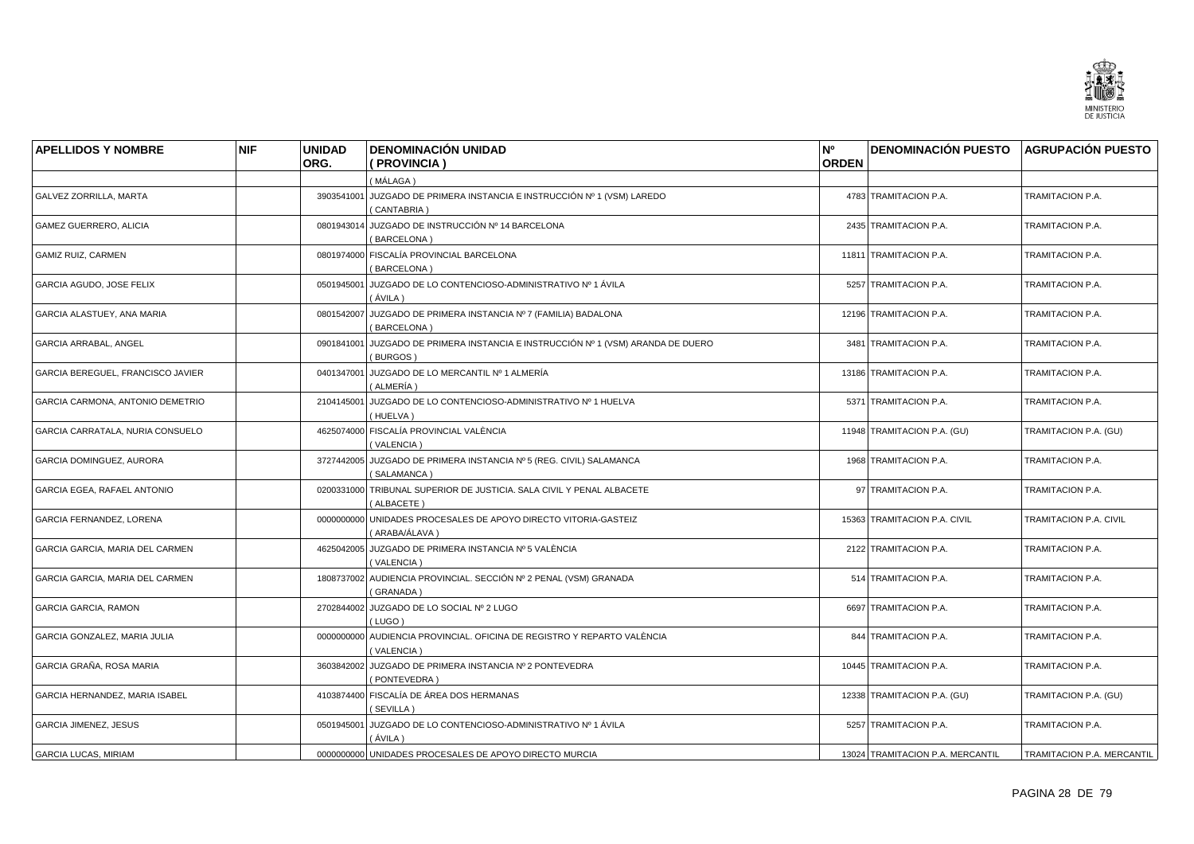![](_page_27_Picture_0.jpeg)

| <b>APELLIDOS Y NOMBRE</b>         | <b>NIF</b> | <b>UNIDAD</b> | <b>DENOMINACIÓN UNIDAD</b>                                                                   | N <sup>o</sup> | <b>DENOMINACIÓN PUESTO AGRUPACIÓN PUESTO</b> |                            |
|-----------------------------------|------------|---------------|----------------------------------------------------------------------------------------------|----------------|----------------------------------------------|----------------------------|
|                                   |            | ORG.          | (PROVINCIA)                                                                                  | <b>ORDEN</b>   |                                              |                            |
|                                   |            |               | (MÁLAGA)                                                                                     |                |                                              |                            |
| <b>GALVEZ ZORRILLA, MARTA</b>     |            |               | 3903541001 JUZGADO DE PRIMERA INSTANCIA E INSTRUCCIÓN Nº 1 (VSM) LAREDO<br>(CANTABRIA)       |                | 4783 TRAMITACION P.A.                        | TRAMITACION P.A.           |
| <b>GAMEZ GUERRERO, ALICIA</b>     |            |               | 0801943014 JUZGADO DE INSTRUCCIÓN Nº 14 BARCELONA<br>(BARCELONA)                             |                | 2435 TRAMITACION P.A.                        | TRAMITACION P.A.           |
| <b>GAMIZ RUIZ, CARMEN</b>         |            |               | 0801974000 FISCALÍA PROVINCIAL BARCELONA<br>(BARCELONA)                                      |                | 11811 TRAMITACION P.A.                       | TRAMITACION P.A.           |
| GARCIA AGUDO, JOSE FELIX          |            | 0501945001    | JUZGADO DE LO CONTENCIOSO-ADMINISTRATIVO Nº 1 ÁVILA<br>(ÁVILA)                               |                | 5257 TRAMITACION P.A.                        | TRAMITACION P.A.           |
| GARCIA ALASTUEY, ANA MARIA        |            |               | 0801542007 JUZGADO DE PRIMERA INSTANCIA Nº 7 (FAMILIA) BADALONA<br>(BARCELONA)               |                | 12196 TRAMITACION P.A.                       | TRAMITACION P.A.           |
| <b>GARCIA ARRABAL, ANGEL</b>      |            |               | 0901841001 JUZGADO DE PRIMERA INSTANCIA E INSTRUCCIÓN Nº 1 (VSM) ARANDA DE DUERO<br>(BURGOS) |                | 3481 TRAMITACION P.A.                        | TRAMITACION P.A.           |
| GARCIA BEREGUEL, FRANCISCO JAVIER |            |               | 0401347001 JUZGADO DE LO MERCANTIL Nº 1 ALMERÍA<br>(ALMERÍA)                                 |                | 13186 TRAMITACION P.A.                       | TRAMITACION P.A.           |
| GARCIA CARMONA, ANTONIO DEMETRIO  |            |               | 2104145001 JUZGADO DE LO CONTENCIOSO-ADMINISTRATIVO Nº 1 HUELVA<br>(HUELVA)                  |                | 5371 TRAMITACION P.A.                        | TRAMITACION P.A.           |
| GARCIA CARRATALA, NURIA CONSUELO  |            |               | 4625074000 FISCALÍA PROVINCIAL VALÈNCIA<br>(VALENCIA)                                        |                | 11948 TRAMITACION P.A. (GU)                  | TRAMITACION P.A. (GU)      |
| GARCIA DOMINGUEZ, AURORA          |            |               | 3727442005 JUZGADO DE PRIMERA INSTANCIA Nº 5 (REG. CIVIL) SALAMANCA<br>(SALAMANCA)           |                | 1968 TRAMITACION P.A.                        | TRAMITACION P.A.           |
| GARCIA EGEA, RAFAEL ANTONIO       |            |               | 0200331000 TRIBUNAL SUPERIOR DE JUSTICIA. SALA CIVIL Y PENAL ALBACETE<br>(ALBACETE)          |                | 97 TRAMITACION P.A.                          | TRAMITACION P.A.           |
| GARCIA FERNANDEZ, LORENA          |            |               | 0000000000 UNIDADES PROCESALES DE APOYO DIRECTO VITORIA-GASTEIZ<br>(ARABA/ÁLAVA)             |                | 15363 TRAMITACION P.A. CIVIL                 | TRAMITACION P.A. CIVIL     |
| GARCIA GARCIA, MARIA DEL CARMEN   |            |               | 4625042005 JUZGADO DE PRIMERA INSTANCIA Nº 5 VALÈNCIA<br>(VALENCIA)                          |                | 2122 TRAMITACION P.A.                        | TRAMITACION P.A.           |
| GARCIA GARCIA, MARIA DEL CARMEN   |            |               | 1808737002 AUDIENCIA PROVINCIAL. SECCIÓN Nº 2 PENAL (VSM) GRANADA<br>(GRANADA)               |                | 514 TRAMITACION P.A.                         | TRAMITACION P.A.           |
| <b>GARCIA GARCIA, RAMON</b>       |            |               | 2702844002 JUZGADO DE LO SOCIAL Nº 2 LUGO<br>(LUGO)                                          |                | 6697 TRAMITACION P.A.                        | TRAMITACION P.A.           |
| GARCIA GONZALEZ, MARIA JULIA      |            |               | 0000000000 AUDIENCIA PROVINCIAL. OFICINA DE REGISTRO Y REPARTO VALÈNCIA<br>(VALENCIA)        |                | 844 TRAMITACION P.A.                         | TRAMITACION P.A.           |
| GARCIA GRAÑA, ROSA MARIA          |            |               | 3603842002 JUZGADO DE PRIMERA INSTANCIA Nº 2 PONTEVEDRA<br>(PONTEVEDRA)                      |                | 10445 TRAMITACION P.A.                       | TRAMITACION P.A.           |
| GARCIA HERNANDEZ, MARIA ISABEL    |            |               | 4103874400 FISCALÍA DE ÁREA DOS HERMANAS<br>(SEVILLA)                                        |                | 12338 TRAMITACION P.A. (GU)                  | TRAMITACION P.A. (GU)      |
| <b>GARCIA JIMENEZ, JESUS</b>      |            |               | 0501945001 JUZGADO DE LO CONTENCIOSO-ADMINISTRATIVO Nº 1 ÁVILA<br>(ÁVILA)                    |                | 5257 TRAMITACION P.A.                        | TRAMITACION P.A.           |
| <b>GARCIA LUCAS, MIRIAM</b>       |            |               | 0000000000 UNIDADES PROCESALES DE APOYO DIRECTO MURCIA                                       |                | 13024 TRAMITACION P.A. MERCANTIL             | TRAMITACION P.A. MERCANTIL |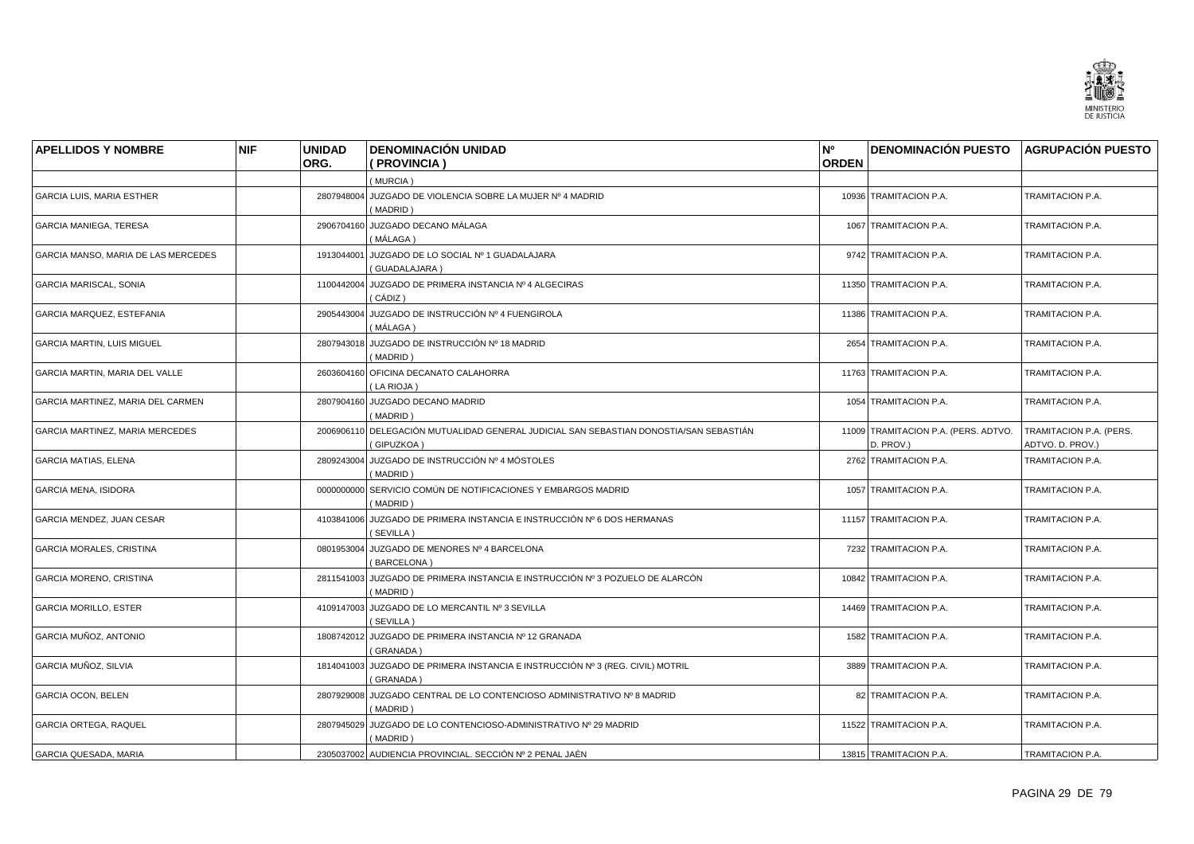![](_page_28_Picture_0.jpeg)

| <b>APELLIDOS Y NOMBRE</b>           | <b>NIF</b> | <b>UNIDAD</b><br>ORG. | <b>DENOMINACIÓN UNIDAD</b><br>(PROVINCIA)                                                            | N°<br><b>ORDEN</b> | <b>DENOMINACIÓN PUESTO AGRUPACIÓN PUESTO</b>      |                                             |
|-------------------------------------|------------|-----------------------|------------------------------------------------------------------------------------------------------|--------------------|---------------------------------------------------|---------------------------------------------|
|                                     |            |                       | (MURCIA)                                                                                             |                    |                                                   |                                             |
| <b>GARCIA LUIS, MARIA ESTHER</b>    |            | 2807948004            | JUZGADO DE VIOLENCIA SOBRE LA MUJER Nº 4 MADRID<br>(MADRID)                                          |                    | 10936 TRAMITACION P.A.                            | TRAMITACION P.A.                            |
| GARCIA MANIEGA, TERESA              |            | 2906704160            | JUZGADO DECANO MÁLAGA<br>(MÁLAGA)                                                                    |                    | 1067 TRAMITACION P.A.                             | TRAMITACION P.A.                            |
| GARCIA MANSO, MARIA DE LAS MERCEDES |            | 1913044001            | JUZGADO DE LO SOCIAL Nº 1 GUADALAJARA<br>(GUADALAJARA)                                               |                    | 9742 TRAMITACION P.A.                             | TRAMITACION P.A.                            |
| GARCIA MARISCAL, SONIA              |            | 1100442004            | JUZGADO DE PRIMERA INSTANCIA Nº 4 ALGECIRAS<br>( CÁDIZ )                                             |                    | 11350 TRAMITACION P.A.                            | TRAMITACION P.A.                            |
| GARCIA MARQUEZ, ESTEFANIA           |            |                       | 2905443004 JUZGADO DE INSTRUCCIÓN Nº 4 FUENGIROLA<br>( MÁLAGA )                                      |                    | 11386 TRAMITACION P.A.                            | TRAMITACION P.A.                            |
| <b>GARCIA MARTIN, LUIS MIGUEL</b>   |            | 2807943018            | JUZGADO DE INSTRUCCIÓN Nº 18 MADRID<br>(MADRID)                                                      |                    | 2654 TRAMITACION P.A.                             | TRAMITACION P.A.                            |
| GARCIA MARTIN, MARIA DEL VALLE      |            |                       | 2603604160 OFICINA DECANATO CALAHORRA<br>(LA RIOJA)                                                  |                    | 11763 TRAMITACION P.A.                            | TRAMITACION P.A.                            |
| GARCIA MARTINEZ, MARIA DEL CARMEN   |            |                       | 2807904160 JUZGADO DECANO MADRID<br>(MADRID)                                                         |                    | 1054 TRAMITACION P.A.                             | TRAMITACION P.A.                            |
| GARCIA MARTINEZ, MARIA MERCEDES     |            |                       | 2006906110 DELEGACIÓN MUTUALIDAD GENERAL JUDICIAL SAN SEBASTIAN DONOSTIA/SAN SEBASTIÁN<br>(GIPUZKOA) |                    | 11009 TRAMITACION P.A. (PERS. ADTVO.<br>D. PROV.) | TRAMITACION P.A. (PERS.<br>ADTVO. D. PROV.) |
| <b>GARCIA MATIAS, ELENA</b>         |            |                       | 2809243004 JUZGADO DE INSTRUCCIÓN Nº 4 MÓSTOLES<br>(MADRID)                                          |                    | 2762 TRAMITACION P.A.                             | TRAMITACION P.A.                            |
| <b>GARCIA MENA, ISIDORA</b>         |            | 0000000000            | SERVICIO COMÚN DE NOTIFICACIONES Y EMBARGOS MADRID<br>(MADRID)                                       |                    | 1057 TRAMITACION P.A.                             | TRAMITACION P.A.                            |
| GARCIA MENDEZ, JUAN CESAR           |            | 4103841006            | JUZGADO DE PRIMERA INSTANCIA E INSTRUCCIÓN Nº 6 DOS HERMANAS<br>(SEVILLA)                            |                    | 11157 TRAMITACION P.A.                            | TRAMITACION P.A.                            |
| <b>GARCIA MORALES, CRISTINA</b>     |            |                       | 0801953004 JUZGADO DE MENORES Nº 4 BARCELONA<br>(BARCELONA)                                          |                    | 7232 TRAMITACION P.A.                             | TRAMITACION P.A.                            |
| GARCIA MORENO, CRISTINA             |            |                       | 2811541003 JUZGADO DE PRIMERA INSTANCIA E INSTRUCCIÓN Nº 3 POZUELO DE ALARCÓN<br>(MADRID)            |                    | 10842 TRAMITACION P.A.                            | TRAMITACION P.A.                            |
| <b>GARCIA MORILLO, ESTER</b>        |            | 4109147003            | JUZGADO DE LO MERCANTIL Nº 3 SEVILLA<br>(SEVILLA)                                                    |                    | 14469 TRAMITACION P.A.                            | TRAMITACION P.A.                            |
| GARCIA MUÑOZ, ANTONIO               |            |                       | 1808742012 JUZGADO DE PRIMERA INSTANCIA Nº 12 GRANADA<br>(GRANADA)                                   |                    | 1582 TRAMITACION P.A.                             | TRAMITACION P.A.                            |
| GARCIA MUÑOZ, SILVIA                |            | 1814041003            | JUZGADO DE PRIMERA INSTANCIA E INSTRUCCIÓN № 3 (REG. CIVIL) MOTRIL<br>(GRANADA)                      |                    | 3889 TRAMITACION P.A.                             | TRAMITACION P.A.                            |
| <b>GARCIA OCON, BELEN</b>           |            |                       | 2807929008 JUZGADO CENTRAL DE LO CONTENCIOSO ADMINISTRATIVO Nº 8 MADRID<br>(MADRID)                  |                    | 82 TRAMITACION P.A.                               | TRAMITACION P.A.                            |
| <b>GARCIA ORTEGA, RAQUEL</b>        |            | 2807945029            | JUZGADO DE LO CONTENCIOSO-ADMINISTRATIVO Nº 29 MADRID<br>(MADRID)                                    |                    | 11522 TRAMITACION P.A.                            | TRAMITACION P.A.                            |
| <b>GARCIA QUESADA, MARIA</b>        |            |                       | 2305037002 AUDIENCIA PROVINCIAL. SECCIÓN Nº 2 PENAL JAÉN                                             |                    | 13815 TRAMITACION P.A.                            | TRAMITACION P.A.                            |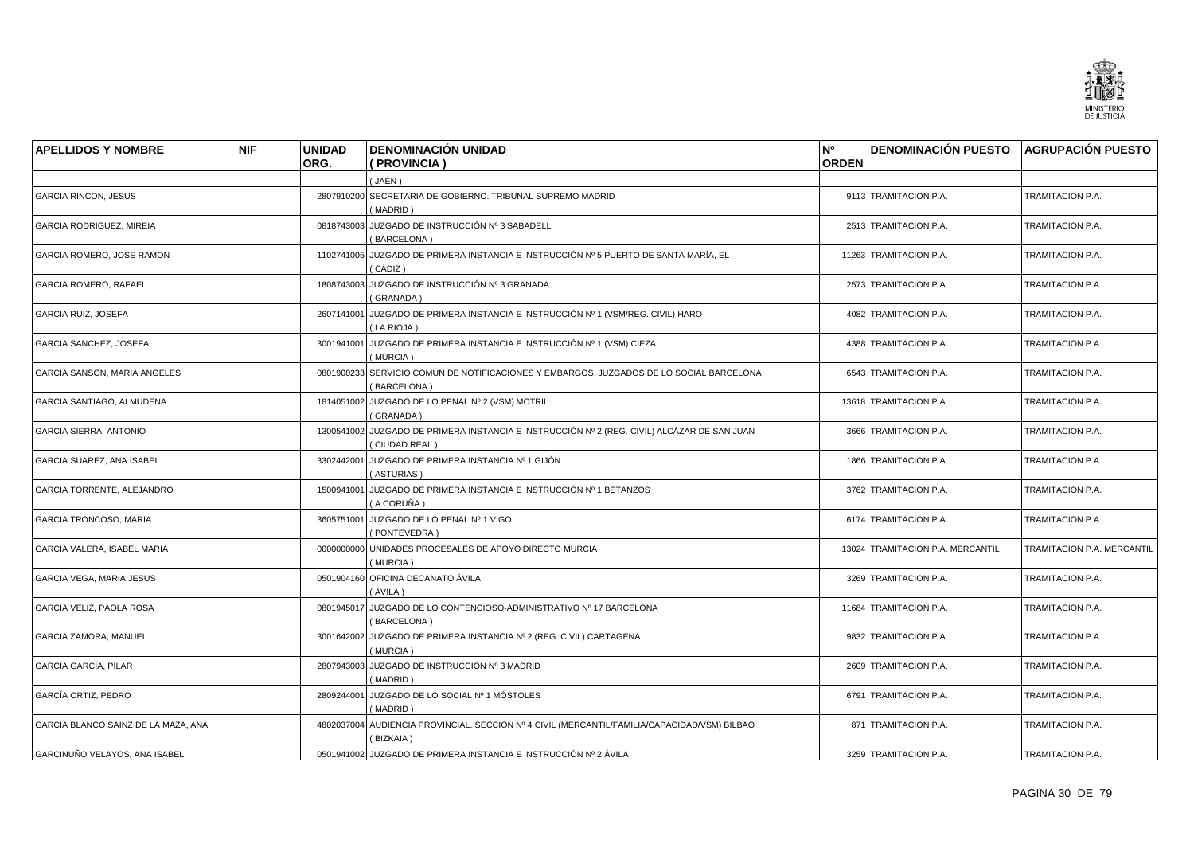![](_page_29_Picture_0.jpeg)

| <b>APELLIDOS Y NOMBRE</b>           | <b>NIF</b> | <b>UNIDAD</b><br>ORG. | <b>DENOMINACIÓN UNIDAD</b><br>(PROVINCIA)                                                                    | N°<br><b>ORDEN</b> | DENOMINACIÓN PUESTO AGRUPACIÓN PUESTO |                            |
|-------------------------------------|------------|-----------------------|--------------------------------------------------------------------------------------------------------------|--------------------|---------------------------------------|----------------------------|
|                                     |            |                       | (JAÉN )                                                                                                      |                    |                                       |                            |
| <b>GARCIA RINCON, JESUS</b>         |            | 2807910200            | SECRETARIA DE GOBIERNO. TRIBUNAL SUPREMO MADRID<br>(MADRID)                                                  |                    | 9113 TRAMITACION P.A.                 | TRAMITACION P.A.           |
| GARCIA RODRIGUEZ, MIREIA            |            | 0818743003            | JUZGADO DE INSTRUCCIÓN Nº 3 SABADELL<br>(BARCELONA)                                                          |                    | 2513 TRAMITACION P.A.                 | TRAMITACION P.A.           |
| GARCIA ROMERO, JOSE RAMON           |            |                       | 1102741005 JUZGADO DE PRIMERA INSTANCIA E INSTRUCCIÓN Nº 5 PUERTO DE SANTA MARÍA, EL<br>CÁDIZ)               |                    | 11263 TRAMITACION P.A.                | TRAMITACION P.A.           |
| GARCIA ROMERO, RAFAEL               |            |                       | 1808743003 JUZGADO DE INSTRUCCIÓN Nº 3 GRANADA<br>(GRANADA)                                                  |                    | 2573 TRAMITACION P.A.                 | TRAMITACION P.A.           |
| <b>GARCIA RUIZ, JOSEFA</b>          |            |                       | 2607141001 JUZGADO DE PRIMERA INSTANCIA E INSTRUCCIÓN Nº 1 (VSM/REG. CIVIL) HARO<br>(LA RIOJA)               |                    | 4082 TRAMITACION P.A.                 | TRAMITACION P.A.           |
| GARCIA SANCHEZ, JOSEFA              |            | 3001941001            | JUZGADO DE PRIMERA INSTANCIA E INSTRUCCIÓN Nº 1 (VSM) CIEZA<br>(MURCIA)                                      |                    | 4388 TRAMITACION P.A.                 | TRAMITACION P.A.           |
| <b>GARCIA SANSON, MARIA ANGELES</b> |            |                       | 0801900233 SERVICIO COMÚN DE NOTIFICACIONES Y EMBARGOS. JUZGADOS DE LO SOCIAL BARCELONA<br>(BARCELONA)       |                    | 6543 TRAMITACION P.A.                 | TRAMITACION P.A.           |
| GARCIA SANTIAGO, ALMUDENA           |            |                       | 1814051002 JUZGADO DE LO PENAL Nº 2 (VSM) MOTRIL<br>(GRANADA)                                                |                    | 13618 TRAMITACION P.A.                | TRAMITACION P.A.           |
| GARCIA SIERRA, ANTONIO              |            |                       | 1300541002 JUZGADO DE PRIMERA INSTANCIA E INSTRUCCIÓN Nº 2 (REG. CIVIL) ALCÁZAR DE SAN JUAN<br>(CIUDAD REAL) |                    | 3666 TRAMITACION P.A.                 | TRAMITACION P.A.           |
| <b>GARCIA SUAREZ, ANA ISABEL</b>    |            | 3302442001            | │ JUZGADO DE PRIMERA INSTANCIA Nº 1 GIJÓN<br>(ASTURIAS)                                                      |                    | 1866 TRAMITACION P.A.                 | <b>TRAMITACION P.A.</b>    |
| GARCIA TORRENTE, ALEJANDRO          |            | 1500941001            | JUZGADO DE PRIMERA INSTANCIA E INSTRUCCIÓN Nº 1 BETANZOS<br>(A CORUÑA)                                       |                    | 3762 TRAMITACION P.A.                 | TRAMITACION P.A.           |
| <b>GARCIA TRONCOSO, MARIA</b>       |            |                       | 3605751001 JUZGADO DE LO PENAL Nº 1 VIGO<br>(PONTEVEDRA)                                                     |                    | 6174 TRAMITACION P.A.                 | TRAMITACION P.A.           |
| GARCIA VALERA, ISABEL MARIA         |            |                       | 0000000000 UNIDADES PROCESALES DE APOYO DIRECTO MURCIA<br>(MURCIA)                                           |                    | 13024 TRAMITACION P.A. MERCANTIL      | TRAMITACION P.A. MERCANTIL |
| GARCIA VEGA, MARIA JESUS            |            |                       | 0501904160 OFICINA DECANATO ÁVILA<br>(ÁVILA)                                                                 |                    | 3269 TRAMITACION P.A.                 | TRAMITACION P.A.           |
| <b>GARCIA VELIZ. PAOLA ROSA</b>     |            | 0801945017            | JUZGADO DE LO CONTENCIOSO-ADMINISTRATIVO Nº 17 BARCELONA<br>(BARCELONA)                                      |                    | 11684 TRAMITACION P.A.                | TRAMITACION P.A.           |
| GARCIA ZAMORA, MANUEL               |            | 3001642002            | JUZGADO DE PRIMERA INSTANCIA Nº 2 (REG. CIVIL) CARTAGENA<br>(MURCIA)                                         |                    | 9832 TRAMITACION P.A.                 | TRAMITACION P.A.           |
| <b>GARCÍA GARCÍA, PILAR</b>         |            | 2807943003            | JUZGADO DE INSTRUCCIÓN Nº 3 MADRID<br>(MADRID)                                                               |                    | 2609 TRAMITACION P.A.                 | TRAMITACION P.A.           |
| GARCÍA ORTIZ, PEDRO                 |            |                       | 2809244001 JUZGADO DE LO SOCIAL Nº 1 MÓSTOLES<br>(MADRID)                                                    |                    | 6791 TRAMITACION P.A.                 | TRAMITACION P.A.           |
| GARCIA BLANCO SAINZ DE LA MAZA, ANA |            |                       | 4802037004 AUDIENCIA PROVINCIAL. SECCIÓN Nº 4 CIVIL (MERCANTIL/FAMILIA/CAPACIDAD/VSM) BILBAO<br>(BIZKAIA)    |                    | 871 TRAMITACION P.A.                  | TRAMITACION P.A.           |
| GARCINUÑO VELAYOS, ANA ISABEL       |            |                       | 0501941002 JUZGADO DE PRIMERA INSTANCIA E INSTRUCCIÓN Nº 2 ÁVILA                                             |                    | 3259 TRAMITACION P.A.                 | TRAMITACION P.A.           |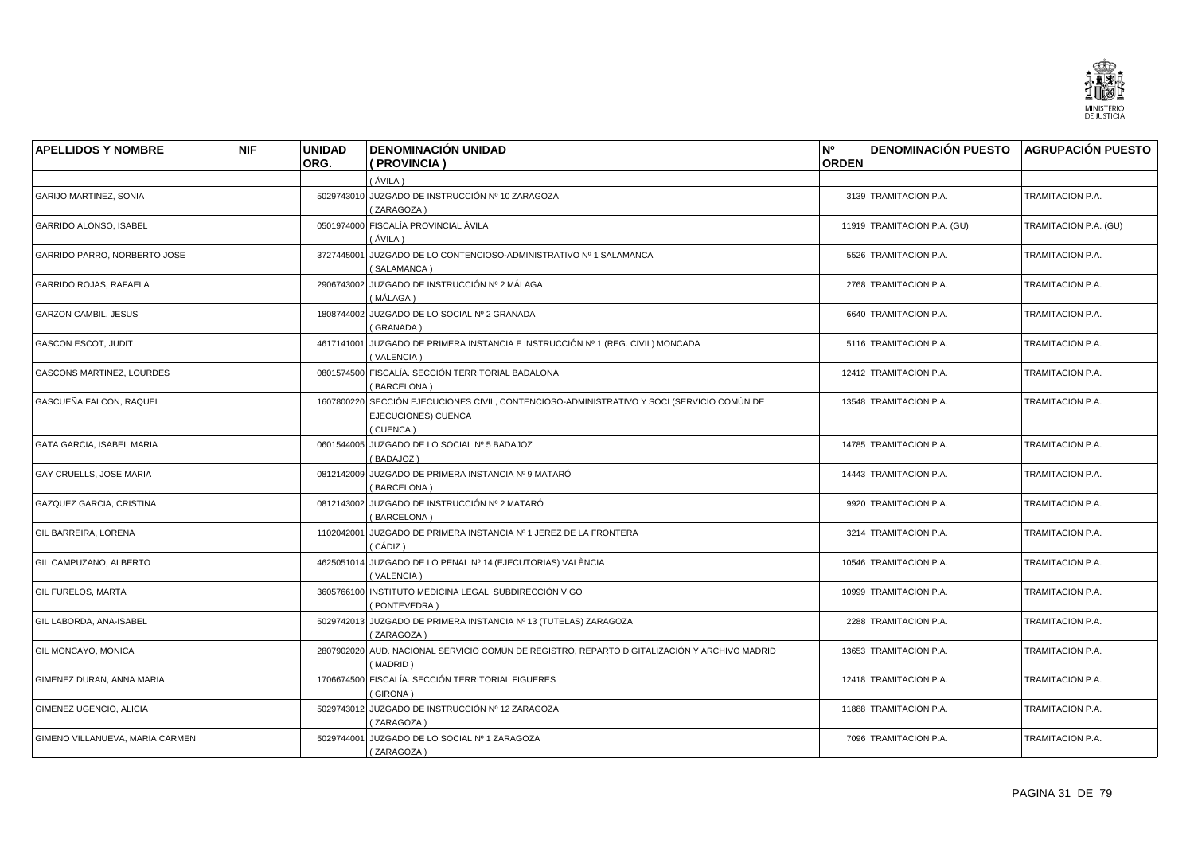![](_page_30_Picture_0.jpeg)

| <b>APELLIDOS Y NOMBRE</b>        | <b>NIF</b> | <b>UNIDAD</b> | <b>DENOMINACIÓN UNIDAD</b>                                                                                         | N <sup>o</sup> | DENOMINACIÓN PUESTO AGRUPACIÓN PUESTO |                       |
|----------------------------------|------------|---------------|--------------------------------------------------------------------------------------------------------------------|----------------|---------------------------------------|-----------------------|
|                                  |            | ORG.          | (PROVINCIA)                                                                                                        | <b>ORDEN</b>   |                                       |                       |
|                                  |            |               | (ÁVILA)                                                                                                            |                |                                       |                       |
| <b>GARIJO MARTINEZ, SONIA</b>    |            |               | 5029743010 JUZGADO DE INSTRUCCIÓN Nº 10 ZARAGOZA<br>(ZARAGOZA)                                                     |                | 3139 TRAMITACION P.A.                 | TRAMITACION P.A.      |
| GARRIDO ALONSO, ISABEL           |            |               | 0501974000 FISCALÍA PROVINCIAL ÁVILA<br>(ÁVILA )                                                                   |                | 11919 TRAMITACION P.A. (GU)           | TRAMITACION P.A. (GU) |
| GARRIDO PARRO, NORBERTO JOSE     |            | 3727445001    | │ JUZGADO DE LO CONTENCIOSO-ADMINISTRATIVO Nº 1 SALAMANCA<br>(SALAMANCA)                                           |                | 5526 TRAMITACION P.A.                 | TRAMITACION P.A.      |
| GARRIDO ROJAS, RAFAELA           |            |               | 2906743002 JUZGADO DE INSTRUCCIÓN Nº 2 MÁLAGA<br>(MÁLAGA)                                                          |                | 2768 TRAMITACION P.A.                 | TRAMITACION P.A.      |
| <b>GARZON CAMBIL, JESUS</b>      |            |               | 1808744002 JUZGADO DE LO SOCIAL Nº 2 GRANADA<br>(GRANADA)                                                          |                | 6640 TRAMITACION P.A.                 | TRAMITACION P.A.      |
| <b>GASCON ESCOT, JUDIT</b>       |            |               | 4617141001 JUZGADO DE PRIMERA INSTANCIA E INSTRUCCIÓN Nº 1 (REG. CIVIL) MONCADA<br>(VALENCIA)                      |                | 5116 TRAMITACION P.A.                 | TRAMITACION P.A.      |
| <b>GASCONS MARTINEZ, LOURDES</b> |            |               | 0801574500 FISCALÍA. SECCIÓN TERRITORIAL BADALONA<br>(BARCELONA)                                                   |                | 12412 TRAMITACION P.A.                | TRAMITACION P.A.      |
| GASCUEÑA FALCON, RAQUEL          |            | 1607800220    | SECCIÓN EJECUCIONES CIVIL, CONTENCIOSO-ADMINISTRATIVO Y SOCI (SERVICIO COMÚN DE<br>EJECUCIONES) CUENCA<br>(CUENCA) |                | 13548 TRAMITACION P.A.                | TRAMITACION P.A.      |
| <b>GATA GARCIA, ISABEL MARIA</b> |            |               | 0601544005 JUZGADO DE LO SOCIAL Nº 5 BADAJOZ<br>(BADAJOZ)                                                          |                | 14785 TRAMITACION P.A.                | TRAMITACION P.A.      |
| GAY CRUELLS, JOSE MARIA          |            |               | 0812142009 JUZGADO DE PRIMERA INSTANCIA Nº 9 MATARÓ<br>BARCELONA)                                                  |                | 14443 TRAMITACION P.A.                | TRAMITACION P.A.      |
| GAZQUEZ GARCIA, CRISTINA         |            |               | 0812143002 JUZGADO DE INSTRUCCIÓN Nº 2 MATARÓ<br>(BARCELONA)                                                       |                | 9920 TRAMITACION P.A.                 | TRAMITACION P.A.      |
| GIL BARREIRA, LORENA             |            | 1102042001    | JUZGADO DE PRIMERA INSTANCIA Nº 1 JEREZ DE LA FRONTERA<br>( CÁDIZ )                                                |                | 3214 TRAMITACION P.A.                 | TRAMITACION P.A.      |
| GIL CAMPUZANO, ALBERTO           |            |               | 4625051014 JUZGADO DE LO PENAL Nº 14 (EJECUTORIAS) VALÈNCIA<br>(VALENCIA)                                          |                | 10546 TRAMITACION P.A.                | TRAMITACION P.A.      |
| <b>GIL FURELOS, MARTA</b>        |            |               | 3605766100 INSTITUTO MEDICINA LEGAL. SUBDIRECCIÓN VIGO<br>(PONTEVEDRA)                                             |                | 10999 TRAMITACION P.A.                | TRAMITACION P.A.      |
| GIL LABORDA, ANA-ISABEL          |            | 5029742013    | JUZGADO DE PRIMERA INSTANCIA Nº 13 (TUTELAS) ZARAGOZA<br>(ZARAGOZA)                                                |                | 2288 TRAMITACION P.A.                 | TRAMITACION P.A.      |
| GIL MONCAYO, MONICA              |            |               | 2807902020 AUD. NACIONAL SERVICIO COMÚN DE REGISTRO, REPARTO DIGITALIZACIÓN Y ARCHIVO MADRID<br>(MADRID)           |                | 13653 TRAMITACION P.A.                | TRAMITACION P.A.      |
| GIMENEZ DURAN, ANNA MARIA        |            |               | 1706674500 FISCALÍA. SECCIÓN TERRITORIAL FIGUERES<br>(GIRONA)                                                      |                | 12418 TRAMITACION P.A.                | TRAMITACION P.A.      |
| GIMENEZ UGENCIO, ALICIA          |            |               | 5029743012 JUZGADO DE INSTRUCCIÓN Nº 12 ZARAGOZA<br>(ZARAGOZA)                                                     |                | 11888 TRAMITACION P.A.                | TRAMITACION P.A.      |
| GIMENO VILLANUEVA, MARIA CARMEN  |            |               | 5029744001 JUZGADO DE LO SOCIAL Nº 1 ZARAGOZA<br>(ZARAGOZA)                                                        |                | 7096 TRAMITACION P.A.                 | TRAMITACION P.A.      |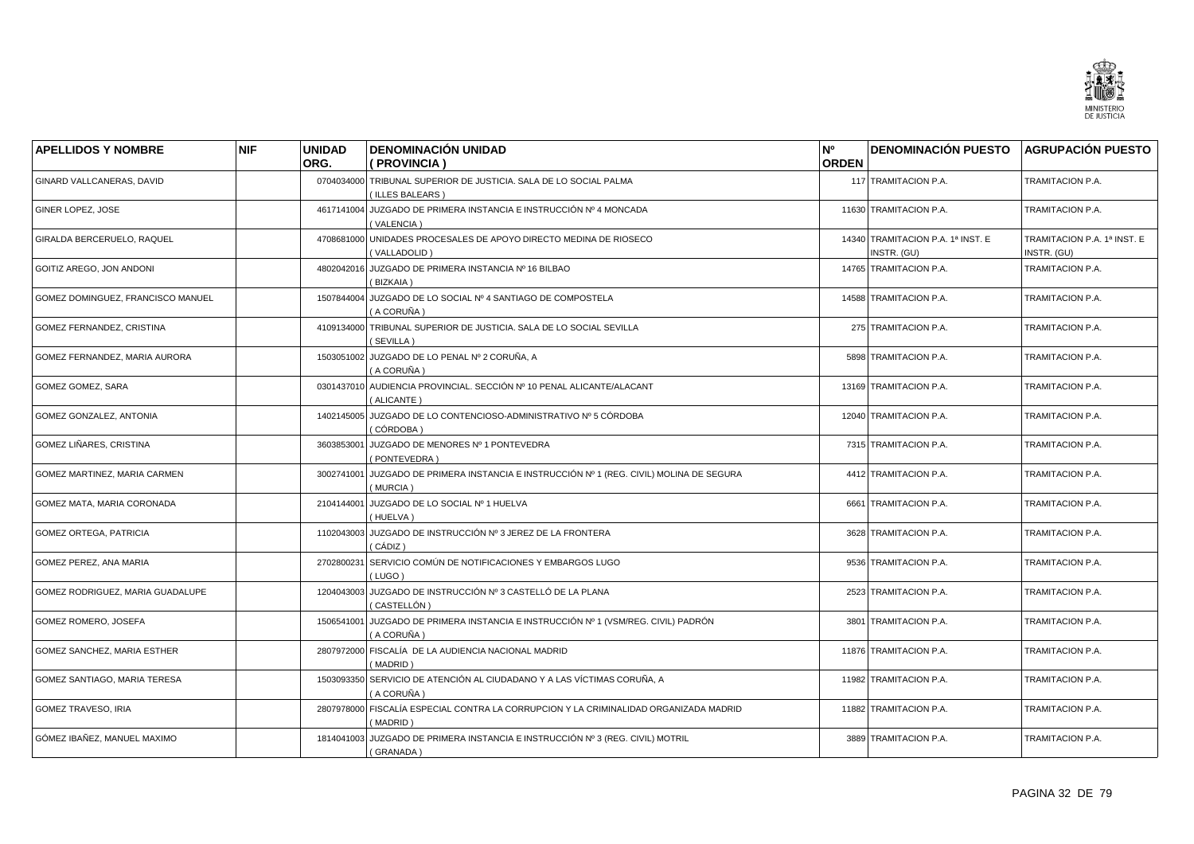![](_page_31_Picture_0.jpeg)

| <b>APELLIDOS Y NOMBRE</b>         | <b>NIF</b> | <b>UNIDAD</b><br>ORG. | <b>DENOMINACIÓN UNIDAD</b><br>( PROVINCIA )                                                       | N <sup>o</sup><br><b>ORDEN</b> | <b>DENOMINACIÓN PUESTO AGRUPACIÓN PUESTO</b>     |                                            |
|-----------------------------------|------------|-----------------------|---------------------------------------------------------------------------------------------------|--------------------------------|--------------------------------------------------|--------------------------------------------|
| GINARD VALLCANERAS, DAVID         |            | 0704034000            | TRIBUNAL SUPERIOR DE JUSTICIA. SALA DE LO SOCIAL PALMA<br>(ILLES BALEARS)                         |                                | 117 TRAMITACION P.A.                             | TRAMITACION P.A.                           |
| GINER LOPEZ, JOSE                 |            | 4617141004            | JUZGADO DE PRIMERA INSTANCIA E INSTRUCCIÓN Nº 4 MONCADA<br>(VALENCIA)                             |                                | 11630 TRAMITACION P.A.                           | TRAMITACION P.A.                           |
| GIRALDA BERCERUELO, RAQUEL        |            | 4708681000            | UNIDADES PROCESALES DE APOYO DIRECTO MEDINA DE RIOSECO<br>(VALLADOLID)                            |                                | 14340 TRAMITACION P.A. 1ª INST. E<br>INSTR. (GU) | TRAMITACION P.A. 1ª INST. E<br>INSTR. (GU) |
| GOITIZ AREGO, JON ANDONI          |            | 4802042016            | JUZGADO DE PRIMERA INSTANCIA Nº 16 BILBAO<br>(BIZKAIA)                                            |                                | 14765 TRAMITACION P.A.                           | TRAMITACION P.A.                           |
| GOMEZ DOMINGUEZ, FRANCISCO MANUEL |            |                       | 1507844004 JUZGADO DE LO SOCIAL Nº 4 SANTIAGO DE COMPOSTELA<br>(A CORUÑA)                         |                                | 14588 TRAMITACION P.A.                           | TRAMITACION P.A.                           |
| GOMEZ FERNANDEZ, CRISTINA         |            | 4109134000            | TRIBUNAL SUPERIOR DE JUSTICIA. SALA DE LO SOCIAL SEVILLA<br>(SEVILLA)                             |                                | 275 TRAMITACION P.A.                             | TRAMITACION P.A.                           |
| GOMEZ FERNANDEZ, MARIA AURORA     |            | 1503051002            | JUZGADO DE LO PENAL Nº 2 CORUÑA, A<br>(A CORUÑA)                                                  |                                | 5898 TRAMITACION P.A.                            | TRAMITACION P.A.                           |
| GOMEZ GOMEZ, SARA                 |            |                       | 0301437010 AUDIENCIA PROVINCIAL. SECCIÓN Nº 10 PENAL ALICANTE/ALACANT<br>(ALICANTE)               |                                | 13169 TRAMITACION P.A.                           | TRAMITACION P.A.                           |
| GOMEZ GONZALEZ, ANTONIA           |            | 1402145005            | JUZGADO DE LO CONTENCIOSO-ADMINISTRATIVO Nº 5 CÓRDOBA<br>(CÓRDOBA)                                |                                | 12040 TRAMITACION P.A.                           | TRAMITACION P.A.                           |
| GOMEZ LIÑARES, CRISTINA           |            | 3603853001            | JUZGADO DE MENORES Nº 1 PONTEVEDRA<br>(PONTEVEDRA)                                                |                                | 7315 TRAMITACION P.A.                            | TRAMITACION P.A.                           |
| GOMEZ MARTINEZ, MARIA CARMEN      |            | 3002741001            | JUZGADO DE PRIMERA INSTANCIA E INSTRUCCIÓN Nº 1 (REG. CIVIL) MOLINA DE SEGURA<br>(MURCIA)         |                                | 4412 TRAMITACION P.A.                            | TRAMITACION P.A.                           |
| GOMEZ MATA, MARIA CORONADA        |            | 2104144001            | JUZGADO DE LO SOCIAL Nº 1 HUELVA<br>(HUELVA)                                                      |                                | 6661 TRAMITACION P.A.                            | TRAMITACION P.A.                           |
| <b>GOMEZ ORTEGA, PATRICIA</b>     |            | 1102043003            | JUZGADO DE INSTRUCCIÓN № 3 JEREZ DE LA FRONTERA<br>( CÁDIZ )                                      |                                | 3628 TRAMITACION P.A.                            | TRAMITACION P.A.                           |
| GOMEZ PEREZ, ANA MARIA            |            | 2702800231            | SERVICIO COMÚN DE NOTIFICACIONES Y EMBARGOS LUGO<br>(LUGO)                                        |                                | 9536 TRAMITACION P.A.                            | TRAMITACION P.A.                           |
| GOMEZ RODRIGUEZ, MARIA GUADALUPE  |            | 1204043003            | JUZGADO DE INSTRUCCIÓN Nº 3 CASTELLÓ DE LA PLANA<br>(CASTELLÓN)                                   |                                | 2523 TRAMITACION P.A.                            | TRAMITACION P.A.                           |
| GOMEZ ROMERO, JOSEFA              |            | 1506541001            | JUZGADO DE PRIMERA INSTANCIA E INSTRUCCIÓN № 1 (VSM/REG. CIVIL) PADRÓN<br>(A CORUÑA)              |                                | 3801 TRAMITACION P.A.                            | TRAMITACION P.A.                           |
| GOMEZ SANCHEZ, MARIA ESTHER       |            | 2807972000            | FISCALÍA DE LA AUDIENCIA NACIONAL MADRID<br>(MADRID)                                              |                                | 11876 TRAMITACION P.A.                           | TRAMITACION P.A.                           |
| GOMEZ SANTIAGO, MARIA TERESA      |            | 1503093350            | SERVICIO DE ATENCIÓN AL CIUDADANO Y A LAS VÍCTIMAS CORUÑA, A<br>(A CORUÑA)                        |                                | 11982 TRAMITACION P.A.                           | TRAMITACION P.A.                           |
| <b>GOMEZ TRAVESO, IRIA</b>        |            |                       | 2807978000 FISCALÍA ESPECIAL CONTRA LA CORRUPCION Y LA CRIMINALIDAD ORGANIZADA MADRID<br>(MADRID) |                                | 11882 TRAMITACION P.A.                           | TRAMITACION P.A.                           |
| GÓMEZ IBAÑEZ, MANUEL MAXIMO       |            |                       | 1814041003 JUZGADO DE PRIMERA INSTANCIA E INSTRUCCIÓN Nº 3 (REG. CIVIL) MOTRIL<br>(GRANADA)       |                                | 3889 TRAMITACION P.A.                            | TRAMITACION P.A.                           |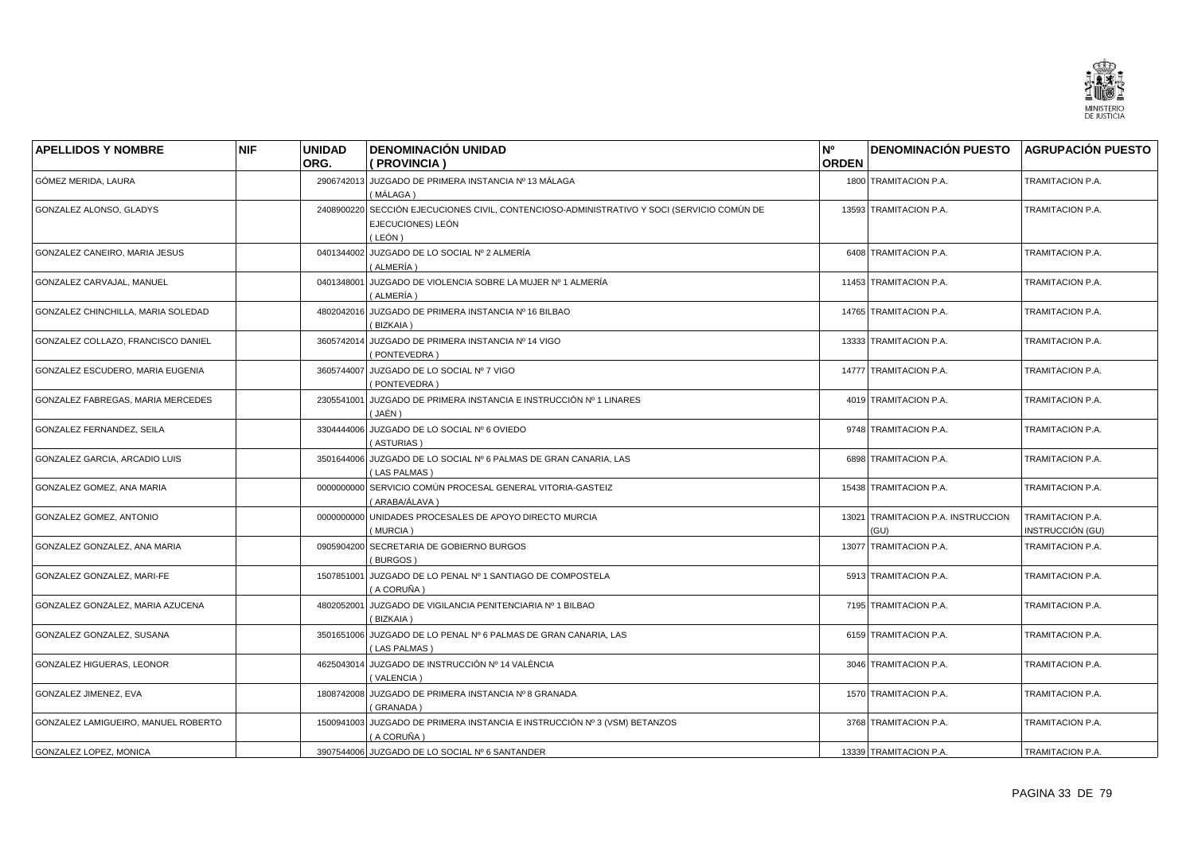![](_page_32_Picture_0.jpeg)

| <b>APELLIDOS Y NOMBRE</b>           | <b>NIF</b> | <b>UNIDAD</b><br>ORG. | <b>DENOMINACIÓN UNIDAD</b><br>(PROVINCIA)                                                                        | N <sup>o</sup><br><b>ORDEN</b> | <b>DENOMINACIÓN PUESTO AGRUPACIÓN PUESTO</b> |                                      |
|-------------------------------------|------------|-----------------------|------------------------------------------------------------------------------------------------------------------|--------------------------------|----------------------------------------------|--------------------------------------|
| GÓMEZ MERIDA, LAURA                 |            |                       | 2906742013 JUZGADO DE PRIMERA INSTANCIA Nº 13 MÁLAGA<br>(MÁLAGA)                                                 |                                | 1800 TRAMITACION P.A.                        | TRAMITACION P.A.                     |
| GONZALEZ ALONSO, GLADYS             |            | 2408900220            | SECCIÓN EJECUCIONES CIVIL, CONTENCIOSO-ADMINISTRATIVO Y SOCI (SERVICIO COMÚN DE<br>EJECUCIONES) LEÓN<br>( LEÓN ) |                                | 13593 TRAMITACION P.A.                       | TRAMITACION P.A.                     |
| GONZALEZ CANEIRO, MARIA JESUS       |            |                       | 0401344002 JUZGADO DE LO SOCIAL Nº 2 ALMERÍA<br>(ALMERÍA)                                                        |                                | 6408 TRAMITACION P.A.                        | TRAMITACION P.A.                     |
| GONZALEZ CARVAJAL, MANUEL           |            | 0401348001            | JUZGADO DE VIOLENCIA SOBRE LA MUJER № 1 ALMERÍA<br>(ALMERÍA)                                                     |                                | 11453 TRAMITACION P.A.                       | TRAMITACION P.A.                     |
| GONZALEZ CHINCHILLA, MARIA SOLEDAD  |            |                       | 4802042016 JUZGADO DE PRIMERA INSTANCIA Nº 16 BILBAO<br>(BIZKAIA)                                                |                                | 14765 TRAMITACION P.A.                       | TRAMITACION P.A.                     |
| GONZALEZ COLLAZO, FRANCISCO DANIEL  |            | 3605742014            | JUZGADO DE PRIMERA INSTANCIA Nº 14 VIGO<br>PONTEVEDRA)                                                           |                                | 13333 TRAMITACION P.A.                       | TRAMITACION P.A.                     |
| GONZALEZ ESCUDERO, MARIA EUGENIA    |            |                       | 3605744007 JUZGADO DE LO SOCIAL Nº 7 VIGO<br>(PONTEVEDRA)                                                        |                                | 14777 TRAMITACION P.A.                       | TRAMITACION P.A.                     |
| GONZALEZ FABREGAS, MARIA MERCEDES   |            | 2305541001            | JUZGADO DE PRIMERA INSTANCIA E INSTRUCCIÓN Nº 1 LINARES<br>(JAÉN)                                                |                                | 4019 TRAMITACION P.A.                        | TRAMITACION P.A.                     |
| GONZALEZ FERNANDEZ, SEILA           |            | 3304444006            | JUZGADO DE LO SOCIAL Nº 6 OVIEDO<br>(ASTURIAS)                                                                   |                                | 9748 TRAMITACION P.A.                        | TRAMITACION P.A.                     |
| GONZALEZ GARCIA, ARCADIO LUIS       |            | 3501644006            | JUZGADO DE LO SOCIAL Nº 6 PALMAS DE GRAN CANARIA, LAS<br>(LAS PALMAS)                                            |                                | 6898 TRAMITACION P.A.                        | TRAMITACION P.A.                     |
| GONZALEZ GOMEZ, ANA MARIA           |            | 0000000000            | SERVICIO COMÚN PROCESAL GENERAL VITORIA-GASTEIZ<br>( ARABA/ÁLAVA )                                               |                                | 15438 TRAMITACION P.A.                       | TRAMITACION P.A.                     |
| GONZALEZ GOMEZ, ANTONIO             |            | 0000000000            | UNIDADES PROCESALES DE APOYO DIRECTO MURCIA<br>(MURCIA)                                                          |                                | 13021 TRAMITACION P.A. INSTRUCCION<br>(GU)   | TRAMITACION P.A.<br>INSTRUCCIÓN (GU) |
| GONZALEZ GONZALEZ, ANA MARIA        |            | 0905904200            | SECRETARIA DE GOBIERNO BURGOS<br>(BURGOS)                                                                        |                                | 13077 TRAMITACION P.A.                       | TRAMITACION P.A.                     |
| GONZALEZ GONZALEZ, MARI-FE          |            | 1507851001            | JUZGADO DE LO PENAL Nº 1 SANTIAGO DE COMPOSTELA<br>(A CORUÑA)                                                    |                                | 5913 TRAMITACION P.A.                        | TRAMITACION P.A.                     |
| GONZALEZ GONZALEZ, MARIA AZUCENA    |            | 4802052001            | JUZGADO DE VIGILANCIA PENITENCIARIA Nº 1 BILBAO<br>(BIZKAIA)                                                     |                                | 7195 TRAMITACION P.A.                        | TRAMITACION P.A.                     |
| GONZALEZ GONZALEZ, SUSANA           |            |                       | 3501651006 JUZGADO DE LO PENAL Nº 6 PALMAS DE GRAN CANARIA, LAS<br>(LAS PALMAS)                                  |                                | 6159 TRAMITACION P.A.                        | TRAMITACION P.A.                     |
| GONZALEZ HIGUERAS, LEONOR           |            | 4625043014            | JUZGADO DE INSTRUCCIÓN Nº 14 VALÈNCIA<br>(VALENCIA)                                                              |                                | 3046 TRAMITACION P.A.                        | TRAMITACION P.A.                     |
| GONZALEZ JIMENEZ, EVA               |            |                       | 1808742008 JUZGADO DE PRIMERA INSTANCIA Nº 8 GRANADA<br>(GRANADA)                                                |                                | 1570 TRAMITACION P.A.                        | TRAMITACION P.A.                     |
| GONZALEZ LAMIGUEIRO, MANUEL ROBERTO |            | 1500941003            | JUZGADO DE PRIMERA INSTANCIA E INSTRUCCIÓN Nº 3 (VSM) BETANZOS<br>( A CORUÑA )                                   |                                | 3768 TRAMITACION P.A.                        | TRAMITACION P.A.                     |
| GONZALEZ LOPEZ, MONICA              |            |                       | 3907544006 JUZGADO DE LO SOCIAL Nº 6 SANTANDER                                                                   |                                | 13339 TRAMITACION P.A.                       | TRAMITACION P.A.                     |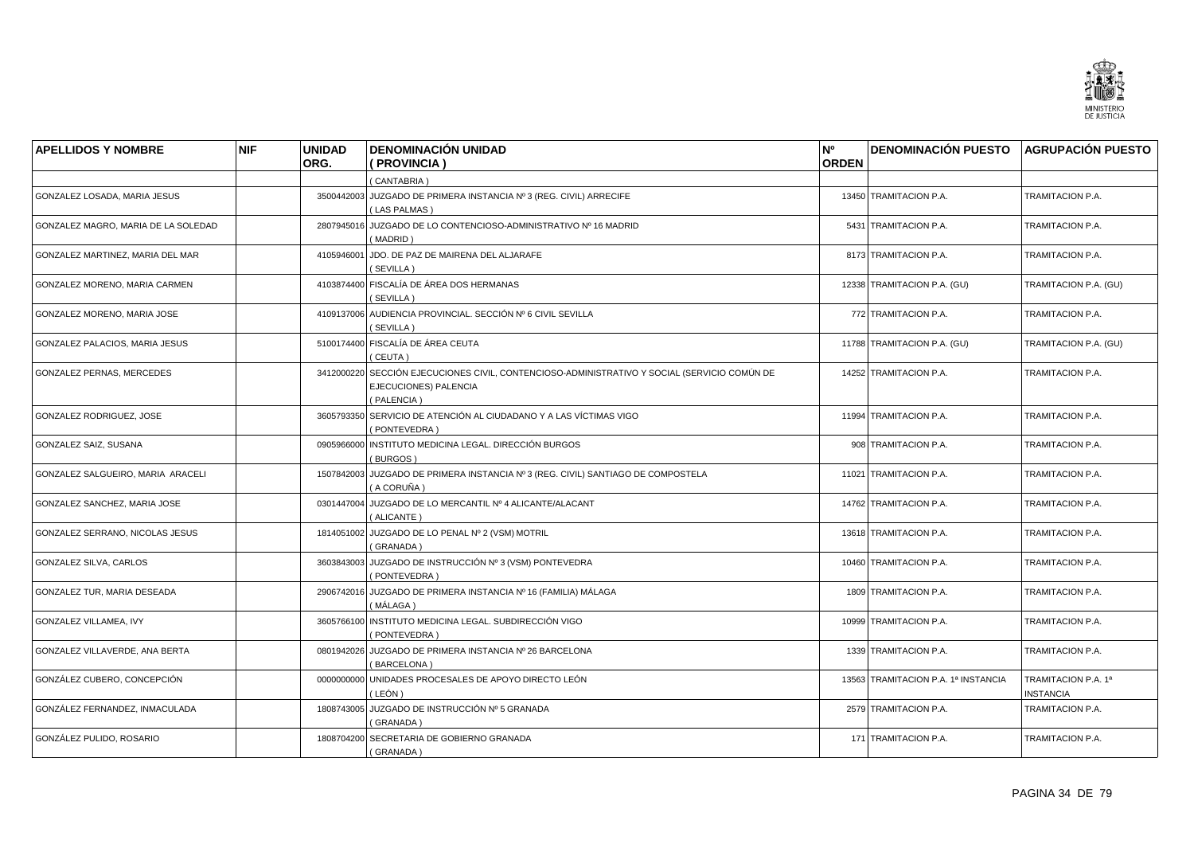![](_page_33_Picture_0.jpeg)

| <b>APELLIDOS Y NOMBRE</b>           | <b>NIF</b> | <b>UNIDAD</b> | <b>DENOMINACIÓN UNIDAD</b>                                                                                               | N°           | <b>DENOMINACIÓN PUESTO AGRUPACIÓN PUESTO</b> |                                         |
|-------------------------------------|------------|---------------|--------------------------------------------------------------------------------------------------------------------------|--------------|----------------------------------------------|-----------------------------------------|
|                                     |            | ORG.          | (PROVINCIA)                                                                                                              | <b>ORDEN</b> |                                              |                                         |
|                                     |            |               | (CANTABRIA)                                                                                                              |              |                                              |                                         |
| GONZALEZ LOSADA, MARIA JESUS        |            |               | 3500442003 JUZGADO DE PRIMERA INSTANCIA Nº 3 (REG. CIVIL) ARRECIFE<br>(LAS PALMAS)                                       |              | 13450 TRAMITACION P.A.                       | TRAMITACION P.A.                        |
| GONZALEZ MAGRO, MARIA DE LA SOLEDAD |            | 2807945016    | JUZGADO DE LO CONTENCIOSO-ADMINISTRATIVO Nº 16 MADRID<br>(MADRID)                                                        |              | 5431 TRAMITACION P.A.                        | TRAMITACION P.A.                        |
| GONZALEZ MARTINEZ, MARIA DEL MAR    |            |               | 4105946001 JDO. DE PAZ DE MAIRENA DEL ALJARAFE<br>(SEVILLA)                                                              |              | 8173 TRAMITACION P.A.                        | TRAMITACION P.A.                        |
| GONZALEZ MORENO, MARIA CARMEN       |            |               | 4103874400 FISCALÍA DE ÁREA DOS HERMANAS<br>(SEVILLA)                                                                    |              | 12338 TRAMITACION P.A. (GU)                  | TRAMITACION P.A. (GU)                   |
| GONZALEZ MORENO, MARIA JOSE         |            |               | 4109137006 AUDIENCIA PROVINCIAL. SECCIÓN Nº 6 CIVIL SEVILLA<br>(SEVILLA)                                                 |              | 772 TRAMITACION P.A.                         | TRAMITACION P.A.                        |
| GONZALEZ PALACIOS, MARIA JESUS      |            |               | 5100174400 FISCALÍA DE ÁREA CEUTA<br>(CEUTA)                                                                             |              | 11788 TRAMITACION P.A. (GU)                  | TRAMITACION P.A. (GU)                   |
| <b>GONZALEZ PERNAS, MERCEDES</b>    |            | 3412000220    | SECCIÓN EJECUCIONES CIVIL, CONTENCIOSO-ADMINISTRATIVO Y SOCIAL (SERVICIO COMÚN DE<br>EJECUCIONES) PALENCIA<br>(PALENCIA) |              | 14252 TRAMITACION P.A.                       | TRAMITACION P.A.                        |
| GONZALEZ RODRIGUEZ, JOSE            |            | 3605793350    | SERVICIO DE ATENCIÓN AL CIUDADANO Y A LAS VÍCTIMAS VIGO<br>(PONTEVEDRA)                                                  |              | 11994 TRAMITACION P.A.                       | TRAMITACION P.A.                        |
| GONZALEZ SAIZ, SUSANA               |            |               | 0905966000 INSTITUTO MEDICINA LEGAL. DIRECCIÓN BURGOS<br>(BURGOS)                                                        |              | 908 TRAMITACION P.A.                         | TRAMITACION P.A.                        |
| GONZALEZ SALGUEIRO, MARIA ARACELI   |            |               | 1507842003 JUZGADO DE PRIMERA INSTANCIA Nº 3 (REG. CIVIL) SANTIAGO DE COMPOSTELA<br>( A CORUÑA )                         |              | 11021 TRAMITACION P.A.                       | TRAMITACION P.A.                        |
| GONZALEZ SANCHEZ, MARIA JOSE        |            |               | 0301447004 JUZGADO DE LO MERCANTIL Nº 4 ALICANTE/ALACANT<br>(ALICANTE)                                                   |              | 14762 TRAMITACION P.A.                       | TRAMITACION P.A.                        |
| GONZALEZ SERRANO, NICOLAS JESUS     |            |               | 1814051002 JUZGADO DE LO PENAL Nº 2 (VSM) MOTRIL<br>(GRANADA)                                                            |              | 13618 TRAMITACION P.A.                       | TRAMITACION P.A.                        |
| <b>GONZALEZ SILVA, CARLOS</b>       |            |               | 3603843003 JUZGADO DE INSTRUCCIÓN Nº 3 (VSM) PONTEVEDRA<br>(PONTEVEDRA)                                                  |              | 10460 TRAMITACION P.A.                       | TRAMITACION P.A.                        |
| GONZALEZ TUR, MARIA DESEADA         |            |               | 2906742016 JUZGADO DE PRIMERA INSTANCIA Nº 16 (FAMILIA) MÁLAGA<br>(MÁLAGA)                                               |              | 1809 TRAMITACION P.A.                        | TRAMITACION P.A.                        |
| GONZALEZ VILLAMEA, IVY              |            |               | 3605766100 INSTITUTO MEDICINA LEGAL. SUBDIRECCIÓN VIGO<br>(PONTEVEDRA)                                                   |              | 10999 TRAMITACION P.A.                       | TRAMITACION P.A.                        |
| GONZALEZ VILLAVERDE, ANA BERTA      |            |               | 0801942026 JUZGADO DE PRIMERA INSTANCIA Nº 26 BARCELONA<br>(BARCELONA)                                                   |              | 1339 TRAMITACION P.A.                        | TRAMITACION P.A.                        |
| GONZÁLEZ CUBERO, CONCEPCIÓN         |            | 0000000000    | UNIDADES PROCESALES DE APOYO DIRECTO LEÓN<br>( LEÓN )                                                                    |              | 13563 TRAMITACION P.A. 1ª INSTANCIA          | TRAMITACION P.A. 1ª<br><b>INSTANCIA</b> |
| GONZÁLEZ FERNANDEZ, INMACULADA      |            |               | 1808743005 JUZGADO DE INSTRUCCIÓN Nº 5 GRANADA<br>(GRANADA)                                                              |              | 2579 TRAMITACION P.A.                        | TRAMITACION P.A.                        |
| GONZÁLEZ PULIDO, ROSARIO            |            |               | 1808704200 SECRETARIA DE GOBIERNO GRANADA<br>(GRANADA)                                                                   |              | 171 TRAMITACION P.A.                         | TRAMITACION P.A.                        |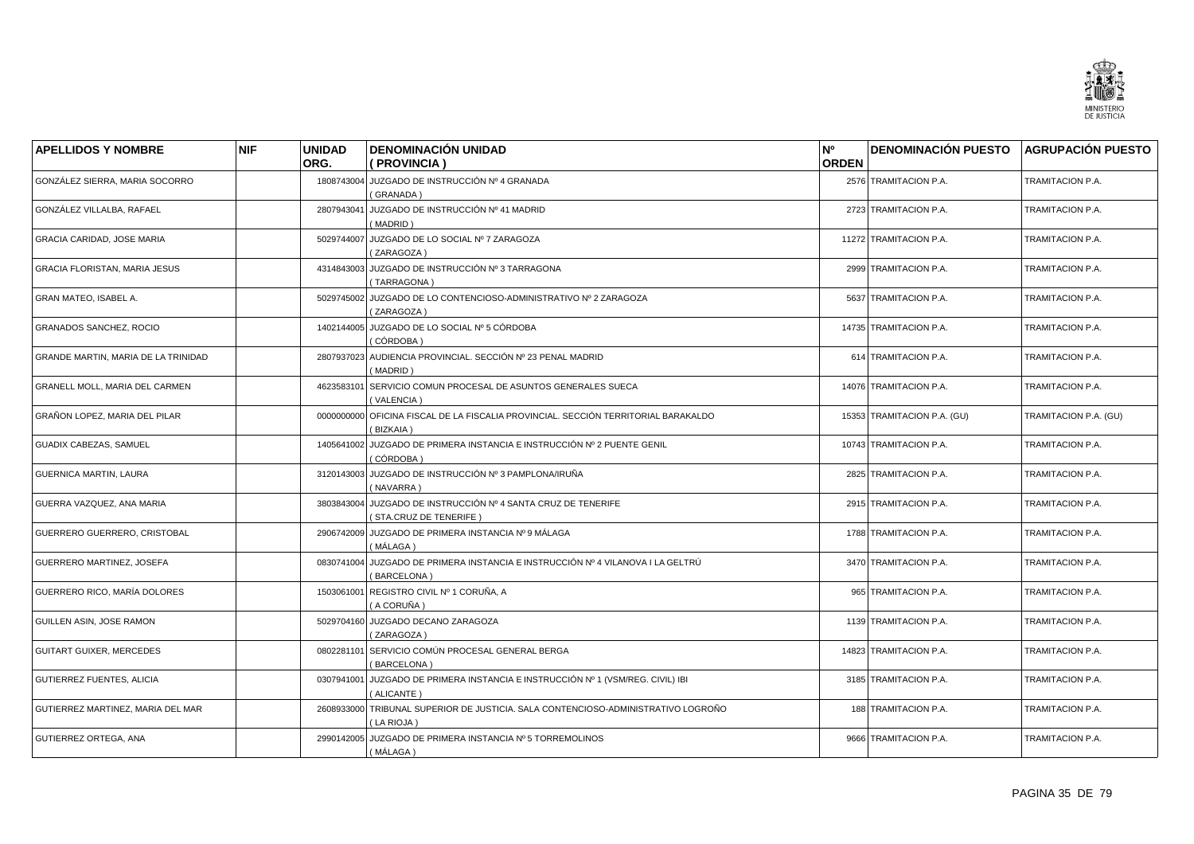![](_page_34_Picture_0.jpeg)

| <b>APELLIDOS Y NOMBRE</b>            | <b>NIF</b> | <b>UNIDAD</b> | <b>DENOMINACIÓN UNIDAD</b>                                                                      | N°           | <b>DENOMINACIÓN PUESTO AGRUPACIÓN PUESTO</b> |                       |
|--------------------------------------|------------|---------------|-------------------------------------------------------------------------------------------------|--------------|----------------------------------------------|-----------------------|
|                                      |            | ORG.          | (PROVINCIA)                                                                                     | <b>ORDEN</b> |                                              |                       |
| GONZÁLEZ SIERRA, MARIA SOCORRO       |            |               | 1808743004 JUZGADO DE INSTRUCCIÓN Nº 4 GRANADA<br>(GRANADA)                                     |              | 2576 TRAMITACION P.A.                        | TRAMITACION P.A.      |
| GONZÁLEZ VILLALBA, RAFAEL            |            | 2807943041    | JUZGADO DE INSTRUCCIÓN Nº 41 MADRID<br>(MADRID)                                                 |              | 2723 TRAMITACION P.A.                        | TRAMITACION P.A.      |
| <b>GRACIA CARIDAD, JOSE MARIA</b>    |            |               | 5029744007 JUZGADO DE LO SOCIAL Nº 7 ZARAGOZA<br>(ZARAGOZA)                                     |              | 11272 TRAMITACION P.A.                       | TRAMITACION P.A.      |
| <b>GRACIA FLORISTAN, MARIA JESUS</b> |            |               | 4314843003 JUZGADO DE INSTRUCCIÓN Nº 3 TARRAGONA<br>(TARRAGONA)                                 |              | 2999 TRAMITACION P.A.                        | TRAMITACION P.A.      |
| GRAN MATEO, ISABEL A.                |            |               | 5029745002 JUZGADO DE LO CONTENCIOSO-ADMINISTRATIVO Nº 2 ZARAGOZA<br>(ZARAGOZA)                 |              | 5637 TRAMITACION P.A.                        | TRAMITACION P.A.      |
| <b>GRANADOS SANCHEZ, ROCIO</b>       |            |               | 1402144005 JUZGADO DE LO SOCIAL Nº 5 CÓRDOBA<br>(CÓRDOBA)                                       |              | 14735 TRAMITACION P.A.                       | TRAMITACION P.A.      |
| GRANDE MARTIN, MARIA DE LA TRINIDAD  |            | 2807937023    | AUDIENCIA PROVINCIAL. SECCIÓN Nº 23 PENAL MADRID<br>(MADRID)                                    |              | 614 TRAMITACION P.A.                         | TRAMITACION P.A.      |
| GRANELL MOLL, MARIA DEL CARMEN       |            | 4623583101    | SERVICIO COMUN PROCESAL DE ASUNTOS GENERALES SUECA<br>(VALENCIA)                                |              | 14076 TRAMITACION P.A.                       | TRAMITACION P.A.      |
| GRAÑON LOPEZ, MARIA DEL PILAR        |            | 0000000000    | OFICINA FISCAL DE LA FISCALIA PROVINCIAL. SECCIÓN TERRITORIAL BARAKALDO<br>(BIZKAIA)            |              | 15353 TRAMITACION P.A. (GU)                  | TRAMITACION P.A. (GU) |
| GUADIX CABEZAS, SAMUEL               |            |               | 1405641002 JUZGADO DE PRIMERA INSTANCIA E INSTRUCCIÓN Nº 2 PUENTE GENIL<br>(CÓRDOBA)            |              | 10743 TRAMITACION P.A.                       | TRAMITACION P.A.      |
| GUERNICA MARTIN, LAURA               |            | 3120143003    | JUZGADO DE INSTRUCCIÓN Nº 3 PAMPLONA/IRUÑA<br>(NAVARRA)                                         |              | 2825 TRAMITACION P.A.                        | TRAMITACION P.A.      |
| GUERRA VAZQUEZ, ANA MARIA            |            |               | 3803843004 JUZGADO DE INSTRUCCIÓN Nº 4 SANTA CRUZ DE TENERIFE<br>(STA.CRUZ DE TENERIFE)         |              | 2915 TRAMITACION P.A.                        | TRAMITACION P.A.      |
| GUERRERO GUERRERO, CRISTOBAL         |            |               | 2906742009 JUZGADO DE PRIMERA INSTANCIA Nº 9 MÁLAGA<br>(MÁLAGA)                                 |              | 1788 TRAMITACION P.A.                        | TRAMITACION P.A.      |
| GUERRERO MARTINEZ, JOSEFA            |            |               | 0830741004 JUZGADO DE PRIMERA INSTANCIA E INSTRUCCIÓN Nº 4 VILANOVA I LA GELTRÚ<br>(BARCELONA)  |              | 3470 TRAMITACION P.A.                        | TRAMITACION P.A.      |
| GUERRERO RICO, MARÍA DOLORES         |            | 1503061001    | REGISTRO CIVIL Nº 1 CORUÑA, A<br>(A CORUÑA)                                                     |              | 965 TRAMITACION P.A.                         | TRAMITACION P.A.      |
| GUILLEN ASIN, JOSE RAMON             |            | 5029704160    | JUZGADO DECANO ZARAGOZA<br>(ZARAGOZA)                                                           |              | 1139 TRAMITACION P.A.                        | TRAMITACION P.A.      |
| <b>GUITART GUIXER, MERCEDES</b>      |            | 0802281101    | SERVICIO COMÚN PROCESAL GENERAL BERGA<br>(BARCELONA)                                            |              | 14823 TRAMITACION P.A.                       | TRAMITACION P.A.      |
| GUTIERREZ FUENTES, ALICIA            |            | 0307941001    | JUZGADO DE PRIMERA INSTANCIA E INSTRUCCIÓN № 1 (VSM/REG. CIVIL) IBI<br>(ALICANTE)               |              | 3185 TRAMITACION P.A.                        | TRAMITACION P.A.      |
| GUTIERREZ MARTINEZ, MARIA DEL MAR    |            |               | 2608933000 TRIBUNAL SUPERIOR DE JUSTICIA. SALA CONTENCIOSO-ADMINISTRATIVO LOGROÑO<br>(LA RIOJA) |              | 188 TRAMITACION P.A.                         | TRAMITACION P.A.      |
| <b>GUTIERREZ ORTEGA, ANA</b>         |            |               | 2990142005 JUZGADO DE PRIMERA INSTANCIA Nº 5 TORREMOLINOS<br>( MÁLAGA )                         |              | 9666 TRAMITACION P.A.                        | TRAMITACION P.A.      |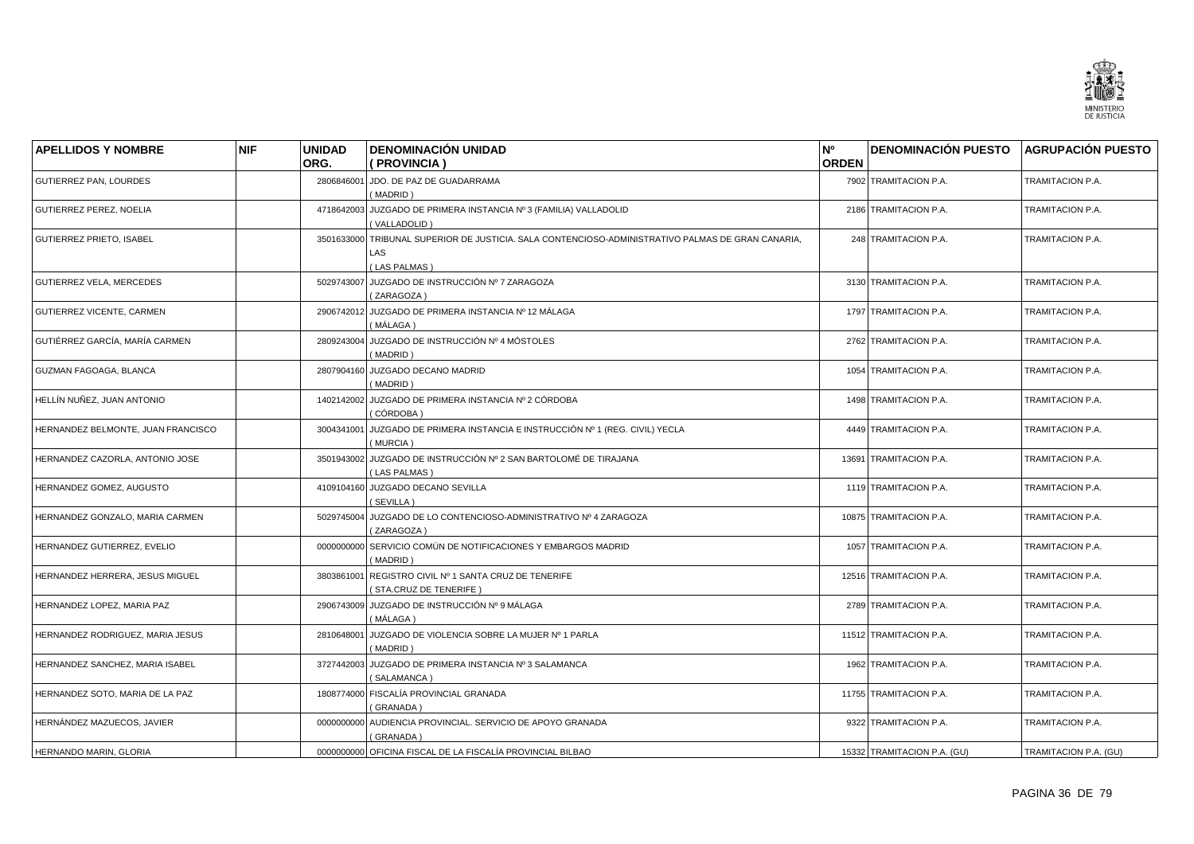![](_page_35_Picture_0.jpeg)

| <b>APELLIDOS Y NOMBRE</b>          | <b>NIF</b> | <b>UNIDAD</b><br>ORG. | <b>DENOMINACIÓN UNIDAD</b><br>( PROVINCIA )                                                                   | N°<br><b>ORDEN</b> | DENOMINACIÓN PUESTO AGRUPACIÓN PUESTO |                       |
|------------------------------------|------------|-----------------------|---------------------------------------------------------------------------------------------------------------|--------------------|---------------------------------------|-----------------------|
| GUTIERREZ PAN, LOURDES             |            | 2806846001            | JDO. DE PAZ DE GUADARRAMA<br>(MADRID)                                                                         |                    | 7902 TRAMITACION P.A.                 | TRAMITACION P.A.      |
| GUTIERREZ PEREZ, NOELIA            |            | 4718642003            | JUZGADO DE PRIMERA INSTANCIA Nº 3 (FAMILIA) VALLADOLID<br>(VALLADOLID)                                        |                    | 2186 TRAMITACION P.A.                 | TRAMITACION P.A.      |
| <b>GUTIERREZ PRIETO, ISABEL</b>    |            | 3501633000            | TRIBUNAL SUPERIOR DE JUSTICIA, SALA CONTENCIOSO-ADMINISTRATIVO PALMAS DE GRAN CANARIA.<br>LAS<br>(LAS PALMAS) |                    | 248 TRAMITACION P.A.                  | TRAMITACION P.A.      |
| GUTIERREZ VELA, MERCEDES           |            |                       | 5029743007 JUZGADO DE INSTRUCCIÓN Nº 7 ZARAGOZA<br>(ZARAGOZA)                                                 |                    | 3130 TRAMITACION P.A.                 | TRAMITACION P.A.      |
| <b>GUTIERREZ VICENTE, CARMEN</b>   |            |                       | 2906742012 JUZGADO DE PRIMERA INSTANCIA Nº 12 MÁLAGA<br>( MÁLAGA )                                            |                    | 1797 TRAMITACION P.A.                 | TRAMITACION P.A.      |
| GUTIÉRREZ GARCÍA, MARÍA CARMEN     |            | 2809243004            | JUZGADO DE INSTRUCCIÓN № 4 MÓSTOLES<br>(MADRID)                                                               |                    | 2762 TRAMITACION P.A.                 | TRAMITACION P.A.      |
| GUZMAN FAGOAGA, BLANCA             |            | 2807904160            | JUZGADO DECANO MADRID<br>(MADRID)                                                                             |                    | 1054 TRAMITACION P.A.                 | TRAMITACION P.A.      |
| HELLÍN NUÑEZ, JUAN ANTONIO         |            | 1402142002            | JUZGADO DE PRIMERA INSTANCIA Nº 2 CÓRDOBA<br>(CÓRDOBA)                                                        |                    | 1498 TRAMITACION P.A.                 | TRAMITACION P.A.      |
| HERNANDEZ BELMONTE, JUAN FRANCISCO |            | 3004341001            | JUZGADO DE PRIMERA INSTANCIA E INSTRUCCIÓN Nº 1 (REG. CIVIL) YECLA<br>(MURCIA)                                |                    | 4449 TRAMITACION P.A.                 | TRAMITACION P.A.      |
| HERNANDEZ CAZORLA, ANTONIO JOSE    |            | 3501943002            | JUZGADO DE INSTRUCCIÓN Nº 2 SAN BARTOLOMÉ DE TIRAJANA<br>(LAS PALMAS)                                         |                    | 13691 TRAMITACION P.A.                | TRAMITACION P.A.      |
| HERNANDEZ GOMEZ, AUGUSTO           |            | 4109104160            | <b>JUZGADO DECANO SEVILLA</b><br>(SEVILLA)                                                                    |                    | 1119 TRAMITACION P.A.                 | TRAMITACION P.A.      |
| HERNANDEZ GONZALO, MARIA CARMEN    |            | 5029745004            | JUZGADO DE LO CONTENCIOSO-ADMINISTRATIVO Nº 4 ZARAGOZA<br>(ZARAGOZA)                                          |                    | 10875 TRAMITACION P.A.                | TRAMITACION P.A.      |
| HERNANDEZ GUTIERREZ, EVELIO        |            | 0000000000            | SERVICIO COMÚN DE NOTIFICACIONES Y EMBARGOS MADRID<br>(MADRID)                                                |                    | 1057 TRAMITACION P.A.                 | TRAMITACION P.A.      |
| HERNANDEZ HERRERA, JESUS MIGUEL    |            | 3803861001            | REGISTRO CIVIL Nº 1 SANTA CRUZ DE TENERIFE<br>(STA.CRUZ DE TENERIFE)                                          |                    | 12516 TRAMITACION P.A.                | TRAMITACION P.A.      |
| HERNANDEZ LOPEZ, MARIA PAZ         |            | 2906743009            | JUZGADO DE INSTRUCCIÓN № 9 MÁLAGA<br>(MÁLAGA)                                                                 |                    | 2789 TRAMITACION P.A.                 | TRAMITACION P.A.      |
| HERNANDEZ RODRIGUEZ, MARIA JESUS   |            | 2810648001            | JUZGADO DE VIOLENCIA SOBRE LA MUJER Nº 1 PARLA<br>(MADRID)                                                    |                    | 11512 TRAMITACION P.A.                | TRAMITACION P.A.      |
| HERNANDEZ SANCHEZ, MARIA ISABEL    |            | 3727442003            | JUZGADO DE PRIMERA INSTANCIA Nº 3 SALAMANCA<br>(SALAMANCA)                                                    |                    | 1962 TRAMITACION P.A.                 | TRAMITACION P.A.      |
| HERNANDEZ SOTO, MARIA DE LA PAZ    |            |                       | 1808774000 FISCALÍA PROVINCIAL GRANADA<br>(GRANADA)                                                           |                    | 11755 TRAMITACION P.A.                | TRAMITACION P.A.      |
| HERNÁNDEZ MAZUECOS, JAVIER         |            | 0000000000            | AUDIENCIA PROVINCIAL. SERVICIO DE APOYO GRANADA<br>(GRANADA)                                                  |                    | 9322 TRAMITACION P.A.                 | TRAMITACION P.A.      |
| HERNANDO MARIN, GLORIA             |            |                       | 0000000000 OFICINA FISCAL DE LA FISCALÍA PROVINCIAL BILBAO                                                    |                    | 15332 TRAMITACION P.A. (GU)           | TRAMITACION P.A. (GU) |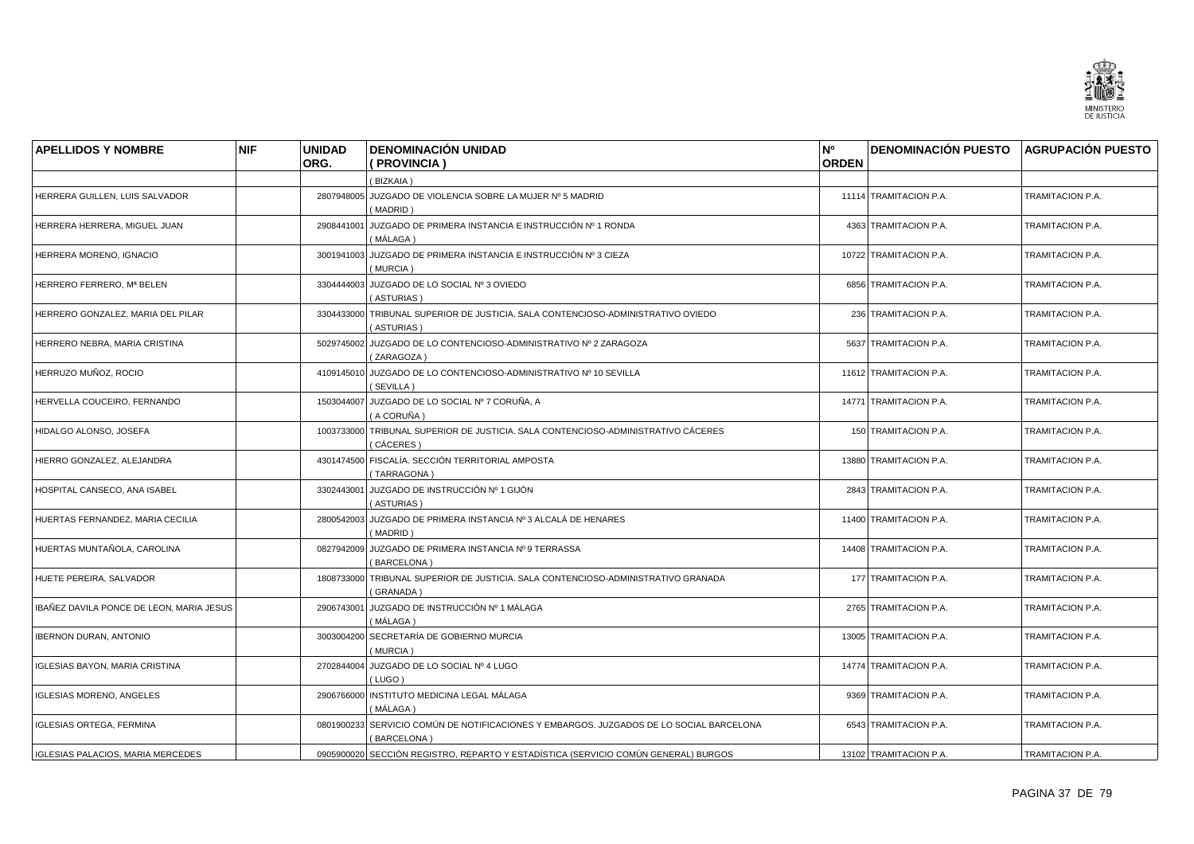

| <b>APELLIDOS Y NOMBRE</b>                | <b>NIF</b> | <b>UNIDAD</b> | <b>DENOMINACIÓN UNIDAD</b>                                                                             | N <sup>o</sup> | DENOMINACIÓN PUESTO AGRUPACIÓN PUESTO |                  |
|------------------------------------------|------------|---------------|--------------------------------------------------------------------------------------------------------|----------------|---------------------------------------|------------------|
|                                          |            | ORG.          | (PROVINCIA)                                                                                            | <b>ORDEN</b>   |                                       |                  |
|                                          |            |               | (BIZKAIA)                                                                                              |                |                                       |                  |
| HERRERA GUILLEN, LUIS SALVADOR           |            |               | 2807948005 JUZGADO DE VIOLENCIA SOBRE LA MUJER Nº 5 MADRID<br>(MADRID)                                 |                | 11114 TRAMITACION P.A.                | TRAMITACION P.A. |
| HERRERA HERRERA, MIGUEL JUAN             |            | 2908441001    | JUZGADO DE PRIMERA INSTANCIA E INSTRUCCIÓN Nº 1 RONDA<br>(MÁLAGA)                                      |                | 4363 TRAMITACION P.A.                 | TRAMITACION P.A. |
| HERRERA MORENO, IGNACIO                  |            |               | 3001941003 JUZGADO DE PRIMERA INSTANCIA E INSTRUCCIÓN Nº 3 CIEZA<br>(MURCIA)                           |                | 10722 TRAMITACION P.A.                | TRAMITACION P.A. |
| HERRERO FERRERO, Mª BELEN                |            | 3304444003    | JUZGADO DE LO SOCIAL Nº 3 OVIEDO<br>(ASTURIAS)                                                         |                | 6856 TRAMITACION P.A.                 | TRAMITACION P.A. |
| HERRERO GONZALEZ, MARIA DEL PILAR        |            |               | 3304433000 TRIBUNAL SUPERIOR DE JUSTICIA. SALA CONTENCIOSO-ADMINISTRATIVO OVIEDO<br>(ASTURIAS)         |                | 236 TRAMITACION P.A.                  | TRAMITACION P.A. |
| HERRERO NEBRA, MARIA CRISTINA            |            |               | 5029745002 JUZGADO DE LO CONTENCIOSO-ADMINISTRATIVO Nº 2 ZARAGOZA<br>(ZARAGOZA)                        |                | 5637 TRAMITACION P.A.                 | TRAMITACION P.A. |
| HERRUZO MUÑOZ, ROCIO                     |            |               | 4109145010 JUZGADO DE LO CONTENCIOSO-ADMINISTRATIVO Nº 10 SEVILLA<br>(SEVILLA)                         |                | 11612 TRAMITACION P.A.                | TRAMITACION P.A. |
| HERVELLA COUCEIRO. FERNANDO              |            |               | 1503044007 JUZGADO DE LO SOCIAL Nº 7 CORUÑA, A<br>( A CORUÑA )                                         |                | 14771 TRAMITACION P.A.                | TRAMITACION P.A. |
| HIDALGO ALONSO, JOSEFA                   |            |               | 1003733000 TRIBUNAL SUPERIOR DE JUSTICIA. SALA CONTENCIOSO-ADMINISTRATIVO CÁCERES<br>(CÁCERES)         |                | 150 TRAMITACION P.A.                  | TRAMITACION P.A. |
| HIERRO GONZALEZ, ALEJANDRA               |            |               | 4301474500 FISCALÍA. SECCIÓN TERRITORIAL AMPOSTA<br>(TARRAGONA)                                        |                | 13880 TRAMITACION P.A.                | TRAMITACION P.A. |
| HOSPITAL CANSECO, ANA ISABEL             |            | 3302443001    | JUZGADO DE INSTRUCCIÓN Nº 1 GIJÓN<br>(ASTURIAS)                                                        |                | 2843 TRAMITACION P.A.                 | TRAMITACION P.A. |
| HUERTAS FERNANDEZ, MARIA CECILIA         |            |               | 2800542003 JUZGADO DE PRIMERA INSTANCIA Nº 3 ALCALÁ DE HENARES<br>(MADRID)                             |                | 11400 TRAMITACION P.A.                | TRAMITACION P.A. |
| HUERTAS MUNTAÑOLA, CAROLINA              |            |               | 0827942009 JUZGADO DE PRIMERA INSTANCIA Nº 9 TERRASSA<br>(BARCELONA)                                   |                | 14408 TRAMITACION P.A.                | TRAMITACION P.A. |
| HUETE PEREIRA, SALVADOR                  |            |               | 1808733000 TRIBUNAL SUPERIOR DE JUSTICIA. SALA CONTENCIOSO-ADMINISTRATIVO GRANADA<br>(GRANADA)         |                | 177 TRAMITACION P.A.                  | TRAMITACION P.A. |
| IBAÑEZ DAVILA PONCE DE LEON, MARIA JESUS |            | 2906743001    | JUZGADO DE INSTRUCCIÓN № 1 MÁLAGA<br>(MÁLAGA)                                                          |                | 2765 TRAMITACION P.A.                 | TRAMITACION P.A. |
| <b>IBERNON DURAN, ANTONIO</b>            |            |               | 3003004200 SECRETARÍA DE GOBIERNO MURCIA<br>(MURCIA)                                                   |                | 13005 TRAMITACION P.A.                | TRAMITACION P.A. |
| <b>IGLESIAS BAYON, MARIA CRISTINA</b>    |            |               | 2702844004 JUZGADO DE LO SOCIAL Nº 4 LUGO<br>(LUGO)                                                    |                | 14774 TRAMITACION P.A.                | TRAMITACION P.A. |
| <b>IGLESIAS MORENO, ANGELES</b>          |            |               | 2906766000 INSTITUTO MEDICINA LEGAL MÁLAGA<br>(MÁLAGA)                                                 |                | 9369 TRAMITACION P.A.                 | TRAMITACION P.A. |
| <b>IGLESIAS ORTEGA, FERMINA</b>          |            |               | 0801900233 SERVICIO COMÚN DE NOTIFICACIONES Y EMBARGOS. JUZGADOS DE LO SOCIAL BARCELONA<br>(BARCELONA) |                | 6543 TRAMITACION P.A.                 | TRAMITACION P.A. |
| <b>IGLESIAS PALACIOS, MARIA MERCEDES</b> |            |               | 0905900020 SECCIÓN REGISTRO, REPARTO Y ESTADÍSTICA (SERVICIO COMÚN GENERAL) BURGOS                     |                | 13102 TRAMITACION P.A.                | TRAMITACION P.A. |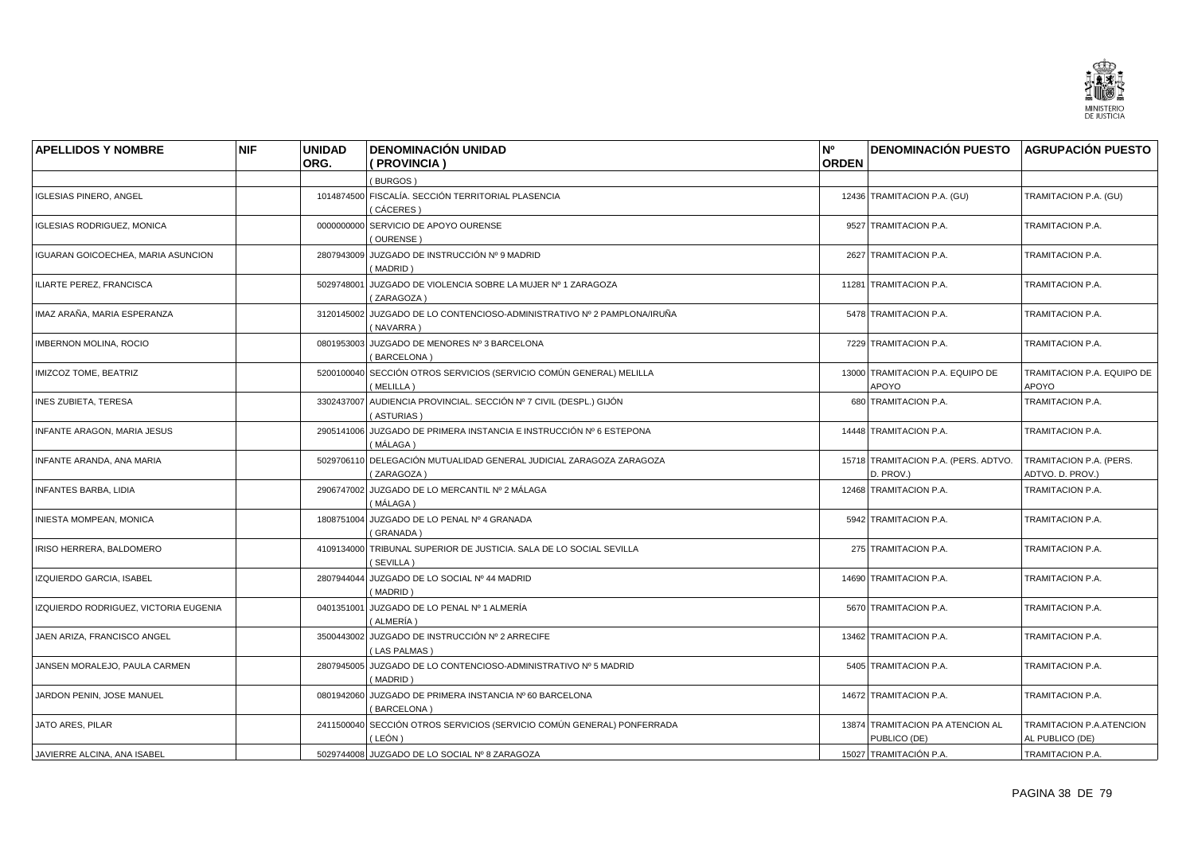

| <b>APELLIDOS Y NOMBRE</b>             | <b>NIF</b> | <b>UNIDAD</b> | <b>DENOMINACIÓN UNIDAD</b>                                                           | N°           | DENOMINACIÓN PUESTO AGRUPACIÓN PUESTO             |                                             |
|---------------------------------------|------------|---------------|--------------------------------------------------------------------------------------|--------------|---------------------------------------------------|---------------------------------------------|
|                                       |            | ORG.          | (PROVINCIA)                                                                          | <b>ORDEN</b> |                                                   |                                             |
|                                       |            |               | (BURGOS)                                                                             |              |                                                   |                                             |
| <b>IGLESIAS PINERO, ANGEL</b>         |            |               | 1014874500 FISCALÍA. SECCIÓN TERRITORIAL PLASENCIA<br>(CÁCERES)                      |              | 12436 TRAMITACION P.A. (GU)                       | TRAMITACION P.A. (GU)                       |
| <b>IGLESIAS RODRIGUEZ, MONICA</b>     |            |               | 0000000000 SERVICIO DE APOYO OURENSE<br>(OURENSE)                                    |              | 9527 TRAMITACION P.A.                             | TRAMITACION P.A.                            |
| IGUARAN GOICOECHEA, MARIA ASUNCION    |            |               | 2807943009 JUZGADO DE INSTRUCCIÓN Nº 9 MADRID<br>(MADRID)                            |              | 2627 TRAMITACION P.A.                             | TRAMITACION P.A.                            |
| ILIARTE PEREZ, FRANCISCA              |            | 5029748001    | JUZGADO DE VIOLENCIA SOBRE LA MUJER Nº 1 ZARAGOZA<br>(ZARAGOZA)                      |              | 11281 TRAMITACION P.A.                            | TRAMITACION P.A.                            |
| IMAZ ARAÑA, MARIA ESPERANZA           |            |               | 3120145002 JUZGADO DE LO CONTENCIOSO-ADMINISTRATIVO Nº 2 PAMPLONA/IRUÑA<br>(NAVARRA) |              | 5478 TRAMITACION P.A.                             | TRAMITACION P.A.                            |
| <b>IMBERNON MOLINA, ROCIO</b>         |            | 0801953003    | JUZGADO DE MENORES Nº 3 BARCELONA<br>BARCELONA)                                      |              | 7229 TRAMITACION P.A.                             | TRAMITACION P.A.                            |
| IMIZCOZ TOME, BEATRIZ                 |            |               | 5200100040 SECCIÓN OTROS SERVICIOS (SERVICIO COMÚN GENERAL) MELILLA<br>(MELILLA)     |              | 13000 TRAMITACION P.A. EQUIPO DE<br>APOYO         | TRAMITACION P.A. EQUIPO DE<br>APOYO         |
| INES ZUBIETA, TERESA                  |            |               | 3302437007 AUDIENCIA PROVINCIAL. SECCIÓN Nº 7 CIVIL (DESPL.) GIJÓN<br>(ASTURIAS)     |              | 680 TRAMITACION P.A.                              | TRAMITACION P.A.                            |
| <b>INFANTE ARAGON, MARIA JESUS</b>    |            |               | 2905141006 JUZGADO DE PRIMERA INSTANCIA E INSTRUCCIÓN Nº 6 ESTEPONA<br>( MÁLAGA )    |              | 14448 TRAMITACION P.A.                            | TRAMITACION P.A.                            |
| INFANTE ARANDA, ANA MARIA             |            |               | 5029706110 DELEGACIÓN MUTUALIDAD GENERAL JUDICIAL ZARAGOZA ZARAGOZA<br>(ZARAGOZA)    |              | 15718 TRAMITACION P.A. (PERS. ADTVO.<br>D. PROV.) | TRAMITACION P.A. (PERS.<br>ADTVO. D. PROV.) |
| INFANTES BARBA, LIDIA                 |            | 2906747002    | JUZGADO DE LO MERCANTIL Nº 2 MÁLAGA<br>( MÁLAGA )                                    |              | 12468 TRAMITACION P.A.                            | TRAMITACION P.A.                            |
| INIESTA MOMPEAN, MONICA               |            |               | 1808751004 JUZGADO DE LO PENAL Nº 4 GRANADA<br>(GRANADA)                             |              | 5942 TRAMITACION P.A.                             | TRAMITACION P.A.                            |
| IRISO HERRERA, BALDOMERO              |            |               | 4109134000 TRIBUNAL SUPERIOR DE JUSTICIA. SALA DE LO SOCIAL SEVILLA<br>(SEVILLA)     |              | 275 TRAMITACION P.A.                              | TRAMITACION P.A.                            |
| IZQUIERDO GARCIA, ISABEL              |            |               | 2807944044 JUZGADO DE LO SOCIAL Nº 44 MADRID<br>(MADRID)                             |              | 14690 TRAMITACION P.A.                            | TRAMITACION P.A.                            |
| IZQUIERDO RODRIGUEZ, VICTORIA EUGENIA |            | 0401351001    | JUZGADO DE LO PENAL Nº 1 ALMERÍA<br>(ALMERÍA)                                        |              | 5670 TRAMITACION P.A.                             | TRAMITACION P.A.                            |
| JAEN ARIZA, FRANCISCO ANGEL           |            |               | 3500443002 JUZGADO DE INSTRUCCIÓN Nº 2 ARRECIFE<br>(LAS PALMAS)                      |              | 13462 TRAMITACION P.A.                            | TRAMITACION P.A.                            |
| JANSEN MORALEJO, PAULA CARMEN         |            | 2807945005    | JUZGADO DE LO CONTENCIOSO-ADMINISTRATIVO Nº 5 MADRID<br>(MADRID)                     |              | 5405 TRAMITACION P.A.                             | TRAMITACION P.A.                            |
| JARDON PENIN, JOSE MANUEL             |            | 0801942060    | JUZGADO DE PRIMERA INSTANCIA Nº 60 BARCELONA<br>(BARCELONA)                          |              | 14672 TRAMITACION P.A.                            | TRAMITACION P.A.                            |
| JATO ARES, PILAR                      |            | 2411500040    | SECCIÓN OTROS SERVICIOS (SERVICIO COMÚN GENERAL) PONFERRADA<br>( LEÓN )              |              | 13874 TRAMITACION PA ATENCION AL<br>PUBLICO (DE)  | TRAMITACION P.A.ATENCION<br>AL PUBLICO (DE) |
| JAVIERRE ALCINA, ANA ISABEL           |            |               | 5029744008 JUZGADO DE LO SOCIAL Nº 8 ZARAGOZA                                        |              | 15027 TRAMITACIÓN P.A.                            | TRAMITACION P.A.                            |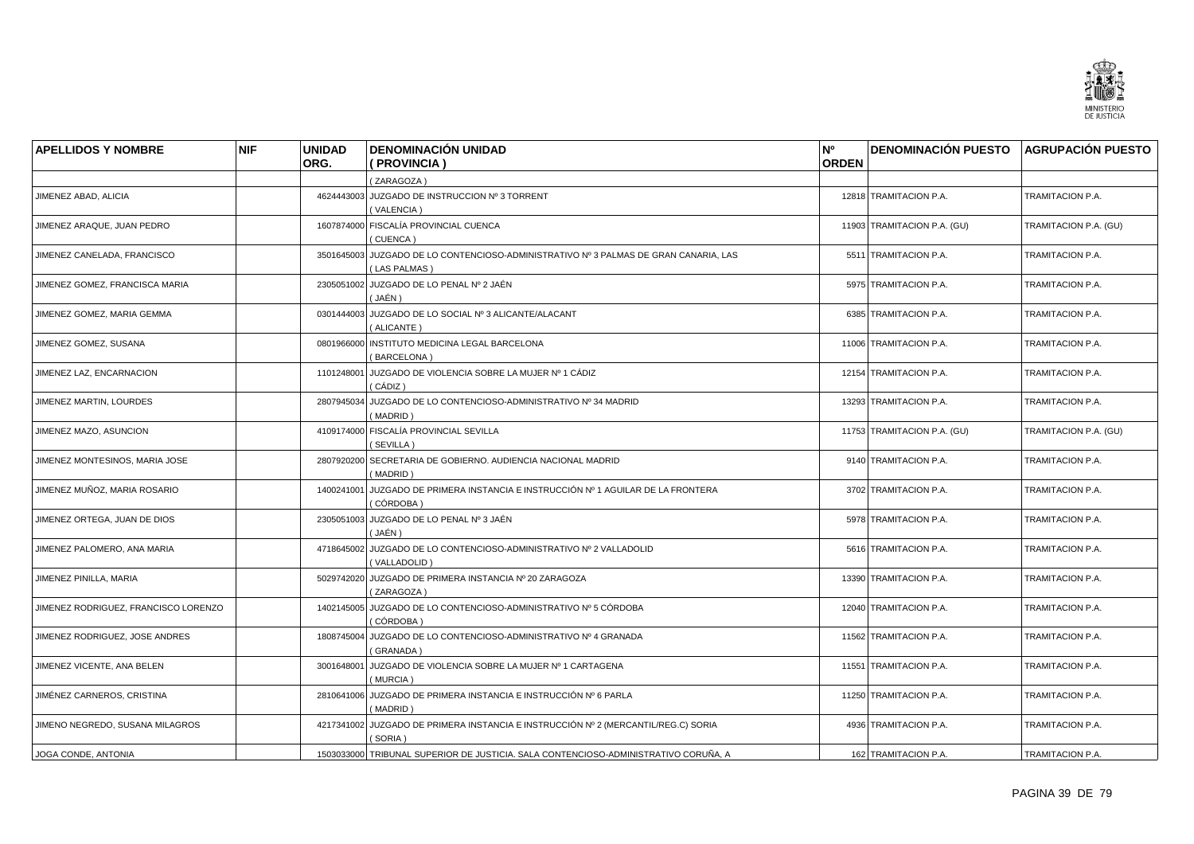

| <b>APELLIDOS Y NOMBRE</b>            | <b>NIF</b> | <b>UNIDAD</b> | <b>DENOMINACIÓN UNIDAD</b>                                                                           | N°           | <b>DENOMINACIÓN PUESTO AGRUPACIÓN PUESTO</b> |                       |
|--------------------------------------|------------|---------------|------------------------------------------------------------------------------------------------------|--------------|----------------------------------------------|-----------------------|
|                                      |            | ORG.          | (PROVINCIA)                                                                                          | <b>ORDEN</b> |                                              |                       |
|                                      |            |               | (ZARAGOZA)                                                                                           |              |                                              |                       |
| JIMENEZ ABAD, ALICIA                 |            |               | 4624443003 JUZGADO DE INSTRUCCION Nº 3 TORRENT<br>(VALENCIA)                                         |              | 12818 TRAMITACION P.A.                       | TRAMITACION P.A.      |
| JIMENEZ ARAQUE, JUAN PEDRO           |            |               | 1607874000 FISCALÍA PROVINCIAL CUENCA<br>(CUENCA)                                                    |              | 11903 TRAMITACION P.A. (GU)                  | TRAMITACION P.A. (GU) |
| JIMENEZ CANELADA, FRANCISCO          |            |               | 3501645003 JUZGADO DE LO CONTENCIOSO-ADMINISTRATIVO Nº 3 PALMAS DE GRAN CANARIA, LAS<br>(LAS PALMAS) |              | 5511 TRAMITACION P.A.                        | TRAMITACION P.A.      |
| JIMENEZ GOMEZ, FRANCISCA MARIA       |            |               | 2305051002 JUZGADO DE LO PENAL Nº 2 JAÉN<br>( JAÉN )                                                 |              | 5975 TRAMITACION P.A.                        | TRAMITACION P.A.      |
| JIMENEZ GOMEZ, MARIA GEMMA           |            |               | 0301444003 JUZGADO DE LO SOCIAL Nº 3 ALICANTE/ALACANT<br>(ALICANTE)                                  |              | 6385 TRAMITACION P.A.                        | TRAMITACION P.A.      |
| JIMENEZ GOMEZ, SUSANA                |            | 0801966000    | INSTITUTO MEDICINA LEGAL BARCELONA<br>(BARCELONA)                                                    |              | 11006 TRAMITACION P.A.                       | TRAMITACION P.A.      |
| JIMENEZ LAZ, ENCARNACION             |            | 1101248001    | JUZGADO DE VIOLENCIA SOBRE LA MUJER Nº 1 CÁDIZ<br>( CÁDIZ )                                          |              | 12154 TRAMITACION P.A.                       | TRAMITACION P.A.      |
| JIMENEZ MARTIN, LOURDES              |            | 2807945034    | JUZGADO DE LO CONTENCIOSO-ADMINISTRATIVO Nº 34 MADRID<br>(MADRID)                                    |              | 13293 TRAMITACION P.A.                       | TRAMITACION P.A.      |
| JIMENEZ MAZO, ASUNCION               |            |               | 4109174000 FISCALÍA PROVINCIAL SEVILLA<br>(SEVILLA)                                                  |              | 11753 TRAMITACION P.A. (GU)                  | TRAMITACION P.A. (GU) |
| JIMENEZ MONTESINOS, MARIA JOSE       |            | 2807920200    | SECRETARIA DE GOBIERNO, AUDIENCIA NACIONAL MADRID<br>(MADRID)                                        |              | 9140 TRAMITACION P.A.                        | TRAMITACION P.A.      |
| JIMENEZ MUÑOZ, MARIA ROSARIO         |            | 1400241001    | JUZGADO DE PRIMERA INSTANCIA E INSTRUCCIÓN № 1 AGUILAR DE LA FRONTERA<br>(CÓRDOBA)                   |              | 3702 TRAMITACION P.A.                        | TRAMITACION P.A.      |
| JIMENEZ ORTEGA, JUAN DE DIOS         |            | 2305051003    | JUZGADO DE LO PENAL Nº 3 JAÉN<br>( JAÉN )                                                            |              | 5978 TRAMITACION P.A.                        | TRAMITACION P.A.      |
| JIMENEZ PALOMERO, ANA MARIA          |            | 4718645002    | JUZGADO DE LO CONTENCIOSO-ADMINISTRATIVO Nº 2 VALLADOLID<br>(VALLADOLID)                             |              | 5616 TRAMITACION P.A.                        | TRAMITACION P.A.      |
| JIMENEZ PINILLA, MARIA               |            |               | 5029742020 JUZGADO DE PRIMERA INSTANCIA Nº 20 ZARAGOZA<br>(ZARAGOZA)                                 |              | 13390 TRAMITACION P.A.                       | TRAMITACION P.A.      |
| JIMENEZ RODRIGUEZ, FRANCISCO LORENZO |            | 1402145005    | JUZGADO DE LO CONTENCIOSO-ADMINISTRATIVO Nº 5 CÓRDOBA<br>( CÓRDOBA )                                 |              | 12040 TRAMITACION P.A.                       | TRAMITACION P.A.      |
| JIMENEZ RODRIGUEZ, JOSE ANDRES       |            | 1808745004    | JUZGADO DE LO CONTENCIOSO-ADMINISTRATIVO Nº 4 GRANADA<br>(GRANADA)                                   |              | 11562 TRAMITACION P.A.                       | TRAMITACION P.A.      |
| JIMENEZ VICENTE, ANA BELEN           |            | 3001648001    | JUZGADO DE VIOLENCIA SOBRE LA MUJER Nº 1 CARTAGENA<br>(MURCIA)                                       |              | 11551 TRAMITACION P.A.                       | TRAMITACION P.A.      |
| JIMÉNEZ CARNEROS, CRISTINA           |            |               | 2810641006 JUZGADO DE PRIMERA INSTANCIA E INSTRUCCIÓN Nº 6 PARLA<br>(MADRID)                         |              | 11250 TRAMITACION P.A.                       | TRAMITACION P.A.      |
| JIMENO NEGREDO, SUSANA MILAGROS      |            | 4217341002    | JUZGADO DE PRIMERA INSTANCIA E INSTRUCCIÓN Nº 2 (MERCANTIL/REG.C) SORIA<br>(SORIA)                   |              | 4936 TRAMITACION P.A.                        | TRAMITACION P.A.      |
| JOGA CONDE, ANTONIA                  |            |               | 1503033000 TRIBUNAL SUPERIOR DE JUSTICIA. SALA CONTENCIOSO-ADMINISTRATIVO CORUÑA, A                  |              | 162 TRAMITACION P.A.                         | TRAMITACION P.A.      |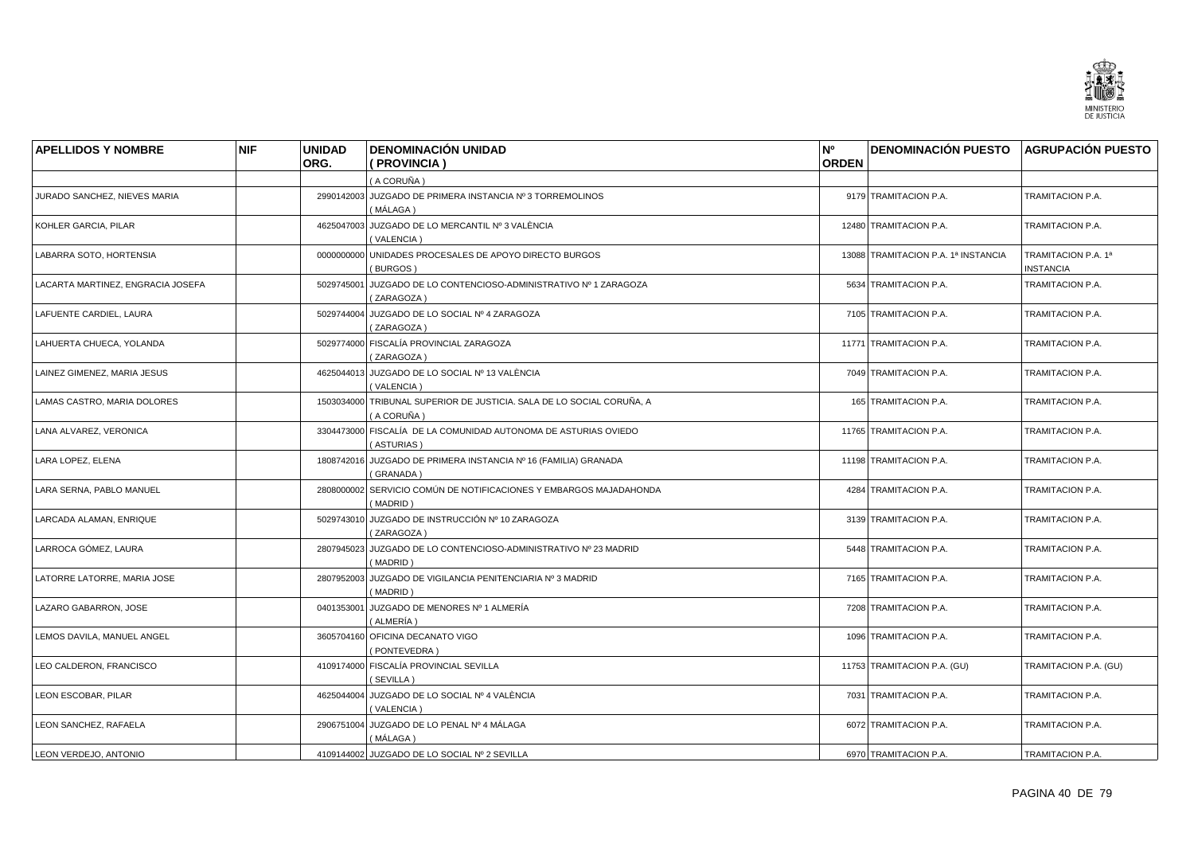

| <b>APELLIDOS Y NOMBRE</b>         | <b>NIF</b> | <b>UNIDAD</b> | <b>DENOMINACIÓN UNIDAD</b>                                                          | N°           | DENOMINACIÓN PUESTO AGRUPACIÓN PUESTO |                                         |
|-----------------------------------|------------|---------------|-------------------------------------------------------------------------------------|--------------|---------------------------------------|-----------------------------------------|
|                                   |            | ORG.          | (PROVINCIA)                                                                         | <b>ORDEN</b> |                                       |                                         |
|                                   |            |               | (A CORUÑA)                                                                          |              |                                       |                                         |
| JURADO SANCHEZ, NIEVES MARIA      |            |               | 2990142003 JUZGADO DE PRIMERA INSTANCIA Nº 3 TORREMOLINOS<br>(MÁLAGA)               |              | 9179 TRAMITACION P.A.                 | TRAMITACION P.A.                        |
| KOHLER GARCIA, PILAR              |            |               | 4625047003 JUZGADO DE LO MERCANTIL Nº 3 VALÈNCIA<br>(VALENCIA)                      |              | 12480 TRAMITACION P.A.                | TRAMITACION P.A.                        |
| LABARRA SOTO, HORTENSIA           |            |               | 0000000000 UNIDADES PROCESALES DE APOYO DIRECTO BURGOS<br>(BURGOS)                  |              | 13088 TRAMITACION P.A. 1ª INSTANCIA   | TRAMITACION P.A. 1ª<br><b>INSTANCIA</b> |
| LACARTA MARTINEZ, ENGRACIA JOSEFA |            | 5029745001    | JUZGADO DE LO CONTENCIOSO-ADMINISTRATIVO Nº 1 ZARAGOZA<br>(ZARAGOZA)                |              | 5634 TRAMITACION P.A.                 | TRAMITACION P.A.                        |
| LAFUENTE CARDIEL, LAURA           |            |               | 5029744004 JUZGADO DE LO SOCIAL Nº 4 ZARAGOZA<br>(ZARAGOZA)                         |              | 7105 TRAMITACION P.A.                 | TRAMITACION P.A.                        |
| LAHUERTA CHUECA, YOLANDA          |            |               | 5029774000 FISCALÍA PROVINCIAL ZARAGOZA<br>(ZARAGOZA)                               |              | 11771 TRAMITACION P.A.                | TRAMITACION P.A.                        |
| LAINEZ GIMENEZ, MARIA JESUS       |            |               | 4625044013 JUZGADO DE LO SOCIAL Nº 13 VALÈNCIA<br>(VALENCIA)                        |              | 7049 TRAMITACION P.A.                 | TRAMITACION P.A.                        |
| LAMAS CASTRO, MARIA DOLORES       |            |               | 1503034000 TRIBUNAL SUPERIOR DE JUSTICIA. SALA DE LO SOCIAL CORUÑA. A<br>(A CORUÑA) |              | 165 TRAMITACION P.A.                  | <b>TRAMITACION P.A.</b>                 |
| LANA ALVAREZ, VERONICA            |            |               | 3304473000 FISCALÍA DE LA COMUNIDAD AUTONOMA DE ASTURIAS OVIEDO<br>(ASTURIAS)       |              | 11765 TRAMITACION P.A.                | TRAMITACION P.A.                        |
| LARA LOPEZ. ELENA                 |            |               | 1808742016 JUZGADO DE PRIMERA INSTANCIA Nº 16 (FAMILIA) GRANADA<br>(GRANADA)        |              | 11198 TRAMITACION P.A.                | TRAMITACION P.A.                        |
| LARA SERNA, PABLO MANUEL          |            | 2808000002    | SERVICIO COMÚN DE NOTIFICACIONES Y EMBARGOS MAJADAHONDA<br>(MADRID)                 |              | 4284 TRAMITACION P.A.                 | TRAMITACION P.A.                        |
| LARCADA ALAMAN, ENRIQUE           |            |               | 5029743010 JUZGADO DE INSTRUCCIÓN Nº 10 ZARAGOZA<br>(ZARAGOZA)                      |              | 3139 TRAMITACION P.A.                 | TRAMITACION P.A.                        |
| LARROCA GÓMEZ, LAURA              |            |               | 2807945023 JUZGADO DE LO CONTENCIOSO-ADMINISTRATIVO Nº 23 MADRID<br>(MADRID)        |              | 5448 TRAMITACION P.A.                 | TRAMITACION P.A.                        |
| LATORRE LATORRE, MARIA JOSE       |            |               | 2807952003 JUZGADO DE VIGILANCIA PENITENCIARIA Nº 3 MADRID<br>(MADRID)              |              | 7165 TRAMITACION P.A.                 | TRAMITACION P.A.                        |
| LAZARO GABARRON, JOSE             |            | 0401353001    | JUZGADO DE MENORES № 1 ALMERÍA<br>(ALMERÍA )                                        |              | 7208 TRAMITACION P.A.                 | TRAMITACION P.A.                        |
| LEMOS DAVILA, MANUEL ANGEL        |            |               | 3605704160 OFICINA DECANATO VIGO<br>(PONTEVEDRA)                                    |              | 1096 TRAMITACION P.A.                 | TRAMITACION P.A.                        |
| LEO CALDERON, FRANCISCO           |            |               | 4109174000 FISCALÍA PROVINCIAL SEVILLA<br>(SEVILLA)                                 |              | 11753 TRAMITACION P.A. (GU)           | TRAMITACION P.A. (GU)                   |
| LEON ESCOBAR, PILAR               |            |               | 4625044004 JUZGADO DE LO SOCIAL Nº 4 VALÈNCIA<br>(VALENCIA)                         |              | 7031 TRAMITACION P.A.                 | TRAMITACION P.A.                        |
| LEON SANCHEZ, RAFAELA             |            |               | 2906751004 JUZGADO DE LO PENAL Nº 4 MÁLAGA<br>( MÁLAGA )                            |              | 6072 TRAMITACION P.A.                 | TRAMITACION P.A.                        |
| LEON VERDEJO, ANTONIO             |            |               | 4109144002 JUZGADO DE LO SOCIAL Nº 2 SEVILLA                                        |              | 6970 TRAMITACION P.A.                 | TRAMITACION P.A.                        |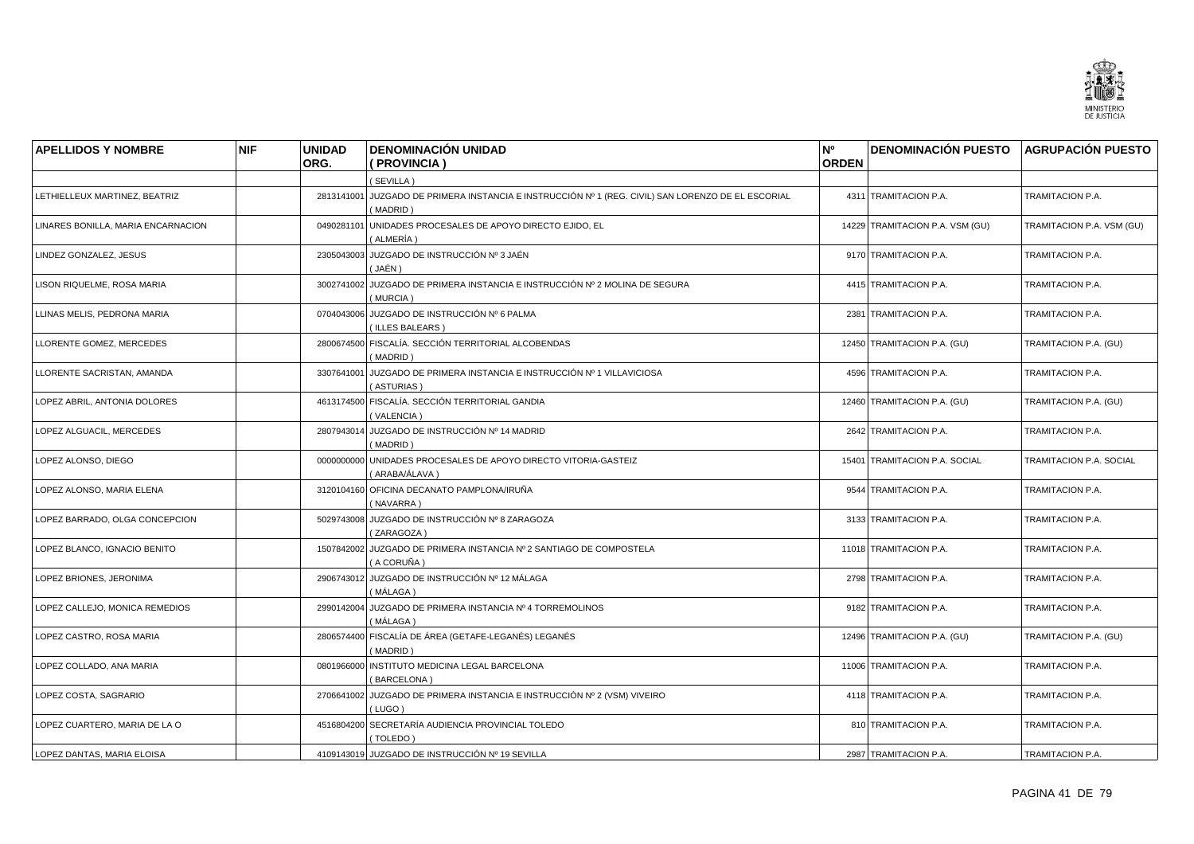

| <b>APELLIDOS Y NOMBRE</b>          | <b>NIF</b> | <b>UNIDAD</b> | <b>DENOMINACIÓN UNIDAD</b>                                                                                     | N <sup>o</sup> | DENOMINACIÓN PUESTO AGRUPACIÓN PUESTO |                                |
|------------------------------------|------------|---------------|----------------------------------------------------------------------------------------------------------------|----------------|---------------------------------------|--------------------------------|
|                                    |            | ORG.          | (PROVINCIA)                                                                                                    | <b>ORDEN</b>   |                                       |                                |
|                                    |            |               | (SEVILLA)                                                                                                      |                |                                       |                                |
| LETHIELLEUX MARTINEZ, BEATRIZ      |            |               | 2813141001 JUZGADO DE PRIMERA INSTANCIA E INSTRUCCIÓN Nº 1 (REG. CIVIL) SAN LORENZO DE EL ESCORIAL<br>(MADRID) |                | 4311 TRAMITACION P.A.                 | TRAMITACION P.A.               |
| LINARES BONILLA, MARIA ENCARNACION |            | 0490281101    | UNIDADES PROCESALES DE APOYO DIRECTO EJIDO, EL<br>(ALMERÍA )                                                   |                | 14229 TRAMITACION P.A. VSM (GU)       | TRAMITACION P.A. VSM (GU)      |
| LINDEZ GONZALEZ, JESUS             |            |               | 2305043003 JUZGADO DE INSTRUCCIÓN Nº 3 JAÉN<br>( JAÉN )                                                        |                | 9170 TRAMITACION P.A.                 | TRAMITACION P.A.               |
| LISON RIQUELME, ROSA MARIA         |            | 3002741002    | JUZGADO DE PRIMERA INSTANCIA E INSTRUCCIÓN Nº 2 MOLINA DE SEGURA<br>(MURCIA)                                   |                | 4415 TRAMITACION P.A.                 | TRAMITACION P.A.               |
| LLINAS MELIS, PEDRONA MARIA        |            |               | 0704043006 JUZGADO DE INSTRUCCIÓN Nº 6 PALMA<br>(ILLES BALEARS)                                                |                | 2381 TRAMITACION P.A.                 | TRAMITACION P.A.               |
| LLORENTE GOMEZ, MERCEDES           |            |               | 2800674500 FISCALÍA. SECCIÓN TERRITORIAL ALCOBENDAS<br>(MADRID)                                                |                | 12450 TRAMITACION P.A. (GU)           | TRAMITACION P.A. (GU)          |
| LLORENTE SACRISTAN, AMANDA         |            |               | 3307641001 JUZGADO DE PRIMERA INSTANCIA E INSTRUCCIÓN Nº 1 VILLAVICIOSA<br>(ASTURIAS)                          |                | 4596 TRAMITACION P.A.                 | TRAMITACION P.A.               |
| LOPEZ ABRIL. ANTONIA DOLORES       |            |               | 4613174500 FISCALÍA. SECCIÓN TERRITORIAL GANDIA<br>(VALENCIA)                                                  |                | 12460 TRAMITACION P.A. (GU)           | TRAMITACION P.A. (GU)          |
| LOPEZ ALGUACIL, MERCEDES           |            |               | 2807943014 JUZGADO DE INSTRUCCIÓN Nº 14 MADRID<br>(MADRID)                                                     |                | 2642 TRAMITACION P.A.                 | TRAMITACION P.A.               |
| LOPEZ ALONSO, DIEGO                |            | 0000000000    | UNIDADES PROCESALES DE APOYO DIRECTO VITORIA-GASTEIZ<br>(ARABA/ÁLAVA)                                          |                | 15401 TRAMITACION P.A. SOCIAL         | <b>TRAMITACION P.A. SOCIAL</b> |
| LOPEZ ALONSO, MARIA ELENA          |            |               | 3120104160 OFICINA DECANATO PAMPLONA/IRUÑA<br>(NAVARRA)                                                        |                | 9544 TRAMITACION P.A.                 | TRAMITACION P.A.               |
| LOPEZ BARRADO, OLGA CONCEPCION     |            |               | 5029743008 JUZGADO DE INSTRUCCIÓN Nº 8 ZARAGOZA<br>(ZARAGOZA)                                                  |                | 3133 TRAMITACION P.A.                 | TRAMITACION P.A.               |
| LOPEZ BLANCO, IGNACIO BENITO       |            |               | 1507842002 JUZGADO DE PRIMERA INSTANCIA Nº 2 SANTIAGO DE COMPOSTELA<br>(A CORUÑA)                              |                | 11018 TRAMITACION P.A.                | TRAMITACION P.A.               |
| LOPEZ BRIONES, JERONIMA            |            |               | 2906743012 JUZGADO DE INSTRUCCIÓN Nº 12 MÁLAGA<br>( MÁLAGA )                                                   |                | 2798 TRAMITACION P.A.                 | TRAMITACION P.A.               |
| LOPEZ CALLEJO, MONICA REMEDIOS     |            | 2990142004    | JUZGADO DE PRIMERA INSTANCIA Nº 4 TORREMOLINOS<br>(MÁLAGA)                                                     |                | 9182 TRAMITACION P.A.                 | TRAMITACION P.A.               |
| LOPEZ CASTRO, ROSA MARIA           |            |               | 2806574400 FISCALÍA DE ÁREA (GETAFE-LEGANÉS) LEGANÉS<br>(MADRID)                                               |                | 12496 TRAMITACION P.A. (GU)           | TRAMITACION P.A. (GU)          |
| LOPEZ COLLADO, ANA MARIA           |            |               | 0801966000 INSTITUTO MEDICINA LEGAL BARCELONA<br>(BARCELONA)                                                   |                | 11006 TRAMITACION P.A.                | TRAMITACION P.A.               |
| LOPEZ COSTA, SAGRARIO              |            |               | 2706641002 JUZGADO DE PRIMERA INSTANCIA E INSTRUCCIÓN Nº 2 (VSM) VIVEIRO<br>(LUGO)                             |                | 4118 TRAMITACION P.A.                 | TRAMITACION P.A.               |
| LOPEZ CUARTERO, MARIA DE LA O      |            |               | 4516804200 SECRETARÍA AUDIENCIA PROVINCIAL TOLEDO<br>(TOLEDO)                                                  |                | 810 TRAMITACION P.A.                  | TRAMITACION P.A.               |
| LOPEZ DANTAS, MARIA ELOISA         |            |               | 4109143019 JUZGADO DE INSTRUCCIÓN Nº 19 SEVILLA                                                                |                | 2987 TRAMITACION P.A.                 | TRAMITACION P.A.               |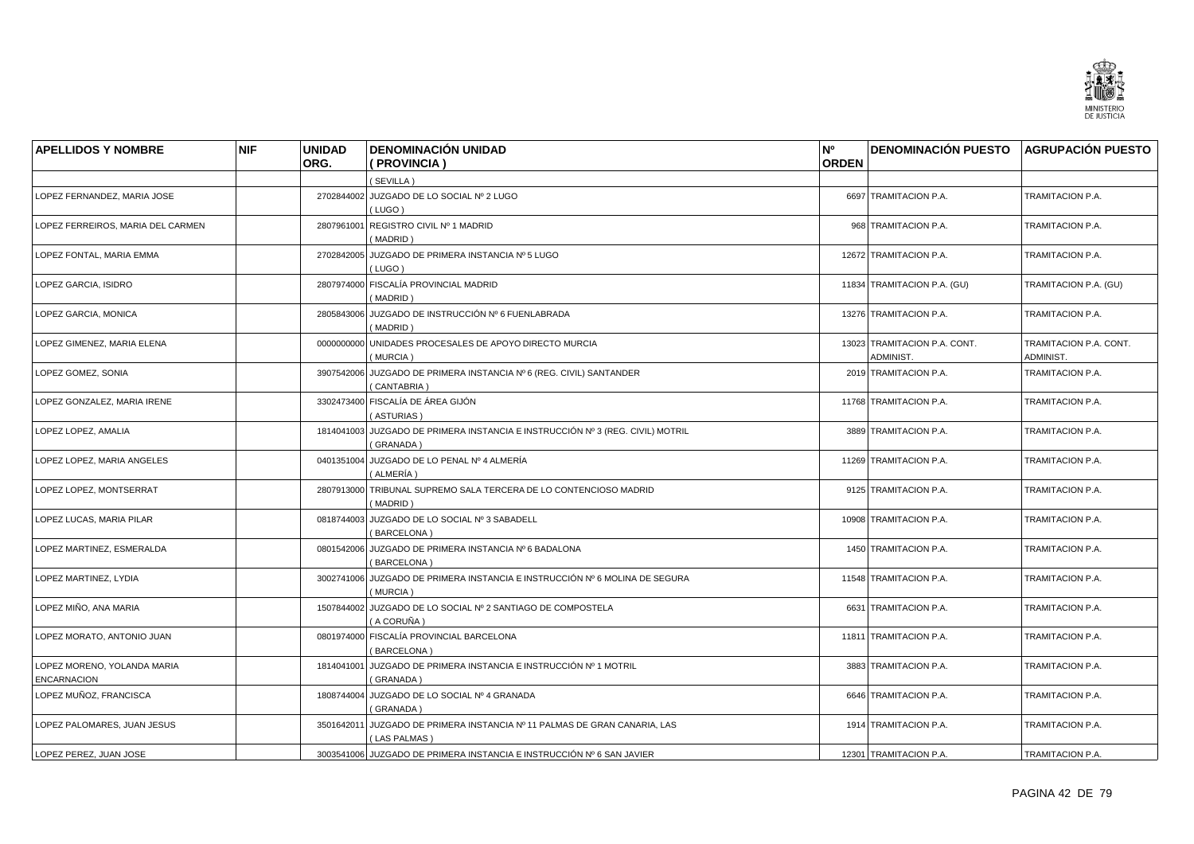

| <b>APELLIDOS Y NOMBRE</b>                         | <b>NIF</b> | <b>UNIDAD</b> | <b>DENOMINACIÓN UNIDAD</b>                                                                  | N <sup>o</sup> | <b>DENOMINACIÓN PUESTO AGRUPACIÓN PUESTO</b> |                                     |
|---------------------------------------------------|------------|---------------|---------------------------------------------------------------------------------------------|----------------|----------------------------------------------|-------------------------------------|
|                                                   |            | ORG.          | (PROVINCIA)                                                                                 | <b>ORDEN</b>   |                                              |                                     |
|                                                   |            |               | (SEVILLA)                                                                                   |                |                                              |                                     |
| LOPEZ FERNANDEZ, MARIA JOSE                       |            |               | 2702844002 JUZGADO DE LO SOCIAL Nº 2 LUGO<br>(LUGO)                                         |                | 6697 TRAMITACION P.A.                        | TRAMITACION P.A.                    |
| LOPEZ FERREIROS, MARIA DEL CARMEN                 |            |               | 2807961001 REGISTRO CIVIL Nº 1 MADRID<br>(MADRID)                                           |                | 968 TRAMITACION P.A.                         | TRAMITACION P.A.                    |
| LOPEZ FONTAL, MARIA EMMA                          |            |               | 2702842005 JUZGADO DE PRIMERA INSTANCIA Nº 5 LUGO<br>(LUGO)                                 |                | 12672 TRAMITACION P.A.                       | TRAMITACION P.A.                    |
| LOPEZ GARCIA, ISIDRO                              |            |               | 2807974000 FISCALÍA PROVINCIAL MADRID<br>(MADRID)                                           |                | 11834 TRAMITACION P.A. (GU)                  | TRAMITACION P.A. (GU)               |
| LOPEZ GARCIA, MONICA                              |            |               | 2805843006 JUZGADO DE INSTRUCCIÓN Nº 6 FUENLABRADA<br>(MADRID)                              |                | 13276 TRAMITACION P.A.                       | TRAMITACION P.A.                    |
| LOPEZ GIMENEZ, MARIA ELENA                        |            | 0000000000    | UNIDADES PROCESALES DE APOYO DIRECTO MURCIA<br>(MURCIA)                                     |                | 13023 TRAMITACION P.A. CONT.<br>ADMINIST.    | TRAMITACION P.A. CONT.<br>ADMINIST. |
| LOPEZ GOMEZ, SONIA                                |            |               | 3907542006 JUZGADO DE PRIMERA INSTANCIA Nº 6 (REG. CIVIL) SANTANDER<br>(CANTABRIA)          |                | 2019 TRAMITACION P.A.                        | TRAMITACION P.A.                    |
| LOPEZ GONZALEZ, MARIA IRENE                       |            |               | 3302473400 FISCALÍA DE ÁREA GIJÓN<br>(ASTURIAS)                                             |                | 11768 TRAMITACION P.A.                       | TRAMITACION P.A.                    |
| LOPEZ LOPEZ, AMALIA                               |            |               | 1814041003 JUZGADO DE PRIMERA INSTANCIA E INSTRUCCIÓN Nº 3 (REG. CIVIL) MOTRIL<br>(GRANADA) |                | 3889 TRAMITACION P.A.                        | TRAMITACION P.A.                    |
| LOPEZ LOPEZ, MARIA ANGELES                        |            |               | 0401351004 JUZGADO DE LO PENAL Nº 4 ALMERÍA<br>( ALMERÍA )                                  |                | 11269 TRAMITACION P.A.                       | TRAMITACION P.A.                    |
| LOPEZ LOPEZ. MONTSERRAT                           |            |               | 2807913000 TRIBUNAL SUPREMO SALA TERCERA DE LO CONTENCIOSO MADRID<br>(MADRID)               |                | 9125 TRAMITACION P.A.                        | TRAMITACION P.A.                    |
| LOPEZ LUCAS, MARIA PILAR                          |            |               | 0818744003 JUZGADO DE LO SOCIAL Nº 3 SABADELL<br>(BARCELONA)                                |                | 10908 TRAMITACION P.A.                       | TRAMITACION P.A.                    |
| LOPEZ MARTINEZ, ESMERALDA                         |            |               | 0801542006 JUZGADO DE PRIMERA INSTANCIA Nº 6 BADALONA<br>(BARCELONA)                        |                | 1450 TRAMITACION P.A.                        | TRAMITACION P.A.                    |
| LOPEZ MARTINEZ, LYDIA                             |            |               | 3002741006 JUZGADO DE PRIMERA INSTANCIA E INSTRUCCIÓN Nº 6 MOLINA DE SEGURA<br>(MURCIA)     |                | 11548 TRAMITACION P.A.                       | TRAMITACION P.A.                    |
| LOPEZ MIÑO, ANA MARIA                             |            |               | 1507844002 JUZGADO DE LO SOCIAL Nº 2 SANTIAGO DE COMPOSTELA<br>(A CORUÑA)                   |                | 6631 TRAMITACION P.A.                        | TRAMITACION P.A.                    |
| LOPEZ MORATO, ANTONIO JUAN                        |            |               | 0801974000 FISCALÍA PROVINCIAL BARCELONA<br>(BARCELONA)                                     |                | 11811 TRAMITACION P.A.                       | TRAMITACION P.A.                    |
| LOPEZ MORENO, YOLANDA MARIA<br><b>ENCARNACION</b> |            | 1814041001    | JUZGADO DE PRIMERA INSTANCIA E INSTRUCCIÓN Nº 1 MOTRIL<br>(GRANADA)                         |                | 3883 TRAMITACION P.A.                        | TRAMITACION P.A.                    |
| LOPEZ MUÑOZ, FRANCISCA                            |            |               | 1808744004 JUZGADO DE LO SOCIAL Nº 4 GRANADA<br>(GRANADA)                                   |                | 6646 TRAMITACION P.A.                        | TRAMITACION P.A.                    |
| LOPEZ PALOMARES, JUAN JESUS                       |            | 3501642011    | JUZGADO DE PRIMERA INSTANCIA Nº 11 PALMAS DE GRAN CANARIA, LAS<br>(LAS PALMAS)              |                | 1914 TRAMITACION P.A.                        | TRAMITACION P.A.                    |
| LOPEZ PEREZ, JUAN JOSE                            |            |               | 3003541006 JUZGADO DE PRIMERA INSTANCIA E INSTRUCCIÓN Nº 6 SAN JAVIER                       |                | 12301 TRAMITACION P.A.                       | TRAMITACION P.A.                    |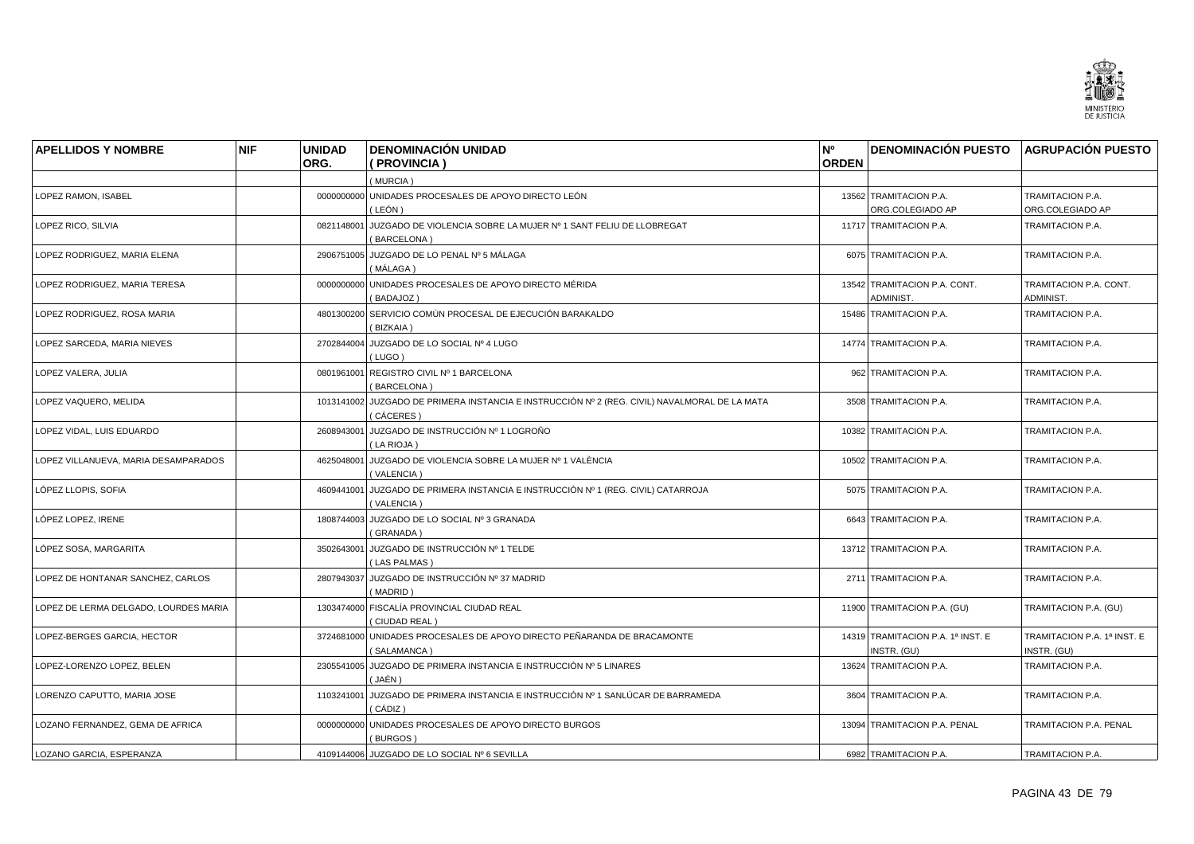

| <b>APELLIDOS Y NOMBRE</b>             | <b>NIF</b> | <b>UNIDAD</b> | <b>DENOMINACIÓN UNIDAD</b>                                                                                | N°           | DENOMINACIÓN PUESTO AGRUPACIÓN PUESTO            |                                            |
|---------------------------------------|------------|---------------|-----------------------------------------------------------------------------------------------------------|--------------|--------------------------------------------------|--------------------------------------------|
|                                       |            | ORG.          | PROVINCIA )                                                                                               | <b>ORDEN</b> |                                                  |                                            |
|                                       |            |               | (MURCIA)                                                                                                  |              |                                                  |                                            |
| <b>LOPEZ RAMON. ISABEL</b>            |            |               | 0000000000 UNIDADES PROCESALES DE APOYO DIRECTO LEÓN                                                      |              | 13562 TRAMITACION P.A.                           | TRAMITACION P.A.                           |
|                                       |            |               | ( LEÓN )                                                                                                  |              | ORG.COLEGIADO AP                                 | ORG.COLEGIADO AP                           |
| LOPEZ RICO, SILVIA                    |            | 0821148001    | JUZGADO DE VIOLENCIA SOBRE LA MUJER Nº 1 SANT FELIU DE LLOBREGAT<br>BARCELONA)                            |              | 11717 TRAMITACION P.A.                           | TRAMITACION P.A.                           |
| LOPEZ RODRIGUEZ, MARIA ELENA          |            |               | 2906751005 JUZGADO DE LO PENAL Nº 5 MÁLAGA<br>(MÁLAGA)                                                    |              | 6075 TRAMITACION P.A.                            | TRAMITACION P.A.                           |
| LOPEZ RODRIGUEZ, MARIA TERESA         |            | 0000000000    | UNIDADES PROCESALES DE APOYO DIRECTO MÉRIDA<br>(BADAJOZ)                                                  |              | 13542 TRAMITACION P.A. CONT.<br>ADMINIST.        | TRAMITACION P.A. CONT.<br>ADMINIST.        |
| LOPEZ RODRIGUEZ, ROSA MARIA           |            |               | 4801300200 SERVICIO COMÚN PROCESAL DE EJECUCIÓN BARAKALDO<br>(BIZKAIA)                                    |              | 15486 TRAMITACION P.A.                           | TRAMITACION P.A.                           |
| LOPEZ SARCEDA, MARIA NIEVES           |            | 2702844004    | JUZGADO DE LO SOCIAL Nº 4 LUGO<br>(LUGO)                                                                  |              | 14774 TRAMITACION P.A.                           | TRAMITACION P.A.                           |
| LOPEZ VALERA, JULIA                   |            |               | 0801961001 REGISTRO CIVIL Nº 1 BARCELONA<br>(BARCELONA)                                                   |              | 962 TRAMITACION P.A.                             | TRAMITACION P.A.                           |
| LOPEZ VAQUERO, MELIDA                 |            |               | 1013141002 JUZGADO DE PRIMERA INSTANCIA E INSTRUCCIÓN Nº 2 (REG. CIVIL) NAVALMORAL DE LA MATA<br>CÁCERES) |              | 3508 TRAMITACION P.A.                            | TRAMITACION P.A.                           |
| LOPEZ VIDAL, LUIS EDUARDO             |            |               | 2608943001 JUZGADO DE INSTRUCCIÓN Nº 1 LOGROÑO<br>(LA RIOJA)                                              |              | 10382 TRAMITACION P.A.                           | TRAMITACION P.A.                           |
| LOPEZ VILLANUEVA, MARIA DESAMPARADOS  |            |               | 4625048001 JUZGADO DE VIOLENCIA SOBRE LA MUJER Nº 1 VALÈNCIA<br>(VALENCIA)                                |              | 10502 TRAMITACION P.A.                           | <b>TRAMITACION P.A.</b>                    |
| LÓPEZ LLOPIS, SOFIA                   |            | 4609441001    | JUZGADO DE PRIMERA INSTANCIA E INSTRUCCIÓN Nº 1 (REG. CIVIL) CATARROJA<br>(VALENCIA)                      |              | 5075 TRAMITACION P.A.                            | TRAMITACION P.A.                           |
| LÓPEZ LOPEZ, IRENE                    |            |               | 1808744003 JUZGADO DE LO SOCIAL Nº 3 GRANADA<br>(GRANADA)                                                 |              | 6643 TRAMITACION P.A.                            | TRAMITACION P.A.                           |
| LÓPEZ SOSA, MARGARITA                 |            | 3502643001    | JUZGADO DE INSTRUCCIÓN Nº 1 TELDE<br>(LAS PALMAS)                                                         |              | 13712 TRAMITACION P.A.                           | TRAMITACION P.A.                           |
| LOPEZ DE HONTANAR SANCHEZ, CARLOS     |            |               | 2807943037 JUZGADO DE INSTRUCCIÓN Nº 37 MADRID<br>(MADRID)                                                |              | 2711 TRAMITACION P.A.                            | TRAMITACION P.A.                           |
| LOPEZ DE LERMA DELGADO, LOURDES MARIA |            |               | 1303474000 FISCALÍA PROVINCIAL CIUDAD REAL<br>(CIUDAD REAL)                                               |              | 11900 TRAMITACION P.A. (GU)                      | TRAMITACION P.A. (GU)                      |
| LOPEZ-BERGES GARCIA, HECTOR           |            | 3724681000    | UNIDADES PROCESALES DE APOYO DIRECTO PEÑARANDA DE BRACAMONTE<br>SALAMANCA)                                |              | 14319 TRAMITACION P.A. 1ª INST. E<br>INSTR. (GU) | TRAMITACION P.A. 1ª INST. E<br>INSTR. (GU) |
| LOPEZ-LORENZO LOPEZ, BELEN            |            | 2305541005    | JUZGADO DE PRIMERA INSTANCIA E INSTRUCCIÓN Nº 5 LINARES<br>( JAÉN )                                       |              | 13624 TRAMITACION P.A.                           | TRAMITACION P.A.                           |
| LORENZO CAPUTTO, MARIA JOSE           |            |               | 1103241001 JUZGADO DE PRIMERA INSTANCIA E INSTRUCCIÓN Nº 1 SANLÚCAR DE BARRAMEDA<br>( CÁDIZ )             |              | 3604 TRAMITACION P.A.                            | TRAMITACION P.A.                           |
| LOZANO FERNANDEZ, GEMA DE AFRICA      |            | 0000000000    | UNIDADES PROCESALES DE APOYO DIRECTO BURGOS<br>(BURGOS)                                                   |              | 13094 TRAMITACION P.A. PENAL                     | TRAMITACION P.A. PENAL                     |
| LOZANO GARCIA, ESPERANZA              |            |               | 4109144006 JUZGADO DE LO SOCIAL Nº 6 SEVILLA                                                              |              | 6982 TRAMITACION P.A.                            | TRAMITACION P.A.                           |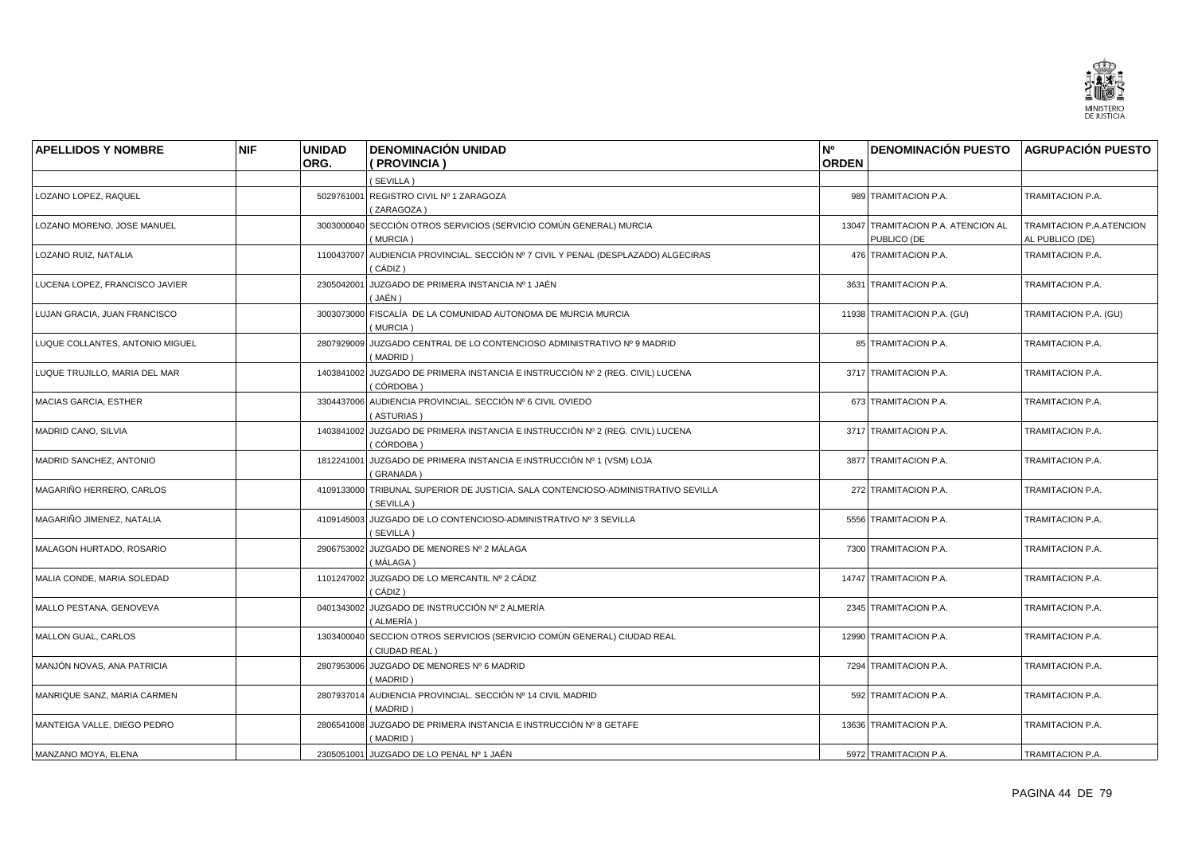

| <b>APELLIDOS Y NOMBRE</b>       | <b>NIF</b> | <b>UNIDAD</b><br>ORG. | <b>DENOMINACIÓN UNIDAD</b><br>(PROVINCIA)                                                      | N°<br><b>ORDEN</b> | DENOMINACIÓN PUESTO AGRUPACIÓN PUESTO             |                                             |
|---------------------------------|------------|-----------------------|------------------------------------------------------------------------------------------------|--------------------|---------------------------------------------------|---------------------------------------------|
|                                 |            |                       | (SEVILLA)                                                                                      |                    |                                                   |                                             |
| LOZANO LOPEZ, RAQUEL            |            |                       | 5029761001 REGISTRO CIVIL Nº 1 ZARAGOZA<br>(ZARAGOZA)                                          |                    | 989 TRAMITACION P.A.                              | TRAMITACION P.A.                            |
| LOZANO MORENO, JOSE MANUEL      |            | 3003000040            | SECCIÓN OTROS SERVICIOS (SERVICIO COMÚN GENERAL) MURCIA<br>(MURCIA)                            |                    | 13047 TRAMITACION P.A. ATENCION AL<br>PUBLICO (DE | TRAMITACION P.A.ATENCION<br>AL PUBLICO (DE) |
| LOZANO RUIZ, NATALIA            |            |                       | 1100437007 AUDIENCIA PROVINCIAL. SECCIÓN Nº 7 CIVIL Y PENAL (DESPLAZADO) ALGECIRAS<br>(CÁDIZ)  |                    | 476 TRAMITACION P.A.                              | TRAMITACION P.A.                            |
| LUCENA LOPEZ, FRANCISCO JAVIER  |            | 2305042001            | JUZGADO DE PRIMERA INSTANCIA Nº 1 JAÉN<br>(JAÉN)                                               |                    | 3631 TRAMITACION P.A.                             | TRAMITACION P.A.                            |
| LUJAN GRACIA, JUAN FRANCISCO    |            |                       | 3003073000 FISCALÍA DE LA COMUNIDAD AUTONOMA DE MURCIA MURCIA<br>(MURCIA)                      |                    | 11938 TRAMITACION P.A. (GU)                       | TRAMITACION P.A. (GU)                       |
| LUQUE COLLANTES, ANTONIO MIGUEL |            | 2807929009            | JUZGADO CENTRAL DE LO CONTENCIOSO ADMINISTRATIVO Nº 9 MADRID<br>(MADRID)                       |                    | 85 TRAMITACION P.A.                               | TRAMITACION P.A.                            |
| LUQUE TRUJILLO, MARIA DEL MAR   |            |                       | 1403841002 JUZGADO DE PRIMERA INSTANCIA E INSTRUCCIÓN Nº 2 (REG. CIVIL) LUCENA<br>(CÓRDOBA )   |                    | 3717 TRAMITACION P.A.                             | TRAMITACION P.A.                            |
| <b>MACIAS GARCIA, ESTHER</b>    |            |                       | 3304437006 AUDIENCIA PROVINCIAL. SECCIÓN Nº 6 CIVIL OVIEDO<br>(ASTURIAS)                       |                    | 673 TRAMITACION P.A.                              | TRAMITACION P.A.                            |
| <b>MADRID CANO, SILVIA</b>      |            |                       | 1403841002 JUZGADO DE PRIMERA INSTANCIA E INSTRUCCIÓN Nº 2 (REG. CIVIL) LUCENA<br>(CÓRDOBA)    |                    | 3717 TRAMITACION P.A.                             | TRAMITACION P.A.                            |
| MADRID SANCHEZ, ANTONIO         |            |                       | 1812241001 JUZGADO DE PRIMERA INSTANCIA E INSTRUCCIÓN Nº 1 (VSM) LOJA<br>(GRANADA)             |                    | 3877 TRAMITACION P.A.                             | TRAMITACION P.A.                            |
| MAGARIÑO HERRERO, CARLOS        |            |                       | 4109133000 TRIBUNAL SUPERIOR DE JUSTICIA. SALA CONTENCIOSO-ADMINISTRATIVO SEVILLA<br>(SEVILLA) |                    | 272 TRAMITACION P.A.                              | TRAMITACION P.A.                            |
| MAGARIÑO JIMENEZ, NATALIA       |            |                       | 4109145003 JUZGADO DE LO CONTENCIOSO-ADMINISTRATIVO Nº 3 SEVILLA<br>(SEVILLA)                  |                    | 5556 TRAMITACION P.A.                             | TRAMITACION P.A.                            |
| MALAGON HURTADO, ROSARIO        |            |                       | 2906753002 JUZGADO DE MENORES Nº 2 MÁLAGA<br>( MÁLAGA )                                        |                    | 7300 TRAMITACION P.A.                             | TRAMITACION P.A.                            |
| MALIA CONDE, MARIA SOLEDAD      |            |                       | 1101247002 JUZGADO DE LO MERCANTIL Nº 2 CÁDIZ<br>( CÁDIZ )                                     |                    | 14747 TRAMITACION P.A.                            | TRAMITACION P.A.                            |
| MALLO PESTANA, GENOVEVA         |            |                       | 0401343002 JUZGADO DE INSTRUCCIÓN Nº 2 ALMERÍA<br>(ALMERÍA)                                    |                    | 2345 TRAMITACION P.A.                             | TRAMITACION P.A.                            |
| MALLON GUAL, CARLOS             |            |                       | 1303400040 SECCION OTROS SERVICIOS (SERVICIO COMÚN GENERAL) CIUDAD REAL<br>(CIUDAD REAL)       |                    | 12990 TRAMITACION P.A.                            | TRAMITACION P.A.                            |
| MANJÓN NOVAS, ANA PATRICIA      |            |                       | 2807953006 JUZGADO DE MENORES Nº 6 MADRID<br>(MADRID)                                          |                    | 7294 TRAMITACION P.A.                             | TRAMITACION P.A.                            |
| MANRIQUE SANZ, MARIA CARMEN     |            |                       | 2807937014 AUDIENCIA PROVINCIAL. SECCIÓN Nº 14 CIVIL MADRID<br>(MADRID)                        |                    | 592 TRAMITACION P.A.                              | TRAMITACION P.A.                            |
| MANTEIGA VALLE, DIEGO PEDRO     |            |                       | 2806541008 JUZGADO DE PRIMERA INSTANCIA E INSTRUCCIÓN Nº 8 GETAFE<br>(MADRID)                  |                    | 13636 TRAMITACION P.A.                            | TRAMITACION P.A.                            |
| MANZANO MOYA, ELENA             |            |                       | 2305051001 JUZGADO DE LO PENAL Nº 1 JAÉN                                                       |                    | 5972 TRAMITACION P.A.                             | TRAMITACION P.A.                            |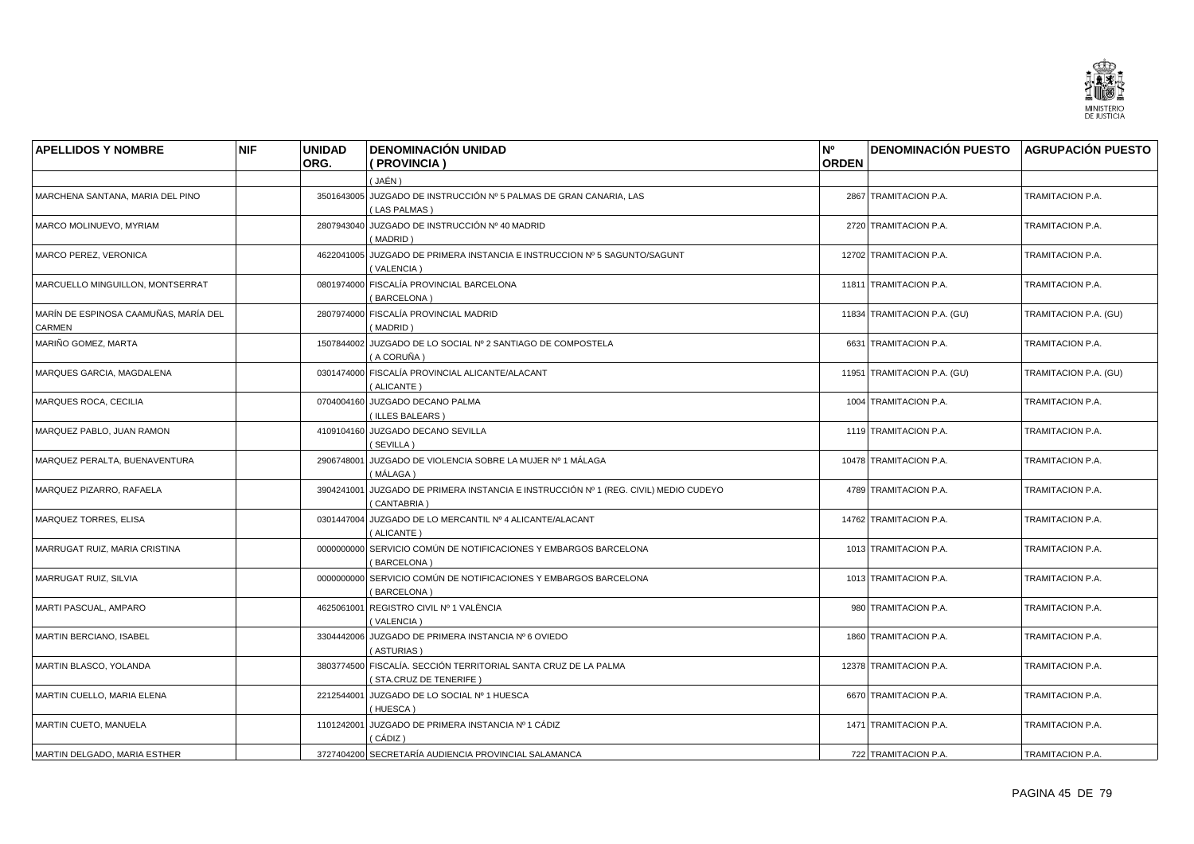

| <b>APELLIDOS Y NOMBRE</b>                       | <b>NIF</b> | <b>UNIDAD</b><br>ORG. | <b>DENOMINACIÓN UNIDAD</b><br>(PROVINCIA)                                                 | N°<br><b>ORDEN</b> | <b>DENOMINACIÓN PUESTO AGRUPACIÓN PUESTO</b> |                       |
|-------------------------------------------------|------------|-----------------------|-------------------------------------------------------------------------------------------|--------------------|----------------------------------------------|-----------------------|
|                                                 |            |                       | ( JAÉN )                                                                                  |                    |                                              |                       |
| MARCHENA SANTANA, MARIA DEL PINO                |            |                       | 3501643005 JUZGADO DE INSTRUCCIÓN Nº 5 PALMAS DE GRAN CANARIA, LAS<br>(LAS PALMAS)        |                    | 2867 TRAMITACION P.A.                        | TRAMITACION P.A.      |
| MARCO MOLINUEVO, MYRIAM                         |            | 2807943040            | JUZGADO DE INSTRUCCIÓN Nº 40 MADRID<br>(MADRID)                                           |                    | 2720 TRAMITACION P.A.                        | TRAMITACION P.A.      |
| MARCO PEREZ, VERONICA                           |            |                       | 4622041005 JUZGADO DE PRIMERA INSTANCIA E INSTRUCCION Nº 5 SAGUNTO/SAGUNT<br>(VALENCIA)   |                    | 12702 TRAMITACION P.A.                       | TRAMITACION P.A.      |
| MARCUELLO MINGUILLON, MONTSERRAT                |            |                       | 0801974000 FISCALÍA PROVINCIAL BARCELONA<br>(BARCELONA)                                   |                    | 11811 TRAMITACION P.A.                       | TRAMITACION P.A.      |
| MARÍN DE ESPINOSA CAAMUÑAS, MARÍA DEL<br>CARMEN |            |                       | 2807974000 FISCALÍA PROVINCIAL MADRID<br>(MADRID)                                         |                    | 11834 TRAMITACION P.A. (GU)                  | TRAMITACION P.A. (GU) |
| MARIÑO GOMEZ, MARTA                             |            |                       | 1507844002 JUZGADO DE LO SOCIAL Nº 2 SANTIAGO DE COMPOSTELA<br>(A CORUÑA)                 |                    | 6631 TRAMITACION P.A.                        | TRAMITACION P.A.      |
| MARQUES GARCIA, MAGDALENA                       |            |                       | 0301474000 FISCALÍA PROVINCIAL ALICANTE/ALACANT<br>(ALICANTE)                             |                    | 11951 TRAMITACION P.A. (GU)                  | TRAMITACION P.A. (GU) |
| MARQUES ROCA, CECILIA                           |            |                       | 0704004160 JUZGADO DECANO PALMA<br>(ILLES BALEARS)                                        |                    | 1004 TRAMITACION P.A.                        | TRAMITACION P.A.      |
| MARQUEZ PABLO, JUAN RAMON                       |            |                       | 4109104160 JUZGADO DECANO SEVILLA<br>(SEVILLA)                                            |                    | 1119 TRAMITACION P.A.                        | TRAMITACION P.A.      |
| MARQUEZ PERALTA, BUENAVENTURA                   |            |                       | 2906748001 JUZGADO DE VIOLENCIA SOBRE LA MUJER Nº 1 MÁLAGA<br>( MÁLAGA )                  |                    | 10478 TRAMITACION P.A.                       | TRAMITACION P.A.      |
| MARQUEZ PIZARRO, RAFAELA                        |            | 3904241001            | JUZGADO DE PRIMERA INSTANCIA E INSTRUCCIÓN Nº 1 (REG. CIVIL) MEDIO CUDEYO<br>(CANTABRIA)  |                    | 4789 TRAMITACION P.A.                        | TRAMITACION P.A.      |
| MARQUEZ TORRES, ELISA                           |            |                       | 0301447004 JUZGADO DE LO MERCANTIL Nº 4 ALICANTE/ALACANT<br>(ALICANTE)                    |                    | 14762 TRAMITACION P.A.                       | TRAMITACION P.A.      |
| MARRUGAT RUIZ, MARIA CRISTINA                   |            |                       | 0000000000 SERVICIO COMÚN DE NOTIFICACIONES Y EMBARGOS BARCELONA<br>(BARCELONA)           |                    | 1013 TRAMITACION P.A.                        | TRAMITACION P.A.      |
| MARRUGAT RUIZ, SILVIA                           |            |                       | 0000000000 SERVICIO COMÚN DE NOTIFICACIONES Y EMBARGOS BARCELONA<br>(BARCELONA)           |                    | 1013 TRAMITACION P.A.                        | TRAMITACION P.A.      |
| MARTI PASCUAL, AMPARO                           |            | 4625061001            | REGISTRO CIVIL Nº 1 VALÈNCIA<br>(VALENCIA)                                                |                    | 980 TRAMITACION P.A.                         | TRAMITACION P.A.      |
| <b>MARTIN BERCIANO, ISABEL</b>                  |            |                       | 3304442006 JUZGADO DE PRIMERA INSTANCIA Nº 6 OVIEDO<br>(ASTURIAS)                         |                    | 1860 TRAMITACION P.A.                        | TRAMITACION P.A.      |
| MARTIN BLASCO, YOLANDA                          |            |                       | 3803774500 FISCALÍA. SECCIÓN TERRITORIAL SANTA CRUZ DE LA PALMA<br>(STA.CRUZ DE TENERIFE) |                    | 12378 TRAMITACION P.A.                       | TRAMITACION P.A.      |
| MARTIN CUELLO, MARIA ELENA                      |            |                       | 2212544001 JUZGADO DE LO SOCIAL Nº 1 HUESCA<br>(HUESCA)                                   |                    | 6670 TRAMITACION P.A.                        | TRAMITACION P.A.      |
| MARTIN CUETO, MANUELA                           |            | 1101242001            | JUZGADO DE PRIMERA INSTANCIA Nº 1 CÁDIZ<br>( CÁDIZ )                                      |                    | 1471 TRAMITACION P.A.                        | TRAMITACION P.A.      |
| MARTIN DELGADO, MARIA ESTHER                    |            |                       | 3727404200 SECRETARÍA AUDIENCIA PROVINCIAL SALAMANCA                                      |                    | 722 TRAMITACION P.A.                         | TRAMITACION P.A.      |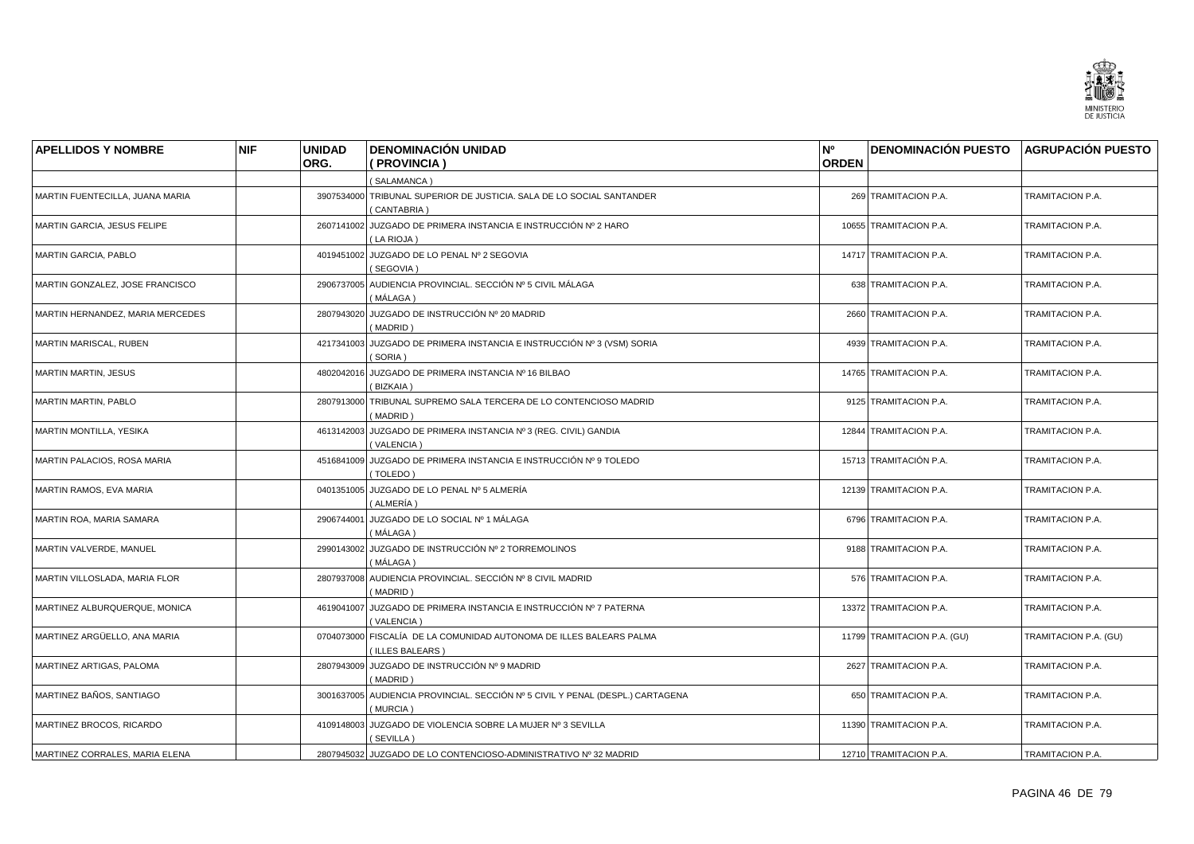

| <b>APELLIDOS Y NOMBRE</b>          | <b>NIF</b> | <b>UNIDAD</b> | <b>DENOMINACIÓN UNIDAD</b>                                                                 | N°           | <b>DENOMINACIÓN PUESTO AGRUPACIÓN PUESTO</b> |                       |
|------------------------------------|------------|---------------|--------------------------------------------------------------------------------------------|--------------|----------------------------------------------|-----------------------|
|                                    |            | ORG.          | (PROVINCIA)                                                                                | <b>ORDEN</b> |                                              |                       |
|                                    |            |               | (SALAMANCA)                                                                                |              |                                              |                       |
| MARTIN FUENTECILLA, JUANA MARIA    |            |               | 3907534000 TRIBUNAL SUPERIOR DE JUSTICIA. SALA DE LO SOCIAL SANTANDER<br>(CANTABRIA)       |              | 269 TRAMITACION P.A.                         | TRAMITACION P.A.      |
| MARTIN GARCIA, JESUS FELIPE        |            |               | 2607141002 JUZGADO DE PRIMERA INSTANCIA E INSTRUCCIÓN Nº 2 HARO<br>(LA RIOJA)              |              | 10655 TRAMITACION P.A.                       | TRAMITACION P.A.      |
| <b>MARTIN GARCIA, PABLO</b>        |            |               | 4019451002 JUZGADO DE LO PENAL Nº 2 SEGOVIA<br>(SEGOVIA)                                   |              | 14717 TRAMITACION P.A.                       | TRAMITACION P.A.      |
| MARTIN GONZALEZ, JOSE FRANCISCO    |            |               | 2906737005 AUDIENCIA PROVINCIAL. SECCIÓN Nº 5 CIVIL MÁLAGA<br>(MÁLAGA)                     |              | 638 TRAMITACION P.A.                         | TRAMITACION P.A.      |
| MARTIN HERNANDEZ, MARIA MERCEDES   |            |               | 2807943020 JUZGADO DE INSTRUCCIÓN Nº 20 MADRID<br>(MADRID)                                 |              | 2660 TRAMITACION P.A.                        | TRAMITACION P.A.      |
| <b>MARTIN MARISCAL, RUBEN</b>      |            |               | 4217341003 JUZGADO DE PRIMERA INSTANCIA E INSTRUCCIÓN Nº 3 (VSM) SORIA<br>(SORIA)          |              | 4939 TRAMITACION P.A.                        | TRAMITACION P.A.      |
| <b>MARTIN MARTIN, JESUS</b>        |            |               | 4802042016 JUZGADO DE PRIMERA INSTANCIA Nº 16 BILBAO<br>(BIZKAIA)                          |              | 14765 TRAMITACION P.A.                       | TRAMITACION P.A.      |
| MARTIN MARTIN, PABLO               |            |               | 2807913000 TRIBUNAL SUPREMO SALA TERCERA DE LO CONTENCIOSO MADRID<br>(MADRID)              |              | 9125 TRAMITACION P.A.                        | TRAMITACION P.A.      |
| MARTIN MONTILLA, YESIKA            |            |               | 4613142003 JUZGADO DE PRIMERA INSTANCIA Nº 3 (REG. CIVIL) GANDIA<br>(VALENCIA)             |              | 12844 TRAMITACION P.A.                       | TRAMITACION P.A.      |
| <b>MARTIN PALACIOS, ROSA MARIA</b> |            |               | 4516841009 JUZGADO DE PRIMERA INSTANCIA E INSTRUCCIÓN Nº 9 TOLEDO<br>(TOLEDO)              |              | 15713 TRAMITACIÓN P.A.                       | TRAMITACION P.A.      |
| MARTIN RAMOS, EVA MARIA            |            |               | 0401351005 JUZGADO DE LO PENAL Nº 5 ALMERÍA<br>(ALMERÍA)                                   |              | 12139 TRAMITACION P.A.                       | TRAMITACION P.A.      |
| MARTIN ROA, MARIA SAMARA           |            |               | 2906744001 JUZGADO DE LO SOCIAL Nº 1 MÁLAGA<br>( MÁLAGA )                                  |              | 6796 TRAMITACION P.A.                        | TRAMITACION P.A.      |
| MARTIN VALVERDE, MANUEL            |            |               | 2990143002 JUZGADO DE INSTRUCCIÓN Nº 2 TORREMOLINOS<br>(MÁLAGA)                            |              | 9188 TRAMITACION P.A.                        | TRAMITACION P.A.      |
| MARTIN VILLOSLADA, MARIA FLOR      |            |               | 2807937008 AUDIENCIA PROVINCIAL. SECCIÓN Nº 8 CIVIL MADRID<br>(MADRID)                     |              | 576 TRAMITACION P.A.                         | TRAMITACION P.A.      |
| MARTINEZ ALBURQUERQUE, MONICA      |            | 4619041007    | JUZGADO DE PRIMERA INSTANCIA E INSTRUCCIÓN Nº 7 PATERNA<br>(VALENCIA)                      |              | 13372 TRAMITACION P.A.                       | TRAMITACION P.A.      |
| MARTINEZ ARGÜELLO, ANA MARIA       |            |               | 0704073000 FISCALÍA DE LA COMUNIDAD AUTONOMA DE ILLES BALEARS PALMA<br>(ILLES BALEARS)     |              | 11799 TRAMITACION P.A. (GU)                  | TRAMITACION P.A. (GU) |
| MARTINEZ ARTIGAS, PALOMA           |            |               | 2807943009 JUZGADO DE INSTRUCCIÓN Nº 9 MADRID<br>(MADRID)                                  |              | 2627 TRAMITACION P.A.                        | TRAMITACION P.A.      |
| MARTINEZ BAÑOS, SANTIAGO           |            |               | 3001637005 AUDIENCIA PROVINCIAL. SECCIÓN Nº 5 CIVIL Y PENAL (DESPL.) CARTAGENA<br>(MURCIA) |              | 650 TRAMITACION P.A.                         | TRAMITACION P.A.      |
| MARTINEZ BROCOS, RICARDO           |            |               | 4109148003 JUZGADO DE VIOLENCIA SOBRE LA MUJER Nº 3 SEVILLA<br>(SEVILLA)                   |              | 11390 TRAMITACION P.A.                       | TRAMITACION P.A.      |
| MARTINEZ CORRALES, MARIA ELENA     |            |               | 2807945032 JUZGADO DE LO CONTENCIOSO-ADMINISTRATIVO Nº 32 MADRID                           |              | 12710 TRAMITACION P.A.                       | TRAMITACION P.A.      |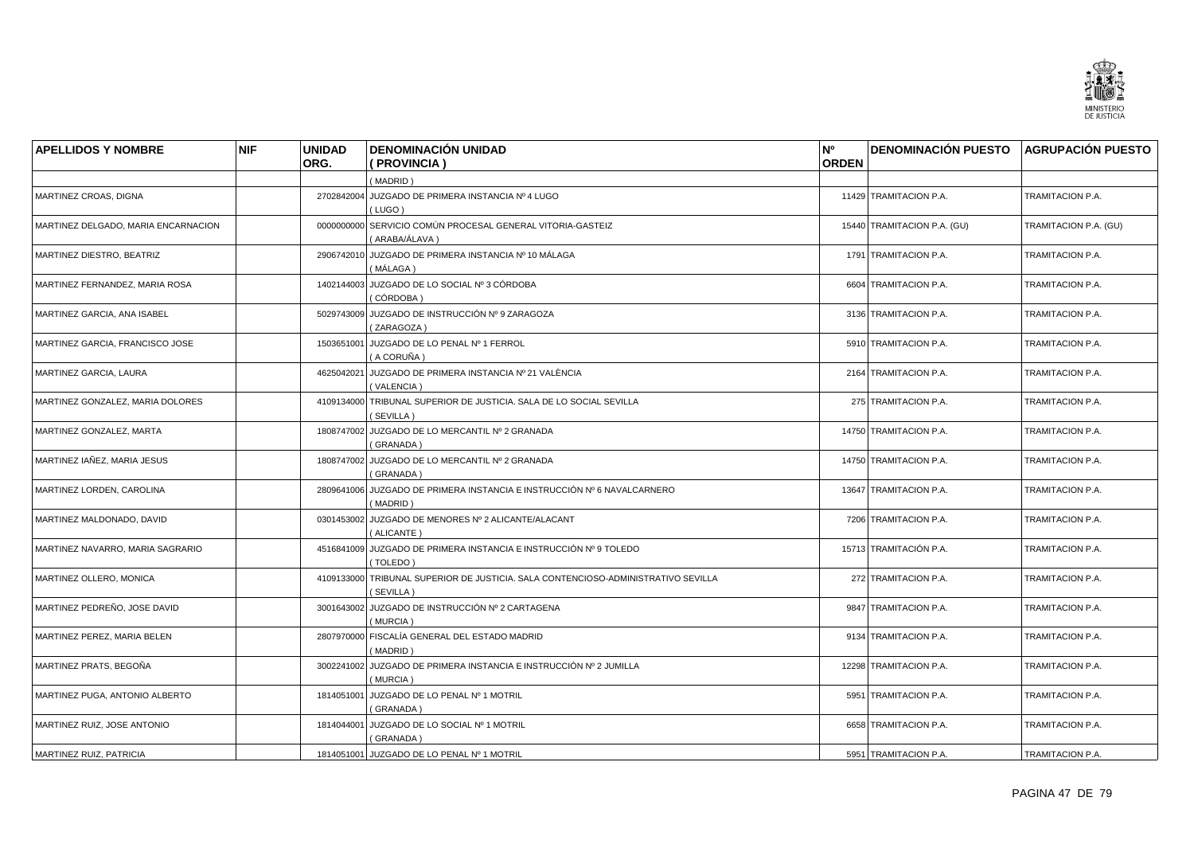

| <b>APELLIDOS Y NOMBRE</b>           | <b>NIF</b> | <b>UNIDAD</b> | <b>DENOMINACIÓN UNIDAD</b>                                                                     | N°           | <b>DENOMINACIÓN PUESTO AGRUPACIÓN PUESTO</b> |                       |
|-------------------------------------|------------|---------------|------------------------------------------------------------------------------------------------|--------------|----------------------------------------------|-----------------------|
|                                     |            | ORG.          | (PROVINCIA)                                                                                    | <b>ORDEN</b> |                                              |                       |
|                                     |            |               | (MADRID)                                                                                       |              |                                              |                       |
| MARTINEZ CROAS, DIGNA               |            |               | 2702842004 JUZGADO DE PRIMERA INSTANCIA Nº 4 LUGO<br>(LUGO)                                    |              | 11429 TRAMITACION P.A.                       | TRAMITACION P.A.      |
| MARTINEZ DELGADO, MARIA ENCARNACION |            |               | 0000000000 SERVICIO COMÚN PROCESAL GENERAL VITORIA-GASTEIZ<br>(ARABA/ÁLAVA)                    |              | 15440 TRAMITACION P.A. (GU)                  | TRAMITACION P.A. (GU) |
| MARTINEZ DIESTRO, BEATRIZ           |            |               | 2906742010 JUZGADO DE PRIMERA INSTANCIA Nº 10 MÁLAGA<br>( MÁLAGA )                             |              | 1791 TRAMITACION P.A.                        | TRAMITACION P.A.      |
| MARTINEZ FERNANDEZ, MARIA ROSA      |            |               | 1402144003 JUZGADO DE LO SOCIAL Nº 3 CÓRDOBA<br>(CÓRDOBA)                                      |              | 6604 TRAMITACION P.A.                        | TRAMITACION P.A.      |
| MARTINEZ GARCIA, ANA ISABEL         |            |               | 5029743009 JUZGADO DE INSTRUCCIÓN Nº 9 ZARAGOZA<br>(ZARAGOZA)                                  |              | 3136 TRAMITACION P.A.                        | TRAMITACION P.A.      |
| MARTINEZ GARCIA, FRANCISCO JOSE     |            |               | 1503651001 JUZGADO DE LO PENAL Nº 1 FERROL<br>(A CORUÑA)                                       |              | 5910 TRAMITACION P.A.                        | TRAMITACION P.A.      |
| MARTINEZ GARCIA, LAURA              |            |               | 4625042021 JUZGADO DE PRIMERA INSTANCIA Nº 21 VALÈNCIA<br>(VALENCIA)                           |              | 2164 TRAMITACION P.A.                        | TRAMITACION P.A.      |
| MARTINEZ GONZALEZ. MARIA DOLORES    |            |               | 4109134000 TRIBUNAL SUPERIOR DE JUSTICIA. SALA DE LO SOCIAL SEVILLA<br>(SEVILLA)               |              | 275 TRAMITACION P.A.                         | TRAMITACION P.A.      |
| MARTINEZ GONZALEZ, MARTA            |            |               | 1808747002 JUZGADO DE LO MERCANTIL Nº 2 GRANADA<br>(GRANADA)                                   |              | 14750 TRAMITACION P.A.                       | TRAMITACION P.A.      |
| MARTINEZ IAÑEZ, MARIA JESUS         |            |               | 1808747002 JUZGADO DE LO MERCANTIL Nº 2 GRANADA<br>(GRANADA)                                   |              | 14750 TRAMITACION P.A.                       | TRAMITACION P.A.      |
| MARTINEZ LORDEN, CAROLINA           |            |               | 2809641006 JUZGADO DE PRIMERA INSTANCIA E INSTRUCCIÓN Nº 6 NAVALCARNERO<br>(MADRID)            |              | 13647 TRAMITACION P.A.                       | TRAMITACION P.A.      |
| MARTINEZ MALDONADO, DAVID           |            |               | 0301453002 JUZGADO DE MENORES Nº 2 ALICANTE/ALACANT<br>(ALICANTE)                              |              | 7206 TRAMITACION P.A.                        | TRAMITACION P.A.      |
| MARTINEZ NAVARRO, MARIA SAGRARIO    |            |               | 4516841009 JUZGADO DE PRIMERA INSTANCIA E INSTRUCCIÓN Nº 9 TOLEDO<br>(TOLEDO)                  |              | 15713 TRAMITACIÓN P.A.                       | TRAMITACION P.A.      |
| MARTINEZ OLLERO, MONICA             |            |               | 4109133000 TRIBUNAL SUPERIOR DE JUSTICIA. SALA CONTENCIOSO-ADMINISTRATIVO SEVILLA<br>(SEVILLA) |              | 272 TRAMITACION P.A.                         | TRAMITACION P.A.      |
| MARTINEZ PEDREÑO, JOSE DAVID        |            |               | 3001643002 JUZGADO DE INSTRUCCIÓN Nº 2 CARTAGENA<br>(MURCIA)                                   |              | 9847 TRAMITACION P.A.                        | TRAMITACION P.A.      |
| MARTINEZ PEREZ, MARIA BELEN         |            |               | 2807970000 FISCALÍA GENERAL DEL ESTADO MADRID<br>(MADRID)                                      |              | 9134 TRAMITACION P.A.                        | TRAMITACION P.A.      |
| MARTINEZ PRATS, BEGOÑA              |            |               | 3002241002 JUZGADO DE PRIMERA INSTANCIA E INSTRUCCIÓN Nº 2 JUMILLA<br>(MURCIA)                 |              | 12298 TRAMITACION P.A.                       | TRAMITACION P.A.      |
| MARTINEZ PUGA, ANTONIO ALBERTO      |            |               | 1814051001 JUZGADO DE LO PENAL Nº 1 MOTRIL<br>(GRANADA)                                        |              | 5951 TRAMITACION P.A.                        | TRAMITACION P.A.      |
| MARTINEZ RUIZ, JOSE ANTONIO         |            |               | 1814044001 JUZGADO DE LO SOCIAL Nº 1 MOTRIL<br>(GRANADA)                                       |              | 6658 TRAMITACION P.A.                        | TRAMITACION P.A.      |
| MARTINEZ RUIZ, PATRICIA             |            |               | 1814051001 JUZGADO DE LO PENAL Nº 1 MOTRIL                                                     |              | 5951 TRAMITACION P.A.                        | TRAMITACION P.A.      |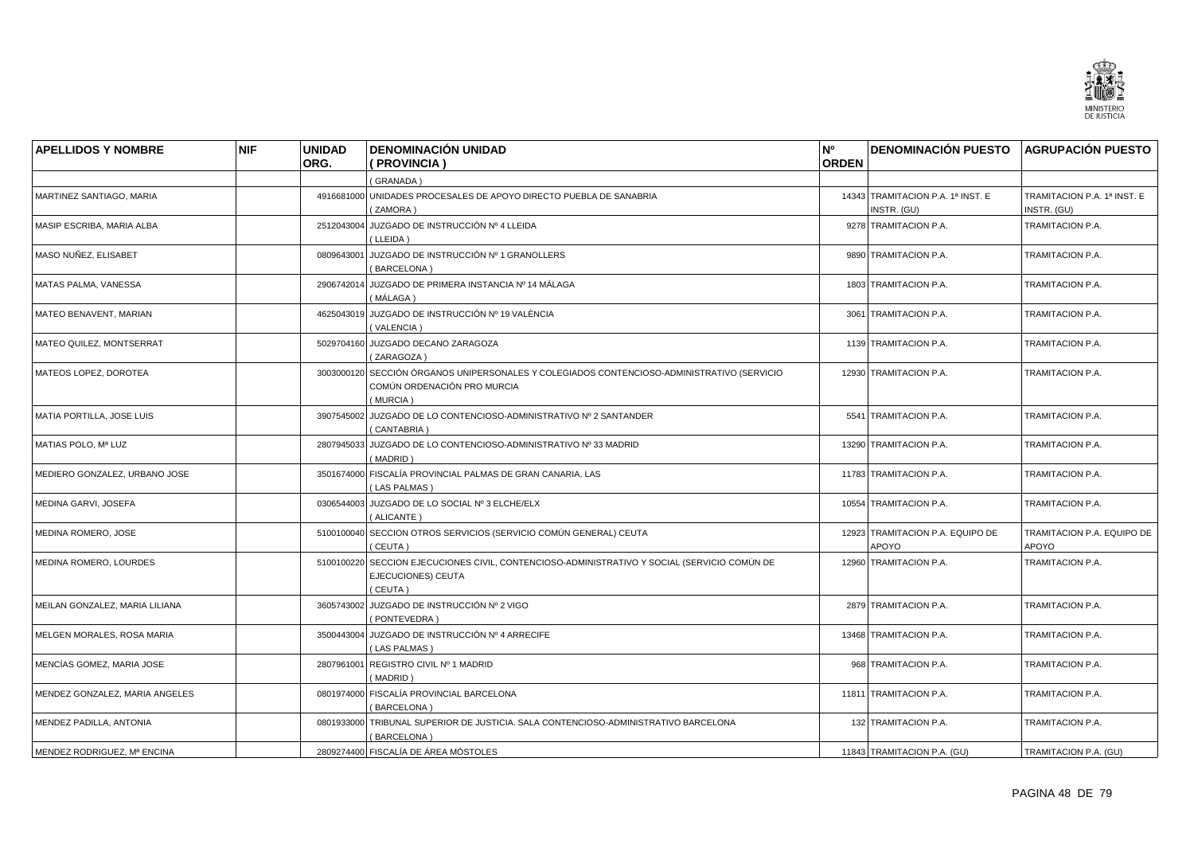

| <b>APELLIDOS Y NOMBRE</b>      | <b>NIF</b> | <b>UNIDAD</b> | <b>DENOMINACIÓN UNIDAD</b>                                                                                                            | N <sup>o</sup> | DENOMINACIÓN PUESTO AGRUPACIÓN PUESTO            |                                            |
|--------------------------------|------------|---------------|---------------------------------------------------------------------------------------------------------------------------------------|----------------|--------------------------------------------------|--------------------------------------------|
|                                |            | ORG.          | ( PROVINCIA )                                                                                                                         | <b>ORDEN</b>   |                                                  |                                            |
|                                |            |               | (GRANADA)                                                                                                                             |                |                                                  |                                            |
| MARTINEZ SANTIAGO, MARIA       |            |               | 4916681000 UNIDADES PROCESALES DE APOYO DIRECTO PUEBLA DE SANABRIA<br>(ZAMORA)                                                        |                | 14343 TRAMITACION P.A. 1ª INST. E<br>INSTR. (GU) | TRAMITACION P.A. 1ª INST. E<br>INSTR. (GU) |
| MASIP ESCRIBA, MARIA ALBA      |            | 2512043004    | JUZGADO DE INSTRUCCIÓN Nº 4 LLEIDA<br>(LLEIDA)                                                                                        |                | 9278 TRAMITACION P.A.                            | TRAMITACION P.A.                           |
| MASO NUÑEZ, ELISABET           |            | 0809643001    | JUZGADO DE INSTRUCCIÓN Nº 1 GRANOLLERS<br>(BARCELONA)                                                                                 |                | 9890 TRAMITACION P.A.                            | TRAMITACION P.A.                           |
| MATAS PALMA, VANESSA           |            | 2906742014    | JUZGADO DE PRIMERA INSTANCIA Nº 14 MÁLAGA<br>( MÁLAGA )                                                                               |                | 1803 TRAMITACION P.A.                            | TRAMITACION P.A.                           |
| MATEO BENAVENT, MARIAN         |            |               | 4625043019 JUZGADO DE INSTRUCCIÓN Nº 19 VALÈNCIA<br>(VALENCIA)                                                                        |                | 3061 TRAMITACION P.A.                            | TRAMITACION P.A.                           |
| MATEO QUILEZ, MONTSERRAT       |            |               | 5029704160 JUZGADO DECANO ZARAGOZA<br>(ZARAGOZA)                                                                                      |                | 1139 TRAMITACION P.A.                            | TRAMITACION P.A.                           |
| MATEOS LOPEZ, DOROTEA          |            |               | 3003000120 SECCIÓN ÓRGANOS UNIPERSONALES Y COLEGIADOS CONTENCIOSO-ADMINISTRATIVO (SERVICIO<br>COMÚN ORDENACIÓN PRO MURCIA<br>(MURCIA) |                | 12930 TRAMITACION P.A.                           | TRAMITACION P.A.                           |
| MATIA PORTILLA, JOSE LUIS      |            |               | 3907545002 JUZGADO DE LO CONTENCIOSO-ADMINISTRATIVO Nº 2 SANTANDER<br>(CANTABRIA)                                                     |                | 5541 TRAMITACION P.A.                            | TRAMITACION P.A.                           |
| MATIAS POLO, Mª LUZ            |            |               | 2807945033 JUZGADO DE LO CONTENCIOSO-ADMINISTRATIVO Nº 33 MADRID<br>(MADRID)                                                          |                | 13290 TRAMITACION P.A.                           | TRAMITACION P.A.                           |
| MEDIERO GONZALEZ, URBANO JOSE  |            | 3501674000    | FISCALÍA PROVINCIAL PALMAS DE GRAN CANARIA, LAS<br>(LAS PALMAS)                                                                       |                | 11783 TRAMITACION P.A.                           | TRAMITACION P.A.                           |
| MEDINA GARVI, JOSEFA           |            |               | 0306544003 JUZGADO DE LO SOCIAL Nº 3 ELCHE/ELX<br>(ALICANTE)                                                                          |                | 10554 TRAMITACION P.A.                           | TRAMITACION P.A.                           |
| MEDINA ROMERO, JOSE            |            |               | 5100100040 SECCION OTROS SERVICIOS (SERVICIO COMÚN GENERAL) CEUTA<br>(CEUTA)                                                          |                | 12923 TRAMITACION P.A. EQUIPO DE<br>APOYO        | TRAMITACION P.A. EQUIPO DE<br>APOYO        |
| MEDINA ROMERO, LOURDES         |            |               | 5100100220 SECCION EJECUCIONES CIVIL, CONTENCIOSO-ADMINISTRATIVO Y SOCIAL (SERVICIO COMÚN DE<br>EJECUCIONES) CEUTA<br>(CEUTA)         |                | 12960 TRAMITACION P.A.                           | TRAMITACION P.A.                           |
| MEILAN GONZALEZ, MARIA LILIANA |            |               | 3605743002 JUZGADO DE INSTRUCCIÓN Nº 2 VIGO<br>(PONTEVEDRA)                                                                           |                | 2879 TRAMITACION P.A.                            | TRAMITACION P.A.                           |
| MELGEN MORALES, ROSA MARIA     |            |               | 3500443004 JUZGADO DE INSTRUCCIÓN Nº 4 ARRECIFE<br>(LAS PALMAS)                                                                       |                | 13468 TRAMITACION P.A.                           | TRAMITACION P.A.                           |
| MENCÍAS GOMEZ, MARIA JOSE      |            | 2807961001    | REGISTRO CIVIL Nº 1 MADRID<br>(MADRID)                                                                                                |                | 968 TRAMITACION P.A.                             | TRAMITACION P.A.                           |
| MENDEZ GONZALEZ, MARIA ANGELES |            |               | 0801974000 FISCALÍA PROVINCIAL BARCELONA<br>(BARCELONA)                                                                               |                | 11811 TRAMITACION P.A.                           | TRAMITACION P.A.                           |
| MENDEZ PADILLA, ANTONIA        |            |               | 0801933000 TRIBUNAL SUPERIOR DE JUSTICIA. SALA CONTENCIOSO-ADMINISTRATIVO BARCELONA<br>(BARCELONA)                                    |                | 132 TRAMITACION P.A.                             | TRAMITACION P.A.                           |
| MENDEZ RODRIGUEZ, Mª ENCINA    |            |               | 2809274400 FISCALÍA DE ÁREA MÓSTOLES                                                                                                  |                | 11843 TRAMITACION P.A. (GU)                      | TRAMITACION P.A. (GU)                      |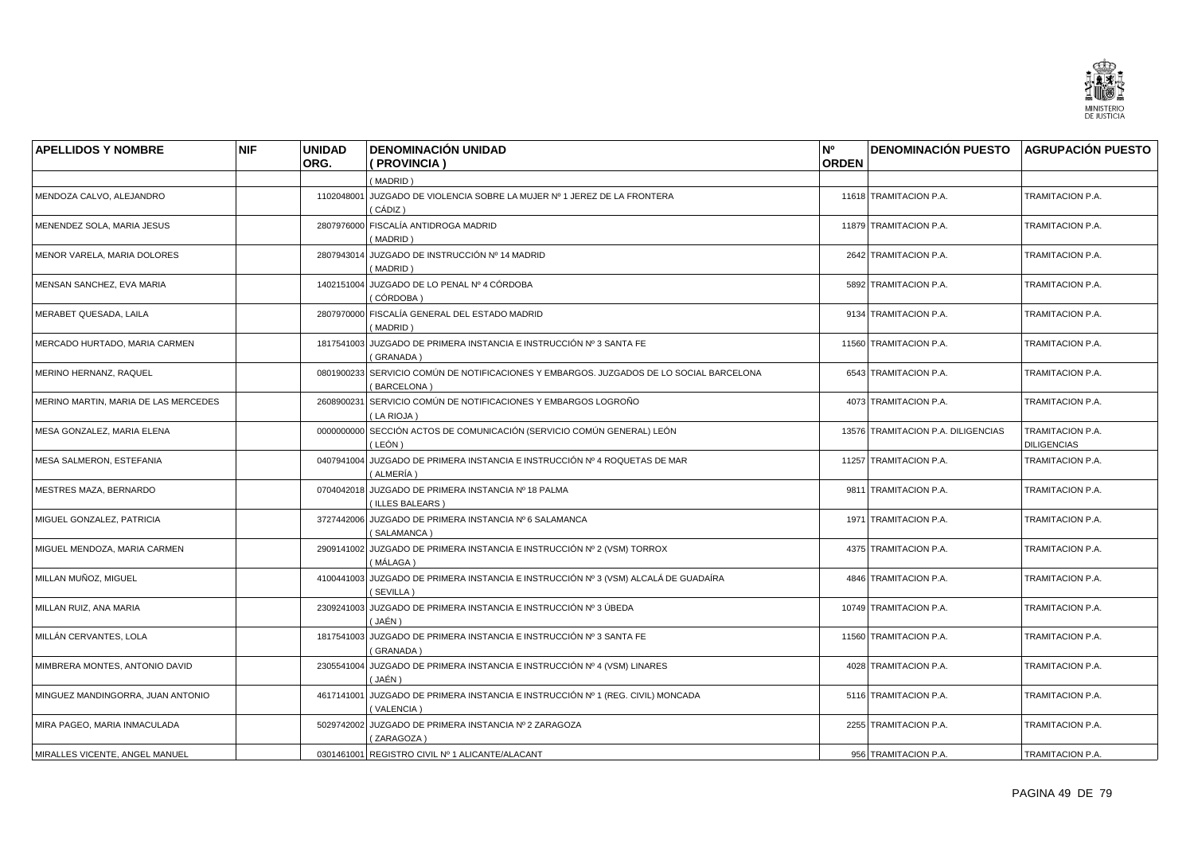

| <b>APELLIDOS Y NOMBRE</b>            | <b>NIF</b> | <b>UNIDAD</b> | <b>DENOMINACIÓN UNIDAD</b>                                                                             | N <sup>o</sup> | DENOMINACIÓN PUESTO AGRUPACIÓN PUESTO |                                        |
|--------------------------------------|------------|---------------|--------------------------------------------------------------------------------------------------------|----------------|---------------------------------------|----------------------------------------|
|                                      |            | ORG.          | (PROVINCIA)                                                                                            | <b>ORDEN</b>   |                                       |                                        |
|                                      |            |               | (MADRID)                                                                                               |                |                                       |                                        |
| MENDOZA CALVO, ALEJANDRO             |            |               | 1102048001 JUZGADO DE VIOLENCIA SOBRE LA MUJER Nº 1 JEREZ DE LA FRONTERA<br>(CÁDIZ)                    |                | 11618 TRAMITACION P.A.                | TRAMITACION P.A.                       |
| MENENDEZ SOLA, MARIA JESUS           |            |               | 2807976000 FISCALÍA ANTIDROGA MADRID<br>(MADRID)                                                       |                | 11879 TRAMITACION P.A.                | TRAMITACION P.A.                       |
| MENOR VARELA, MARIA DOLORES          |            |               | 2807943014 JUZGADO DE INSTRUCCIÓN Nº 14 MADRID<br>(MADRID)                                             |                | 2642 TRAMITACION P.A.                 | TRAMITACION P.A.                       |
| MENSAN SANCHEZ, EVA MARIA            |            |               | 1402151004 JUZGADO DE LO PENAL Nº 4 CÓRDOBA<br>(CÓRDOBA)                                               |                | 5892 TRAMITACION P.A.                 | TRAMITACION P.A.                       |
| MERABET QUESADA, LAILA               |            |               | 2807970000 FISCALÍA GENERAL DEL ESTADO MADRID<br>(MADRID)                                              |                | 9134 TRAMITACION P.A.                 | TRAMITACION P.A.                       |
| MERCADO HURTADO, MARIA CARMEN        |            |               | 1817541003 JUZGADO DE PRIMERA INSTANCIA E INSTRUCCIÓN Nº 3 SANTA FE<br>(GRANADA)                       |                | 11560 TRAMITACION P.A.                | TRAMITACION P.A.                       |
| MERINO HERNANZ, RAQUEL               |            |               | 0801900233 SERVICIO COMÚN DE NOTIFICACIONES Y EMBARGOS. JUZGADOS DE LO SOCIAL BARCELONA<br>(BARCELONA) |                | 6543 TRAMITACION P.A.                 | TRAMITACION P.A.                       |
| MERINO MARTIN. MARIA DE LAS MERCEDES |            | 2608900231    | SERVICIO COMÚN DE NOTIFICACIONES Y EMBARGOS LOGROÑO<br>(LA RIOJA)                                      |                | 4073 TRAMITACION P.A.                 | TRAMITACION P.A.                       |
| MESA GONZALEZ, MARIA ELENA           |            |               | 0000000000 SECCIÓN ACTOS DE COMUNICACIÓN (SERVICIO COMÚN GENERAL) LEÓN<br>( LEÓN )                     |                | 13576 TRAMITACION P.A. DILIGENCIAS    | TRAMITACION P.A.<br><b>DILIGENCIAS</b> |
| MESA SALMERON, ESTEFANIA             |            |               | 0407941004 JUZGADO DE PRIMERA INSTANCIA E INSTRUCCIÓN Nº 4 ROQUETAS DE MAR<br>(ALMERÍA)                |                | 11257 TRAMITACION P.A.                | TRAMITACION P.A.                       |
| MESTRES MAZA, BERNARDO               |            | 0704042018    | JUZGADO DE PRIMERA INSTANCIA Nº 18 PALMA<br>(ILLES BALEARS)                                            |                | 9811 TRAMITACION P.A.                 | TRAMITACION P.A.                       |
| MIGUEL GONZALEZ, PATRICIA            |            |               | 3727442006 JUZGADO DE PRIMERA INSTANCIA Nº 6 SALAMANCA<br>(SALAMANCA)                                  |                | 1971 TRAMITACION P.A.                 | TRAMITACION P.A.                       |
| MIGUEL MENDOZA, MARIA CARMEN         |            |               | 2909141002 JUZGADO DE PRIMERA INSTANCIA E INSTRUCCIÓN Nº 2 (VSM) TORROX<br>(MÁLAGA)                    |                | 4375 TRAMITACION P.A.                 | TRAMITACION P.A.                       |
| MILLAN MUÑOZ, MIGUEL                 |            |               | 4100441003 JUZGADO DE PRIMERA INSTANCIA E INSTRUCCIÓN Nº 3 (VSM) ALCALÁ DE GUADAÍRA<br>(SEVILLA)       |                | 4846 TRAMITACION P.A.                 | TRAMITACION P.A.                       |
| MILLAN RUIZ, ANA MARIA               |            | 2309241003    | JUZGADO DE PRIMERA INSTANCIA E INSTRUCCIÓN № 3 ÚBEDA<br>(JAÉN)                                         |                | 10749 TRAMITACION P.A.                | TRAMITACION P.A.                       |
| MILLÁN CERVANTES, LOLA               |            |               | 1817541003 JUZGADO DE PRIMERA INSTANCIA E INSTRUCCIÓN Nº 3 SANTA FE<br>(GRANADA)                       |                | 11560 TRAMITACION P.A.                | TRAMITACION P.A.                       |
| MIMBRERA MONTES, ANTONIO DAVID       |            |               | 2305541004 JUZGADO DE PRIMERA INSTANCIA E INSTRUCCIÓN Nº 4 (VSM) LINARES<br>(JAÉN)                     |                | 4028 TRAMITACION P.A.                 | TRAMITACION P.A.                       |
| MINGUEZ MANDINGORRA, JUAN ANTONIO    |            |               | 4617141001 JUZGADO DE PRIMERA INSTANCIA E INSTRUCCIÓN Nº 1 (REG. CIVIL) MONCADA<br>(VALENCIA)          |                | 5116 TRAMITACION P.A.                 | TRAMITACION P.A.                       |
| MIRA PAGEO, MARIA INMACULADA         |            |               | 5029742002 JUZGADO DE PRIMERA INSTANCIA Nº 2 ZARAGOZA<br>(ZARAGOZA)                                    |                | 2255 TRAMITACION P.A.                 | TRAMITACION P.A.                       |
| MIRALLES VICENTE, ANGEL MANUEL       |            |               | 0301461001 REGISTRO CIVIL Nº 1 ALICANTE/ALACANT                                                        |                | 956 TRAMITACION P.A.                  | TRAMITACION P.A.                       |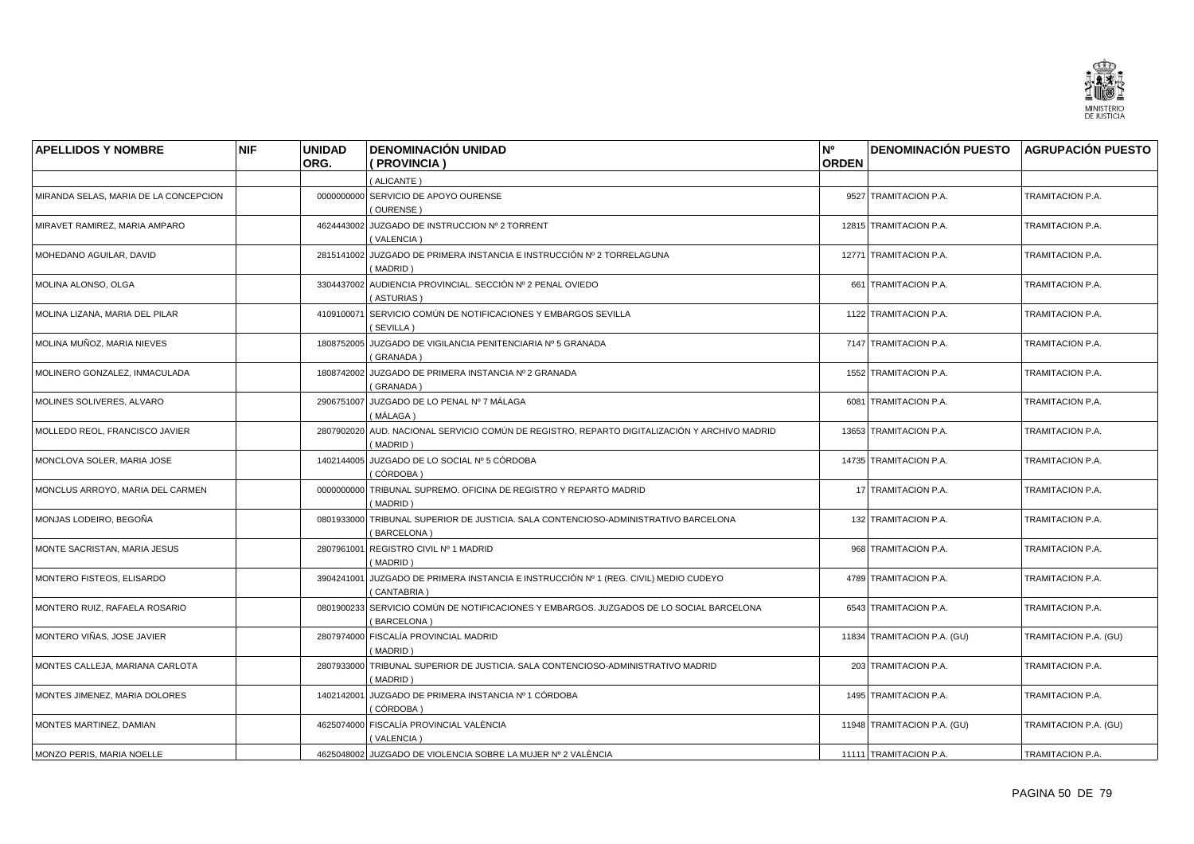

| <b>APELLIDOS Y NOMBRE</b>             | <b>NIF</b> | <b>UNIDAD</b><br>ORG. | <b>DENOMINACIÓN UNIDAD</b><br>(PROVINCIA)                                                                | N°<br><b>ORDEN</b> | <b>DENOMINACIÓN PUESTO AGRUPACIÓN PUESTO</b> |                       |
|---------------------------------------|------------|-----------------------|----------------------------------------------------------------------------------------------------------|--------------------|----------------------------------------------|-----------------------|
|                                       |            |                       | (ALICANTE)                                                                                               |                    |                                              |                       |
| MIRANDA SELAS, MARIA DE LA CONCEPCION |            |                       | 0000000000 SERVICIO DE APOYO OURENSE<br>(OURENSE)                                                        |                    | 9527 TRAMITACION P.A.                        | TRAMITACION P.A.      |
| MIRAVET RAMIREZ, MARIA AMPARO         |            |                       | 4624443002 JUZGADO DE INSTRUCCION Nº 2 TORRENT<br>(VALENCIA)                                             |                    | 12815 TRAMITACION P.A.                       | TRAMITACION P.A.      |
| MOHEDANO AGUILAR, DAVID               |            |                       | 2815141002 JUZGADO DE PRIMERA INSTANCIA E INSTRUCCIÓN Nº 2 TORRELAGUNA<br>(MADRID)                       |                    | 12771 TRAMITACION P.A.                       | TRAMITACION P.A.      |
| MOLINA ALONSO, OLGA                   |            |                       | 3304437002 AUDIENCIA PROVINCIAL. SECCIÓN Nº 2 PENAL OVIEDO<br>(ASTURIAS)                                 |                    | 661 TRAMITACION P.A.                         | TRAMITACION P.A.      |
| MOLINA LIZANA, MARIA DEL PILAR        |            |                       | 4109100071 SERVICIO COMÚN DE NOTIFICACIONES Y EMBARGOS SEVILLA<br>(SEVILLA)                              |                    | 1122 TRAMITACION P.A.                        | TRAMITACION P.A.      |
| MOLINA MUÑOZ, MARIA NIEVES            |            | 1808752005            | JUZGADO DE VIGILANCIA PENITENCIARIA Nº 5 GRANADA<br>(GRANADA)                                            |                    | 7147 TRAMITACION P.A.                        | TRAMITACION P.A.      |
| MOLINERO GONZALEZ, INMACULADA         |            |                       | 1808742002 JUZGADO DE PRIMERA INSTANCIA Nº 2 GRANADA<br>(GRANADA)                                        |                    | 1552 TRAMITACION P.A.                        | TRAMITACION P.A.      |
| MOLINES SOLIVERES, ALVARO             |            |                       | 2906751007 JUZGADO DE LO PENAL Nº 7 MÁLAGA<br>( MÁLAGA )                                                 |                    | 6081 TRAMITACION P.A.                        | TRAMITACION P.A.      |
| MOLLEDO REOL, FRANCISCO JAVIER        |            |                       | 2807902020 AUD. NACIONAL SERVICIO COMÚN DE REGISTRO, REPARTO DIGITALIZACIÓN Y ARCHIVO MADRID<br>(MADRID) |                    | 13653 TRAMITACION P.A.                       | TRAMITACION P.A.      |
| MONCLOVA SOLER. MARIA JOSE            |            |                       | 1402144005 JUZGADO DE LO SOCIAL Nº 5 CÓRDOBA<br>( CÓRDOBA )                                              |                    | 14735 TRAMITACION P.A.                       | TRAMITACION P.A.      |
| MONCLUS ARROYO, MARIA DEL CARMEN      |            | 0000000000            | TRIBUNAL SUPREMO. OFICINA DE REGISTRO Y REPARTO MADRID<br>(MADRID)                                       |                    | 17 TRAMITACION P.A.                          | TRAMITACION P.A.      |
| MONJAS LODEIRO, BEGOÑA                |            |                       | 0801933000 TRIBUNAL SUPERIOR DE JUSTICIA. SALA CONTENCIOSO-ADMINISTRATIVO BARCELONA<br>(BARCELONA)       |                    | 132 TRAMITACION P.A.                         | TRAMITACION P.A.      |
| MONTE SACRISTAN, MARIA JESUS          |            |                       | 2807961001 REGISTRO CIVIL Nº 1 MADRID<br>(MADRID)                                                        |                    | 968 TRAMITACION P.A.                         | TRAMITACION P.A.      |
| MONTERO FISTEOS, ELISARDO             |            |                       | 3904241001 JUZGADO DE PRIMERA INSTANCIA E INSTRUCCIÓN Nº 1 (REG. CIVIL) MEDIO CUDEYO<br>(CANTABRIA)      |                    | 4789 TRAMITACION P.A.                        | TRAMITACION P.A.      |
| MONTERO RUIZ, RAFAELA ROSARIO         |            |                       | 0801900233 SERVICIO COMÚN DE NOTIFICACIONES Y EMBARGOS. JUZGADOS DE LO SOCIAL BARCELONA<br>(BARCELONA)   |                    | 6543 TRAMITACION P.A.                        | TRAMITACION P.A.      |
| MONTERO VIÑAS, JOSE JAVIER            |            |                       | 2807974000 FISCALÍA PROVINCIAL MADRID<br>(MADRID)                                                        |                    | 11834 TRAMITACION P.A. (GU)                  | TRAMITACION P.A. (GU) |
| MONTES CALLEJA, MARIANA CARLOTA       |            |                       | 2807933000 TRIBUNAL SUPERIOR DE JUSTICIA. SALA CONTENCIOSO-ADMINISTRATIVO MADRID<br>(MADRID)             |                    | 203 TRAMITACION P.A.                         | TRAMITACION P.A.      |
| MONTES JIMENEZ, MARIA DOLORES         |            |                       | 1402142001 JUZGADO DE PRIMERA INSTANCIA Nº 1 CÓRDOBA<br>( CÓRDOBA )                                      |                    | 1495 TRAMITACION P.A.                        | TRAMITACION P.A.      |
| MONTES MARTINEZ, DAMIAN               |            |                       | 4625074000 FISCALÍA PROVINCIAL VALÈNCIA<br>(VALENCIA)                                                    |                    | 11948 TRAMITACION P.A. (GU)                  | TRAMITACION P.A. (GU) |
| MONZO PERIS, MARIA NOELLE             |            |                       | 4625048002 JUZGADO DE VIOLENCIA SOBRE LA MUJER Nº 2 VALÈNCIA                                             |                    | 11111 TRAMITACION P.A.                       | TRAMITACION P.A.      |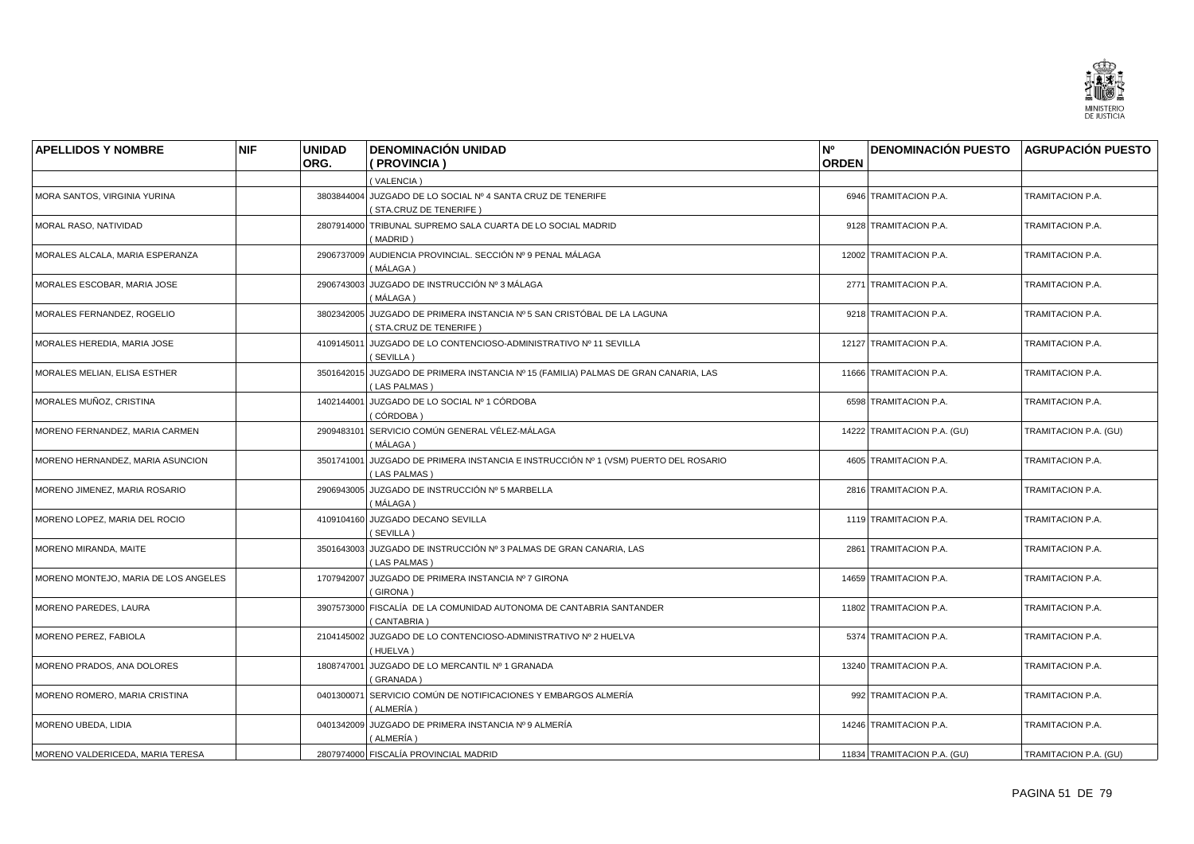

| <b>APELLIDOS Y NOMBRE</b>            | <b>NIF</b> | <b>UNIDAD</b> | <b>DENOMINACIÓN UNIDAD</b>                                                                          | N°<br><b>ORDEN</b> | <b>DENOMINACIÓN PUESTO AGRUPACIÓN PUESTO</b> |                       |
|--------------------------------------|------------|---------------|-----------------------------------------------------------------------------------------------------|--------------------|----------------------------------------------|-----------------------|
|                                      |            | ORG.          | (PROVINCIA)                                                                                         |                    |                                              |                       |
|                                      |            |               | (VALENCIA)                                                                                          |                    |                                              |                       |
| MORA SANTOS, VIRGINIA YURINA         |            |               | 3803844004 JUZGADO DE LO SOCIAL Nº 4 SANTA CRUZ DE TENERIFE<br>(STA.CRUZ DE TENERIFE)               |                    | 6946 TRAMITACION P.A.                        | TRAMITACION P.A.      |
| MORAL RASO, NATIVIDAD                |            |               | 2807914000 TRIBUNAL SUPREMO SALA CUARTA DE LO SOCIAL MADRID<br>(MADRID)                             |                    | 9128 TRAMITACION P.A.                        | TRAMITACION P.A.      |
| MORALES ALCALA, MARIA ESPERANZA      |            |               | 2906737009 AUDIENCIA PROVINCIAL. SECCIÓN Nº 9 PENAL MÁLAGA<br>( MÁLAGA )                            |                    | 12002 TRAMITACION P.A.                       | TRAMITACION P.A.      |
| MORALES ESCOBAR, MARIA JOSE          |            |               | 2906743003 JUZGADO DE INSTRUCCIÓN Nº 3 MÁLAGA<br>( MÁLAGA )                                         |                    | 2771 TRAMITACION P.A.                        | TRAMITACION P.A.      |
| MORALES FERNANDEZ, ROGELIO           |            |               | 3802342005 JUZGADO DE PRIMERA INSTANCIA Nº 5 SAN CRISTÓBAL DE LA LAGUNA<br>(STA.CRUZ DE TENERIFE)   |                    | 9218 TRAMITACION P.A.                        | TRAMITACION P.A.      |
| MORALES HEREDIA, MARIA JOSE          |            | 4109145011    | JUZGADO DE LO CONTENCIOSO-ADMINISTRATIVO Nº 11 SEVILLA<br>(SEVILLA)                                 |                    | 12127 TRAMITACION P.A.                       | TRAMITACION P.A.      |
| MORALES MELIAN, ELISA ESTHER         |            |               | 3501642015 JUZGADO DE PRIMERA INSTANCIA Nº 15 (FAMILIA) PALMAS DE GRAN CANARIA, LAS<br>(LAS PALMAS) |                    | 11666 TRAMITACION P.A.                       | TRAMITACION P.A.      |
| MORALES MUÑOZ, CRISTINA              |            |               | 1402144001 JUZGADO DE LO SOCIAL Nº 1 CÓRDOBA<br>(CÓRDOBA)                                           |                    | 6598 TRAMITACION P.A.                        | TRAMITACION P.A.      |
| MORENO FERNANDEZ, MARIA CARMEN       |            |               | 2909483101 SERVICIO COMÚN GENERAL VÉLEZ-MÁLAGA<br>( MÁLAGA )                                        |                    | 14222 TRAMITACION P.A. (GU)                  | TRAMITACION P.A. (GU) |
| MORENO HERNANDEZ, MARIA ASUNCION     |            |               | 3501741001 JUZGADO DE PRIMERA INSTANCIA E INSTRUCCIÓN Nº 1 (VSM) PUERTO DEL ROSARIO<br>(LAS PALMAS) |                    | 4605 TRAMITACION P.A.                        | TRAMITACION P.A.      |
| MORENO JIMENEZ, MARIA ROSARIO        |            |               | 2906943005 JUZGADO DE INSTRUCCIÓN Nº 5 MARBELLA<br>(MÁLAGA)                                         |                    | 2816 TRAMITACION P.A.                        | TRAMITACION P.A.      |
| MORENO LOPEZ, MARIA DEL ROCIO        |            |               | 4109104160 JUZGADO DECANO SEVILLA<br>(SEVILLA)                                                      |                    | 1119 TRAMITACION P.A.                        | TRAMITACION P.A.      |
| MORENO MIRANDA, MAITE                |            |               | 3501643003 JUZGADO DE INSTRUCCIÓN Nº 3 PALMAS DE GRAN CANARIA, LAS<br>(LAS PALMAS)                  |                    | 2861 TRAMITACION P.A.                        | TRAMITACION P.A.      |
| MORENO MONTEJO, MARIA DE LOS ANGELES |            |               | 1707942007 JUZGADO DE PRIMERA INSTANCIA Nº 7 GIRONA<br>(GIRONA)                                     |                    | 14659 TRAMITACION P.A.                       | TRAMITACION P.A.      |
| <b>MORENO PAREDES, LAURA</b>         |            |               | 3907573000 FISCALÍA DE LA COMUNIDAD AUTONOMA DE CANTABRIA SANTANDER<br>(CANTABRIA)                  |                    | 11802 TRAMITACION P.A.                       | TRAMITACION P.A.      |
| MORENO PEREZ, FABIOLA                |            |               | 2104145002 JUZGADO DE LO CONTENCIOSO-ADMINISTRATIVO Nº 2 HUELVA<br>(HUELVA)                         |                    | 5374 TRAMITACION P.A.                        | TRAMITACION P.A.      |
| MORENO PRADOS, ANA DOLORES           |            | 1808747001    | JUZGADO DE LO MERCANTIL Nº 1 GRANADA<br>(GRANADA)                                                   |                    | 13240 TRAMITACION P.A.                       | TRAMITACION P.A.      |
| MORENO ROMERO, MARIA CRISTINA        |            |               | 0401300071 SERVICIO COMÚN DE NOTIFICACIONES Y EMBARGOS ALMERÍA<br>( ALMERÍA )                       |                    | 992 TRAMITACION P.A.                         | TRAMITACION P.A.      |
| MORENO UBEDA, LIDIA                  |            |               | 0401342009 JUZGADO DE PRIMERA INSTANCIA Nº 9 ALMERÍA<br>(ALMERÍA)                                   |                    | 14246 TRAMITACION P.A.                       | TRAMITACION P.A.      |
| MORENO VALDERICEDA, MARIA TERESA     |            |               | 2807974000 FISCALÍA PROVINCIAL MADRID                                                               |                    | 11834 TRAMITACION P.A. (GU)                  | TRAMITACION P.A. (GU) |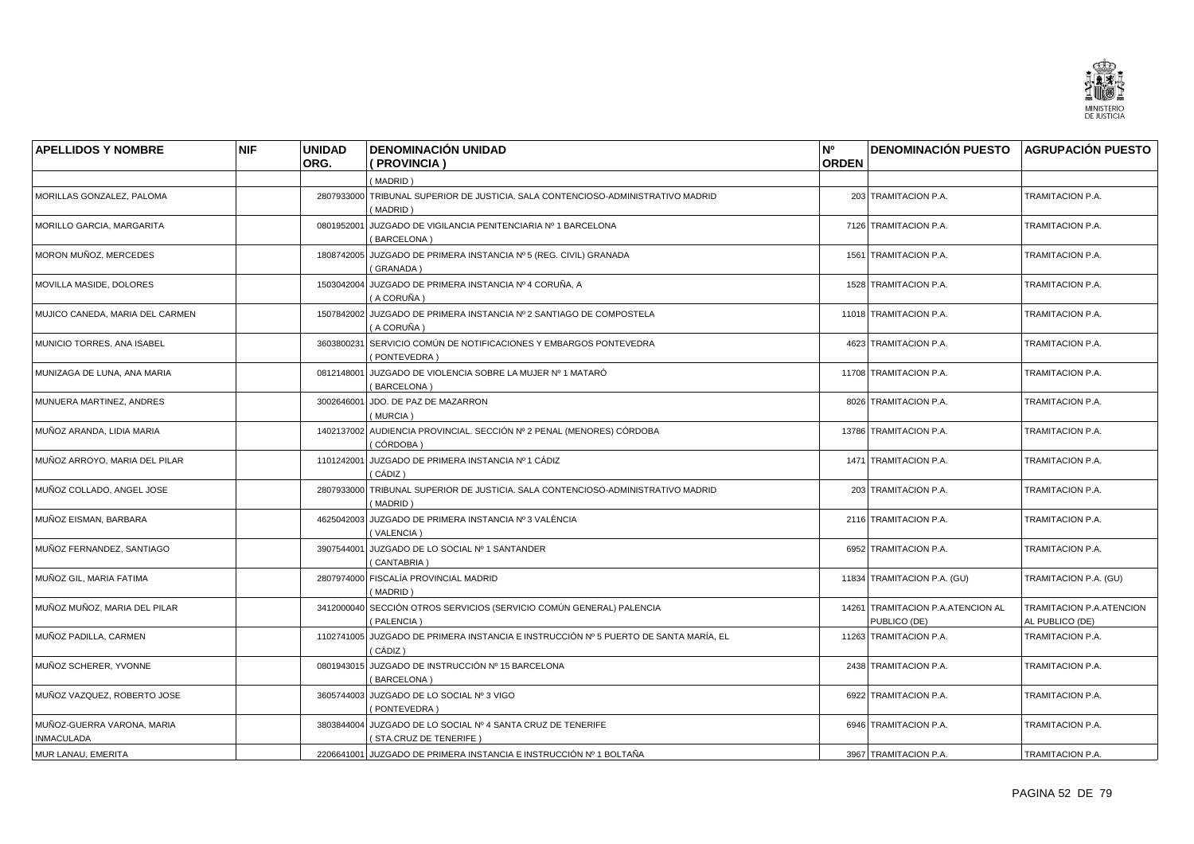

| <b>APELLIDOS Y NOMBRE</b>       | <b>NIF</b> | <b>UNIDAD</b><br>ORG. | <b>DENOMINACIÓN UNIDAD</b><br>(PROVINCIA)                                                                | N°<br><b>ORDEN</b> | <b>DENOMINACIÓN PUESTO AGRUPACIÓN PUESTO</b>      |                                             |
|---------------------------------|------------|-----------------------|----------------------------------------------------------------------------------------------------------|--------------------|---------------------------------------------------|---------------------------------------------|
|                                 |            |                       |                                                                                                          |                    |                                                   |                                             |
| MORILLAS GONZALEZ, PALOMA       |            |                       | (MADRID)<br>2807933000 TRIBUNAL SUPERIOR DE JUSTICIA. SALA CONTENCIOSO-ADMINISTRATIVO MADRID<br>(MADRID) |                    | 203 TRAMITACION P.A.                              | TRAMITACION P.A.                            |
| MORILLO GARCIA, MARGARITA       |            | 0801952001            | JUZGADO DE VIGILANCIA PENITENCIARIA Nº 1 BARCELONA<br>(BARCELONA)                                        |                    | 7126 TRAMITACION P.A.                             | TRAMITACION P.A.                            |
| MORON MUÑOZ, MERCEDES           |            |                       | 1808742005 JUZGADO DE PRIMERA INSTANCIA Nº 5 (REG. CIVIL) GRANADA<br>(GRANADA)                           |                    | 1561 TRAMITACION P.A.                             | TRAMITACION P.A.                            |
| MOVILLA MASIDE, DOLORES         |            |                       | 1503042004 JUZGADO DE PRIMERA INSTANCIA Nº 4 CORUÑA, A<br>( A CORUÑA )                                   |                    | 1528 TRAMITACION P.A.                             | TRAMITACION P.A.                            |
| MUJICO CANEDA, MARIA DEL CARMEN |            |                       | 1507842002 JUZGADO DE PRIMERA INSTANCIA Nº 2 SANTIAGO DE COMPOSTELA<br>( A CORUÑA )                      |                    | 11018 TRAMITACION P.A.                            | TRAMITACION P.A.                            |
| MUNICIO TORRES, ANA ISABEL      |            | 3603800231            | SERVICIO COMÚN DE NOTIFICACIONES Y EMBARGOS PONTEVEDRA<br>(PONTEVEDRA)                                   |                    | 4623 TRAMITACION P.A.                             | TRAMITACION P.A.                            |
| MUNIZAGA DE LUNA, ANA MARIA     |            | 0812148001            | JUZGADO DE VIOLENCIA SOBRE LA MUJER Nº 1 MATARÓ<br>(BARCELONA)                                           |                    | 11708 TRAMITACION P.A.                            | TRAMITACION P.A.                            |
| MUNUERA MARTINEZ, ANDRES        |            | 3002646001            | JDO. DE PAZ DE MAZARRON<br>(MURCIA)                                                                      |                    | 8026 TRAMITACION P.A.                             | TRAMITACION P.A.                            |
| MUÑOZ ARANDA, LIDIA MARIA       |            |                       | 1402137002 AUDIENCIA PROVINCIAL. SECCIÓN Nº 2 PENAL (MENORES) CÓRDOBA<br>( CÓRDOBA )                     |                    | 13786 TRAMITACION P.A.                            | TRAMITACION P.A.                            |
| MUÑOZ ARROYO, MARIA DEL PILAR   |            | 1101242001            | JUZGADO DE PRIMERA INSTANCIA Nº 1 CÁDIZ<br>(CÁDIZ)                                                       |                    | 1471 TRAMITACION P.A.                             | TRAMITACION P.A.                            |
| MUÑOZ COLLADO, ANGEL JOSE       |            |                       | 2807933000 TRIBUNAL SUPERIOR DE JUSTICIA. SALA CONTENCIOSO-ADMINISTRATIVO MADRID<br>(MADRID)             |                    | 203 TRAMITACION P.A.                              | TRAMITACION P.A.                            |
| MUÑOZ EISMAN, BARBARA           |            |                       | 4625042003 JUZGADO DE PRIMERA INSTANCIA Nº 3 VALÈNCIA<br>(VALENCIA)                                      |                    | 2116 TRAMITACION P.A.                             | TRAMITACION P.A.                            |
| MUÑOZ FERNANDEZ, SANTIAGO       |            | 3907544001            | JUZGADO DE LO SOCIAL Nº 1 SANTANDER<br>(CANTABRIA)                                                       |                    | 6952 TRAMITACION P.A.                             | TRAMITACION P.A.                            |
| MUÑOZ GIL. MARIA FATIMA         |            |                       | 2807974000 FISCALÍA PROVINCIAL MADRID<br>(MADRID)                                                        |                    | 11834 TRAMITACION P.A. (GU)                       | TRAMITACION P.A. (GU)                       |
| MUÑOZ MUÑOZ, MARIA DEL PILAR    |            |                       | 3412000040 SECCIÓN OTROS SERVICIOS (SERVICIO COMÚN GENERAL) PALENCIA<br>(PALENCIA)                       |                    | 14261 TRAMITACION P.A.ATENCION AL<br>PUBLICO (DE) | TRAMITACION P.A.ATENCION<br>AL PUBLICO (DE) |
| MUÑOZ PADILLA, CARMEN           |            |                       | 1102741005 JUZGADO DE PRIMERA INSTANCIA E INSTRUCCIÓN Nº 5 PUERTO DE SANTA MARÍA, EL<br>(CÁDIZ)          |                    | 11263 TRAMITACION P.A.                            | TRAMITACION P.A.                            |
| MUÑOZ SCHERER, YVONNE           |            |                       | 0801943015 JUZGADO DE INSTRUCCIÓN Nº 15 BARCELONA<br>(BARCELONA)                                         |                    | 2438 TRAMITACION P.A.                             | TRAMITACION P.A.                            |
| MUÑOZ VAZQUEZ, ROBERTO JOSE     |            |                       | 3605744003 JUZGADO DE LO SOCIAL Nº 3 VIGO<br>(PONTEVEDRA)                                                |                    | 6922 TRAMITACION P.A.                             | TRAMITACION P.A.                            |
| MUÑOZ-GUERRA VARONA, MARIA      |            | 3803844004            | JUZGADO DE LO SOCIAL Nº 4 SANTA CRUZ DE TENERIFE                                                         |                    | 6946 TRAMITACION P.A.                             | TRAMITACION P.A.                            |
| <b>INMACULADA</b>               |            |                       | (STA.CRUZ DE TENERIFE)                                                                                   |                    |                                                   |                                             |
| MUR LANAU, EMERITA              |            |                       | 2206641001 JUZGADO DE PRIMERA INSTANCIA E INSTRUCCIÓN Nº 1 BOLTAÑA                                       |                    | 3967 TRAMITACION P.A.                             | TRAMITACION P.A.                            |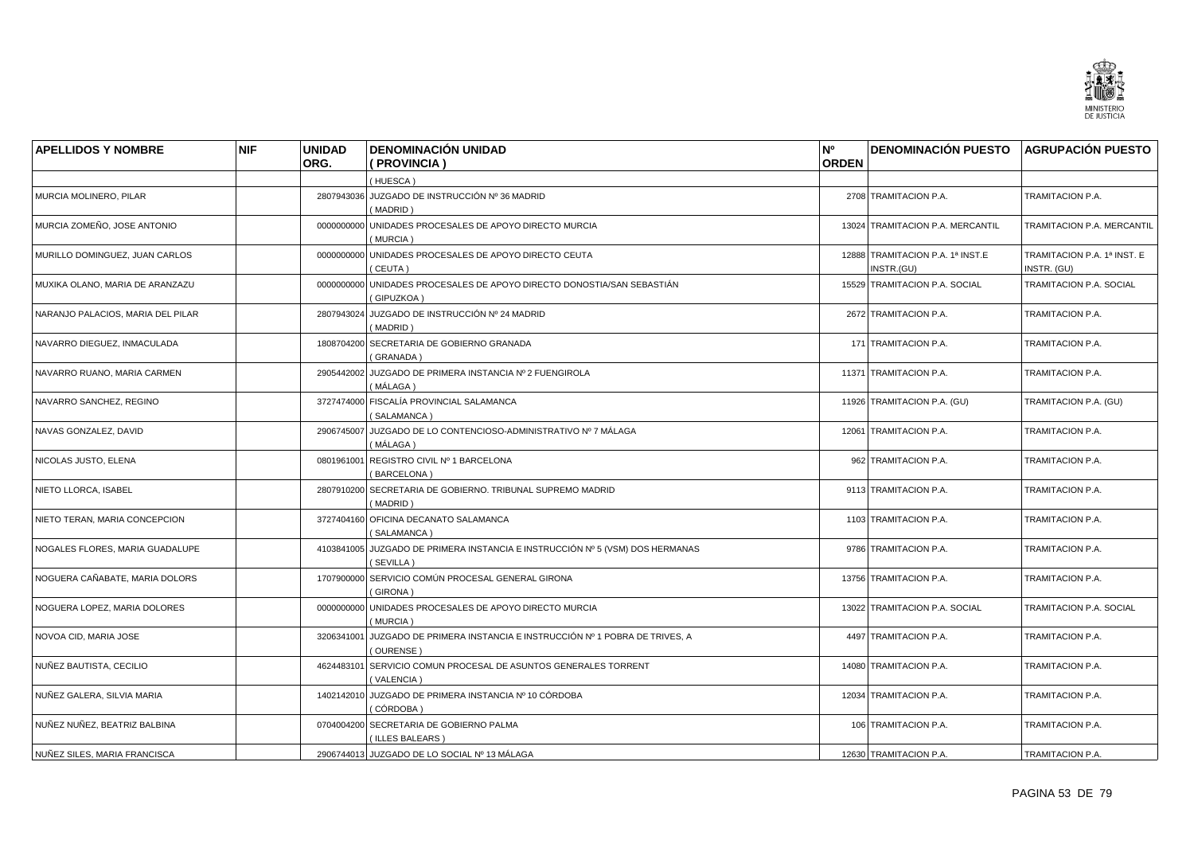

| <b>APELLIDOS Y NOMBRE</b>         | <b>NIF</b> | <b>UNIDAD</b> | <b>DENOMINACIÓN UNIDAD</b>                                                                 | N°           | DENOMINACIÓN PUESTO AGRUPACIÓN PUESTO          |                                            |
|-----------------------------------|------------|---------------|--------------------------------------------------------------------------------------------|--------------|------------------------------------------------|--------------------------------------------|
|                                   |            | ORG.          | ( PROVINCIA )                                                                              | <b>ORDEN</b> |                                                |                                            |
|                                   |            |               | (HUESCA)                                                                                   |              |                                                |                                            |
| MURCIA MOLINERO, PILAR            |            |               | 2807943036 JUZGADO DE INSTRUCCIÓN Nº 36 MADRID<br>(MADRID)                                 |              | 2708 TRAMITACION P.A.                          | TRAMITACION P.A.                           |
| MURCIA ZOMEÑO, JOSE ANTONIO       |            |               | 0000000000 UNIDADES PROCESALES DE APOYO DIRECTO MURCIA<br>(MURCIA)                         |              | 13024 TRAMITACION P.A. MERCANTIL               | TRAMITACION P.A. MERCANTIL                 |
| MURILLO DOMINGUEZ, JUAN CARLOS    |            |               | 0000000000 UNIDADES PROCESALES DE APOYO DIRECTO CEUTA<br>(CEUTA)                           |              | 12888 TRAMITACION P.A. 1ª INST.E<br>INSTR.(GU) | TRAMITACION P.A. 1ª INST. E<br>INSTR. (GU) |
| MUXIKA OLANO, MARIA DE ARANZAZU   |            |               | 0000000000 UNIDADES PROCESALES DE APOYO DIRECTO DONOSTIA/SAN SEBASTIÁN<br>(GIPUZKOA)       |              | 15529 TRAMITACION P.A. SOCIAL                  | TRAMITACION P.A. SOCIAL                    |
| NARANJO PALACIOS, MARIA DEL PILAR |            |               | 2807943024 JUZGADO DE INSTRUCCIÓN Nº 24 MADRID<br>(MADRID)                                 |              | 2672 TRAMITACION P.A.                          | TRAMITACION P.A.                           |
| NAVARRO DIEGUEZ, INMACULADA       |            |               | 1808704200 SECRETARIA DE GOBIERNO GRANADA<br>(GRANADA)                                     |              | 171 TRAMITACION P.A.                           | TRAMITACION P.A.                           |
| NAVARRO RUANO, MARIA CARMEN       |            |               | 2905442002 JUZGADO DE PRIMERA INSTANCIA Nº 2 FUENGIROLA<br>(MÁLAGA)                        |              | 11371 TRAMITACION P.A.                         | TRAMITACION P.A.                           |
| NAVARRO SANCHEZ, REGINO           |            |               | 3727474000 FISCALÍA PROVINCIAL SALAMANCA<br>(SALAMANCA)                                    |              | 11926 TRAMITACION P.A. (GU)                    | TRAMITACION P.A. (GU)                      |
| NAVAS GONZALEZ, DAVID             |            |               | 2906745007 JUZGADO DE LO CONTENCIOSO-ADMINISTRATIVO Nº 7 MÁLAGA<br>(MÁLAGA)                |              | 12061 TRAMITACION P.A.                         | TRAMITACION P.A.                           |
| NICOLAS JUSTO, ELENA              |            |               | 0801961001 REGISTRO CIVIL Nº 1 BARCELONA<br>(BARCELONA)                                    |              | 962 TRAMITACION P.A.                           | TRAMITACION P.A.                           |
| NIETO LLORCA, ISABEL              |            | 2807910200    | SECRETARIA DE GOBIERNO. TRIBUNAL SUPREMO MADRID<br>(MADRID)                                |              | 9113 TRAMITACION P.A.                          | TRAMITACION P.A.                           |
| NIETO TERAN, MARIA CONCEPCION     |            |               | 3727404160 OFICINA DECANATO SALAMANCA<br>(SALAMANCA)                                       |              | 1103 TRAMITACION P.A.                          | TRAMITACION P.A.                           |
| NOGALES FLORES, MARIA GUADALUPE   |            |               | 4103841005 JUZGADO DE PRIMERA INSTANCIA E INSTRUCCIÓN Nº 5 (VSM) DOS HERMANAS<br>(SEVILLA) |              | 9786 TRAMITACION P.A.                          | TRAMITACION P.A.                           |
| NOGUERA CAÑABATE, MARIA DOLORS    |            |               | 1707900000 SERVICIO COMÚN PROCESAL GENERAL GIRONA<br>(GIRONA)                              |              | 13756 TRAMITACION P.A.                         | TRAMITACION P.A.                           |
| NOGUERA LOPEZ, MARIA DOLORES      |            | 0000000000    | UNIDADES PROCESALES DE APOYO DIRECTO MURCIA<br>(MURCIA)                                    |              | 13022 TRAMITACION P.A. SOCIAL                  | TRAMITACION P.A. SOCIAL                    |
| NOVOA CID, MARIA JOSE             |            |               | 3206341001 JUZGADO DE PRIMERA INSTANCIA E INSTRUCCIÓN Nº 1 POBRA DE TRIVES, A<br>(OURENSE) |              | 4497 TRAMITACION P.A.                          | TRAMITACION P.A.                           |
| NUÑEZ BAUTISTA, CECILIO           |            |               | 4624483101 SERVICIO COMUN PROCESAL DE ASUNTOS GENERALES TORRENT<br>(VALENCIA)              |              | 14080 TRAMITACION P.A.                         | TRAMITACION P.A.                           |
| NUÑEZ GALERA, SILVIA MARIA        |            |               | 1402142010 JUZGADO DE PRIMERA INSTANCIA Nº 10 CÓRDOBA<br>(CÓRDOBA)                         |              | 12034 TRAMITACION P.A.                         | TRAMITACION P.A.                           |
| NUÑEZ NUÑEZ, BEATRIZ BALBINA      |            |               | 0704004200 SECRETARIA DE GOBIERNO PALMA<br>(ILLES BALEARS)                                 |              | 106 TRAMITACION P.A.                           | TRAMITACION P.A.                           |
| NUÑEZ SILES, MARIA FRANCISCA      |            |               | 2906744013 JUZGADO DE LO SOCIAL Nº 13 MÁLAGA                                               |              | 12630 TRAMITACION P.A.                         | TRAMITACION P.A.                           |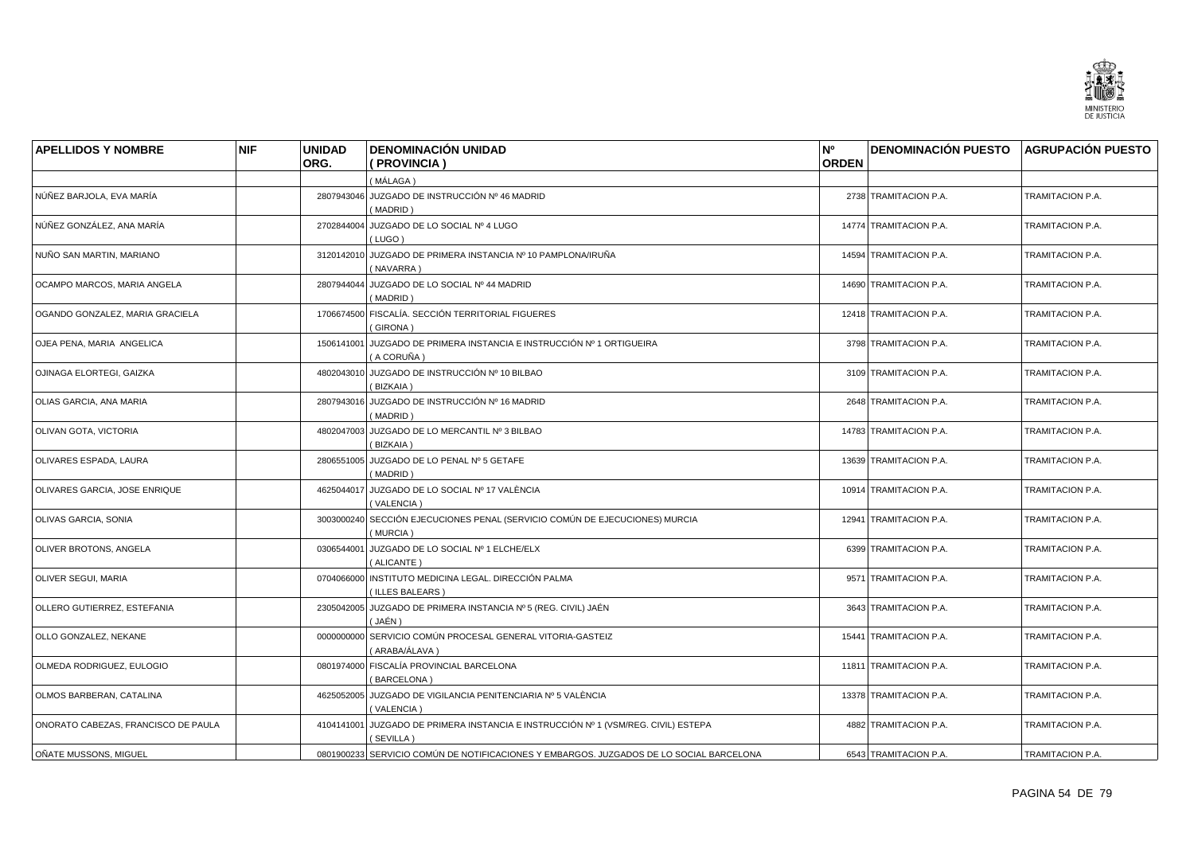

| <b>APELLIDOS Y NOMBRE</b>           | <b>NIF</b> | <b>UNIDAD</b> | <b>DENOMINACIÓN UNIDAD</b>                                                                      | N°           | <b>DENOMINACIÓN PUESTO AGRUPACIÓN PUESTO</b> |                  |
|-------------------------------------|------------|---------------|-------------------------------------------------------------------------------------------------|--------------|----------------------------------------------|------------------|
|                                     |            | ORG.          | (PROVINCIA)                                                                                     | <b>ORDEN</b> |                                              |                  |
|                                     |            |               | (MÁLAGA)                                                                                        |              |                                              |                  |
| NÚÑEZ BARJOLA, EVA MARÍA            |            |               | 2807943046 JUZGADO DE INSTRUCCIÓN Nº 46 MADRID<br>(MADRID)                                      |              | 2738 TRAMITACION P.A.                        | TRAMITACION P.A. |
| NÚÑEZ GONZÁLEZ, ANA MARÍA           |            |               | 2702844004 JUZGADO DE LO SOCIAL Nº 4 LUGO<br>(LUGO)                                             |              | 14774 TRAMITACION P.A.                       | TRAMITACION P.A. |
| NUÑO SAN MARTIN, MARIANO            |            |               | 3120142010 JUZGADO DE PRIMERA INSTANCIA Nº 10 PAMPLONA/IRUÑA<br>(NAVARRA)                       |              | 14594 TRAMITACION P.A.                       | TRAMITACION P.A. |
| OCAMPO MARCOS, MARIA ANGELA         |            |               | 2807944044 JUZGADO DE LO SOCIAL Nº 44 MADRID<br>(MADRID)                                        |              | 14690 TRAMITACION P.A.                       | TRAMITACION P.A. |
| OGANDO GONZALEZ, MARIA GRACIELA     |            |               | 1706674500 FISCALÍA. SECCIÓN TERRITORIAL FIGUERES<br>(GIRONA)                                   |              | 12418 TRAMITACION P.A.                       | TRAMITACION P.A. |
| OJEA PENA, MARIA ANGELICA           |            |               | 1506141001 JUZGADO DE PRIMERA INSTANCIA E INSTRUCCIÓN Nº 1 ORTIGUEIRA<br>(A CORUÑA)             |              | 3798 TRAMITACION P.A.                        | TRAMITACION P.A. |
| OJINAGA ELORTEGI, GAIZKA            |            |               | 4802043010 JUZGADO DE INSTRUCCIÓN Nº 10 BILBAO<br>(BIZKAIA)                                     |              | 3109 TRAMITACION P.A.                        | TRAMITACION P.A. |
| <b>OLIAS GARCIA, ANA MARIA</b>      |            |               | 2807943016 JUZGADO DE INSTRUCCIÓN Nº 16 MADRID<br>(MADRID)                                      |              | 2648 TRAMITACION P.A.                        | TRAMITACION P.A. |
| OLIVAN GOTA, VICTORIA               |            |               | 4802047003 JUZGADO DE LO MERCANTIL Nº 3 BILBAO<br>(BIZKAIA)                                     |              | 14783 TRAMITACION P.A.                       | TRAMITACION P.A. |
| <b>OLIVARES ESPADA, LAURA</b>       |            |               | 2806551005 JUZGADO DE LO PENAL Nº 5 GETAFE<br>(MADRID)                                          |              | 13639 TRAMITACION P.A.                       | TRAMITACION P.A. |
| OLIVARES GARCIA, JOSE ENRIQUE       |            |               | 4625044017 JUZGADO DE LO SOCIAL Nº 17 VALÈNCIA<br>(VALENCIA)                                    |              | 10914 TRAMITACION P.A.                       | TRAMITACION P.A. |
| <b>OLIVAS GARCIA, SONIA</b>         |            |               | 3003000240 SECCIÓN EJECUCIONES PENAL (SERVICIO COMÚN DE EJECUCIONES) MURCIA<br>(MURCIA)         |              | 12941 TRAMITACION P.A.                       | TRAMITACION P.A. |
| <b>OLIVER BROTONS, ANGELA</b>       |            | 0306544001    | JUZGADO DE LO SOCIAL Nº 1 ELCHE/ELX<br>(ALICANTE)                                               |              | 6399 TRAMITACION P.A.                        | TRAMITACION P.A. |
| <b>OLIVER SEGUI, MARIA</b>          |            |               | 0704066000 INSTITUTO MEDICINA LEGAL. DIRECCIÓN PALMA<br>(ILLES BALEARS)                         |              | 9571 TRAMITACION P.A.                        | TRAMITACION P.A. |
| OLLERO GUTIERREZ, ESTEFANIA         |            |               | 2305042005 JUZGADO DE PRIMERA INSTANCIA Nº 5 (REG. CIVIL) JAÉN<br>(JAÉN)                        |              | 3643 TRAMITACION P.A.                        | TRAMITACION P.A. |
| OLLO GONZALEZ, NEKANE               |            |               | 0000000000 SERVICIO COMÚN PROCESAL GENERAL VITORIA-GASTEIZ<br>( ARABA/ÁLAVA )                   |              | 15441 TRAMITACION P.A.                       | TRAMITACION P.A. |
| OLMEDA RODRIGUEZ, EULOGIO           |            |               | 0801974000 FISCALÍA PROVINCIAL BARCELONA<br>(BARCELONA)                                         |              | 11811 TRAMITACION P.A.                       | TRAMITACION P.A. |
| OLMOS BARBERAN, CATALINA            |            |               | 4625052005 JUZGADO DE VIGILANCIA PENITENCIARIA Nº 5 VALÈNCIA<br>(VALENCIA)                      |              | 13378 TRAMITACION P.A.                       | TRAMITACION P.A. |
| ONORATO CABEZAS, FRANCISCO DE PAULA |            |               | 4104141001 JUZGADO DE PRIMERA INSTANCIA E INSTRUCCIÓN Nº 1 (VSM/REG. CIVIL) ESTEPA<br>(SEVILLA) |              | 4882 TRAMITACION P.A.                        | TRAMITACION P.A. |
| OÑATE MUSSONS, MIGUEL               |            |               | 0801900233 SERVICIO COMÚN DE NOTIFICACIONES Y EMBARGOS. JUZGADOS DE LO SOCIAL BARCELONA         |              | 6543 TRAMITACION P.A.                        | TRAMITACION P.A. |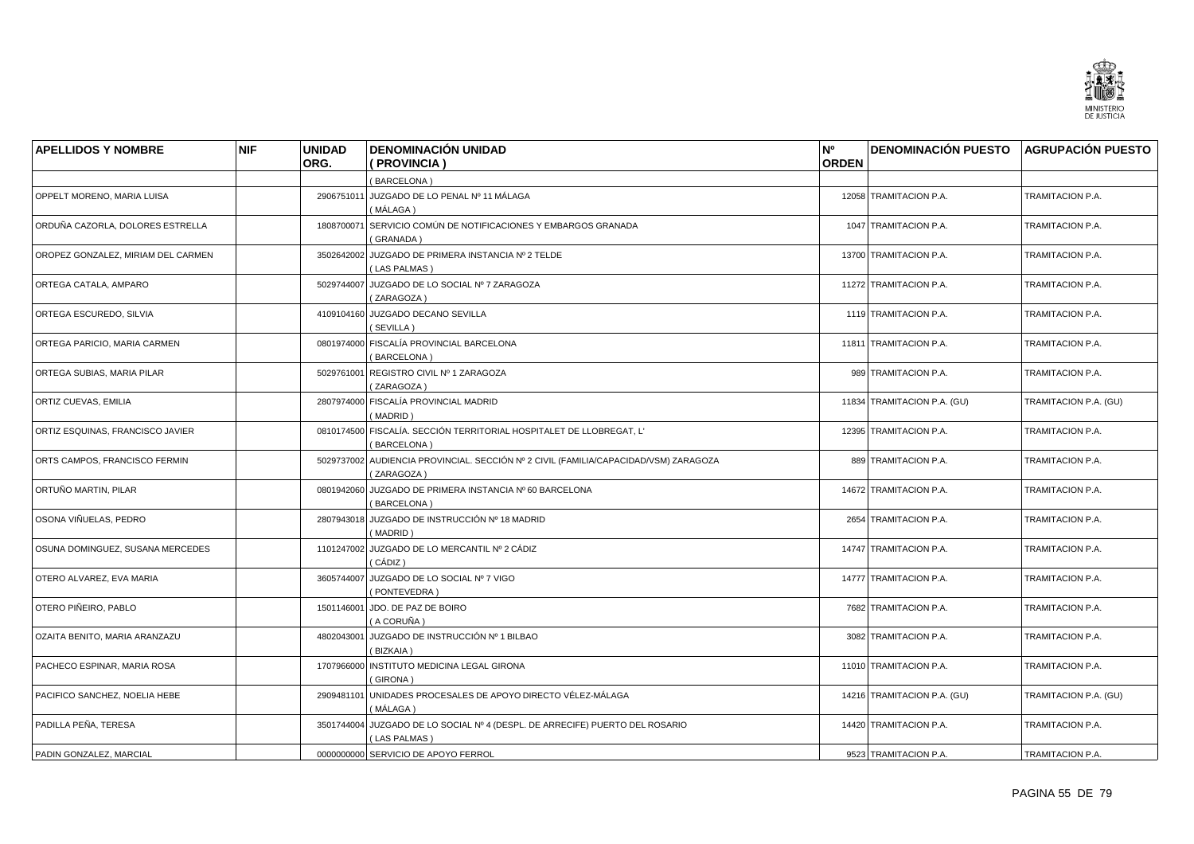

| <b>APELLIDOS Y NOMBRE</b>          | <b>NIF</b> | <b>UNIDAD</b> | <b>DENOMINACIÓN UNIDAD</b>                                                                         | N°           | <b>DENOMINACIÓN PUESTO AGRUPACIÓN PUESTO</b> |                       |
|------------------------------------|------------|---------------|----------------------------------------------------------------------------------------------------|--------------|----------------------------------------------|-----------------------|
|                                    |            | ORG.          | (PROVINCIA)                                                                                        | <b>ORDEN</b> |                                              |                       |
|                                    |            |               | (BARCELONA)                                                                                        |              |                                              |                       |
| OPPELT MORENO, MARIA LUISA         |            |               | 2906751011 JUZGADO DE LO PENAL Nº 11 MÁLAGA<br>(MÁLAGA)                                            |              | 12058 TRAMITACION P.A.                       | TRAMITACION P.A.      |
| ORDUÑA CAZORLA, DOLORES ESTRELLA   |            | 1808700071    | SERVICIO COMÚN DE NOTIFICACIONES Y EMBARGOS GRANADA<br>(GRANADA)                                   |              | 1047 TRAMITACION P.A.                        | TRAMITACION P.A.      |
| OROPEZ GONZALEZ, MIRIAM DEL CARMEN |            |               | 3502642002 JUZGADO DE PRIMERA INSTANCIA Nº 2 TELDE<br>(LAS PALMAS)                                 |              | 13700 TRAMITACION P.A.                       | TRAMITACION P.A.      |
| ORTEGA CATALA, AMPARO              |            |               | 5029744007 JUZGADO DE LO SOCIAL Nº 7 ZARAGOZA<br>(ZARAGOZA)                                        |              | 11272 TRAMITACION P.A.                       | TRAMITACION P.A.      |
| ORTEGA ESCUREDO, SILVIA            |            |               | 4109104160 JUZGADO DECANO SEVILLA<br>(SEVILLA)                                                     |              | 1119 TRAMITACION P.A.                        | TRAMITACION P.A.      |
| ORTEGA PARICIO, MARIA CARMEN       |            |               | 0801974000 FISCALÍA PROVINCIAL BARCELONA<br>(BARCELONA)                                            |              | 11811 TRAMITACION P.A.                       | TRAMITACION P.A.      |
| ORTEGA SUBIAS, MARIA PILAR         |            |               | 5029761001 REGISTRO CIVIL Nº 1 ZARAGOZA<br>(ZARAGOZA)                                              |              | 989 TRAMITACION P.A.                         | TRAMITACION P.A.      |
| ORTIZ CUEVAS, EMILIA               |            |               | 2807974000 FISCALÍA PROVINCIAL MADRID<br>(MADRID)                                                  |              | 11834 TRAMITACION P.A. (GU)                  | TRAMITACION P.A. (GU) |
| ORTIZ ESQUINAS, FRANCISCO JAVIER   |            |               | 0810174500 FISCALÍA. SECCIÓN TERRITORIAL HOSPITALET DE LLOBREGAT, L'<br>(BARCELONA)                |              | 12395 TRAMITACION P.A.                       | TRAMITACION P.A.      |
| ORTS CAMPOS. FRANCISCO FERMIN      |            |               | 5029737002 AUDIENCIA PROVINCIAL. SECCIÓN Nº 2 CIVIL (FAMILIA/CAPACIDAD/VSM) ZARAGOZA<br>(ZARAGOZA) |              | 889 TRAMITACION P.A.                         | TRAMITACION P.A.      |
| ORTUÑO MARTIN, PILAR               |            | 0801942060    | JUZGADO DE PRIMERA INSTANCIA Nº 60 BARCELONA<br>(BARCELONA)                                        |              | 14672 TRAMITACION P.A.                       | TRAMITACION P.A.      |
| OSONA VIÑUELAS, PEDRO              |            |               | 2807943018 JUZGADO DE INSTRUCCIÓN Nº 18 MADRID<br>(MADRID)                                         |              | 2654 TRAMITACION P.A.                        | TRAMITACION P.A.      |
| OSUNA DOMINGUEZ, SUSANA MERCEDES   |            |               | 1101247002 JUZGADO DE LO MERCANTIL Nº 2 CÁDIZ<br>( CÁDIZ )                                         |              | 14747 TRAMITACION P.A.                       | TRAMITACION P.A.      |
| OTERO ALVAREZ, EVA MARIA           |            |               | 3605744007 JUZGADO DE LO SOCIAL Nº 7 VIGO<br>(PONTEVEDRA)                                          |              | 14777 TRAMITACION P.A.                       | TRAMITACION P.A.      |
| OTERO PIÑEIRO, PABLO               |            | 1501146001    | JDO. DE PAZ DE BOIRO<br>(A CORUÑA )                                                                |              | 7682 TRAMITACION P.A.                        | TRAMITACION P.A.      |
| OZAITA BENITO, MARIA ARANZAZU      |            |               | 4802043001 JUZGADO DE INSTRUCCIÓN Nº 1 BILBAO<br>(BIZKAIA)                                         |              | 3082 TRAMITACION P.A.                        | TRAMITACION P.A.      |
| PACHECO ESPINAR, MARIA ROSA        |            | 1707966000    | INSTITUTO MEDICINA LEGAL GIRONA<br>(GIRONA)                                                        |              | 11010 TRAMITACION P.A.                       | TRAMITACION P.A.      |
| PACIFICO SANCHEZ, NOELIA HEBE      |            |               | 2909481101 UNIDADES PROCESALES DE APOYO DIRECTO VÉLEZ-MÁLAGA<br>(MÁLAGA)                           |              | 14216 TRAMITACION P.A. (GU)                  | TRAMITACION P.A. (GU) |
| PADILLA PEÑA, TERESA               |            |               | 3501744004 JUZGADO DE LO SOCIAL Nº 4 (DESPL. DE ARRECIFE) PUERTO DEL ROSARIO<br>(LAS PALMAS)       |              | 14420 TRAMITACION P.A.                       | TRAMITACION P.A.      |
| PADIN GONZALEZ, MARCIAL            |            |               | 0000000000 SERVICIO DE APOYO FERROL                                                                |              | 9523 TRAMITACION P.A.                        | TRAMITACION P.A.      |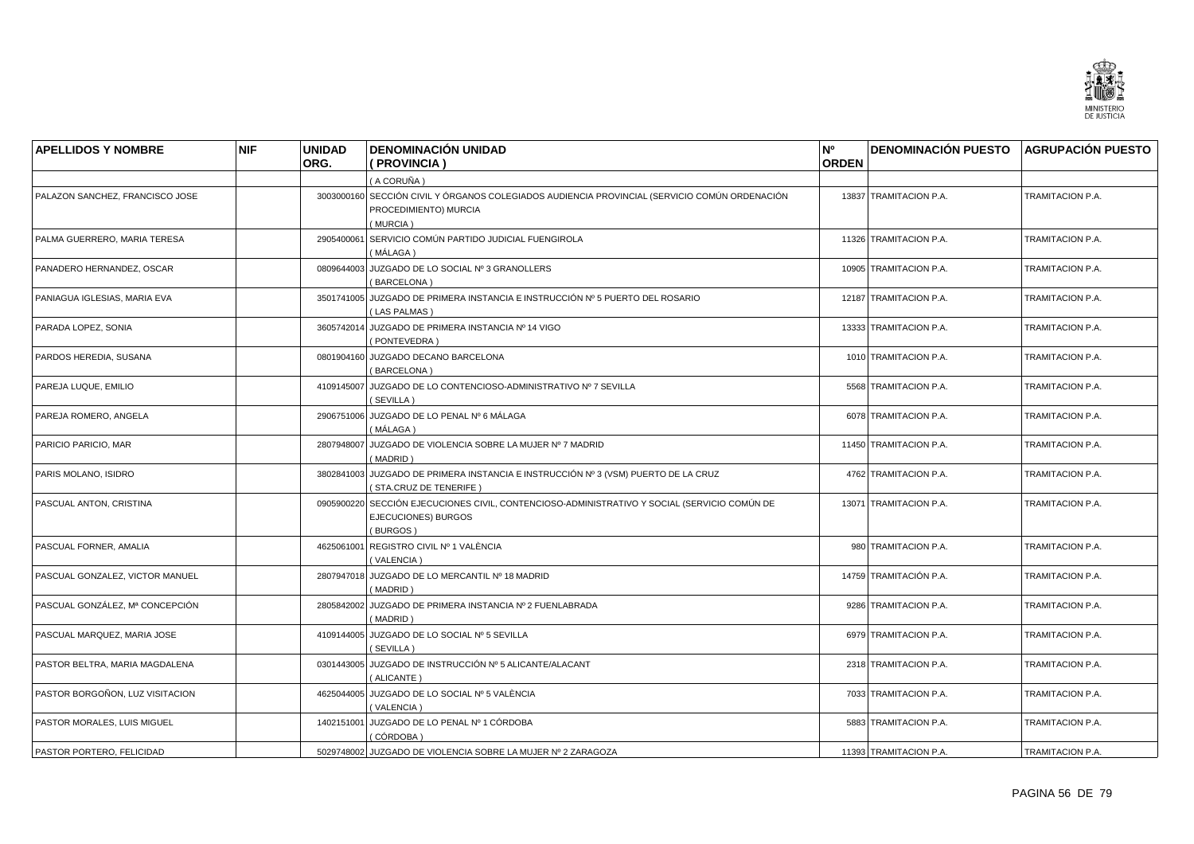

| <b>APELLIDOS Y NOMBRE</b>       | <b>NIF</b> | <b>UNIDAD</b> | <b>DENOMINACIÓN UNIDAD</b>                                                                                                         | N°           | DENOMINACIÓN PUESTO AGRUPACIÓN PUESTO |                         |
|---------------------------------|------------|---------------|------------------------------------------------------------------------------------------------------------------------------------|--------------|---------------------------------------|-------------------------|
|                                 |            | ORG.          | ( PROVINCIA )                                                                                                                      | <b>ORDEN</b> |                                       |                         |
|                                 |            |               | (A CORUÑA)                                                                                                                         |              |                                       |                         |
| PALAZON SANCHEZ, FRANCISCO JOSE |            |               | 3003000160 SECCIÓN CIVIL Y ÓRGANOS COLEGIADOS AUDIENCIA PROVINCIAL (SERVICIO COMÚN ORDENACIÓN<br>PROCEDIMIENTO) MURCIA<br>(MURCIA) |              | 13837 TRAMITACION P.A.                | TRAMITACION P.A.        |
| PALMA GUERRERO, MARIA TERESA    |            | 2905400061    | SERVICIO COMÚN PARTIDO JUDICIAL FUENGIROLA<br>(MÁLAGA)                                                                             |              | 11326 TRAMITACION P.A.                | TRAMITACION P.A.        |
| PANADERO HERNANDEZ, OSCAR       |            |               | 0809644003 JUZGADO DE LO SOCIAL Nº 3 GRANOLLERS<br>(BARCELONA)                                                                     |              | 10905 TRAMITACION P.A.                | TRAMITACION P.A.        |
| PANIAGUA IGLESIAS, MARIA EVA    |            |               | 3501741005 JUZGADO DE PRIMERA INSTANCIA E INSTRUCCIÓN Nº 5 PUERTO DEL ROSARIO<br>(LAS PALMAS)                                      |              | 12187 TRAMITACION P.A.                | TRAMITACION P.A.        |
| PARADA LOPEZ, SONIA             |            |               | 3605742014 JUZGADO DE PRIMERA INSTANCIA Nº 14 VIGO<br>(PONTEVEDRA)                                                                 |              | 13333 TRAMITACION P.A.                | TRAMITACION P.A.        |
| PARDOS HEREDIA, SUSANA          |            |               | 0801904160 JUZGADO DECANO BARCELONA<br>(BARCELONA)                                                                                 |              | 1010 TRAMITACION P.A.                 | TRAMITACION P.A.        |
| PAREJA LUQUE, EMILIO            |            |               | 4109145007 JUZGADO DE LO CONTENCIOSO-ADMINISTRATIVO Nº 7 SEVILLA<br>(SEVILLA)                                                      |              | 5568 TRAMITACION P.A.                 | TRAMITACION P.A.        |
| PAREJA ROMERO, ANGELA           |            |               | 2906751006 JUZGADO DE LO PENAL Nº 6 MÁLAGA<br>(MÁLAGA)                                                                             |              | 6078 TRAMITACION P.A.                 | TRAMITACION P.A.        |
| PARICIO PARICIO, MAR            |            |               | 2807948007 JUZGADO DE VIOLENCIA SOBRE LA MUJER Nº 7 MADRID<br>(MADRID)                                                             |              | 11450 TRAMITACION P.A.                | TRAMITACION P.A.        |
| PARIS MOLANO, ISIDRO            |            |               | 3802841003 JUZGADO DE PRIMERA INSTANCIA E INSTRUCCIÓN Nº 3 (VSM) PUERTO DE LA CRUZ<br>(STA.CRUZ DE TENERIFE)                       |              | 4762 TRAMITACION P.A.                 | TRAMITACION P.A.        |
| PASCUAL ANTON, CRISTINA         |            |               | 0905900220 SECCIÓN EJECUCIONES CIVIL, CONTENCIOSO-ADMINISTRATIVO Y SOCIAL (SERVICIO COMÚN DE<br>EJECUCIONES) BURGOS<br>(BURGOS)    |              | 13071 TRAMITACION P.A.                | TRAMITACION P.A.        |
| PASCUAL FORNER, AMALIA          |            | 4625061001    | REGISTRO CIVIL Nº 1 VALÈNCIA<br>(VALENCIA)                                                                                         |              | 980 TRAMITACION P.A.                  | TRAMITACION P.A.        |
| PASCUAL GONZALEZ, VICTOR MANUEL |            |               | 2807947018 JUZGADO DE LO MERCANTIL Nº 18 MADRID<br>(MADRID)                                                                        |              | 14759 TRAMITACIÓN P.A.                | TRAMITACION P.A.        |
| PASCUAL GONZÁLEZ, Mª CONCEPCIÓN |            |               | 2805842002 JUZGADO DE PRIMERA INSTANCIA Nº 2 FUENLABRADA<br>(MADRID)                                                               |              | 9286 TRAMITACION P.A.                 | TRAMITACION P.A.        |
| PASCUAL MARQUEZ, MARIA JOSE     |            |               | 4109144005 JUZGADO DE LO SOCIAL Nº 5 SEVILLA<br>(SEVILLA)                                                                          |              | 6979 TRAMITACION P.A.                 | TRAMITACION P.A.        |
| PASTOR BELTRA, MARIA MAGDALENA  |            |               | 0301443005 JUZGADO DE INSTRUCCIÓN Nº 5 ALICANTE/ALACANT<br>(ALICANTE)                                                              |              | 2318 TRAMITACION P.A.                 | TRAMITACION P.A.        |
| PASTOR BORGOÑON, LUZ VISITACION |            |               | 4625044005 JUZGADO DE LO SOCIAL Nº 5 VALÈNCIA<br>(VALENCIA)                                                                        |              | 7033 TRAMITACION P.A.                 | TRAMITACION P.A.        |
| PASTOR MORALES, LUIS MIGUEL     |            |               | 1402151001 JUZGADO DE LO PENAL Nº 1 CÓRDOBA<br>( CÓRDOBA )                                                                         |              | 5883 TRAMITACION P.A.                 | <b>TRAMITACION P.A.</b> |
| PASTOR PORTERO, FELICIDAD       |            |               | 5029748002 JUZGADO DE VIOLENCIA SOBRE LA MUJER Nº 2 ZARAGOZA                                                                       |              | 11393 TRAMITACION P.A.                | TRAMITACION P.A.        |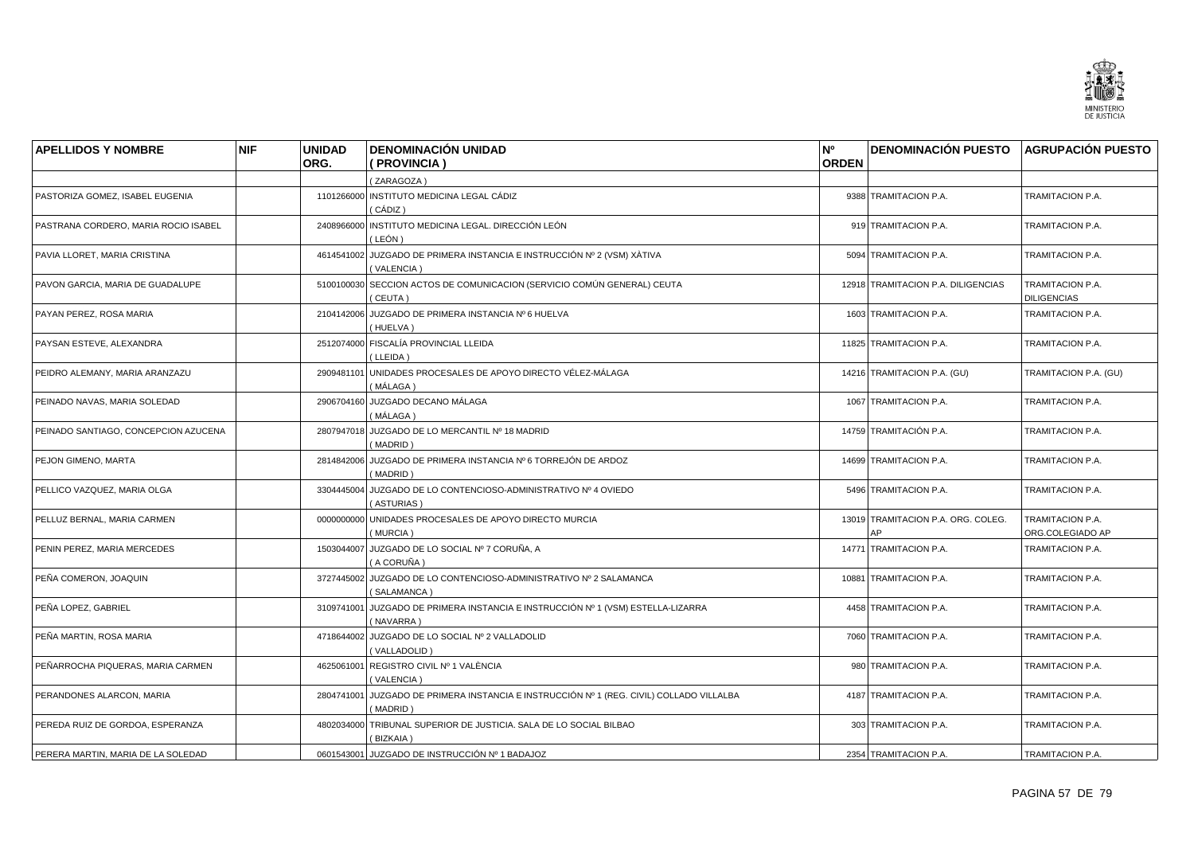

| <b>APELLIDOS Y NOMBRE</b>            | <b>NIF</b> | <b>UNIDAD</b><br>ORG. | <b>DENOMINACIÓN UNIDAD</b><br>(PROVINCIA)                                                            | N <sup>o</sup><br><b>ORDEN</b> | <b>DENOMINACIÓN PUESTO AGRUPACIÓN PUESTO</b> |                                        |
|--------------------------------------|------------|-----------------------|------------------------------------------------------------------------------------------------------|--------------------------------|----------------------------------------------|----------------------------------------|
|                                      |            |                       |                                                                                                      |                                |                                              |                                        |
| PASTORIZA GOMEZ, ISABEL EUGENIA      |            |                       | (ZARAGOZA)<br>1101266000 INSTITUTO MEDICINA LEGAL CÁDIZ                                              |                                | 9388 TRAMITACION P.A.                        | TRAMITACION P.A.                       |
|                                      |            |                       | ( CÁDIZ )                                                                                            |                                |                                              |                                        |
| PASTRANA CORDERO, MARIA ROCIO ISABEL |            |                       | 2408966000 INSTITUTO MEDICINA LEGAL. DIRECCIÓN LEÓN<br>(LEÓN)                                        |                                | 919 TRAMITACION P.A.                         | TRAMITACION P.A.                       |
| PAVIA LLORET, MARIA CRISTINA         |            |                       | 4614541002 JUZGADO DE PRIMERA INSTANCIA E INSTRUCCIÓN Nº 2 (VSM) XÀTIVA<br>(VALENCIA)                |                                | 5094 TRAMITACION P.A.                        | TRAMITACION P.A.                       |
| PAVON GARCIA, MARIA DE GUADALUPE     |            |                       | 5100100030 SECCION ACTOS DE COMUNICACION (SERVICIO COMÚN GENERAL) CEUTA<br>(CEUTA)                   |                                | 12918 TRAMITACION P.A. DILIGENCIAS           | TRAMITACION P.A.<br><b>DILIGENCIAS</b> |
| PAYAN PEREZ, ROSA MARIA              |            |                       | 2104142006 JUZGADO DE PRIMERA INSTANCIA Nº 6 HUELVA<br>(HUELVA)                                      |                                | 1603 TRAMITACION P.A.                        | TRAMITACION P.A.                       |
| PAYSAN ESTEVE, ALEXANDRA             |            |                       | 2512074000 FISCALÍA PROVINCIAL LLEIDA<br>(LLEIDA)                                                    |                                | 11825 TRAMITACION P.A.                       | TRAMITACION P.A.                       |
| PEIDRO ALEMANY, MARIA ARANZAZU       |            |                       | 2909481101 UNIDADES PROCESALES DE APOYO DIRECTO VÉLEZ-MÁLAGA<br>( MÁLAGA )                           |                                | 14216 TRAMITACION P.A. (GU)                  | TRAMITACION P.A. (GU)                  |
| PEINADO NAVAS, MARIA SOLEDAD         |            |                       | 2906704160 JUZGADO DECANO MÁLAGA<br>( MÁLAGA )                                                       |                                | 1067 TRAMITACION P.A.                        | TRAMITACION P.A.                       |
| PEINADO SANTIAGO, CONCEPCION AZUCENA |            |                       | 2807947018 JUZGADO DE LO MERCANTIL Nº 18 MADRID<br>(MADRID)                                          |                                | 14759 TRAMITACIÓN P.A.                       | TRAMITACION P.A.                       |
| PEJON GIMENO, MARTA                  |            |                       | 2814842006 JUZGADO DE PRIMERA INSTANCIA Nº 6 TORREJÓN DE ARDOZ<br>(MADRID)                           |                                | 14699 TRAMITACION P.A.                       | TRAMITACION P.A.                       |
| PELLICO VAZQUEZ, MARIA OLGA          |            | 3304445004            | JUZGADO DE LO CONTENCIOSO-ADMINISTRATIVO Nº 4 OVIEDO<br>(ASTURIAS)                                   |                                | 5496 TRAMITACION P.A.                        | TRAMITACION P.A.                       |
| PELLUZ BERNAL, MARIA CARMEN          |            |                       | 0000000000 UNIDADES PROCESALES DE APOYO DIRECTO MURCIA<br>(MURCIA)                                   |                                | 13019 TRAMITACION P.A. ORG. COLEG.<br>AP     | TRAMITACION P.A.<br>ORG.COLEGIADO AP   |
| PENIN PEREZ, MARIA MERCEDES          |            |                       | 1503044007 JUZGADO DE LO SOCIAL Nº 7 CORUÑA, A<br>( A CORUÑA )                                       |                                | 14771 TRAMITACION P.A.                       | TRAMITACION P.A.                       |
| PEÑA COMERON, JOAQUIN                |            |                       | 3727445002 JUZGADO DE LO CONTENCIOSO-ADMINISTRATIVO Nº 2 SALAMANCA<br>(SALAMANCA)                    |                                | 10881 TRAMITACION P.A.                       | TRAMITACION P.A.                       |
| PEÑA LOPEZ, GABRIEL                  |            | 3109741001            | JUZGADO DE PRIMERA INSTANCIA E INSTRUCCIÓN Nº 1 (VSM) ESTELLA-LIZARRA<br>(NAVARRA)                   |                                | 4458 TRAMITACION P.A.                        | TRAMITACION P.A.                       |
| PEÑA MARTIN, ROSA MARIA              |            |                       | 4718644002 JUZGADO DE LO SOCIAL Nº 2 VALLADOLID<br>(VALLADOLID)                                      |                                | 7060 TRAMITACION P.A.                        | TRAMITACION P.A.                       |
| PEÑARROCHA PIQUERAS, MARIA CARMEN    |            |                       | 4625061001 REGISTRO CIVIL Nº 1 VALÈNCIA<br>(VALENCIA)                                                |                                | 980 TRAMITACION P.A.                         | TRAMITACION P.A.                       |
| PERANDONES ALARCON, MARIA            |            |                       | 2804741001 JUZGADO DE PRIMERA INSTANCIA E INSTRUCCIÓN Nº 1 (REG. CIVIL) COLLADO VILLALBA<br>(MADRID) |                                | 4187 TRAMITACION P.A.                        | TRAMITACION P.A.                       |
| PEREDA RUIZ DE GORDOA, ESPERANZA     |            |                       | 4802034000 TRIBUNAL SUPERIOR DE JUSTICIA. SALA DE LO SOCIAL BILBAO<br>(BIZKAIA)                      |                                | 303 TRAMITACION P.A.                         | TRAMITACION P.A.                       |
| PERERA MARTIN, MARIA DE LA SOLEDAD   |            |                       | 0601543001 JUZGADO DE INSTRUCCIÓN Nº 1 BADAJOZ                                                       |                                | 2354 TRAMITACION P.A.                        | TRAMITACION P.A.                       |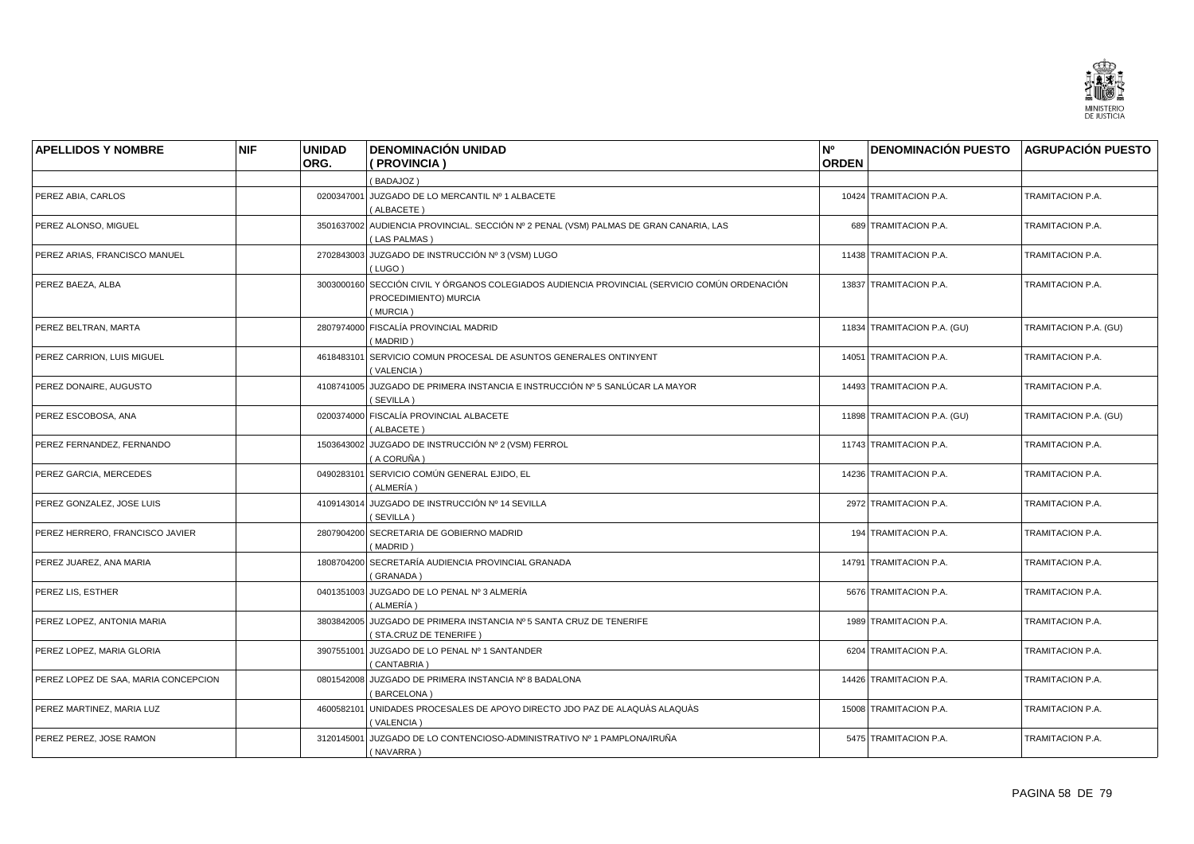

| <b>APELLIDOS Y NOMBRE</b>            | <b>NIF</b> | <b>UNIDAD</b> | <b>DENOMINACIÓN UNIDAD</b>                                                                                                         | N <sup>o</sup> | <b>DENOMINACIÓN PUESTO AGRUPACIÓN PUESTO</b> |                       |
|--------------------------------------|------------|---------------|------------------------------------------------------------------------------------------------------------------------------------|----------------|----------------------------------------------|-----------------------|
|                                      |            | ORG.          | (PROVINCIA)                                                                                                                        | <b>ORDEN</b>   |                                              |                       |
|                                      |            |               | (BADAJOZ)                                                                                                                          |                |                                              |                       |
| PEREZ ABIA, CARLOS                   |            |               | 0200347001 JUZGADO DE LO MERCANTIL Nº 1 ALBACETE<br>(ALBACETE)                                                                     |                | 10424 TRAMITACION P.A.                       | TRAMITACION P.A.      |
| PEREZ ALONSO, MIGUEL                 |            |               | 3501637002 AUDIENCIA PROVINCIAL. SECCIÓN Nº 2 PENAL (VSM) PALMAS DE GRAN CANARIA, LAS<br>(LAS PALMAS)                              |                | 689 TRAMITACION P.A.                         | TRAMITACION P.A.      |
| PEREZ ARIAS, FRANCISCO MANUEL        |            |               | 2702843003 JUZGADO DE INSTRUCCIÓN Nº 3 (VSM) LUGO<br>(LUGO)                                                                        |                | 11438 TRAMITACION P.A.                       | TRAMITACION P.A.      |
| PEREZ BAEZA, ALBA                    |            |               | 3003000160 SECCIÓN CIVIL Y ÓRGANOS COLEGIADOS AUDIENCIA PROVINCIAL (SERVICIO COMÚN ORDENACIÓN<br>PROCEDIMIENTO) MURCIA<br>(MURCIA) |                | 13837 TRAMITACION P.A.                       | TRAMITACION P.A.      |
| PEREZ BELTRAN, MARTA                 |            |               | 2807974000 FISCALÍA PROVINCIAL MADRID<br>(MADRID)                                                                                  |                | 11834 TRAMITACION P.A. (GU)                  | TRAMITACION P.A. (GU) |
| PEREZ CARRION, LUIS MIGUEL           |            | 4618483101    | SERVICIO COMUN PROCESAL DE ASUNTOS GENERALES ONTINYENT<br>(VALENCIA)                                                               |                | 14051 TRAMITACION P.A.                       | TRAMITACION P.A.      |
| PEREZ DONAIRE, AUGUSTO               |            |               | 4108741005 JUZGADO DE PRIMERA INSTANCIA E INSTRUCCIÓN Nº 5 SANLÚCAR LA MAYOR<br>(SEVILLA)                                          |                | 14493 TRAMITACION P.A.                       | TRAMITACION P.A.      |
| PEREZ ESCOBOSA, ANA                  |            |               | 0200374000 FISCALÍA PROVINCIAL ALBACETE<br>(ALBACETE)                                                                              |                | 11898 TRAMITACION P.A. (GU)                  | TRAMITACION P.A. (GU) |
| PEREZ FERNANDEZ, FERNANDO            |            |               | 1503643002 JUZGADO DE INSTRUCCIÓN Nº 2 (VSM) FERROL<br>(A CORUÑA )                                                                 |                | 11743 TRAMITACION P.A.                       | TRAMITACION P.A.      |
| PEREZ GARCIA, MERCEDES               |            |               | 0490283101 SERVICIO COMÚN GENERAL EJIDO, EL<br>(ALMERÍA )                                                                          |                | 14236 TRAMITACION P.A.                       | TRAMITACION P.A.      |
| PEREZ GONZALEZ, JOSE LUIS            |            |               | 4109143014 JUZGADO DE INSTRUCCIÓN Nº 14 SEVILLA<br>SEVILLA)                                                                        |                | 2972 TRAMITACION P.A.                        | TRAMITACION P.A.      |
| PEREZ HERRERO, FRANCISCO JAVIER      |            | 2807904200    | SECRETARIA DE GOBIERNO MADRID<br>(MADRID)                                                                                          |                | 194 TRAMITACION P.A.                         | TRAMITACION P.A.      |
| PEREZ JUAREZ, ANA MARIA              |            |               | 1808704200 SECRETARÍA AUDIENCIA PROVINCIAL GRANADA<br>(GRANADA)                                                                    |                | 14791 TRAMITACION P.A.                       | TRAMITACION P.A.      |
| PEREZ LIS, ESTHER                    |            |               | 0401351003 JUZGADO DE LO PENAL Nº 3 ALMERÍA<br>( ALMERÍA )                                                                         |                | 5676 TRAMITACION P.A.                        | TRAMITACION P.A.      |
| PEREZ LOPEZ, ANTONIA MARIA           |            | 3803842005    | JUZGADO DE PRIMERA INSTANCIA Nº 5 SANTA CRUZ DE TENERIFE<br>(STA.CRUZ DE TENERIFE)                                                 |                | 1989 TRAMITACION P.A.                        | TRAMITACION P.A.      |
| PEREZ LOPEZ, MARIA GLORIA            |            | 3907551001    | JUZGADO DE LO PENAL Nº 1 SANTANDER<br>(CANTABRIA)                                                                                  |                | 6204 TRAMITACION P.A.                        | TRAMITACION P.A.      |
| PEREZ LOPEZ DE SAA, MARIA CONCEPCION |            |               | 0801542008 JUZGADO DE PRIMERA INSTANCIA Nº 8 BADALONA<br>(BARCELONA)                                                               |                | 14426 TRAMITACION P.A.                       | TRAMITACION P.A.      |
| PEREZ MARTINEZ, MARIA LUZ            |            |               | 4600582101 UNIDADES PROCESALES DE APOYO DIRECTO JDO PAZ DE ALAQUÀS ALAQUÀS<br>(VALENCIA)                                           |                | 15008 TRAMITACION P.A.                       | TRAMITACION P.A.      |
| PEREZ PEREZ. JOSE RAMON              |            |               | 3120145001 JUZGADO DE LO CONTENCIOSO-ADMINISTRATIVO Nº 1 PAMPLONA/IRUÑA<br>(NAVARRA)                                               |                | 5475 TRAMITACION P.A.                        | TRAMITACION P.A.      |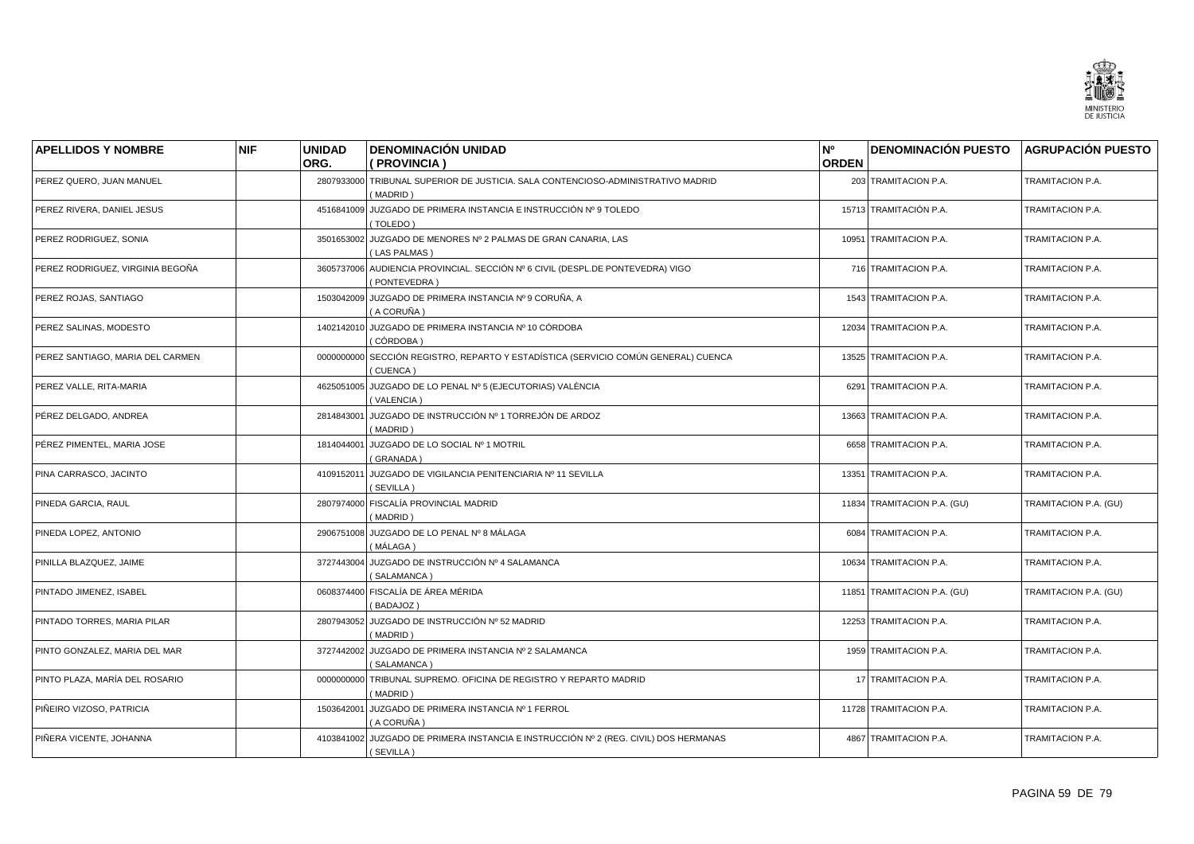

| <b>APELLIDOS Y NOMBRE</b>        | <b>NIF</b> | <b>UNIDAD</b><br>ORG. | <b>DENOMINACIÓN UNIDAD</b><br>( PROVINCIA )                                                       | N°<br><b>ORDEN</b> | <b>DENOMINACIÓN PUESTO</b>  | <b>AGRUPACIÓN PUESTO</b> |
|----------------------------------|------------|-----------------------|---------------------------------------------------------------------------------------------------|--------------------|-----------------------------|--------------------------|
|                                  |            |                       |                                                                                                   |                    |                             |                          |
| PEREZ QUERO, JUAN MANUEL         |            |                       | 2807933000 TRIBUNAL SUPERIOR DE JUSTICIA. SALA CONTENCIOSO-ADMINISTRATIVO MADRID<br>(MADRID)      |                    | 203 TRAMITACION P.A.        | TRAMITACION P.A.         |
| PEREZ RIVERA, DANIEL JESUS       |            | 4516841009            | JUZGADO DE PRIMERA INSTANCIA E INSTRUCCIÓN Nº 9 TOLEDO<br>(TOLEDO)                                |                    | 15713 TRAMITACIÓN P.A.      | TRAMITACION P.A.         |
| PEREZ RODRIGUEZ, SONIA           |            |                       | 3501653002 JUZGADO DE MENORES Nº 2 PALMAS DE GRAN CANARIA, LAS<br>(LAS PALMAS)                    |                    | 10951 TRAMITACION P.A.      | TRAMITACION P.A.         |
| PEREZ RODRIGUEZ, VIRGINIA BEGOÑA |            |                       | 3605737006 AUDIENCIA PROVINCIAL. SECCIÓN Nº 6 CIVIL (DESPL.DE PONTEVEDRA) VIGO<br>(PONTEVEDRA)    |                    | 716 TRAMITACION P.A.        | TRAMITACION P.A.         |
| PEREZ ROJAS, SANTIAGO            |            |                       | 1503042009 JUZGADO DE PRIMERA INSTANCIA Nº 9 CORUÑA, A<br>(A CORUÑA)                              |                    | 1543 TRAMITACION P.A.       | TRAMITACION P.A.         |
| PEREZ SALINAS, MODESTO           |            |                       | 1402142010 JUZGADO DE PRIMERA INSTANCIA Nº 10 CÓRDOBA<br>(CÓRDOBA)                                |                    | 12034 TRAMITACION P.A.      | TRAMITACION P.A.         |
| PEREZ SANTIAGO, MARIA DEL CARMEN |            | 0000000000            | SECCIÓN REGISTRO, REPARTO Y ESTADÍSTICA (SERVICIO COMÚN GENERAL) CUENCA<br>(CUENCA)               |                    | 13525 TRAMITACION P.A.      | TRAMITACION P.A.         |
| PEREZ VALLE, RITA-MARIA          |            |                       | 4625051005 JUZGADO DE LO PENAL Nº 5 (EJECUTORIAS) VALÈNCIA<br>(VALENCIA)                          |                    | 6291 TRAMITACION P.A.       | TRAMITACION P.A.         |
| PÉREZ DELGADO, ANDREA            |            | 2814843001            | JUZGADO DE INSTRUCCIÓN Nº 1 TORREJÓN DE ARDOZ<br>(MADRID)                                         |                    | 13663 TRAMITACION P.A.      | TRAMITACION P.A.         |
| PÉREZ PIMENTEL, MARIA JOSE       |            | 1814044001            | JUZGADO DE LO SOCIAL Nº 1 MOTRIL<br>(GRANADA)                                                     |                    | 6658 TRAMITACION P.A.       | TRAMITACION P.A.         |
| PINA CARRASCO, JACINTO           |            | 4109152011            | JUZGADO DE VIGILANCIA PENITENCIARIA Nº 11 SEVILLA<br>(SEVILLA)                                    |                    | 13351 TRAMITACION P.A.      | TRAMITACION P.A.         |
| PINEDA GARCIA, RAUL              |            |                       | 2807974000 FISCALÍA PROVINCIAL MADRID<br>(MADRID)                                                 |                    | 11834 TRAMITACION P.A. (GU) | TRAMITACION P.A. (GU)    |
| PINEDA LOPEZ, ANTONIO            |            |                       | 2906751008 JUZGADO DE LO PENAL Nº 8 MÁLAGA<br>(MÁLAGA)                                            |                    | 6084 TRAMITACION P.A.       | TRAMITACION P.A.         |
| PINILLA BLAZQUEZ, JAIME          |            | 3727443004            | JUZGADO DE INSTRUCCIÓN Nº 4 SALAMANCA<br>(SALAMANCA)                                              |                    | 10634 TRAMITACION P.A.      | TRAMITACION P.A.         |
| PINTADO JIMENEZ, ISABEL          |            |                       | 0608374400 FISCALÍA DE ÁREA MÉRIDA<br>(BADAJOZ)                                                   |                    | 11851 TRAMITACION P.A. (GU) | TRAMITACION P.A. (GU)    |
| PINTADO TORRES, MARIA PILAR      |            | 2807943052            | JUZGADO DE INSTRUCCIÓN Nº 52 MADRID<br>(MADRID)                                                   |                    | 12253 TRAMITACION P.A.      | TRAMITACION P.A.         |
| PINTO GONZALEZ, MARIA DEL MAR    |            |                       | 3727442002 JUZGADO DE PRIMERA INSTANCIA Nº 2 SALAMANCA<br>(SALAMANCA)                             |                    | 1959 TRAMITACION P.A.       | TRAMITACION P.A.         |
| PINTO PLAZA, MARÍA DEL ROSARIO   |            | 0000000000            | TRIBUNAL SUPREMO. OFICINA DE REGISTRO Y REPARTO MADRID<br>(MADRID)                                |                    | 17 TRAMITACION P.A.         | TRAMITACION P.A.         |
| PIÑEIRO VIZOSO, PATRICIA         |            |                       | 1503642001 JUZGADO DE PRIMERA INSTANCIA Nº 1 FERROL<br>(A CORUÑA)                                 |                    | 11728 TRAMITACION P.A.      | TRAMITACION P.A.         |
| PIÑERA VICENTE, JOHANNA          |            |                       | 4103841002 JUZGADO DE PRIMERA INSTANCIA E INSTRUCCIÓN Nº 2 (REG. CIVIL) DOS HERMANAS<br>(SEVILLA) |                    | 4867 TRAMITACION P.A.       | TRAMITACION P.A.         |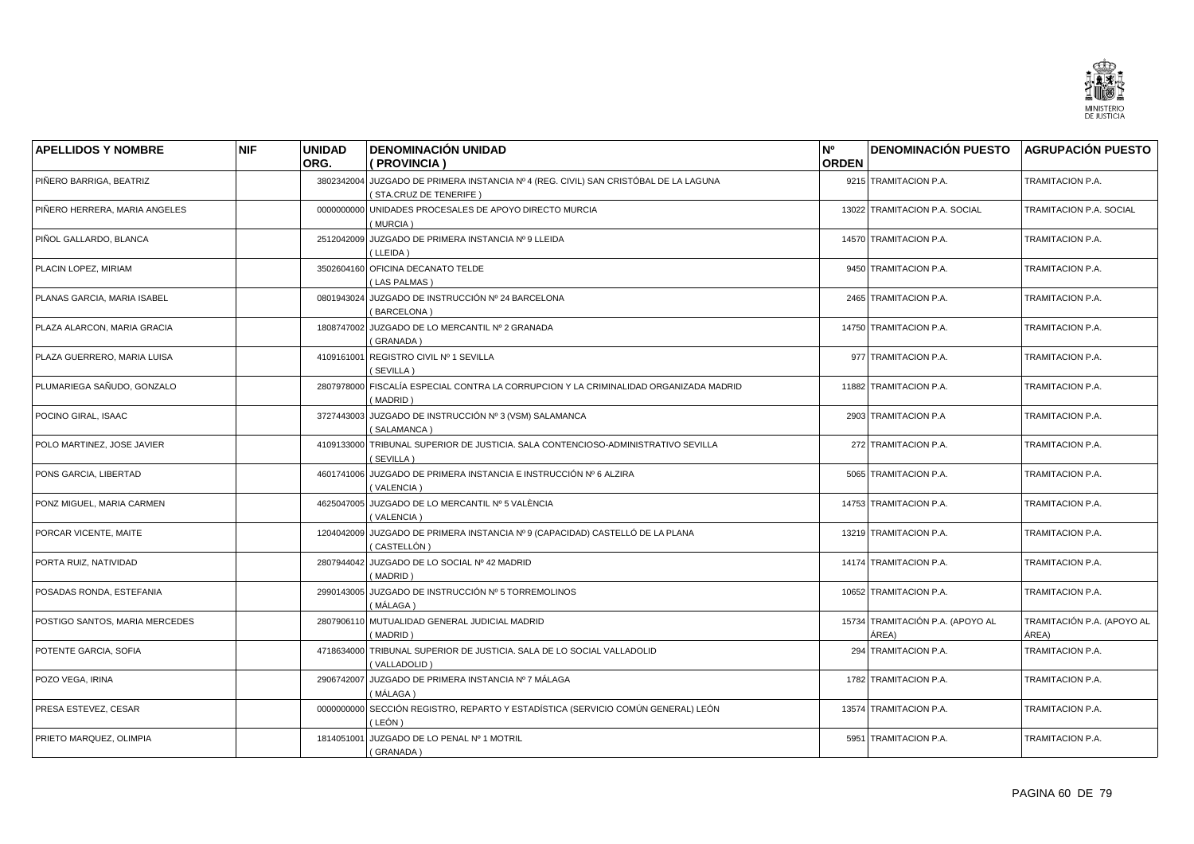

| <b>APELLIDOS Y NOMBRE</b>      | <b>NIF</b> | <b>UNIDAD</b><br>ORG. | <b>DENOMINACIÓN UNIDAD</b><br>(PROVINCIA)                                                           | N <sup>o</sup><br><b>ORDEN</b> | <b>DENOMINACIÓN PUESTO</b>                | <b>AGRUPACIÓN PUESTO</b>            |
|--------------------------------|------------|-----------------------|-----------------------------------------------------------------------------------------------------|--------------------------------|-------------------------------------------|-------------------------------------|
| PIÑERO BARRIGA, BEATRIZ        |            | 3802342004            | JUZGADO DE PRIMERA INSTANCIA Nº 4 (REG. CIVIL) SAN CRISTÓBAL DE LA LAGUNA<br>(STA.CRUZ DE TENERIFE) |                                | 9215 TRAMITACION P.A.                     | TRAMITACION P.A.                    |
| PIÑERO HERRERA, MARIA ANGELES  |            | 0000000000            | UNIDADES PROCESALES DE APOYO DIRECTO MURCIA<br>(MURCIA)                                             |                                | 13022 TRAMITACION P.A. SOCIAL             | TRAMITACION P.A. SOCIAL             |
| PIÑOL GALLARDO, BLANCA         |            |                       | 2512042009 JUZGADO DE PRIMERA INSTANCIA Nº 9 LLEIDA<br>(LLEIDA)                                     |                                | 14570 TRAMITACION P.A.                    | TRAMITACION P.A.                    |
| PLACIN LOPEZ, MIRIAM           |            |                       | 3502604160 OFICINA DECANATO TELDE<br>(LAS PALMAS)                                                   |                                | 9450 TRAMITACION P.A.                     | TRAMITACION P.A.                    |
| PLANAS GARCIA, MARIA ISABEL    |            |                       | 0801943024 JUZGADO DE INSTRUCCIÓN Nº 24 BARCELONA<br><b>BARCELONA</b> )                             |                                | 2465 TRAMITACION P.A.                     | TRAMITACION P.A.                    |
| PLAZA ALARCON, MARIA GRACIA    |            |                       | 1808747002 JUZGADO DE LO MERCANTIL Nº 2 GRANADA<br>GRANADA)                                         |                                | 14750 TRAMITACION P.A.                    | TRAMITACION P.A.                    |
| PLAZA GUERRERO, MARIA LUISA    |            |                       | 4109161001 REGISTRO CIVIL Nº 1 SEVILLA<br>(SEVILLA)                                                 |                                | 977 TRAMITACION P.A.                      | TRAMITACION P.A.                    |
| PLUMARIEGA SAÑUDO, GONZALO     |            |                       | 2807978000 FISCALÍA ESPECIAL CONTRA LA CORRUPCION Y LA CRIMINALIDAD ORGANIZADA MADRID<br>(MADRID)   |                                | 11882 TRAMITACION P.A.                    | TRAMITACION P.A.                    |
| POCINO GIRAL, ISAAC            |            | 3727443003            | JUZGADO DE INSTRUCCIÓN Nº 3 (VSM) SALAMANCA<br>(SALAMANCA)                                          |                                | 2903 TRAMITACION P.A                      | TRAMITACION P.A.                    |
| POLO MARTINEZ, JOSE JAVIER     |            |                       | 4109133000 TRIBUNAL SUPERIOR DE JUSTICIA. SALA CONTENCIOSO-ADMINISTRATIVO SEVILLA<br>(SEVILLA)      |                                | 272 TRAMITACION P.A.                      | TRAMITACION P.A.                    |
| PONS GARCIA, LIBERTAD          |            |                       | 4601741006 JUZGADO DE PRIMERA INSTANCIA E INSTRUCCIÓN Nº 6 ALZIRA<br>(VALENCIA)                     |                                | 5065 TRAMITACION P.A.                     | TRAMITACION P.A.                    |
| PONZ MIGUEL, MARIA CARMEN      |            |                       | 4625047005 JUZGADO DE LO MERCANTIL Nº 5 VALÈNCIA<br>(VALENCIA)                                      |                                | 14753 TRAMITACION P.A.                    | TRAMITACION P.A.                    |
| PORCAR VICENTE, MAITE          |            | 1204042009            | JUZGADO DE PRIMERA INSTANCIA Nº 9 (CAPACIDAD) CASTELLÓ DE LA PLANA<br>CASTELLÓN)                    |                                | 13219 TRAMITACION P.A.                    | TRAMITACION P.A.                    |
| PORTA RUIZ, NATIVIDAD          |            |                       | 2807944042 JUZGADO DE LO SOCIAL Nº 42 MADRID<br>(MADRID)                                            |                                | 14174 TRAMITACION P.A.                    | TRAMITACION P.A.                    |
| POSADAS RONDA, ESTEFANIA       |            |                       | 2990143005 JUZGADO DE INSTRUCCIÓN Nº 5 TORREMOLINOS<br>( MÁLAGA )                                   |                                | 10652 TRAMITACION P.A.                    | TRAMITACION P.A.                    |
| POSTIGO SANTOS, MARIA MERCEDES |            |                       | 2807906110 MUTUALIDAD GENERAL JUDICIAL MADRID<br>(MADRID)                                           |                                | 15734 TRAMITACIÓN P.A. (APOYO AL<br>ÁREA) | TRAMITACIÓN P.A. (APOYO AL<br>ÁREA) |
| POTENTE GARCIA, SOFIA          |            |                       | 4718634000 TRIBUNAL SUPERIOR DE JUSTICIA. SALA DE LO SOCIAL VALLADOLID<br>(VALLADOLID)              |                                | 294 TRAMITACION P.A.                      | TRAMITACION P.A.                    |
| POZO VEGA, IRINA               |            |                       | 2906742007 JUZGADO DE PRIMERA INSTANCIA Nº 7 MÁLAGA<br>( MÁLAGA )                                   |                                | 1782 TRAMITACION P.A.                     | TRAMITACION P.A.                    |
| PRESA ESTEVEZ, CESAR           |            |                       | 0000000000 SECCIÓN REGISTRO, REPARTO Y ESTADÍSTICA (SERVICIO COMÚN GENERAL) LEÓN<br>( LEÓN )        |                                | 13574 TRAMITACION P.A.                    | TRAMITACION P.A.                    |
| PRIETO MARQUEZ, OLIMPIA        |            |                       | 1814051001 JUZGADO DE LO PENAL Nº 1 MOTRIL<br>(GRANADA)                                             |                                | 5951 TRAMITACION P.A.                     | TRAMITACION P.A.                    |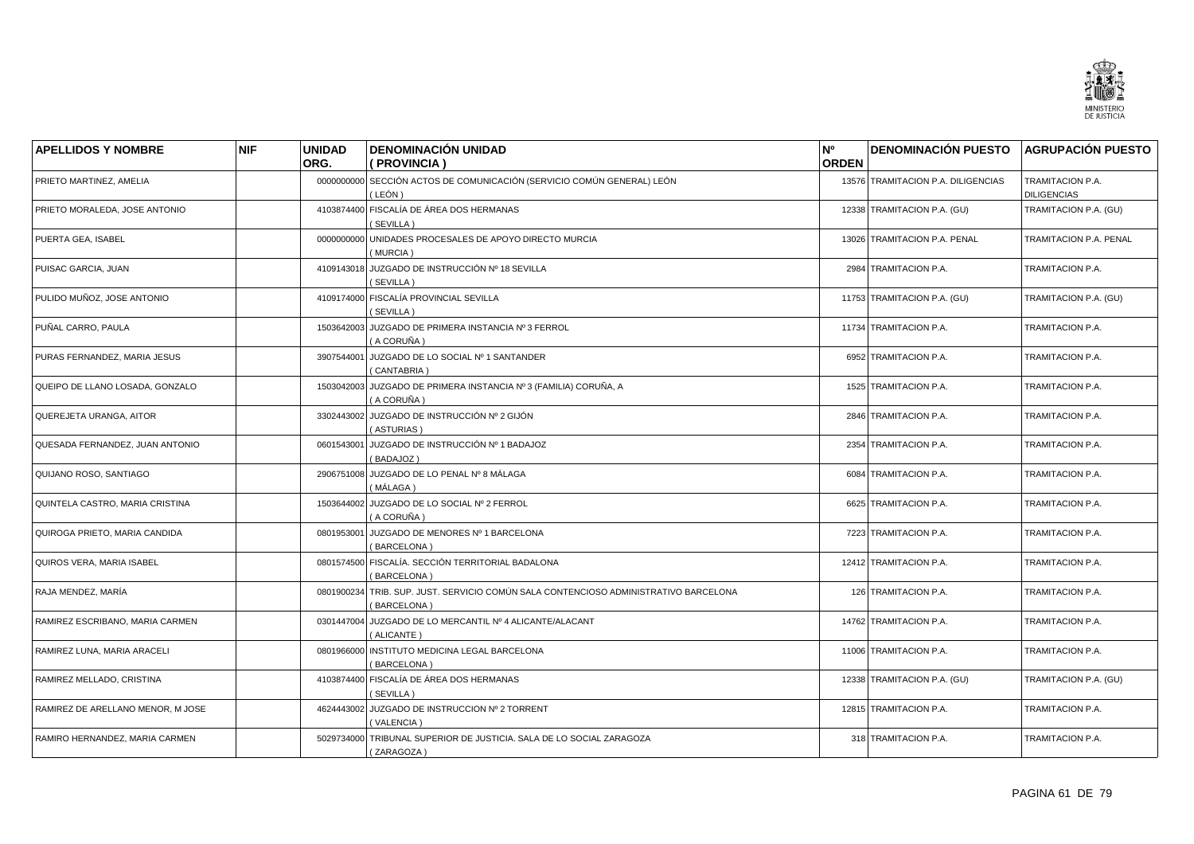

| <b>APELLIDOS Y NOMBRE</b>         | <b>NIF</b> | <b>UNIDAD</b> | <b>DENOMINACIÓN UNIDAD</b>                                                                          | N <sup>o</sup> | <b>DENOMINACIÓN PUESTO</b>         | <b>AGRUPACIÓN PUESTO</b>               |
|-----------------------------------|------------|---------------|-----------------------------------------------------------------------------------------------------|----------------|------------------------------------|----------------------------------------|
|                                   |            | ORG.          | ( PROVINCIA )                                                                                       | <b>ORDEN</b>   |                                    |                                        |
| PRIETO MARTINEZ, AMELIA           |            |               | 0000000000 SECCIÓN ACTOS DE COMUNICACIÓN (SERVICIO COMÚN GENERAL) LEÓN<br>(LEÓN)                    |                | 13576 TRAMITACION P.A. DILIGENCIAS | TRAMITACION P.A.<br><b>DILIGENCIAS</b> |
| PRIETO MORALEDA, JOSE ANTONIO     |            |               | 4103874400 FISCALÍA DE ÁREA DOS HERMANAS<br>(SEVILLA)                                               |                | 12338 TRAMITACION P.A. (GU)        | TRAMITACION P.A. (GU)                  |
| PUERTA GEA, ISABEL                |            |               | 0000000000 UNIDADES PROCESALES DE APOYO DIRECTO MURCIA<br>(MURCIA)                                  |                | 13026 TRAMITACION P.A. PENAL       | TRAMITACION P.A. PENAL                 |
| PUISAC GARCIA, JUAN               |            |               | 4109143018 JUZGADO DE INSTRUCCIÓN Nº 18 SEVILLA<br>(SEVILLA)                                        |                | 2984 TRAMITACION P.A.              | TRAMITACION P.A.                       |
| PULIDO MUÑOZ, JOSE ANTONIO        |            |               | 4109174000 FISCALÍA PROVINCIAL SEVILLA<br>(SEVILLA)                                                 |                | 11753 TRAMITACION P.A. (GU)        | TRAMITACION P.A. (GU)                  |
| PUÑAL CARRO, PAULA                |            |               | 1503642003 JUZGADO DE PRIMERA INSTANCIA Nº 3 FERROL<br>(A CORUÑA)                                   |                | 11734 TRAMITACION P.A.             | TRAMITACION P.A.                       |
| PURAS FERNANDEZ, MARIA JESUS      |            | 3907544001    | JUZGADO DE LO SOCIAL Nº 1 SANTANDER<br>(CANTABRIA)                                                  |                | 6952 TRAMITACION P.A.              | TRAMITACION P.A.                       |
| QUEIPO DE LLANO LOSADA, GONZALO   |            |               | 1503042003 JUZGADO DE PRIMERA INSTANCIA Nº 3 (FAMILIA) CORUÑA, A<br>(A CORUÑA)                      |                | 1525 TRAMITACION P.A.              | TRAMITACION P.A.                       |
| QUEREJETA URANGA, AITOR           |            |               | 3302443002 JUZGADO DE INSTRUCCIÓN Nº 2 GIJÓN<br>(ASTURIAS)                                          |                | 2846 TRAMITACION P.A.              | TRAMITACION P.A.                       |
| QUESADA FERNANDEZ, JUAN ANTONIO   |            |               | 0601543001 JUZGADO DE INSTRUCCIÓN Nº 1 BADAJOZ<br>(BADAJOZ)                                         |                | 2354 TRAMITACION P.A.              | TRAMITACION P.A.                       |
| QUIJANO ROSO, SANTIAGO            |            |               | 2906751008 JUZGADO DE LO PENAL Nº 8 MÁLAGA<br>(MÁLAGA)                                              |                | 6084 TRAMITACION P.A.              | TRAMITACION P.A.                       |
| QUINTELA CASTRO, MARIA CRISTINA   |            |               | 1503644002 JUZGADO DE LO SOCIAL Nº 2 FERROL<br>( A CORUÑA )                                         |                | 6625 TRAMITACION P.A.              | TRAMITACION P.A.                       |
| QUIROGA PRIETO, MARIA CANDIDA     |            |               | 0801953001 JUZGADO DE MENORES Nº 1 BARCELONA<br>(BARCELONA)                                         |                | 7223 TRAMITACION P.A.              | TRAMITACION P.A.                       |
| QUIROS VERA, MARIA ISABEL         |            |               | 0801574500 FISCALÍA. SECCIÓN TERRITORIAL BADALONA<br>(BARCELONA)                                    |                | 12412 TRAMITACION P.A.             | TRAMITACION P.A.                       |
| RAJA MENDEZ. MARÍA                |            |               | 0801900234 TRIB. SUP. JUST. SERVICIO COMÚN SALA CONTENCIOSO ADMINISTRATIVO BARCELONA<br>(BARCELONA) |                | 126 TRAMITACION P.A.               | TRAMITACION P.A.                       |
| RAMIREZ ESCRIBANO, MARIA CARMEN   |            |               | 0301447004 JUZGADO DE LO MERCANTIL Nº 4 ALICANTE/ALACANT<br>(ALICANTE)                              |                | 14762 TRAMITACION P.A.             | TRAMITACION P.A.                       |
| RAMIREZ LUNA, MARIA ARACELI       |            |               | 0801966000 INSTITUTO MEDICINA LEGAL BARCELONA<br>(BARCELONA)                                        |                | 11006 TRAMITACION P.A.             | TRAMITACION P.A.                       |
| RAMIREZ MELLADO, CRISTINA         |            |               | 4103874400 FISCALÍA DE ÁREA DOS HERMANAS<br>(SEVILLA)                                               |                | 12338 TRAMITACION P.A. (GU)        | TRAMITACION P.A. (GU)                  |
| RAMIREZ DE ARELLANO MENOR, M JOSE |            |               | 4624443002 JUZGADO DE INSTRUCCION Nº 2 TORRENT<br>(VALENCIA)                                        |                | 12815 TRAMITACION P.A.             | TRAMITACION P.A.                       |
| RAMIRO HERNANDEZ, MARIA CARMEN    |            |               | 5029734000 TRIBUNAL SUPERIOR DE JUSTICIA. SALA DE LO SOCIAL ZARAGOZA<br>(ZARAGOZA)                  |                | 318 TRAMITACION P.A.               | TRAMITACION P.A.                       |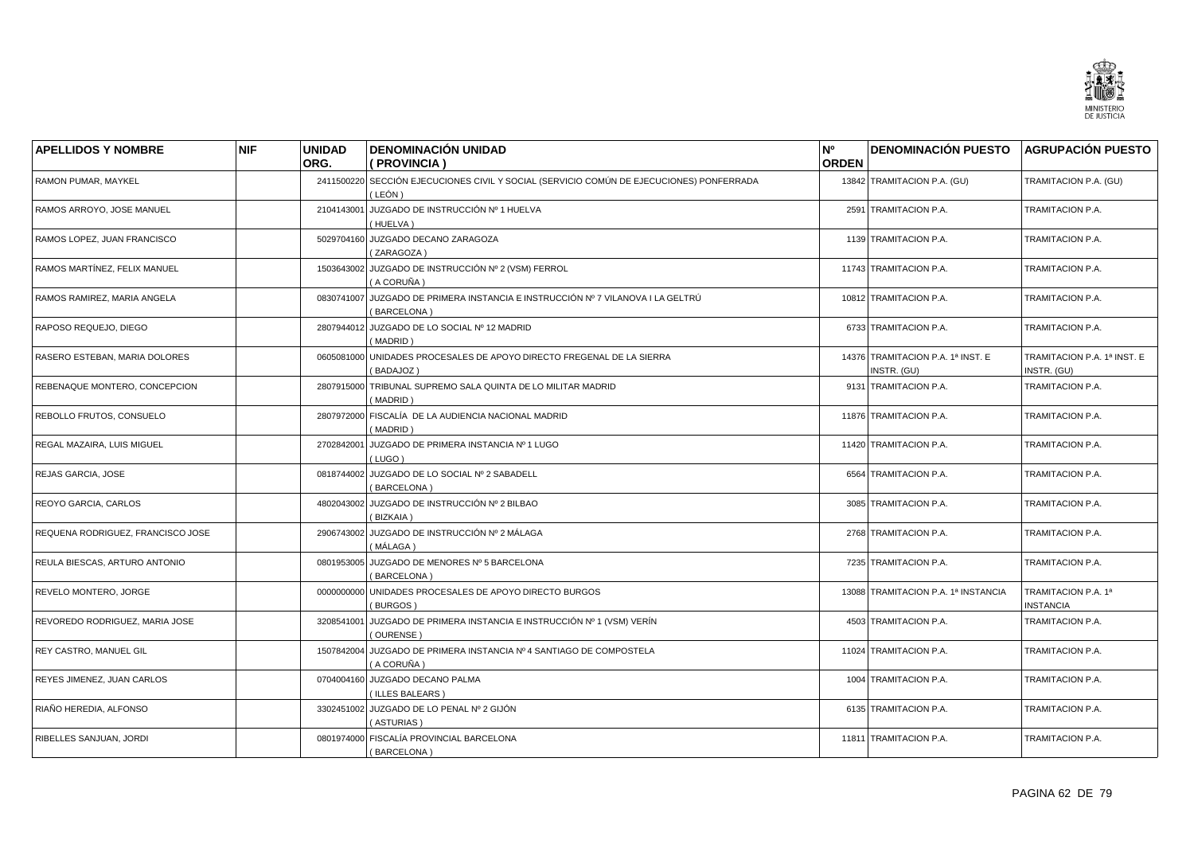

| <b>APELLIDOS Y NOMBRE</b>         | <b>NIF</b> | <b>UNIDAD</b> | <b>DENOMINACIÓN UNIDAD</b>                                                                           | N°           | <b>DENOMINACIÓN PUESTO</b>                       | <b>AGRUPACIÓN PUESTO</b>                   |
|-----------------------------------|------------|---------------|------------------------------------------------------------------------------------------------------|--------------|--------------------------------------------------|--------------------------------------------|
|                                   |            | ORG.          | ( PROVINCIA )                                                                                        | <b>ORDEN</b> |                                                  |                                            |
| RAMON PUMAR, MAYKEL               |            |               | 2411500220 SECCIÓN EJECUCIONES CIVIL Y SOCIAL (SERVICIO COMÚN DE EJECUCIONES) PONFERRADA<br>( LEÓN ) |              | 13842 TRAMITACION P.A. (GU)                      | TRAMITACION P.A. (GU)                      |
| RAMOS ARROYO, JOSE MANUEL         |            | 2104143001    | JUZGADO DE INSTRUCCIÓN Nº 1 HUELVA<br>(HUELVA)                                                       |              | 2591 TRAMITACION P.A.                            | TRAMITACION P.A.                           |
| RAMOS LOPEZ, JUAN FRANCISCO       |            |               | 5029704160 JUZGADO DECANO ZARAGOZA<br>(ZARAGOZA)                                                     |              | 1139 TRAMITACION P.A.                            | TRAMITACION P.A.                           |
| RAMOS MARTÍNEZ. FELIX MANUEL      |            |               | 1503643002 JUZGADO DE INSTRUCCIÓN Nº 2 (VSM) FERROL<br>( A CORUÑA )                                  |              | 11743 TRAMITACION P.A.                           | TRAMITACION P.A.                           |
| RAMOS RAMIREZ, MARIA ANGELA       |            |               | 0830741007 JUZGADO DE PRIMERA INSTANCIA E INSTRUCCIÓN Nº 7 VILANOVA I LA GELTRÚ<br>(BARCELONA)       |              | 10812 TRAMITACION P.A.                           | TRAMITACION P.A.                           |
| RAPOSO REQUEJO, DIEGO             |            |               | 2807944012 JUZGADO DE LO SOCIAL Nº 12 MADRID<br>(MADRID)                                             |              | 6733 TRAMITACION P.A.                            | TRAMITACION P.A.                           |
| RASERO ESTEBAN, MARIA DOLORES     |            | 0605081000    | UNIDADES PROCESALES DE APOYO DIRECTO FREGENAL DE LA SIERRA<br>(BADAJOZ)                              |              | 14376 TRAMITACION P.A. 1ª INST. E<br>INSTR. (GU) | TRAMITACION P.A. 1ª INST. E<br>INSTR. (GU) |
| REBENAQUE MONTERO, CONCEPCION     |            |               | 2807915000 TRIBUNAL SUPREMO SALA QUINTA DE LO MILITAR MADRID<br>(MADRID)                             |              | 9131 TRAMITACION P.A.                            | TRAMITACION P.A.                           |
| REBOLLO FRUTOS, CONSUELO          |            |               | 2807972000 FISCALÍA DE LA AUDIENCIA NACIONAL MADRID<br>(MADRID)                                      |              | 11876 TRAMITACION P.A.                           | TRAMITACION P.A.                           |
| REGAL MAZAIRA, LUIS MIGUEL        |            |               | 2702842001 JUZGADO DE PRIMERA INSTANCIA Nº 1 LUGO<br>(LUGO)                                          |              | 11420 TRAMITACION P.A.                           | TRAMITACION P.A.                           |
| REJAS GARCIA, JOSE                |            |               | 0818744002 JUZGADO DE LO SOCIAL Nº 2 SABADELL<br>(BARCELONA)                                         |              | 6564 TRAMITACION P.A.                            | TRAMITACION P.A.                           |
| REOYO GARCIA, CARLOS              |            |               | 4802043002 JUZGADO DE INSTRUCCIÓN Nº 2 BILBAO<br>(BIZKAIA)                                           |              | 3085 TRAMITACION P.A.                            | TRAMITACION P.A.                           |
| REQUENA RODRIGUEZ, FRANCISCO JOSE |            |               | 2906743002 JUZGADO DE INSTRUCCIÓN Nº 2 MÁLAGA<br>(MÁLAGA)                                            |              | 2768 TRAMITACION P.A.                            | TRAMITACION P.A.                           |
| REULA BIESCAS, ARTURO ANTONIO     |            |               | 0801953005 JUZGADO DE MENORES Nº 5 BARCELONA<br>(BARCELONA)                                          |              | 7235 TRAMITACION P.A.                            | TRAMITACION P.A.                           |
| REVELO MONTERO, JORGE             |            |               | 0000000000 UNIDADES PROCESALES DE APOYO DIRECTO BURGOS<br>(BURGOS)                                   |              | 13088 TRAMITACION P.A. 1ª INSTANCIA              | TRAMITACION P.A. 1ª<br><b>INSTANCIA</b>    |
| REVOREDO RODRIGUEZ, MARIA JOSE    |            | 3208541001    | JUZGADO DE PRIMERA INSTANCIA E INSTRUCCIÓN Nº 1 (VSM) VERÍN<br>(OURENSE)                             |              | 4503 TRAMITACION P.A.                            | TRAMITACION P.A.                           |
| REY CASTRO, MANUEL GIL            |            |               | 1507842004 JUZGADO DE PRIMERA INSTANCIA Nº 4 SANTIAGO DE COMPOSTELA<br>(A CORUÑA )                   |              | 11024 TRAMITACION P.A.                           | TRAMITACION P.A.                           |
| REYES JIMENEZ, JUAN CARLOS        |            |               | 0704004160 JUZGADO DECANO PALMA<br>(ILLES BALEARS)                                                   |              | 1004 TRAMITACION P.A.                            | TRAMITACION P.A.                           |
| RIAÑO HEREDIA, ALFONSO            |            |               | 3302451002 JUZGADO DE LO PENAL Nº 2 GIJÓN<br>(ASTURIAS)                                              |              | 6135 TRAMITACION P.A.                            | TRAMITACION P.A.                           |
| RIBELLES SANJUAN, JORDI           |            |               | 0801974000 FISCALÍA PROVINCIAL BARCELONA<br>(BARCELONA)                                              |              | 11811 TRAMITACION P.A.                           | <b>TRAMITACION P.A.</b>                    |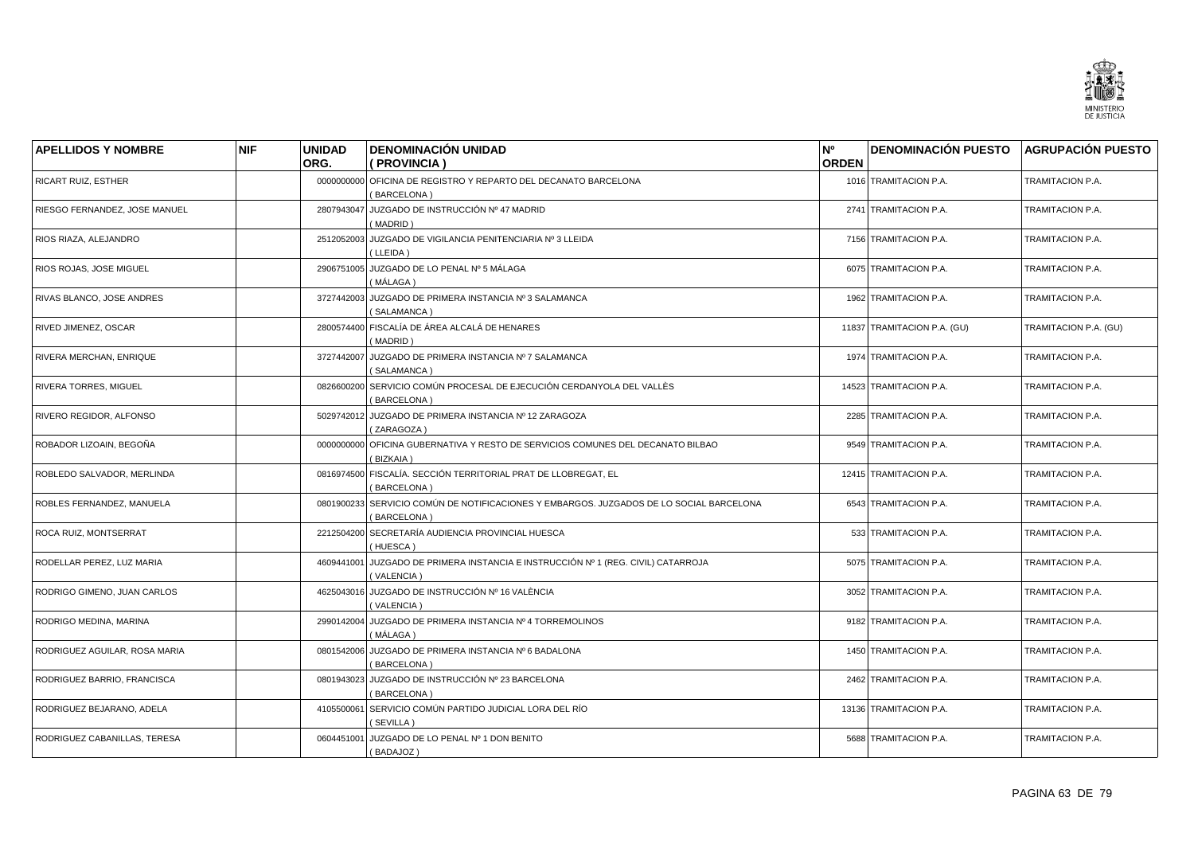

| <b>APELLIDOS Y NOMBRE</b>     | <b>NIF</b> | <b>UNIDAD</b> | <b>DENOMINACIÓN UNIDAD</b>                                                                             | N°           | <b>DENOMINACIÓN PUESTO AGRUPACIÓN PUESTO</b> |                       |
|-------------------------------|------------|---------------|--------------------------------------------------------------------------------------------------------|--------------|----------------------------------------------|-----------------------|
|                               |            | ORG.          | ( PROVINCIA )                                                                                          | <b>ORDEN</b> |                                              |                       |
| RICART RUIZ, ESTHER           |            |               | 0000000000 OFICINA DE REGISTRO Y REPARTO DEL DECANATO BARCELONA<br>(BARCELONA)                         |              | 1016 TRAMITACION P.A.                        | TRAMITACION P.A.      |
| RIESGO FERNANDEZ, JOSE MANUEL |            | 2807943047    | JUZGADO DE INSTRUCCIÓN Nº 47 MADRID<br>(MADRID)                                                        |              | 2741 TRAMITACION P.A.                        | TRAMITACION P.A.      |
| RIOS RIAZA, ALEJANDRO         |            |               | 2512052003 JUZGADO DE VIGILANCIA PENITENCIARIA Nº 3 LLEIDA<br>(LLEIDA)                                 |              | 7156 TRAMITACION P.A.                        | TRAMITACION P.A.      |
| RIOS ROJAS, JOSE MIGUEL       |            |               | 2906751005 JUZGADO DE LO PENAL Nº 5 MÁLAGA<br>(MÁLAGA)                                                 |              | 6075 TRAMITACION P.A.                        | TRAMITACION P.A.      |
| RIVAS BLANCO, JOSE ANDRES     |            |               | 3727442003 JUZGADO DE PRIMERA INSTANCIA Nº 3 SALAMANCA<br>(SALAMANCA)                                  |              | 1962 TRAMITACION P.A.                        | TRAMITACION P.A.      |
| RIVED JIMENEZ, OSCAR          |            |               | 2800574400 FISCALÍA DE ÁREA ALCALÁ DE HENARES<br>(MADRID)                                              |              | 11837 TRAMITACION P.A. (GU)                  | TRAMITACION P.A. (GU) |
| RIVERA MERCHAN, ENRIQUE       |            | 3727442007    | JUZGADO DE PRIMERA INSTANCIA Nº 7 SALAMANCA<br>(SALAMANCA)                                             |              | 1974 TRAMITACION P.A.                        | TRAMITACION P.A.      |
| RIVERA TORRES, MIGUEL         |            | 0826600200    | SERVICIO COMÚN PROCESAL DE EJECUCIÓN CERDANYOLA DEL VALLÈS<br>(BARCELONA)                              |              | 14523 TRAMITACION P.A.                       | TRAMITACION P.A.      |
| RIVERO REGIDOR, ALFONSO       |            | 5029742012    | JUZGADO DE PRIMERA INSTANCIA Nº 12 ZARAGOZA<br>(ZARAGOZA)                                              |              | 2285 TRAMITACION P.A.                        | TRAMITACION P.A.      |
| ROBADOR LIZOAIN, BEGOÑA       |            |               | 0000000000 OFICINA GUBERNATIVA Y RESTO DE SERVICIOS COMUNES DEL DECANATO BILBAO<br>(BIZKAIA)           |              | 9549 TRAMITACION P.A.                        | TRAMITACION P.A.      |
| ROBLEDO SALVADOR, MERLINDA    |            | 0816974500    | FISCALÍA. SECCIÓN TERRITORIAL PRAT DE LLOBREGAT, EL<br>[BARCELONA]                                     |              | 12415 TRAMITACION P.A.                       | TRAMITACION P.A.      |
| ROBLES FERNANDEZ, MANUELA     |            |               | 0801900233 SERVICIO COMÚN DE NOTIFICACIONES Y EMBARGOS. JUZGADOS DE LO SOCIAL BARCELONA<br>(BARCELONA) |              | 6543 TRAMITACION P.A.                        | TRAMITACION P.A.      |
| ROCA RUIZ, MONTSERRAT         |            | 2212504200    | SECRETARÍA AUDIENCIA PROVINCIAL HUESCA<br>(HUESCA)                                                     |              | 533 TRAMITACION P.A.                         | TRAMITACION P.A.      |
| RODELLAR PEREZ, LUZ MARIA     |            | 4609441001    | JUZGADO DE PRIMERA INSTANCIA E INSTRUCCIÓN Nº 1 (REG. CIVIL) CATARROJA<br>(VALENCIA)                   |              | 5075 TRAMITACION P.A.                        | TRAMITACION P.A.      |
| RODRIGO GIMENO, JUAN CARLOS   |            |               | 4625043016 JUZGADO DE INSTRUCCIÓN Nº 16 VALÈNCIA<br>(VALENCIA)                                         |              | 3052 TRAMITACION P.A.                        | TRAMITACION P.A.      |
| RODRIGO MEDINA, MARINA        |            | 2990142004    | JUZGADO DE PRIMERA INSTANCIA Nº 4 TORREMOLINOS<br>(MÁLAGA)                                             |              | 9182 TRAMITACION P.A.                        | TRAMITACION P.A.      |
| RODRIGUEZ AGUILAR, ROSA MARIA |            |               | 0801542006 JUZGADO DE PRIMERA INSTANCIA Nº 6 BADALONA<br>(BARCELONA)                                   |              | 1450 TRAMITACION P.A.                        | TRAMITACION P.A.      |
| RODRIGUEZ BARRIO, FRANCISCA   |            | 0801943023    | JUZGADO DE INSTRUCCIÓN Nº 23 BARCELONA<br>(BARCELONA)                                                  |              | 2462 TRAMITACION P.A.                        | TRAMITACION P.A.      |
| RODRIGUEZ BEJARANO, ADELA     |            |               | 4105500061 SERVICIO COMÚN PARTIDO JUDICIAL LORA DEL RÍO<br>(SEVILLA)                                   |              | 13136 TRAMITACION P.A.                       | TRAMITACION P.A.      |
| RODRIGUEZ CABANILLAS, TERESA  |            |               | 0604451001 JUZGADO DE LO PENAL Nº 1 DON BENITO<br>(BADAJOZ)                                            |              | 5688 TRAMITACION P.A.                        | TRAMITACION P.A.      |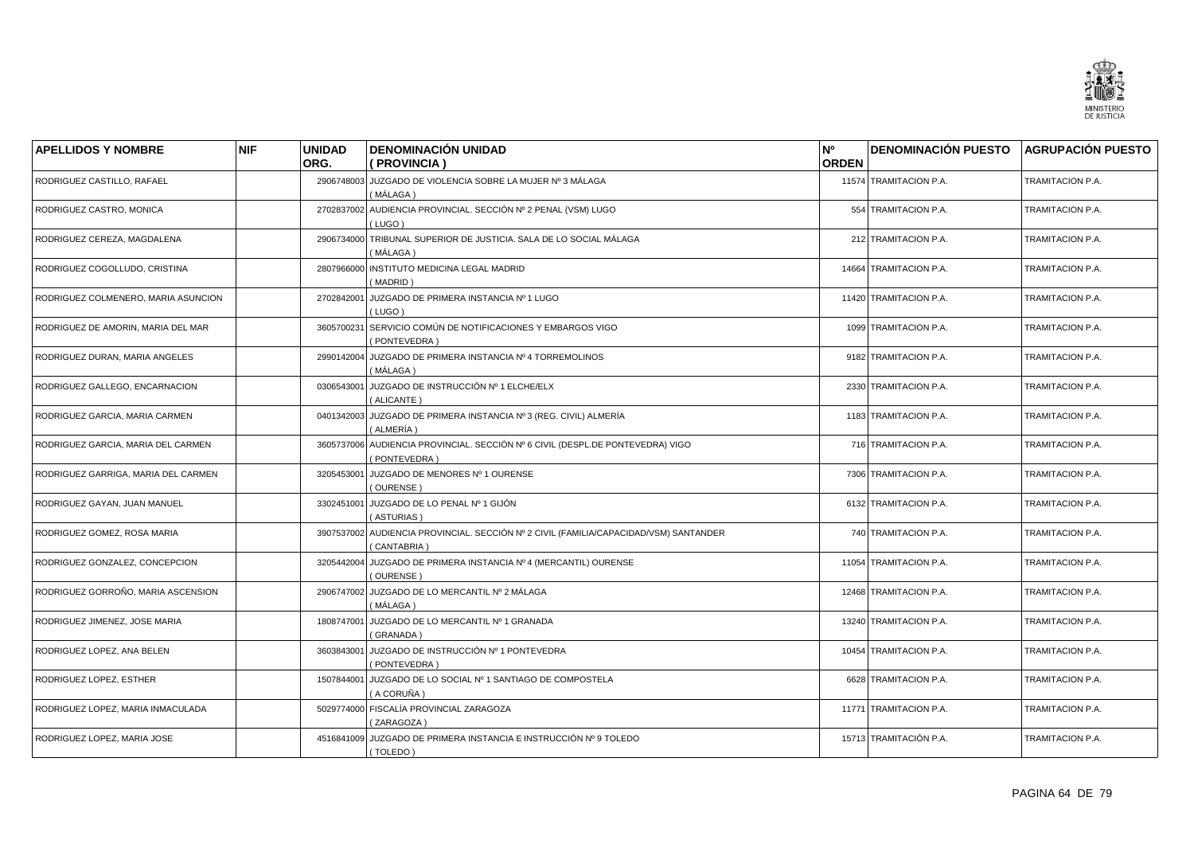

| <b>APELLIDOS Y NOMBRE</b>           | <b>NIF</b> | <b>UNIDAD</b> | <b>DENOMINACIÓN UNIDAD</b>                                                                           | N°           | <b>DENOMINACIÓN PUESTO</b> | <b>AGRUPACIÓN PUESTO</b> |
|-------------------------------------|------------|---------------|------------------------------------------------------------------------------------------------------|--------------|----------------------------|--------------------------|
|                                     |            | ORG.          | (PROVINCIA)                                                                                          | <b>ORDEN</b> |                            |                          |
| RODRIGUEZ CASTILLO, RAFAEL          |            |               | 2906748003 JUZGADO DE VIOLENCIA SOBRE LA MUJER Nº 3 MÁLAGA<br>(MÁLAGA)                               |              | 11574 TRAMITACION P.A.     | TRAMITACION P.A.         |
| RODRIGUEZ CASTRO, MONICA            |            | 2702837002    | AUDIENCIA PROVINCIAL. SECCIÓN Nº 2 PENAL (VSM) LUGO<br>(LUGO)                                        |              | 554 TRAMITACION P.A.       | TRAMITACION P.A.         |
| RODRIGUEZ CEREZA, MAGDALENA         |            | 2906734000    | TRIBUNAL SUPERIOR DE JUSTICIA, SALA DE LO SOCIAL MÁLAGA<br>MÁLAGA )                                  |              | 212 TRAMITACION P.A.       | TRAMITACION P.A.         |
| RODRIGUEZ COGOLLUDO, CRISTINA       |            | 2807966000    | INSTITUTO MEDICINA LEGAL MADRID<br>(MADRID)                                                          |              | 14664 TRAMITACION P.A.     | TRAMITACION P.A.         |
| RODRIGUEZ COLMENERO, MARIA ASUNCION |            | 2702842001    | JUZGADO DE PRIMERA INSTANCIA Nº 1 LUGO<br>(LUGO)                                                     |              | 11420 TRAMITACION P.A.     | TRAMITACION P.A.         |
| RODRIGUEZ DE AMORIN, MARIA DEL MAR  |            | 3605700231    | SERVICIO COMÚN DE NOTIFICACIONES Y EMBARGOS VIGO<br>PONTEVEDRA)                                      |              | 1099 TRAMITACION P.A.      | TRAMITACION P.A.         |
| RODRIGUEZ DURAN, MARIA ANGELES      |            | 2990142004    | JUZGADO DE PRIMERA INSTANCIA Nº 4 TORREMOLINOS<br>(MÁLAGA )                                          |              | 9182 TRAMITACION P.A.      | TRAMITACION P.A.         |
| RODRIGUEZ GALLEGO, ENCARNACION      |            | 0306543001    | JUZGADO DE INSTRUCCIÓN Nº 1 ELCHE/ELX<br>(ALICANTE)                                                  |              | 2330 TRAMITACION P.A.      | TRAMITACION P.A.         |
| RODRIGUEZ GARCIA, MARIA CARMEN      |            | 0401342003    | JUZGADO DE PRIMERA INSTANCIA Nº 3 (REG. CIVIL) ALMERÍA<br>(ALMERÍA)                                  |              | 1183 TRAMITACION P.A.      | TRAMITACION P.A.         |
| RODRIGUEZ GARCIA, MARIA DEL CARMEN  |            |               | 3605737006 AUDIENCIA PROVINCIAL. SECCIÓN Nº 6 CIVIL (DESPL.DE PONTEVEDRA) VIGO<br>(PONTEVEDRA)       |              | 716 TRAMITACION P.A.       | TRAMITACION P.A.         |
| RODRIGUEZ GARRIGA, MARIA DEL CARMEN |            | 3205453001    | JUZGADO DE MENORES Nº 1 OURENSE<br>(OURENSE)                                                         |              | 7306 TRAMITACION P.A.      | TRAMITACION P.A.         |
| RODRIGUEZ GAYAN, JUAN MANUEL        |            | 3302451001    | JUZGADO DE LO PENAL Nº 1 GIJÓN<br>(ASTURIAS)                                                         |              | 6132 TRAMITACION P.A.      | TRAMITACION P.A.         |
| RODRIGUEZ GOMEZ, ROSA MARIA         |            |               | 3907537002 AUDIENCIA PROVINCIAL. SECCIÓN Nº 2 CIVIL (FAMILIA/CAPACIDAD/VSM) SANTANDER<br>(CANTABRIA) |              | 740 TRAMITACION P.A.       | TRAMITACION P.A.         |
| RODRIGUEZ GONZALEZ, CONCEPCION      |            | 3205442004    | JUZGADO DE PRIMERA INSTANCIA Nº 4 (MERCANTIL) OURENSE<br>(OURENSE)                                   |              | 11054 TRAMITACION P.A.     | TRAMITACION P.A.         |
| RODRIGUEZ GORROÑO, MARIA ASCENSION  |            |               | 2906747002 JUZGADO DE LO MERCANTIL Nº 2 MÁLAGA<br>(MÁLAGA)                                           |              | 12468 TRAMITACION P.A.     | TRAMITACION P.A.         |
| RODRIGUEZ JIMENEZ, JOSE MARIA       |            | 1808747001    | JUZGADO DE LO MERCANTIL Nº 1 GRANADA<br>(GRANADA)                                                    |              | 13240 TRAMITACION P.A.     | TRAMITACION P.A.         |
| RODRIGUEZ LOPEZ, ANA BELEN          |            | 3603843001    | JUZGADO DE INSTRUCCIÓN Nº 1 PONTEVEDRA<br>(PONTEVEDRA)                                               |              | 10454 TRAMITACION P.A.     | TRAMITACION P.A.         |
| RODRIGUEZ LOPEZ, ESTHER             |            | 1507844001    | JUZGADO DE LO SOCIAL Nº 1 SANTIAGO DE COMPOSTELA<br>(A CORUÑA )                                      |              | 6628 TRAMITACION P.A.      | TRAMITACION P.A.         |
| RODRIGUEZ LOPEZ, MARIA INMACULADA   |            |               | 5029774000 FISCALÍA PROVINCIAL ZARAGOZA<br>(ZARAGOZA)                                                |              | 11771 TRAMITACION P.A.     | TRAMITACION P.A.         |
| RODRIGUEZ LOPEZ. MARIA JOSE         |            |               | 4516841009 JUZGADO DE PRIMERA INSTANCIA E INSTRUCCIÓN Nº 9 TOLEDO<br>(TOLEDO)                        |              | 15713 TRAMITACIÓN P.A.     | TRAMITACION P.A.         |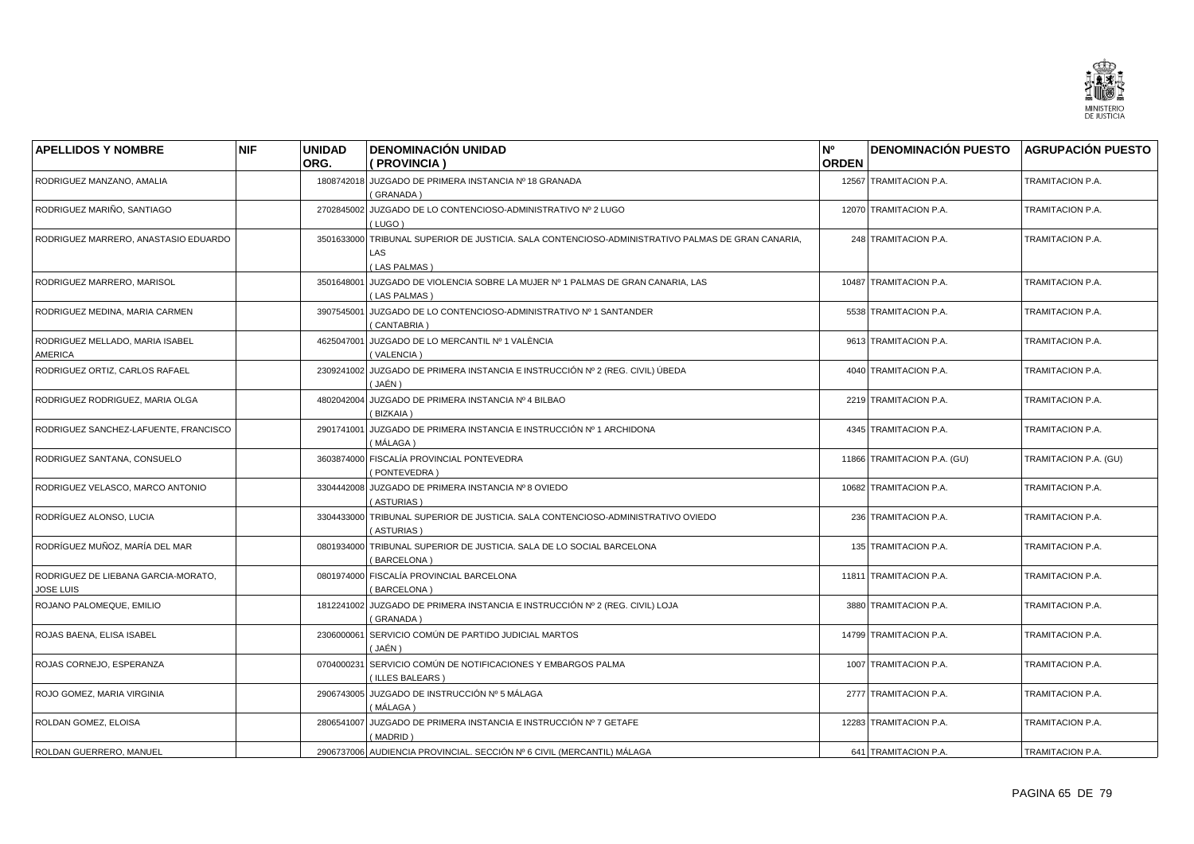

| <b>APELLIDOS Y NOMBRE</b>                               | <b>NIF</b> | <b>UNIDAD</b><br>ORG. | <b>DENOMINACIÓN UNIDAD</b><br>(PROVINCIA)                                                                                       | N <sup>o</sup><br><b>ORDEN</b> | <b>DENOMINACIÓN PUESTO</b>  | <b>AGRUPACIÓN PUESTO</b> |
|---------------------------------------------------------|------------|-----------------------|---------------------------------------------------------------------------------------------------------------------------------|--------------------------------|-----------------------------|--------------------------|
| RODRIGUEZ MANZANO, AMALIA                               |            |                       | 1808742018 JUZGADO DE PRIMERA INSTANCIA Nº 18 GRANADA<br>(GRANADA)                                                              |                                | 12567 TRAMITACION P.A.      | TRAMITACION P.A.         |
| RODRIGUEZ MARIÑO, SANTIAGO                              |            | 2702845002            | JUZGADO DE LO CONTENCIOSO-ADMINISTRATIVO Nº 2 LUGO<br>(LUGO)                                                                    |                                | 12070 TRAMITACION P.A.      | TRAMITACION P.A.         |
| RODRIGUEZ MARRERO, ANASTASIO EDUARDO                    |            |                       | 3501633000 TRIBUNAL SUPERIOR DE JUSTICIA. SALA CONTENCIOSO-ADMINISTRATIVO PALMAS DE GRAN CANARIA,<br><b>LAS</b><br>(LAS PALMAS) |                                | 248 TRAMITACION P.A.        | TRAMITACION P.A.         |
| RODRIGUEZ MARRERO, MARISOL                              |            | 3501648001            | JUZGADO DE VIOLENCIA SOBRE LA MUJER Nº 1 PALMAS DE GRAN CANARIA, LAS<br><b>LAS PALMAS</b>                                       |                                | 10487 TRAMITACION P.A.      | TRAMITACION P.A.         |
| RODRIGUEZ MEDINA, MARIA CARMEN                          |            | 3907545001            | JUZGADO DE LO CONTENCIOSO-ADMINISTRATIVO Nº 1 SANTANDER<br>CANTABRIA                                                            |                                | 5538 TRAMITACION P.A.       | TRAMITACION P.A.         |
| RODRIGUEZ MELLADO, MARIA ISABEL<br><b>AMERICA</b>       |            | 4625047001            | JUZGADO DE LO MERCANTIL Nº 1 VALÈNCIA<br>(VALENCIA)                                                                             |                                | 9613 TRAMITACION P.A.       | TRAMITACION P.A.         |
| RODRIGUEZ ORTIZ, CARLOS RAFAEL                          |            |                       | 2309241002 JUZGADO DE PRIMERA INSTANCIA E INSTRUCCIÓN Nº 2 (REG. CIVIL) ÚBEDA<br>( JAÉN )                                       |                                | 4040 TRAMITACION P.A.       | TRAMITACION P.A.         |
| RODRIGUEZ RODRIGUEZ, MARIA OLGA                         |            | 4802042004            | JUZGADO DE PRIMERA INSTANCIA Nº 4 BILBAO<br><b>BIZKAIA</b> )                                                                    |                                | 2219 TRAMITACION P.A.       | TRAMITACION P.A.         |
| RODRIGUEZ SANCHEZ-LAFUENTE, FRANCISCO                   |            |                       | 2901741001 JUZGADO DE PRIMERA INSTANCIA E INSTRUCCIÓN Nº 1 ARCHIDONA<br>(MÁLAGA)                                                |                                | 4345 TRAMITACION P.A.       | TRAMITACION P.A.         |
| RODRIGUEZ SANTANA, CONSUELO                             |            |                       | 3603874000 FISCALÍA PROVINCIAL PONTEVEDRA<br>PONTEVEDRA)                                                                        |                                | 11866 TRAMITACION P.A. (GU) | TRAMITACION P.A. (GU)    |
| RODRIGUEZ VELASCO, MARCO ANTONIO                        |            |                       | 3304442008 JUZGADO DE PRIMERA INSTANCIA Nº 8 OVIEDO<br>(ASTURIAS)                                                               |                                | 10682 TRAMITACION P.A.      | TRAMITACION P.A.         |
| RODRÍGUEZ ALONSO, LUCIA                                 |            | 3304433000            | TRIBUNAL SUPERIOR DE JUSTICIA, SALA CONTENCIOSO-ADMINISTRATIVO OVIEDO<br>(ASTURIAS)                                             |                                | 236 TRAMITACION P.A.        | TRAMITACION P.A.         |
| RODRÍGUEZ MUÑOZ, MARÍA DEL MAR                          |            | 0801934000            | TRIBUNAL SUPERIOR DE JUSTICIA. SALA DE LO SOCIAL BARCELONA<br>BARCELONA)                                                        |                                | 135 TRAMITACION P.A.        | TRAMITACION P.A.         |
| RODRIGUEZ DE LIEBANA GARCIA-MORATO,<br><b>JOSE LUIS</b> |            |                       | 0801974000 FISCALÍA PROVINCIAL BARCELONA<br>BARCELONA)                                                                          |                                | 11811 TRAMITACION P.A.      | TRAMITACION P.A.         |
| ROJANO PALOMEQUE, EMILIO                                |            | 1812241002            | JUZGADO DE PRIMERA INSTANCIA E INSTRUCCIÓN Nº 2 (REG. CIVIL) LOJA<br>(GRANADA)                                                  |                                | 3880 TRAMITACION P.A.       | TRAMITACION P.A.         |
| ROJAS BAENA, ELISA ISABEL                               |            |                       | 2306000061 SERVICIO COMÚN DE PARTIDO JUDICIAL MARTOS<br>(JAÉN)                                                                  |                                | 14799 TRAMITACION P.A.      | TRAMITACION P.A.         |
| ROJAS CORNEJO, ESPERANZA                                |            | 0704000231            | SERVICIO COMÚN DE NOTIFICACIONES Y EMBARGOS PALMA<br>(ILLES BALEARS)                                                            |                                | 1007 TRAMITACION P.A.       | TRAMITACION P.A.         |
| ROJO GOMEZ, MARIA VIRGINIA                              |            |                       | 2906743005 JUZGADO DE INSTRUCCIÓN Nº 5 MÁLAGA<br>( MÁLAGA )                                                                     |                                | 2777 TRAMITACION P.A.       | TRAMITACION P.A.         |
| ROLDAN GOMEZ, ELOISA                                    |            |                       | 2806541007 JUZGADO DE PRIMERA INSTANCIA E INSTRUCCIÓN Nº 7 GETAFE<br>(MADRID)                                                   |                                | 12283 TRAMITACION P.A.      | TRAMITACION P.A.         |
| <b>ROLDAN GUERRERO, MANUEL</b>                          |            |                       | 2906737006 AUDIENCIA PROVINCIAL. SECCIÓN Nº 6 CIVIL (MERCANTIL) MÁLAGA                                                          |                                | 641 TRAMITACION P.A.        | TRAMITACION P.A.         |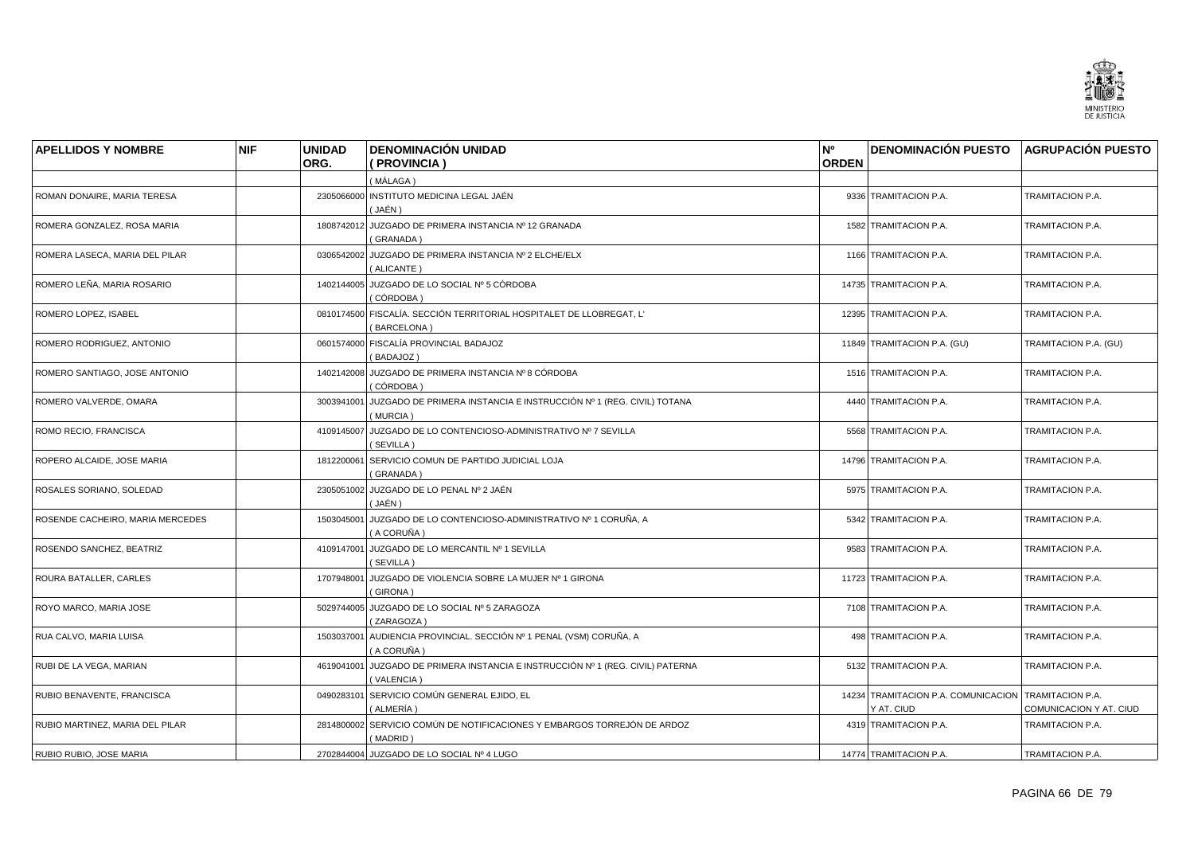

| <b>APELLIDOS Y NOMBRE</b>        | <b>NIF</b> | <b>UNIDAD</b> | <b>DENOMINACIÓN UNIDAD</b>                                                                 | N°           | <b>DENOMINACIÓN PUESTO AGRUPACIÓN PUESTO</b>                       |                         |
|----------------------------------|------------|---------------|--------------------------------------------------------------------------------------------|--------------|--------------------------------------------------------------------|-------------------------|
|                                  |            | ORG.          | (PROVINCIA)                                                                                | <b>ORDEN</b> |                                                                    |                         |
|                                  |            |               | (MÁLAGA)                                                                                   |              |                                                                    |                         |
| ROMAN DONAIRE, MARIA TERESA      |            |               | 2305066000 INSTITUTO MEDICINA LEGAL JAÉN<br>(JAÉN)                                         |              | 9336 TRAMITACION P.A.                                              | TRAMITACION P.A.        |
| ROMERA GONZALEZ, ROSA MARIA      |            |               | 1808742012 JUZGADO DE PRIMERA INSTANCIA Nº 12 GRANADA<br>(GRANADA)                         |              | 1582 TRAMITACION P.A.                                              | TRAMITACION P.A.        |
| ROMERA LASECA, MARIA DEL PILAR   |            |               | 0306542002 JUZGADO DE PRIMERA INSTANCIA Nº 2 ELCHE/ELX<br>(ALICANTE)                       |              | 1166 TRAMITACION P.A.                                              | TRAMITACION P.A.        |
| ROMERO LEÑA, MARIA ROSARIO       |            |               | 1402144005 JUZGADO DE LO SOCIAL Nº 5 CÓRDOBA<br>( CÓRDOBA )                                |              | 14735 TRAMITACION P.A.                                             | TRAMITACION P.A.        |
| ROMERO LOPEZ, ISABEL             |            |               | 0810174500 FISCALÍA. SECCIÓN TERRITORIAL HOSPITALET DE LLOBREGAT, L'<br>(BARCELONA)        |              | 12395 TRAMITACION P.A.                                             | TRAMITACION P.A.        |
| ROMERO RODRIGUEZ, ANTONIO        |            |               | 0601574000 FISCALÍA PROVINCIAL BADAJOZ<br>(BADAJOZ)                                        |              | 11849 TRAMITACION P.A. (GU)                                        | TRAMITACION P.A. (GU)   |
| ROMERO SANTIAGO, JOSE ANTONIO    |            |               | 1402142008 JUZGADO DE PRIMERA INSTANCIA Nº 8 CÓRDOBA<br>(CÓRDOBA)                          |              | 1516 TRAMITACION P.A.                                              | TRAMITACION P.A.        |
| ROMERO VALVERDE, OMARA           |            |               | 3003941001 JUZGADO DE PRIMERA INSTANCIA E INSTRUCCIÓN Nº 1 (REG. CIVIL) TOTANA<br>(MURCIA) |              | 4440 TRAMITACION P.A.                                              | TRAMITACION P.A.        |
| ROMO RECIO, FRANCISCA            |            |               | 4109145007 JUZGADO DE LO CONTENCIOSO-ADMINISTRATIVO Nº 7 SEVILLA<br>(SEVILLA)              |              | 5568 TRAMITACION P.A.                                              | TRAMITACION P.A.        |
| ROPERO ALCAIDE, JOSE MARIA       |            | 1812200061    | SERVICIO COMUN DE PARTIDO JUDICIAL LOJA<br>(GRANADA)                                       |              | 14796 TRAMITACION P.A.                                             | TRAMITACION P.A.        |
| ROSALES SORIANO, SOLEDAD         |            |               | 2305051002 JUZGADO DE LO PENAL Nº 2 JAÉN<br>(JAÉN)                                         |              | 5975 TRAMITACION P.A.                                              | TRAMITACION P.A.        |
| ROSENDE CACHEIRO, MARIA MERCEDES |            |               | 1503045001 JUZGADO DE LO CONTENCIOSO-ADMINISTRATIVO Nº 1 CORUÑA, A<br>(A CORUÑA)           |              | 5342 TRAMITACION P.A.                                              | TRAMITACION P.A.        |
| ROSENDO SANCHEZ, BEATRIZ         |            |               | 4109147001 JUZGADO DE LO MERCANTIL Nº 1 SEVILLA<br>(SEVILLA)                               |              | 9583 TRAMITACION P.A.                                              | TRAMITACION P.A.        |
| ROURA BATALLER, CARLES           |            |               | 1707948001 JUZGADO DE VIOLENCIA SOBRE LA MUJER Nº 1 GIRONA<br>(GIRONA)                     |              | 11723 TRAMITACION P.A.                                             | TRAMITACION P.A.        |
| ROYO MARCO, MARIA JOSE           |            |               | 5029744005 JUZGADO DE LO SOCIAL Nº 5 ZARAGOZA<br>(ZARAGOZA)                                |              | 7108 TRAMITACION P.A.                                              | TRAMITACION P.A.        |
| RUA CALVO, MARIA LUISA           |            |               | 1503037001 AUDIENCIA PROVINCIAL. SECCIÓN Nº 1 PENAL (VSM) CORUÑA, A<br>( A CORUÑA )        |              | 498 TRAMITACION P.A.                                               | TRAMITACION P.A.        |
| RUBI DE LA VEGA, MARIAN          |            | 4619041001    | JUZGADO DE PRIMERA INSTANCIA E INSTRUCCIÓN Nº 1 (REG. CIVIL) PATERNA<br>(VALENCIA)         |              | 5132 TRAMITACION P.A.                                              | TRAMITACION P.A.        |
| RUBIO BENAVENTE, FRANCISCA       |            |               | 0490283101 SERVICIO COMÚN GENERAL EJIDO, EL<br>(ALMERÍA)                                   |              | 14234 TRAMITACION P.A. COMUNICACION TRAMITACION P.A.<br>Y AT. CIUD | COMUNICACION Y AT. CIUD |
| RUBIO MARTINEZ, MARIA DEL PILAR  |            |               | 2814800002 SERVICIO COMÚN DE NOTIFICACIONES Y EMBARGOS TORREJÓN DE ARDOZ<br>(MADRID)       |              | 4319 TRAMITACION P.A.                                              | TRAMITACION P.A.        |
| RUBIO RUBIO, JOSE MARIA          |            |               | 2702844004 JUZGADO DE LO SOCIAL Nº 4 LUGO                                                  |              | 14774 TRAMITACION P.A.                                             | TRAMITACION P.A.        |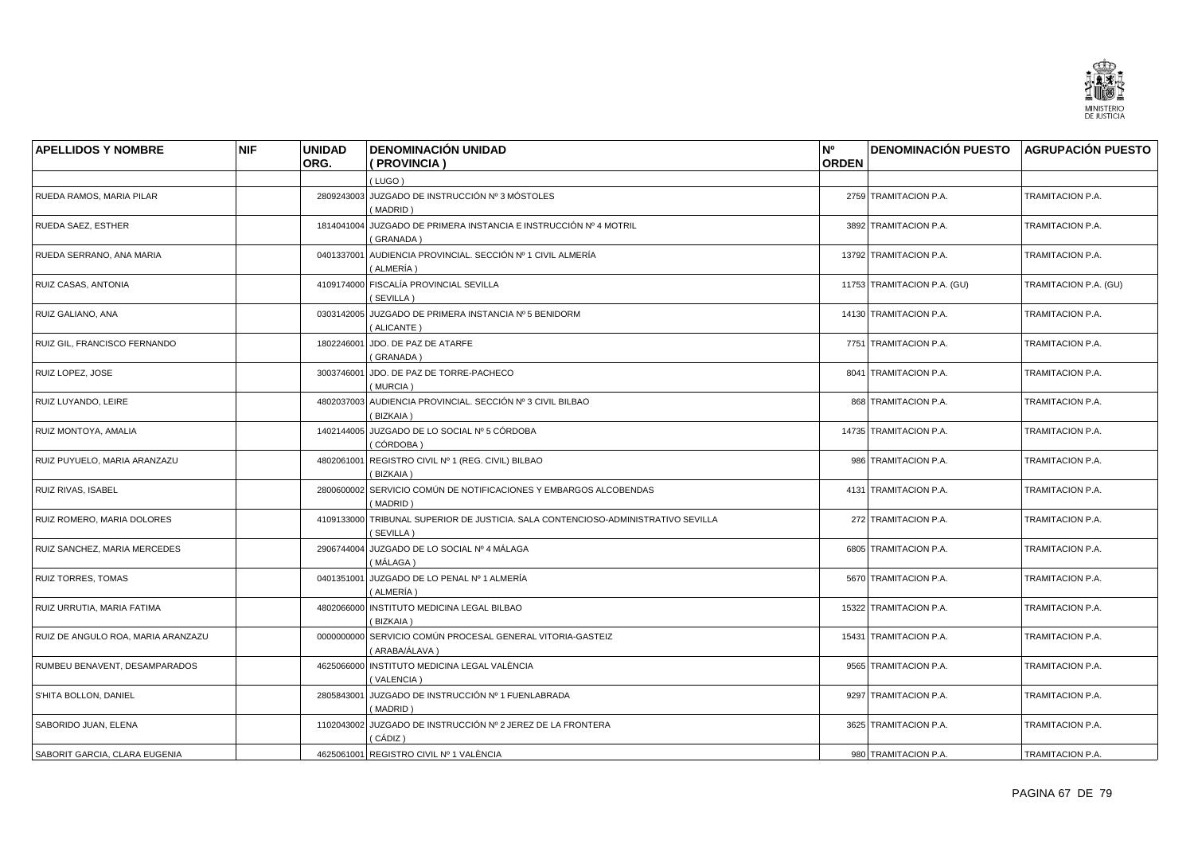

| <b>APELLIDOS Y NOMBRE</b>          | <b>NIF</b> | <b>UNIDAD</b> | <b>DENOMINACIÓN UNIDAD</b>                                                                     | N°           | <b>DENOMINACIÓN PUESTO AGRUPACIÓN PUESTO</b> |                       |
|------------------------------------|------------|---------------|------------------------------------------------------------------------------------------------|--------------|----------------------------------------------|-----------------------|
|                                    |            | ORG.          | ( PROVINCIA )                                                                                  | <b>ORDEN</b> |                                              |                       |
|                                    |            |               | (LUGO)                                                                                         |              |                                              |                       |
| RUEDA RAMOS, MARIA PILAR           |            |               | 2809243003 JUZGADO DE INSTRUCCIÓN Nº 3 MÓSTOLES<br>(MADRID)                                    |              | 2759 TRAMITACION P.A.                        | TRAMITACION P.A.      |
| RUEDA SAEZ, ESTHER                 |            |               | 1814041004 JUZGADO DE PRIMERA INSTANCIA E INSTRUCCIÓN Nº 4 MOTRIL<br>(GRANADA)                 |              | 3892 TRAMITACION P.A.                        | TRAMITACION P.A.      |
| RUEDA SERRANO, ANA MARIA           |            |               | 0401337001 AUDIENCIA PROVINCIAL. SECCIÓN Nº 1 CIVIL ALMERÍA<br>(ALMERÍA)                       |              | 13792 TRAMITACION P.A.                       | TRAMITACION P.A.      |
| RUIZ CASAS, ANTONIA                |            |               | 4109174000 FISCALÍA PROVINCIAL SEVILLA<br>(SEVILLA)                                            |              | 11753 TRAMITACION P.A. (GU)                  | TRAMITACION P.A. (GU) |
| RUIZ GALIANO, ANA                  |            |               | 0303142005 JUZGADO DE PRIMERA INSTANCIA Nº 5 BENIDORM<br>(ALICANTE)                            |              | 14130 TRAMITACION P.A.                       | TRAMITACION P.A.      |
| RUIZ GIL, FRANCISCO FERNANDO       |            |               | 1802246001 JDO. DE PAZ DE ATARFE<br>(GRANADA)                                                  |              | 7751 TRAMITACION P.A.                        | TRAMITACION P.A.      |
| RUIZ LOPEZ, JOSE                   |            |               | 3003746001 JDO. DE PAZ DE TORRE-PACHECO<br>(MURCIA)                                            |              | 8041 TRAMITACION P.A.                        | TRAMITACION P.A.      |
| RUIZ LUYANDO, LEIRE                |            |               | 4802037003 AUDIENCIA PROVINCIAL, SECCIÓN Nº 3 CIVIL BILBAO<br>(BIZKAIA)                        |              | 868 TRAMITACION P.A.                         | TRAMITACION P.A.      |
| RUIZ MONTOYA, AMALIA               |            |               | 1402144005 JUZGADO DE LO SOCIAL Nº 5 CÓRDOBA<br>(CÓRDOBA)                                      |              | 14735 TRAMITACION P.A.                       | TRAMITACION P.A.      |
| RUIZ PUYUELO, MARIA ARANZAZU       |            |               | 4802061001 REGISTRO CIVIL Nº 1 (REG. CIVIL) BILBAO<br>(BIZKAIA)                                |              | 986 TRAMITACION P.A.                         | TRAMITACION P.A.      |
| RUIZ RIVAS, ISABEL                 |            |               | 2800600002 SERVICIO COMÚN DE NOTIFICACIONES Y EMBARGOS ALCOBENDAS<br>(MADRID)                  |              | 4131 TRAMITACION P.A.                        | TRAMITACION P.A.      |
| RUIZ ROMERO, MARIA DOLORES         |            |               | 4109133000 TRIBUNAL SUPERIOR DE JUSTICIA. SALA CONTENCIOSO-ADMINISTRATIVO SEVILLA<br>(SEVILLA) |              | 272 TRAMITACION P.A.                         | TRAMITACION P.A.      |
| RUIZ SANCHEZ, MARIA MERCEDES       |            |               | 2906744004 JUZGADO DE LO SOCIAL Nº 4 MÁLAGA<br>(MÁLAGA)                                        |              | 6805 TRAMITACION P.A.                        | TRAMITACION P.A.      |
| <b>RUIZ TORRES, TOMAS</b>          |            |               | 0401351001 JUZGADO DE LO PENAL Nº 1 ALMERÍA<br>(ALMERÍA)                                       |              | 5670 TRAMITACION P.A.                        | TRAMITACION P.A.      |
| RUIZ URRUTIA, MARIA FATIMA         |            |               | 4802066000 INSTITUTO MEDICINA LEGAL BILBAO<br>(BIZKAIA)                                        |              | 15322 TRAMITACION P.A.                       | TRAMITACION P.A.      |
| RUIZ DE ANGULO ROA, MARIA ARANZAZU |            |               | 0000000000 SERVICIO COMÚN PROCESAL GENERAL VITORIA-GASTEIZ<br>( ARABA/ÁLAVA )                  |              | 15431 TRAMITACION P.A.                       | TRAMITACION P.A.      |
| RUMBEU BENAVENT, DESAMPARADOS      |            |               | 4625066000 INSTITUTO MEDICINA LEGAL VALÈNCIA<br>(VALENCIA)                                     |              | 9565 TRAMITACION P.A.                        | TRAMITACION P.A.      |
| S'HITA BOLLON, DANIEL              |            |               | 2805843001 JUZGADO DE INSTRUCCIÓN Nº 1 FUENLABRADA<br>(MADRID)                                 |              | 9297 TRAMITACION P.A.                        | TRAMITACION P.A.      |
| SABORIDO JUAN, ELENA               |            |               | 1102043002 JUZGADO DE INSTRUCCIÓN Nº 2 JEREZ DE LA FRONTERA<br>( CÁDIZ )                       |              | 3625 TRAMITACION P.A.                        | TRAMITACION P.A.      |
| SABORIT GARCIA, CLARA EUGENIA      |            |               | 4625061001 REGISTRO CIVIL Nº 1 VALÈNCIA                                                        |              | 980 TRAMITACION P.A.                         | TRAMITACION P.A.      |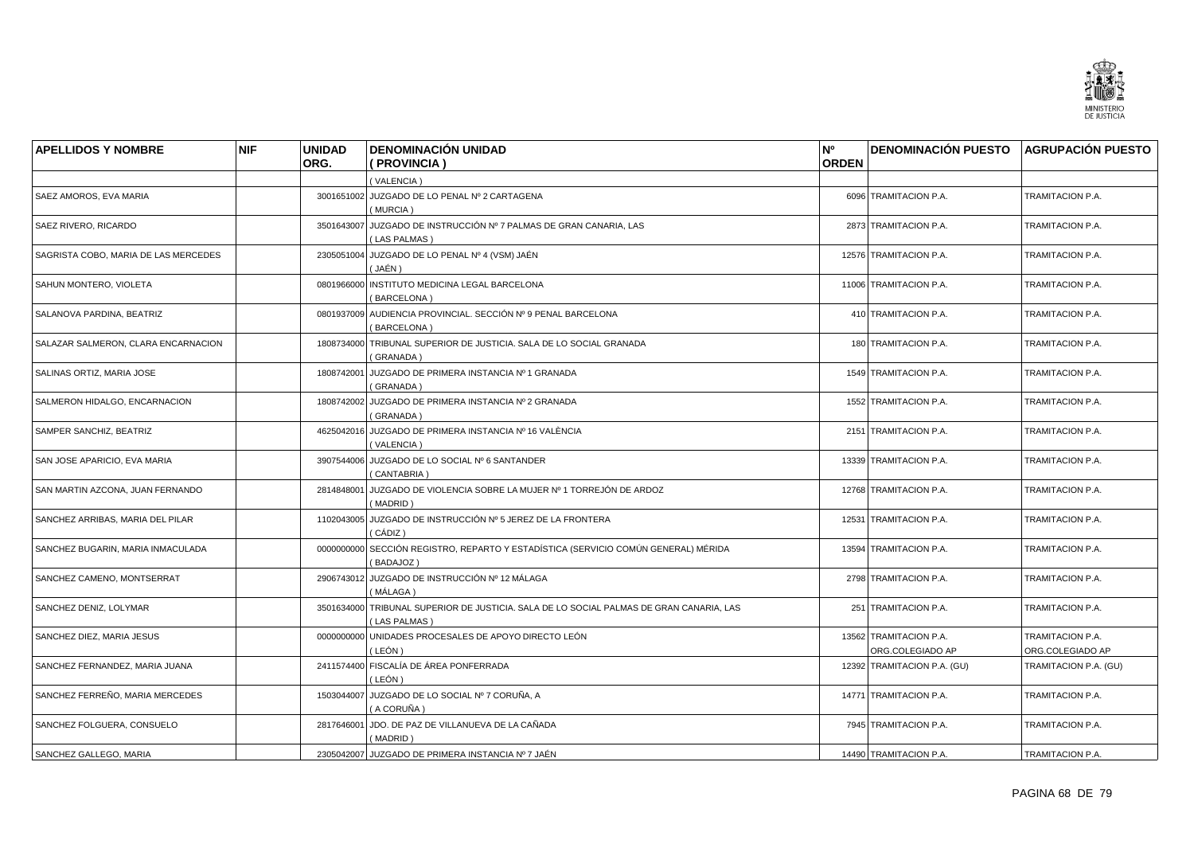

| <b>APELLIDOS Y NOMBRE</b>            | <b>NIF</b> | <b>UNIDAD</b> | <b>DENOMINACIÓN UNIDAD</b>                                                                      | N°           | <b>DENOMINACIÓN PUESTO AGRUPACIÓN PUESTO</b> |                                      |
|--------------------------------------|------------|---------------|-------------------------------------------------------------------------------------------------|--------------|----------------------------------------------|--------------------------------------|
|                                      |            | ORG.          | ( PROVINCIA )                                                                                   | <b>ORDEN</b> |                                              |                                      |
|                                      |            |               | (VALENCIA)                                                                                      |              |                                              |                                      |
| SAEZ AMOROS, EVA MARIA               |            |               | 3001651002 JUZGADO DE LO PENAL Nº 2 CARTAGENA<br>(MURCIA)                                       |              | 6096 TRAMITACION P.A.                        | TRAMITACION P.A.                     |
| SAEZ RIVERO, RICARDO                 |            |               | 3501643007 JUZGADO DE INSTRUCCIÓN Nº 7 PALMAS DE GRAN CANARIA, LAS<br>(LAS PALMAS)              |              | 2873 TRAMITACION P.A.                        | TRAMITACION P.A.                     |
| SAGRISTA COBO, MARIA DE LAS MERCEDES |            |               | 2305051004 JUZGADO DE LO PENAL Nº 4 (VSM) JAÉN<br>(JAÉN )                                       |              | 12576 TRAMITACION P.A.                       | TRAMITACION P.A.                     |
| SAHUN MONTERO, VIOLETA               |            |               | 0801966000 INSTITUTO MEDICINA LEGAL BARCELONA<br>(BARCELONA)                                    |              | 11006 TRAMITACION P.A.                       | TRAMITACION P.A.                     |
| SALANOVA PARDINA, BEATRIZ            |            |               | 0801937009 AUDIENCIA PROVINCIAL. SECCIÓN Nº 9 PENAL BARCELONA<br>(BARCELONA)                    |              | 410 TRAMITACION P.A.                         | TRAMITACION P.A.                     |
| SALAZAR SALMERON, CLARA ENCARNACION  |            |               | 1808734000 TRIBUNAL SUPERIOR DE JUSTICIA. SALA DE LO SOCIAL GRANADA<br>(GRANADA)                |              | 180 TRAMITACION P.A.                         | TRAMITACION P.A.                     |
| SALINAS ORTIZ, MARIA JOSE            |            |               | 1808742001 JUZGADO DE PRIMERA INSTANCIA Nº 1 GRANADA<br>(GRANADA)                               |              | 1549 TRAMITACION P.A.                        | TRAMITACION P.A.                     |
| SALMERON HIDALGO, ENCARNACION        |            |               | 1808742002 JUZGADO DE PRIMERA INSTANCIA Nº 2 GRANADA<br>(GRANADA)                               |              | 1552 TRAMITACION P.A.                        | TRAMITACION P.A.                     |
| SAMPER SANCHIZ, BEATRIZ              |            |               | 4625042016 JUZGADO DE PRIMERA INSTANCIA Nº 16 VALÈNCIA<br>(VALENCIA)                            |              | 2151 TRAMITACION P.A.                        | TRAMITACION P.A.                     |
| SAN JOSE APARICIO. EVA MARIA         |            |               | 3907544006 JUZGADO DE LO SOCIAL Nº 6 SANTANDER<br>(CANTABRIA)                                   |              | 13339 TRAMITACION P.A.                       | TRAMITACION P.A.                     |
| SAN MARTIN AZCONA, JUAN FERNANDO     |            | 2814848001    | JUZGADO DE VIOLENCIA SOBRE LA MUJER Nº 1 TORREJÓN DE ARDOZ<br>(MADRID)                          |              | 12768 TRAMITACION P.A.                       | TRAMITACION P.A.                     |
| SANCHEZ ARRIBAS, MARIA DEL PILAR     |            |               | 1102043005 JUZGADO DE INSTRUCCIÓN Nº 5 JEREZ DE LA FRONTERA<br>( CÁDIZ )                        |              | 12531 TRAMITACION P.A.                       | TRAMITACION P.A.                     |
| SANCHEZ BUGARIN, MARIA INMACULADA    |            |               | 0000000000 SECCIÓN REGISTRO, REPARTO Y ESTADÍSTICA (SERVICIO COMÚN GENERAL) MÉRIDA<br>(BADAJOZ) |              | 13594 TRAMITACION P.A.                       | TRAMITACION P.A.                     |
| SANCHEZ CAMENO, MONTSERRAT           |            |               | 2906743012 JUZGADO DE INSTRUCCIÓN Nº 12 MÁLAGA<br>( MÁLAGA )                                    |              | 2798 TRAMITACION P.A.                        | TRAMITACION P.A.                     |
| SANCHEZ DENIZ, LOLYMAR               |            | 3501634000    | TRIBUNAL SUPERIOR DE JUSTICIA. SALA DE LO SOCIAL PALMAS DE GRAN CANARIA, LAS<br>(LAS PALMAS)    |              | 251 TRAMITACION P.A.                         | TRAMITACION P.A.                     |
| SANCHEZ DIEZ, MARIA JESUS            |            |               | 0000000000 UNIDADES PROCESALES DE APOYO DIRECTO LEÓN<br>( LEÓN )                                |              | 13562 TRAMITACION P.A.<br>ORG.COLEGIADO AP   | TRAMITACION P.A.<br>ORG.COLEGIADO AP |
| SANCHEZ FERNANDEZ, MARIA JUANA       |            |               | 2411574400 FISCALÍA DE ÁREA PONFERRADA<br>( LEÓN )                                              |              | 12392 TRAMITACION P.A. (GU)                  | TRAMITACION P.A. (GU)                |
| SANCHEZ FERREÑO, MARIA MERCEDES      |            |               | 1503044007 JUZGADO DE LO SOCIAL Nº 7 CORUÑA, A<br>(A CORUÑA)                                    |              | 14771 TRAMITACION P.A.                       | TRAMITACION P.A.                     |
| SANCHEZ FOLGUERA, CONSUELO           |            |               | 2817646001 JDO. DE PAZ DE VILLANUEVA DE LA CAÑADA<br>(MADRID)                                   |              | 7945 TRAMITACION P.A.                        | TRAMITACION P.A.                     |
| SANCHEZ GALLEGO, MARIA               |            |               | 2305042007 JUZGADO DE PRIMERA INSTANCIA Nº 7 JAÉN                                               |              | 14490 TRAMITACION P.A.                       | TRAMITACION P.A.                     |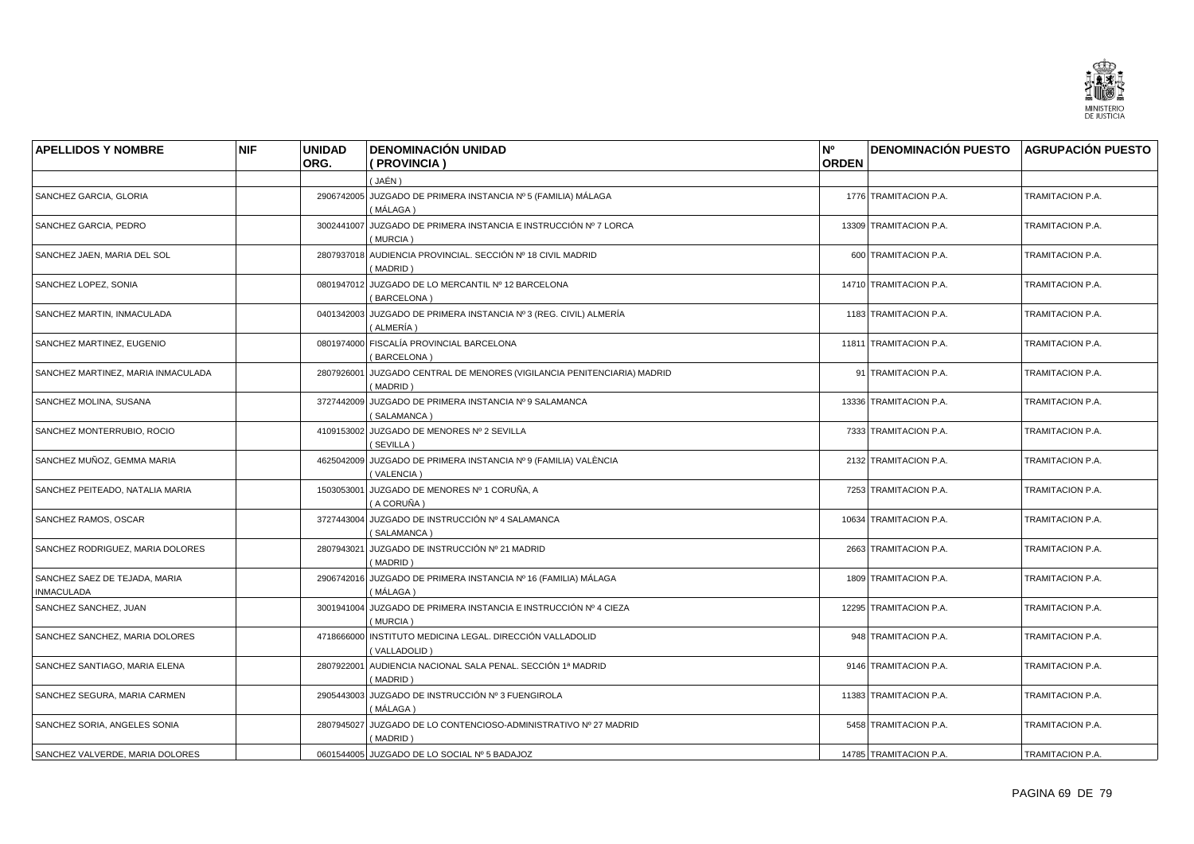

| <b>APELLIDOS Y NOMBRE</b>                          | <b>NIF</b> | <b>UNIDAD</b> | <b>DENOMINACIÓN UNIDAD</b>                                                       | N°           | <b>DENOMINACIÓN PUESTO AGRUPACIÓN PUESTO</b> |                  |
|----------------------------------------------------|------------|---------------|----------------------------------------------------------------------------------|--------------|----------------------------------------------|------------------|
|                                                    |            | ORG.          | (PROVINCIA)                                                                      | <b>ORDEN</b> |                                              |                  |
|                                                    |            |               | ( JAÉN )                                                                         |              |                                              |                  |
| SANCHEZ GARCIA, GLORIA                             |            |               | 2906742005 JUZGADO DE PRIMERA INSTANCIA Nº 5 (FAMILIA) MÁLAGA<br>(MÁLAGA)        |              | 1776 TRAMITACION P.A.                        | TRAMITACION P.A. |
| SANCHEZ GARCIA, PEDRO                              |            | 3002441007    | JUZGADO DE PRIMERA INSTANCIA E INSTRUCCIÓN Nº 7 LORCA<br>(MURCIA)                |              | 13309 TRAMITACION P.A.                       | TRAMITACION P.A. |
| SANCHEZ JAEN, MARIA DEL SOL                        |            |               | 2807937018 AUDIENCIA PROVINCIAL. SECCIÓN Nº 18 CIVIL MADRID<br>(MADRID)          |              | 600 TRAMITACION P.A.                         | TRAMITACION P.A. |
| SANCHEZ LOPEZ, SONIA                               |            |               | 0801947012 JUZGADO DE LO MERCANTIL Nº 12 BARCELONA<br>(BARCELONA)                |              | 14710 TRAMITACION P.A.                       | TRAMITACION P.A. |
| SANCHEZ MARTIN, INMACULADA                         |            |               | 0401342003 JUZGADO DE PRIMERA INSTANCIA Nº 3 (REG. CIVIL) ALMERÍA<br>( ALMERÍA ) |              | 1183 TRAMITACION P.A.                        | TRAMITACION P.A. |
| SANCHEZ MARTINEZ, EUGENIO                          |            |               | 0801974000 FISCALÍA PROVINCIAL BARCELONA<br>(BARCELONA)                          |              | 11811 TRAMITACION P.A.                       | TRAMITACION P.A. |
| SANCHEZ MARTINEZ, MARIA INMACULADA                 |            | 2807926001    | JUZGADO CENTRAL DE MENORES (VIGILANCIA PENITENCIARIA) MADRID<br>(MADRID)         |              | 91 TRAMITACION P.A.                          | TRAMITACION P.A. |
| SANCHEZ MOLINA, SUSANA                             |            | 3727442009    | JUZGADO DE PRIMERA INSTANCIA Nº 9 SALAMANCA<br>(SALAMANCA)                       |              | 13336 TRAMITACION P.A.                       | TRAMITACION P.A. |
| SANCHEZ MONTERRUBIO, ROCIO                         |            |               | 4109153002 JUZGADO DE MENORES Nº 2 SEVILLA<br>(SEVILLA)                          |              | 7333 TRAMITACION P.A.                        | TRAMITACION P.A. |
| SANCHEZ MUÑOZ, GEMMA MARIA                         |            | 4625042009    | JUZGADO DE PRIMERA INSTANCIA Nº 9 (FAMILIA) VALÈNCIA<br>(VALENCIA)               |              | 2132 TRAMITACION P.A.                        | TRAMITACION P.A. |
| SANCHEZ PEITEADO, NATALIA MARIA                    |            | 1503053001    | JUZGADO DE MENORES Nº 1 CORUÑA, A<br>(A CORUÑA)                                  |              | 7253 TRAMITACION P.A.                        | TRAMITACION P.A. |
| SANCHEZ RAMOS, OSCAR                               |            |               | 3727443004 JUZGADO DE INSTRUCCIÓN Nº 4 SALAMANCA<br>(SALAMANCA)                  |              | 10634 TRAMITACION P.A.                       | TRAMITACION P.A. |
| SANCHEZ RODRIGUEZ, MARIA DOLORES                   |            | 2807943021    | JUZGADO DE INSTRUCCIÓN Nº 21 MADRID<br>(MADRID)                                  |              | 2663 TRAMITACION P.A.                        | TRAMITACION P.A. |
| SANCHEZ SAEZ DE TEJADA, MARIA<br><b>INMACULADA</b> |            |               | 2906742016 JUZGADO DE PRIMERA INSTANCIA Nº 16 (FAMILIA) MÁLAGA<br>( MÁLAGA )     |              | 1809 TRAMITACION P.A.                        | TRAMITACION P.A. |
| SANCHEZ SANCHEZ, JUAN                              |            | 3001941004    | JUZGADO DE PRIMERA INSTANCIA E INSTRUCCIÓN Nº 4 CIEZA<br>(MURCIA)                |              | 12295 TRAMITACION P.A.                       | TRAMITACION P.A. |
| SANCHEZ SANCHEZ, MARIA DOLORES                     |            | 4718666000    | INSTITUTO MEDICINA LEGAL. DIRECCIÓN VALLADOLID<br>(VALLADOLID)                   |              | 948 TRAMITACION P.A.                         | TRAMITACION P.A. |
| SANCHEZ SANTIAGO, MARIA ELENA                      |            | 2807922001    | AUDIENCIA NACIONAL SALA PENAL. SECCIÓN 1ª MADRID<br>(MADRID)                     |              | 9146 TRAMITACION P.A.                        | TRAMITACION P.A. |
| SANCHEZ SEGURA, MARIA CARMEN                       |            |               | 2905443003 JUZGADO DE INSTRUCCIÓN Nº 3 FUENGIROLA<br>(MÁLAGA)                    |              | 11383 TRAMITACION P.A.                       | TRAMITACION P.A. |
| SANCHEZ SORIA, ANGELES SONIA                       |            | 2807945027    | JUZGADO DE LO CONTENCIOSO-ADMINISTRATIVO Nº 27 MADRID<br>(MADRID)                |              | 5458 TRAMITACION P.A.                        | TRAMITACION P.A. |
| SANCHEZ VALVERDE, MARIA DOLORES                    |            |               | 0601544005 JUZGADO DE LO SOCIAL Nº 5 BADAJOZ                                     |              | 14785 TRAMITACION P.A.                       | TRAMITACION P.A. |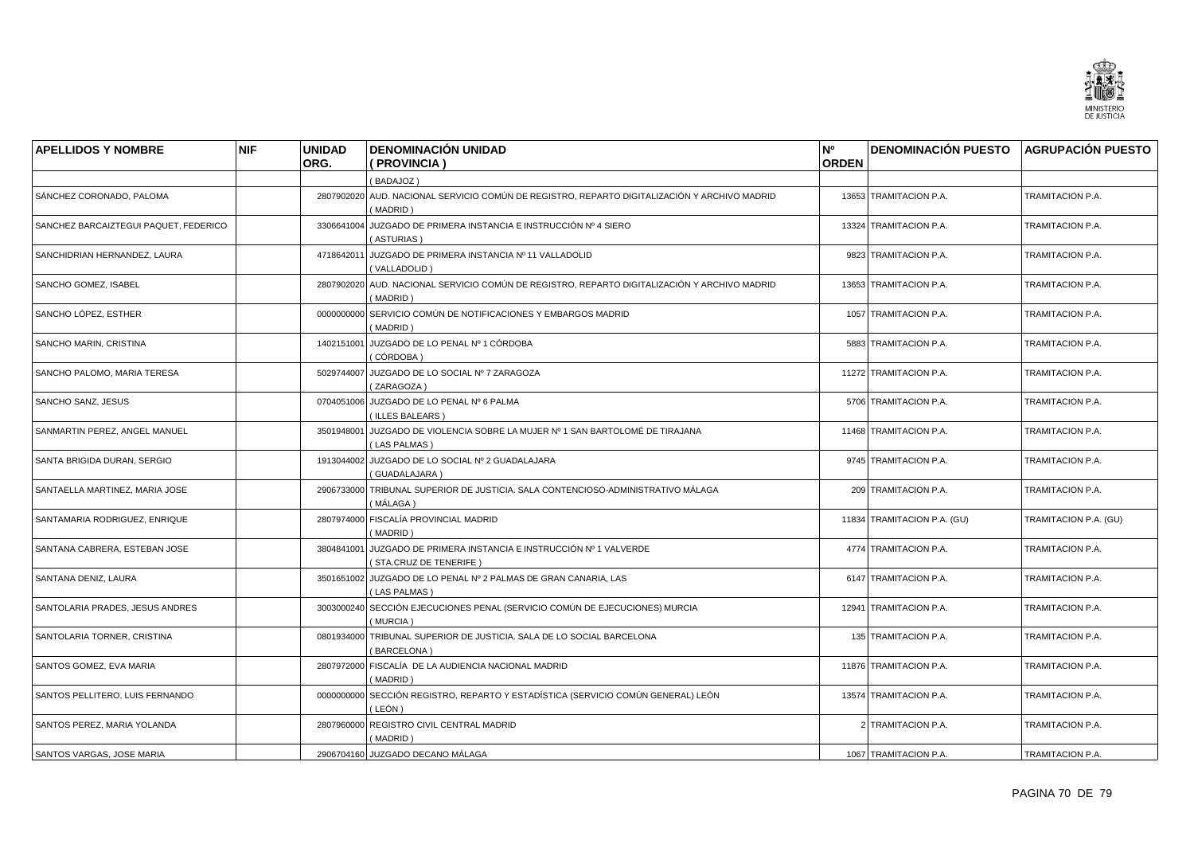

| <b>APELLIDOS Y NOMBRE</b>             | <b>NIF</b> | <b>UNIDAD</b> | <b>DENOMINACIÓN UNIDAD</b>                                                                               | N <sup>o</sup> | <b>DENOMINACIÓN PUESTO AGRUPACIÓN PUESTO</b> |                       |
|---------------------------------------|------------|---------------|----------------------------------------------------------------------------------------------------------|----------------|----------------------------------------------|-----------------------|
|                                       |            | ORG.          | (PROVINCIA)                                                                                              | <b>ORDEN</b>   |                                              |                       |
|                                       |            |               | (BADAJOZ)                                                                                                |                |                                              |                       |
| SÁNCHEZ CORONADO, PALOMA              |            |               | 2807902020 AUD. NACIONAL SERVICIO COMÚN DE REGISTRO, REPARTO DIGITALIZACIÓN Y ARCHIVO MADRID<br>(MADRID) |                | 13653 TRAMITACION P.A.                       | TRAMITACION P.A.      |
| SANCHEZ BARCAIZTEGUI PAQUET, FEDERICO |            |               | 3306641004 JUZGADO DE PRIMERA INSTANCIA E INSTRUCCIÓN Nº 4 SIERO<br>(ASTURIAS)                           |                | 13324 TRAMITACION P.A.                       | TRAMITACION P.A.      |
| SANCHIDRIAN HERNANDEZ, LAURA          |            |               | 4718642011 JUZGADO DE PRIMERA INSTANCIA Nº 11 VALLADOLID<br>(VALLADOLID)                                 |                | 9823 TRAMITACION P.A.                        | TRAMITACION P.A.      |
| SANCHO GOMEZ, ISABEL                  |            |               | 2807902020 AUD. NACIONAL SERVICIO COMÚN DE REGISTRO, REPARTO DIGITALIZACIÓN Y ARCHIVO MADRID<br>(MADRID) |                | 13653 TRAMITACION P.A.                       | TRAMITACION P.A.      |
| SANCHO LÓPEZ, ESTHER                  |            |               | 0000000000 SERVICIO COMÚN DE NOTIFICACIONES Y EMBARGOS MADRID<br>(MADRID)                                |                | 1057 TRAMITACION P.A.                        | TRAMITACION P.A.      |
| SANCHO MARIN, CRISTINA                |            |               | 1402151001 JUZGADO DE LO PENAL Nº 1 CÓRDOBA<br>(CÓRDOBA )                                                |                | 5883 TRAMITACION P.A.                        | TRAMITACION P.A.      |
| SANCHO PALOMO, MARIA TERESA           |            |               | 5029744007 JUZGADO DE LO SOCIAL Nº 7 ZARAGOZA<br>(ZARAGOZA)                                              |                | 11272 TRAMITACION P.A.                       | TRAMITACION P.A.      |
| SANCHO SANZ, JESUS                    |            |               | 0704051006 JUZGADO DE LO PENAL Nº 6 PALMA<br>(ILLES BALEARS)                                             |                | 5706 TRAMITACION P.A.                        | TRAMITACION P.A.      |
| SANMARTIN PEREZ, ANGEL MANUEL         |            |               | 3501948001 JUZGADO DE VIOLENCIA SOBRE LA MUJER Nº 1 SAN BARTOLOMÉ DE TIRAJANA<br>(LAS PALMAS)            |                | 11468 TRAMITACION P.A.                       | TRAMITACION P.A.      |
| SANTA BRIGIDA DURAN, SERGIO           |            |               | 1913044002 JUZGADO DE LO SOCIAL Nº 2 GUADALAJARA<br>(GUADALAJARA)                                        |                | 9745 TRAMITACION P.A.                        | TRAMITACION P.A.      |
| SANTAELLA MARTINEZ, MARIA JOSE        |            | 2906733000    | TRIBUNAL SUPERIOR DE JUSTICIA. SALA CONTENCIOSO-ADMINISTRATIVO MÁLAGA<br>( MÁLAGA )                      |                | 209 TRAMITACION P.A.                         | TRAMITACION P.A.      |
| SANTAMARIA RODRIGUEZ, ENRIQUE         |            |               | 2807974000 FISCALÍA PROVINCIAL MADRID<br>(MADRID)                                                        |                | 11834 TRAMITACION P.A. (GU)                  | TRAMITACION P.A. (GU) |
| SANTANA CABRERA, ESTEBAN JOSE         |            | 3804841001    | JUZGADO DE PRIMERA INSTANCIA E INSTRUCCIÓN Nº 1 VALVERDE<br>(STA.CRUZ DE TENERIFE)                       |                | 4774 TRAMITACION P.A.                        | TRAMITACION P.A.      |
| SANTANA DENIZ, LAURA                  |            |               | 3501651002 JUZGADO DE LO PENAL Nº 2 PALMAS DE GRAN CANARIA, LAS<br>(LAS PALMAS)                          |                | 6147 TRAMITACION P.A.                        | TRAMITACION P.A.      |
| SANTOLARIA PRADES, JESUS ANDRES       |            |               | 3003000240 SECCIÓN EJECUCIONES PENAL (SERVICIO COMÚN DE EJECUCIONES) MURCIA<br>(MURCIA)                  |                | 12941 TRAMITACION P.A.                       | TRAMITACION P.A.      |
| SANTOLARIA TORNER, CRISTINA           |            |               | 0801934000 TRIBUNAL SUPERIOR DE JUSTICIA. SALA DE LO SOCIAL BARCELONA<br>(BARCELONA)                     |                | 135 TRAMITACION P.A.                         | TRAMITACION P.A.      |
| SANTOS GOMEZ, EVA MARIA               |            |               | 2807972000 FISCALÍA DE LA AUDIENCIA NACIONAL MADRID<br>(MADRID)                                          |                | 11876 TRAMITACION P.A.                       | TRAMITACION P.A.      |
| SANTOS PELLITERO, LUIS FERNANDO       |            |               | 0000000000 SECCIÓN REGISTRO, REPARTO Y ESTADÍSTICA (SERVICIO COMÚN GENERAL) LEÓN<br>( LEÓN )             |                | 13574 TRAMITACION P.A.                       | TRAMITACION P.A.      |
| SANTOS PEREZ, MARIA YOLANDA           |            |               | 2807960000 REGISTRO CIVIL CENTRAL MADRID<br>(MADRID)                                                     |                | 2 TRAMITACION P.A.                           | TRAMITACION P.A.      |
| SANTOS VARGAS, JOSE MARIA             |            |               | 2906704160 JUZGADO DECANO MÁLAGA                                                                         |                | 1067 TRAMITACION P.A.                        | TRAMITACION P.A.      |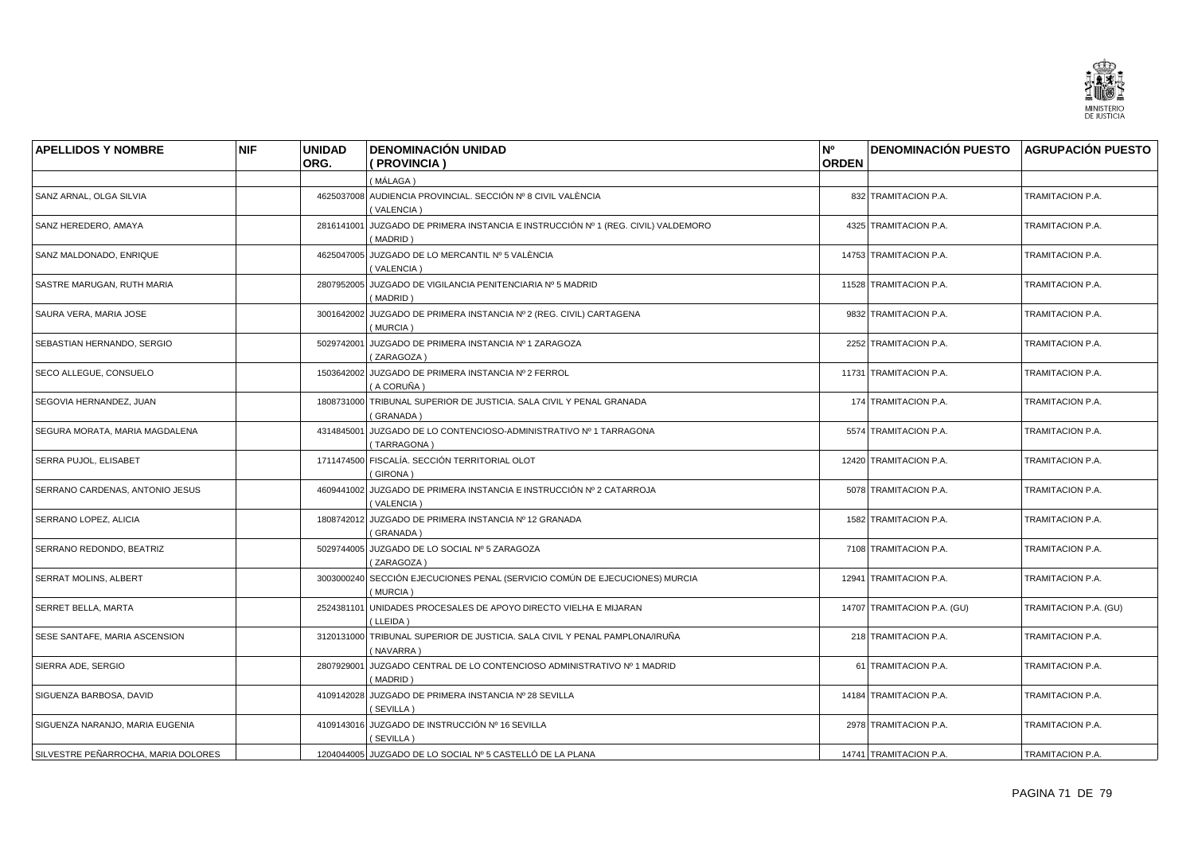

| <b>APELLIDOS Y NOMBRE</b>           | <b>NIF</b> | <b>UNIDAD</b> | <b>DENOMINACIÓN UNIDAD</b>                                                               | N <sup>o</sup> | <b>DENOMINACIÓN PUESTO AGRUPACIÓN PUESTO</b> |                       |
|-------------------------------------|------------|---------------|------------------------------------------------------------------------------------------|----------------|----------------------------------------------|-----------------------|
|                                     |            | ORG.          | (PROVINCIA)                                                                              | <b>ORDEN</b>   |                                              |                       |
|                                     |            |               | (MÁLAGA)                                                                                 |                |                                              |                       |
| SANZ ARNAL, OLGA SILVIA             |            |               | 4625037008 AUDIENCIA PROVINCIAL. SECCIÓN Nº 8 CIVIL VALÈNCIA<br>(VALENCIA)               |                | 832 TRAMITACION P.A.                         | TRAMITACION P.A.      |
| SANZ HEREDERO, AMAYA                |            | 2816141001    | JUZGADO DE PRIMERA INSTANCIA E INSTRUCCIÓN Nº 1 (REG. CIVIL) VALDEMORO<br>(MADRID)       |                | 4325 TRAMITACION P.A.                        | TRAMITACION P.A.      |
| SANZ MALDONADO, ENRIQUE             |            |               | 4625047005 JUZGADO DE LO MERCANTIL Nº 5 VALÈNCIA<br>(VALENCIA)                           |                | 14753 TRAMITACION P.A.                       | TRAMITACION P.A.      |
| SASTRE MARUGAN, RUTH MARIA          |            |               | 2807952005 JUZGADO DE VIGILANCIA PENITENCIARIA Nº 5 MADRID<br>(MADRID)                   |                | 11528 TRAMITACION P.A.                       | TRAMITACION P.A.      |
| SAURA VERA, MARIA JOSE              |            |               | 3001642002 JUZGADO DE PRIMERA INSTANCIA Nº 2 (REG. CIVIL) CARTAGENA<br>(MURCIA)          |                | 9832 TRAMITACION P.A.                        | TRAMITACION P.A.      |
| SEBASTIAN HERNANDO, SERGIO          |            | 5029742001    | JUZGADO DE PRIMERA INSTANCIA Nº 1 ZARAGOZA<br>(ZARAGOZA)                                 |                | 2252 TRAMITACION P.A.                        | TRAMITACION P.A.      |
| SECO ALLEGUE, CONSUELO              |            |               | 1503642002 JUZGADO DE PRIMERA INSTANCIA Nº 2 FERROL<br>(A CORUÑA)                        |                | 11731 TRAMITACION P.A.                       | TRAMITACION P.A.      |
| SEGOVIA HERNANDEZ, JUAN             |            |               | 1808731000 TRIBUNAL SUPERIOR DE JUSTICIA, SALA CIVIL Y PENAL GRANADA<br>(GRANADA)        |                | 174 TRAMITACION P.A.                         | TRAMITACION P.A.      |
| SEGURA MORATA, MARIA MAGDALENA      |            |               | 4314845001 JUZGADO DE LO CONTENCIOSO-ADMINISTRATIVO Nº 1 TARRAGONA<br>(TARRAGONA)        |                | 5574 TRAMITACION P.A.                        | TRAMITACION P.A.      |
| <b>SERRA PUJOL, ELISABET</b>        |            |               | 1711474500 FISCALÍA, SECCIÓN TERRITORIAL OLOT<br>(GIRONA)                                |                | 12420 TRAMITACION P.A.                       | TRAMITACION P.A.      |
| SERRANO CARDENAS, ANTONIO JESUS     |            |               | 4609441002 JUZGADO DE PRIMERA INSTANCIA E INSTRUCCIÓN Nº 2 CATARROJA<br>(VALENCIA)       |                | 5078 TRAMITACION P.A.                        | TRAMITACION P.A.      |
| SERRANO LOPEZ, ALICIA               |            |               | 1808742012 JUZGADO DE PRIMERA INSTANCIA Nº 12 GRANADA<br>(GRANADA)                       |                | 1582 TRAMITACION P.A.                        | TRAMITACION P.A.      |
| SERRANO REDONDO, BEATRIZ            |            |               | 5029744005 JUZGADO DE LO SOCIAL Nº 5 ZARAGOZA<br>(ZARAGOZA)                              |                | 7108 TRAMITACION P.A.                        | TRAMITACION P.A.      |
| <b>SERRAT MOLINS, ALBERT</b>        |            |               | 3003000240 SECCIÓN EJECUCIONES PENAL (SERVICIO COMÚN DE EJECUCIONES) MURCIA<br>(MURCIA)  |                | 12941 TRAMITACION P.A.                       | TRAMITACION P.A.      |
| <b>SERRET BELLA, MARTA</b>          |            | 2524381101    | UNIDADES PROCESALES DE APOYO DIRECTO VIELHA E MIJARAN<br>(LLEIDA)                        |                | 14707 TRAMITACION P.A. (GU)                  | TRAMITACION P.A. (GU) |
| SESE SANTAFE, MARIA ASCENSION       |            |               | 3120131000 TRIBUNAL SUPERIOR DE JUSTICIA. SALA CIVIL Y PENAL PAMPLONA/IRUÑA<br>(NAVARRA) |                | 218 TRAMITACION P.A.                         | TRAMITACION P.A.      |
| SIERRA ADE, SERGIO                  |            |               | 2807929001 JUZGADO CENTRAL DE LO CONTENCIOSO ADMINISTRATIVO Nº 1 MADRID<br>(MADRID)      |                | 61 TRAMITACION P.A.                          | TRAMITACION P.A.      |
| SIGUENZA BARBOSA, DAVID             |            |               | 4109142028 JUZGADO DE PRIMERA INSTANCIA Nº 28 SEVILLA<br>(SEVILLA)                       |                | 14184 TRAMITACION P.A.                       | TRAMITACION P.A.      |
| SIGUENZA NARANJO, MARIA EUGENIA     |            |               | 4109143016 JUZGADO DE INSTRUCCIÓN Nº 16 SEVILLA<br>(SEVILLA)                             |                | 2978 TRAMITACION P.A.                        | TRAMITACION P.A.      |
| SILVESTRE PEÑARROCHA, MARIA DOLORES |            |               | 1204044005 JUZGADO DE LO SOCIAL Nº 5 CASTELLÓ DE LA PLANA                                |                | 14741 TRAMITACION P.A.                       | TRAMITACION P.A.      |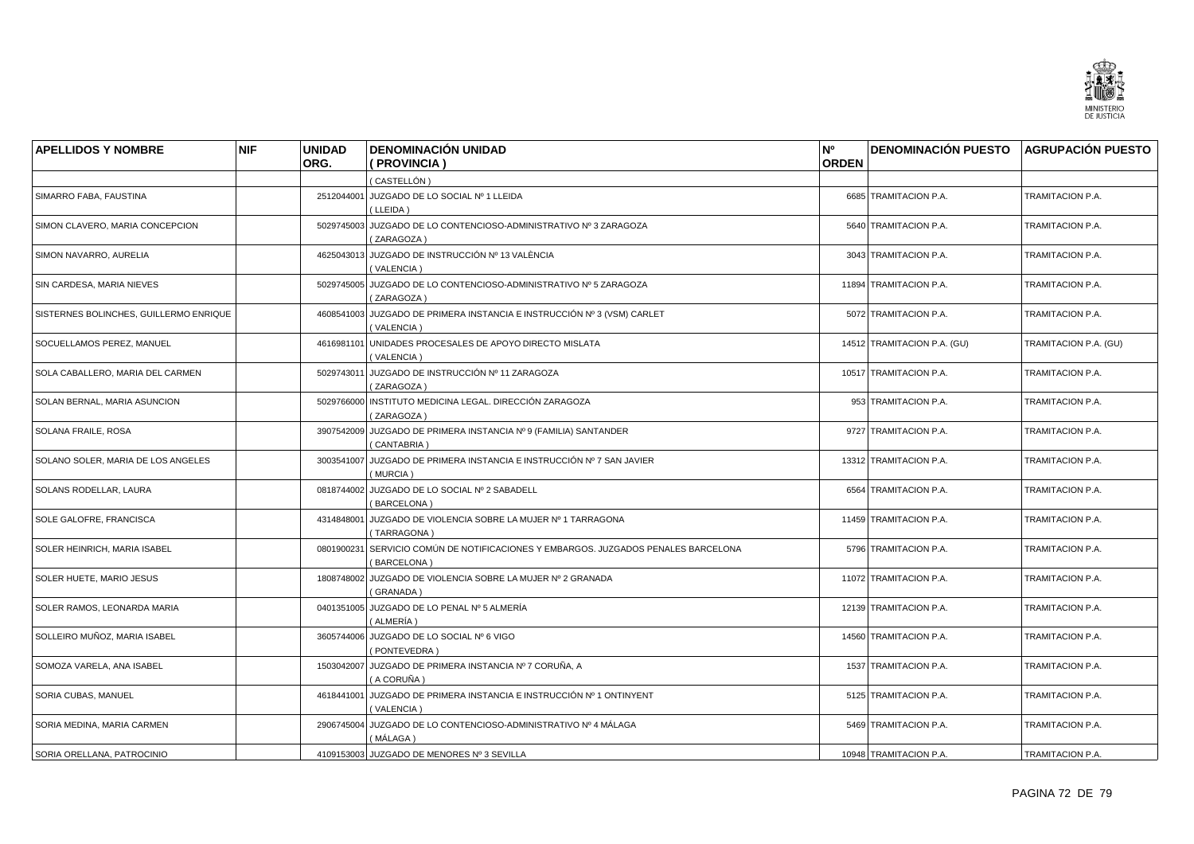

| <b>APELLIDOS Y NOMBRE</b>              | <b>NIF</b> | <b>UNIDAD</b><br>ORG. | <b>DENOMINACIÓN UNIDAD</b><br>(PROVINCIA)                                                         | N°<br><b>ORDEN</b> | <b>DENOMINACIÓN PUESTO AGRUPACIÓN PUESTO</b> |                       |
|----------------------------------------|------------|-----------------------|---------------------------------------------------------------------------------------------------|--------------------|----------------------------------------------|-----------------------|
|                                        |            |                       | (CASTELLÓN)                                                                                       |                    |                                              |                       |
| SIMARRO FABA, FAUSTINA                 |            |                       | 2512044001 JUZGADO DE LO SOCIAL Nº 1 LLEIDA<br>(LLEIDA)                                           |                    | 6685 TRAMITACION P.A.                        | TRAMITACION P.A.      |
| SIMON CLAVERO, MARIA CONCEPCION        |            |                       | 5029745003 JUZGADO DE LO CONTENCIOSO-ADMINISTRATIVO Nº 3 ZARAGOZA<br>(ZARAGOZA)                   |                    | 5640 TRAMITACION P.A.                        | TRAMITACION P.A.      |
| SIMON NAVARRO, AURELIA                 |            |                       | 4625043013 JUZGADO DE INSTRUCCIÓN Nº 13 VALÈNCIA<br>(VALENCIA)                                    |                    | 3043 TRAMITACION P.A.                        | TRAMITACION P.A.      |
| SIN CARDESA, MARIA NIEVES              |            |                       | 5029745005 JUZGADO DE LO CONTENCIOSO-ADMINISTRATIVO Nº 5 ZARAGOZA<br>(ZARAGOZA)                   |                    | 11894 TRAMITACION P.A.                       | TRAMITACION P.A.      |
| SISTERNES BOLINCHES, GUILLERMO ENRIQUE |            |                       | 4608541003 JUZGADO DE PRIMERA INSTANCIA E INSTRUCCIÓN Nº 3 (VSM) CARLET<br>(VALENCIA)             |                    | 5072 TRAMITACION P.A.                        | TRAMITACION P.A.      |
| SOCUELLAMOS PEREZ. MANUEL              |            | 4616981101            | UNIDADES PROCESALES DE APOYO DIRECTO MISLATA<br>(VALENCIA)                                        |                    | 14512 TRAMITACION P.A. (GU)                  | TRAMITACION P.A. (GU) |
| SOLA CABALLERO, MARIA DEL CARMEN       |            |                       | 5029743011 JUZGADO DE INSTRUCCIÓN Nº 11 ZARAGOZA<br>(ZARAGOZA)                                    |                    | 10517 TRAMITACION P.A.                       | TRAMITACION P.A.      |
| SOLAN BERNAL, MARIA ASUNCION           |            |                       | 5029766000 INSTITUTO MEDICINA LEGAL. DIRECCIÓN ZARAGOZA<br>(ZARAGOZA)                             |                    | 953 TRAMITACION P.A.                         | TRAMITACION P.A.      |
| <b>SOLANA FRAILE, ROSA</b>             |            |                       | 3907542009 JUZGADO DE PRIMERA INSTANCIA Nº 9 (FAMILIA) SANTANDER<br>(CANTABRIA)                   |                    | 9727 TRAMITACION P.A.                        | TRAMITACION P.A.      |
| SOLANO SOLER, MARIA DE LOS ANGELES     |            |                       | 3003541007 JUZGADO DE PRIMERA INSTANCIA E INSTRUCCIÓN Nº 7 SAN JAVIER<br>(MURCIA)                 |                    | 13312 TRAMITACION P.A.                       | TRAMITACION P.A.      |
| SOLANS RODELLAR, LAURA                 |            |                       | 0818744002 JUZGADO DE LO SOCIAL Nº 2 SABADELL<br>(BARCELONA)                                      |                    | 6564 TRAMITACION P.A.                        | TRAMITACION P.A.      |
| SOLE GALOFRE, FRANCISCA                |            |                       | 4314848001 JUZGADO DE VIOLENCIA SOBRE LA MUJER Nº 1 TARRAGONA<br>(TARRAGONA)                      |                    | 11459 TRAMITACION P.A.                       | TRAMITACION P.A.      |
| SOLER HEINRICH, MARIA ISABEL           |            |                       | 0801900231 SERVICIO COMÚN DE NOTIFICACIONES Y EMBARGOS. JUZGADOS PENALES BARCELONA<br>(BARCELONA) |                    | 5796 TRAMITACION P.A.                        | TRAMITACION P.A.      |
| SOLER HUETE, MARIO JESUS               |            |                       | 1808748002 JUZGADO DE VIOLENCIA SOBRE LA MUJER Nº 2 GRANADA<br>(GRANADA)                          |                    | 11072 TRAMITACION P.A.                       | TRAMITACION P.A.      |
| SOLER RAMOS, LEONARDA MARIA            |            |                       | 0401351005 JUZGADO DE LO PENAL Nº 5 ALMERÍA<br>( ALMERÍA )                                        |                    | 12139 TRAMITACION P.A.                       | TRAMITACION P.A.      |
| SOLLEIRO MUÑOZ, MARIA ISABEL           |            |                       | 3605744006 JUZGADO DE LO SOCIAL Nº 6 VIGO<br>(PONTEVEDRA)                                         |                    | 14560 TRAMITACION P.A.                       | TRAMITACION P.A.      |
| SOMOZA VARELA, ANA ISABEL              |            |                       | 1503042007 JUZGADO DE PRIMERA INSTANCIA Nº 7 CORUÑA, A<br>(A CORUÑA)                              |                    | 1537 TRAMITACION P.A.                        | TRAMITACION P.A.      |
| SORIA CUBAS, MANUEL                    |            |                       | 4618441001 JUZGADO DE PRIMERA INSTANCIA E INSTRUCCIÓN Nº 1 ONTINYENT<br>(VALENCIA)                |                    | 5125 TRAMITACION P.A.                        | TRAMITACION P.A.      |
| SORIA MEDINA, MARIA CARMEN             |            |                       | 2906745004 JUZGADO DE LO CONTENCIOSO-ADMINISTRATIVO Nº 4 MÁLAGA<br>( MÁLAGA )                     |                    | 5469 TRAMITACION P.A.                        | TRAMITACION P.A.      |
| SORIA ORELLANA, PATROCINIO             |            |                       | 4109153003 JUZGADO DE MENORES Nº 3 SEVILLA                                                        |                    | 10948 TRAMITACION P.A.                       | TRAMITACION P.A.      |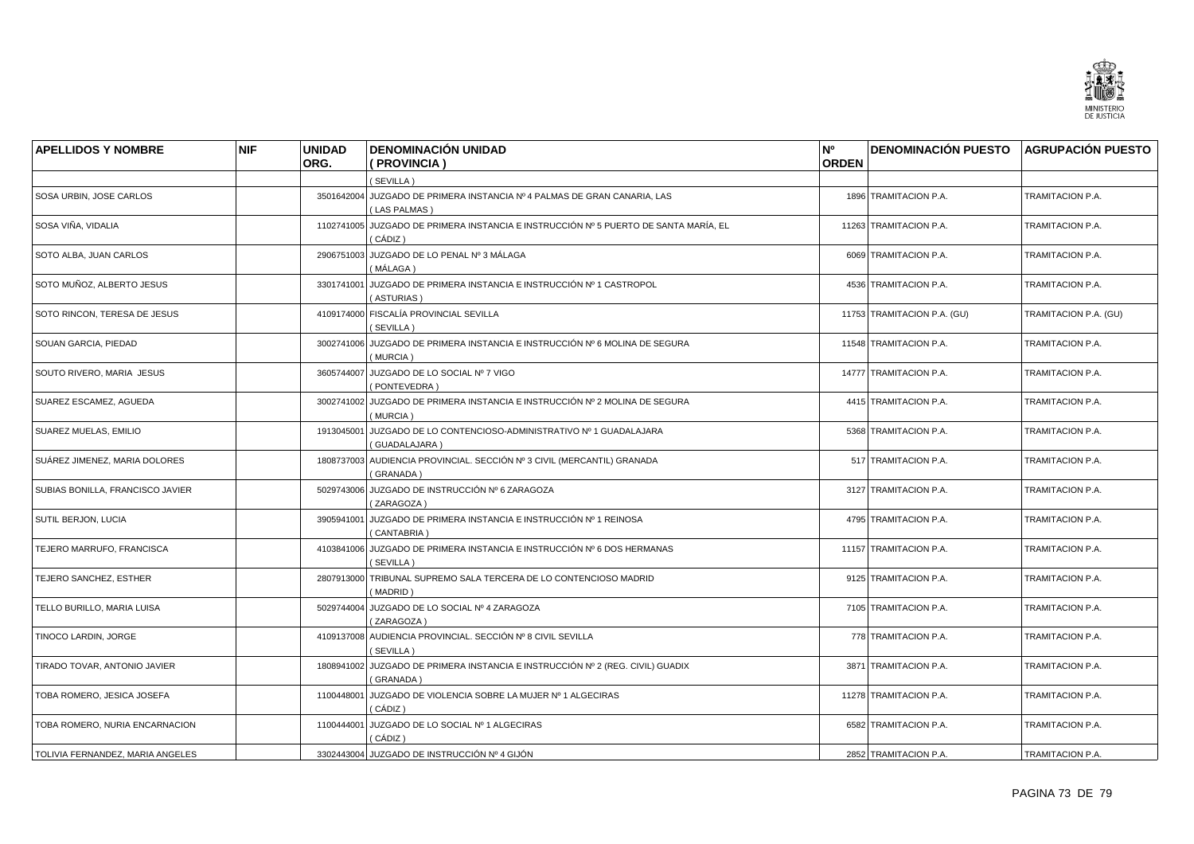

| <b>APELLIDOS Y NOMBRE</b>        | <b>NIF</b> | <b>UNIDAD</b> | <b>DENOMINACIÓN UNIDAD</b>                                                                      | N°           | <b>DENOMINACIÓN PUESTO AGRUPACIÓN PUESTO</b> |                       |
|----------------------------------|------------|---------------|-------------------------------------------------------------------------------------------------|--------------|----------------------------------------------|-----------------------|
|                                  |            | ORG.          | ( PROVINCIA )                                                                                   | <b>ORDEN</b> |                                              |                       |
|                                  |            |               | (SEVILLA)                                                                                       |              |                                              |                       |
| SOSA URBIN, JOSE CARLOS          |            |               | 3501642004 JUZGADO DE PRIMERA INSTANCIA Nº 4 PALMAS DE GRAN CANARIA, LAS<br>(LAS PALMAS)        |              | 1896 TRAMITACION P.A.                        | TRAMITACION P.A.      |
| SOSA VIÑA, VIDALIA               |            |               | 1102741005 JUZGADO DE PRIMERA INSTANCIA E INSTRUCCIÓN Nº 5 PUERTO DE SANTA MARÍA, EL<br>(CÁDIZ) |              | 11263 TRAMITACION P.A.                       | TRAMITACION P.A.      |
| SOTO ALBA, JUAN CARLOS           |            |               | 2906751003 JUZGADO DE LO PENAL Nº 3 MÁLAGA<br>( MÁLAGA )                                        |              | 6069 TRAMITACION P.A.                        | TRAMITACION P.A.      |
| SOTO MUÑOZ, ALBERTO JESUS        |            | 3301741001    | JUZGADO DE PRIMERA INSTANCIA E INSTRUCCIÓN Nº 1 CASTROPOL<br>(ASTURIAS)                         |              | 4536 TRAMITACION P.A.                        | TRAMITACION P.A.      |
| SOTO RINCON, TERESA DE JESUS     |            |               | 4109174000 FISCALÍA PROVINCIAL SEVILLA<br>(SEVILLA)                                             |              | 11753 TRAMITACION P.A. (GU)                  | TRAMITACION P.A. (GU) |
| SOUAN GARCIA, PIEDAD             |            |               | 3002741006 JUZGADO DE PRIMERA INSTANCIA E INSTRUCCIÓN Nº 6 MOLINA DE SEGURA<br>(MURCIA)         |              | 11548 TRAMITACION P.A.                       | TRAMITACION P.A.      |
| SOUTO RIVERO, MARIA JESUS        |            |               | 3605744007 JUZGADO DE LO SOCIAL Nº 7 VIGO<br>(PONTEVEDRA)                                       |              | 14777 TRAMITACION P.A.                       | TRAMITACION P.A.      |
| SUAREZ ESCAMEZ, AGUEDA           |            |               | 3002741002 JUZGADO DE PRIMERA INSTANCIA E INSTRUCCIÓN Nº 2 MOLINA DE SEGURA<br>(MURCIA)         |              | 4415 TRAMITACION P.A.                        | TRAMITACION P.A.      |
| SUAREZ MUELAS, EMILIO            |            |               | 1913045001 JUZGADO DE LO CONTENCIOSO-ADMINISTRATIVO Nº 1 GUADALAJARA<br>(GUADALAJARA)           |              | 5368 TRAMITACION P.A.                        | TRAMITACION P.A.      |
| SUÁREZ JIMENEZ. MARIA DOLORES    |            |               | 1808737003 AUDIENCIA PROVINCIAL. SECCIÓN Nº 3 CIVIL (MERCANTIL) GRANADA<br>(GRANADA)            |              | 517 TRAMITACION P.A.                         | TRAMITACION P.A.      |
| SUBIAS BONILLA, FRANCISCO JAVIER |            |               | 5029743006 JUZGADO DE INSTRUCCIÓN Nº 6 ZARAGOZA<br>(ZARAGOZA)                                   |              | 3127 TRAMITACION P.A.                        | TRAMITACION P.A.      |
| SUTIL BERJON, LUCIA              |            |               | 3905941001 JUZGADO DE PRIMERA INSTANCIA E INSTRUCCIÓN Nº 1 REINOSA<br>(CANTABRIA)               |              | 4795 TRAMITACION P.A.                        | TRAMITACION P.A.      |
| TEJERO MARRUFO, FRANCISCA        |            |               | 4103841006 JUZGADO DE PRIMERA INSTANCIA E INSTRUCCIÓN Nº 6 DOS HERMANAS<br>(SEVILLA)            |              | 11157 TRAMITACION P.A.                       | TRAMITACION P.A.      |
| TEJERO SANCHEZ, ESTHER           |            |               | 2807913000 TRIBUNAL SUPREMO SALA TERCERA DE LO CONTENCIOSO MADRID<br>(MADRID)                   |              | 9125 TRAMITACION P.A.                        | TRAMITACION P.A.      |
| TELLO BURILLO, MARIA LUISA       |            | 5029744004    | JUZGADO DE LO SOCIAL Nº 4 ZARAGOZA<br>(ZARAGOZA)                                                |              | 7105 TRAMITACION P.A.                        | TRAMITACION P.A.      |
| TINOCO LARDIN, JORGE             |            |               | 4109137008 AUDIENCIA PROVINCIAL. SECCIÓN Nº 8 CIVIL SEVILLA<br>(SEVILLA)                        |              | 778 TRAMITACION P.A.                         | TRAMITACION P.A.      |
| TIRADO TOVAR, ANTONIO JAVIER     |            |               | 1808941002 JUZGADO DE PRIMERA INSTANCIA E INSTRUCCIÓN Nº 2 (REG. CIVIL) GUADIX<br>(GRANADA)     |              | 3871 TRAMITACION P.A.                        | TRAMITACION P.A.      |
| TOBA ROMERO, JESICA JOSEFA       |            |               | 1100448001 JUZGADO DE VIOLENCIA SOBRE LA MUJER Nº 1 ALGECIRAS<br>(CÁDIZ)                        |              | 11278 TRAMITACION P.A.                       | TRAMITACION P.A.      |
| TOBA ROMERO, NURIA ENCARNACION   |            |               | 1100444001 JUZGADO DE LO SOCIAL Nº 1 ALGECIRAS<br>( CÁDIZ )                                     |              | 6582 TRAMITACION P.A.                        | TRAMITACION P.A.      |
| TOLIVIA FERNANDEZ, MARIA ANGELES |            |               | 3302443004 JUZGADO DE INSTRUCCIÓN Nº 4 GIJÓN                                                    |              | 2852 TRAMITACION P.A.                        | TRAMITACION P.A.      |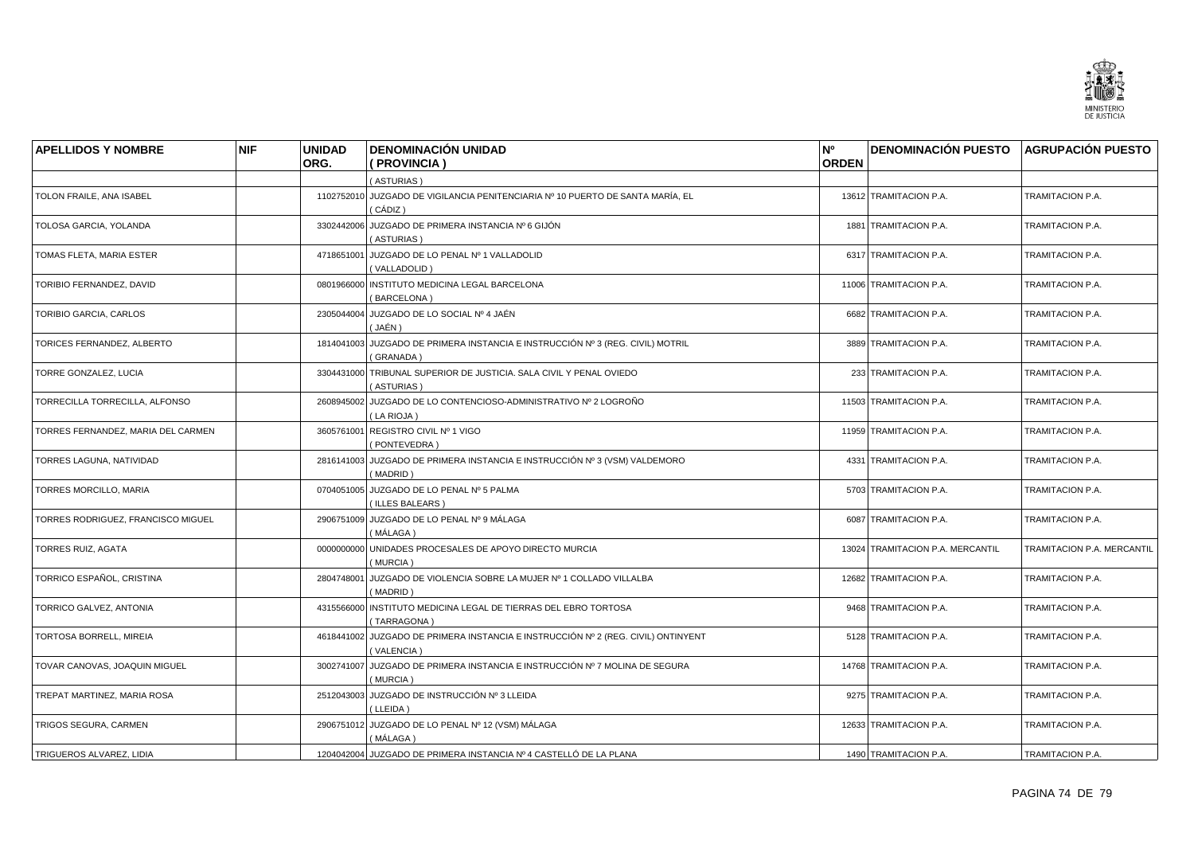

| <b>APELLIDOS Y NOMBRE</b>          | <b>NIF</b> | <b>UNIDAD</b> | <b>DENOMINACIÓN UNIDAD</b>                                                                      | N°           | <b>DENOMINACIÓN PUESTO AGRUPACIÓN PUESTO</b> |                            |
|------------------------------------|------------|---------------|-------------------------------------------------------------------------------------------------|--------------|----------------------------------------------|----------------------------|
|                                    |            | ORG.          | (PROVINCIA)                                                                                     | <b>ORDEN</b> |                                              |                            |
|                                    |            |               | (ASTURIAS)                                                                                      |              |                                              |                            |
| TOLON FRAILE. ANA ISABEL           |            |               | 1102752010 JUZGADO DE VIGILANCIA PENITENCIARIA Nº 10 PUERTO DE SANTA MARÍA, EL<br>( CÁDIZ )     |              | 13612 TRAMITACION P.A.                       | TRAMITACION P.A.           |
| TOLOSA GARCIA, YOLANDA             |            |               | 3302442006 JUZGADO DE PRIMERA INSTANCIA Nº 6 GIJÓN<br>(ASTURIAS)                                |              | 1881 TRAMITACION P.A.                        | TRAMITACION P.A.           |
| TOMAS FLETA, MARIA ESTER           |            |               | 4718651001 JUZGADO DE LO PENAL Nº 1 VALLADOLID<br>(VALLADOLID)                                  |              | 6317 TRAMITACION P.A.                        | TRAMITACION P.A.           |
| TORIBIO FERNANDEZ, DAVID           |            |               | 0801966000 INSTITUTO MEDICINA LEGAL BARCELONA<br>(BARCELONA)                                    |              | 11006 TRAMITACION P.A.                       | TRAMITACION P.A.           |
| TORIBIO GARCIA, CARLOS             |            |               | 2305044004 JUZGADO DE LO SOCIAL Nº 4 JAÉN<br>(JAÉN)                                             |              | 6682 TRAMITACION P.A.                        | TRAMITACION P.A.           |
| TORICES FERNANDEZ, ALBERTO         |            | 1814041003    | JUZGADO DE PRIMERA INSTANCIA E INSTRUCCIÓN Nº 3 (REG. CIVIL) MOTRIL<br>(GRANADA)                |              | 3889 TRAMITACION P.A.                        | TRAMITACION P.A.           |
| TORRE GONZALEZ, LUCIA              |            |               | 3304431000 TRIBUNAL SUPERIOR DE JUSTICIA. SALA CIVIL Y PENAL OVIEDO<br>(ASTURIAS)               |              | 233 TRAMITACION P.A.                         | TRAMITACION P.A.           |
| TORRECILLA TORRECILLA, ALFONSO     |            |               | 2608945002 JUZGADO DE LO CONTENCIOSO-ADMINISTRATIVO Nº 2 LOGROÑO<br>(LA RIOJA)                  |              | 11503 TRAMITACION P.A.                       | TRAMITACION P.A.           |
| TORRES FERNANDEZ, MARIA DEL CARMEN |            |               | 3605761001 REGISTRO CIVIL Nº 1 VIGO<br>(PONTEVEDRA)                                             |              | 11959 TRAMITACION P.A.                       | TRAMITACION P.A.           |
| TORRES LAGUNA, NATIVIDAD           |            |               | 2816141003 JUZGADO DE PRIMERA INSTANCIA E INSTRUCCIÓN Nº 3 (VSM) VALDEMORO<br>(MADRID)          |              | 4331 TRAMITACION P.A.                        | TRAMITACION P.A.           |
| <b>TORRES MORCILLO, MARIA</b>      |            |               | 0704051005 JUZGADO DE LO PENAL Nº 5 PALMA<br>(ILLES BALEARS)                                    |              | 5703 TRAMITACION P.A.                        | TRAMITACION P.A.           |
| TORRES RODRIGUEZ, FRANCISCO MIGUEL |            |               | 2906751009 JUZGADO DE LO PENAL Nº 9 MÁLAGA<br>( MÁLAGA )                                        |              | 6087 TRAMITACION P.A.                        | TRAMITACION P.A.           |
| TORRES RUIZ, AGATA                 |            |               | 0000000000 UNIDADES PROCESALES DE APOYO DIRECTO MURCIA<br>(MURCIA)                              |              | 13024 TRAMITACION P.A. MERCANTIL             | TRAMITACION P.A. MERCANTIL |
| TORRICO ESPAÑOL, CRISTINA          |            |               | 2804748001 JUZGADO DE VIOLENCIA SOBRE LA MUJER Nº 1 COLLADO VILLALBA<br>(MADRID)                |              | 12682 TRAMITACION P.A.                       | TRAMITACION P.A.           |
| TORRICO GALVEZ, ANTONIA            |            |               | 4315566000 INSTITUTO MEDICINA LEGAL DE TIERRAS DEL EBRO TORTOSA<br>(TARRAGONA)                  |              | 9468 TRAMITACION P.A.                        | TRAMITACION P.A.           |
| TORTOSA BORRELL, MIREIA            |            |               | 4618441002 JUZGADO DE PRIMERA INSTANCIA E INSTRUCCIÓN Nº 2 (REG. CIVIL) ONTINYENT<br>(VALENCIA) |              | 5128 TRAMITACION P.A.                        | TRAMITACION P.A.           |
| TOVAR CANOVAS, JOAQUIN MIGUEL      |            |               | 3002741007 JUZGADO DE PRIMERA INSTANCIA E INSTRUCCIÓN Nº 7 MOLINA DE SEGURA<br>(MURCIA)         |              | 14768 TRAMITACION P.A.                       | TRAMITACION P.A.           |
| TREPAT MARTINEZ, MARIA ROSA        |            |               | 2512043003 JUZGADO DE INSTRUCCIÓN Nº 3 LLEIDA<br>(LLEIDA)                                       |              | 9275 TRAMITACION P.A.                        | TRAMITACION P.A.           |
| TRIGOS SEGURA, CARMEN              |            |               | 2906751012 JUZGADO DE LO PENAL Nº 12 (VSM) MÁLAGA<br>( MÁLAGA 1                                 |              | 12633 TRAMITACION P.A.                       | TRAMITACION P.A.           |
| TRIGUEROS ALVAREZ, LIDIA           |            |               | 1204042004 JUZGADO DE PRIMERA INSTANCIA Nº 4 CASTELLÓ DE LA PLANA                               |              | 1490 TRAMITACION P.A.                        | TRAMITACION P.A.           |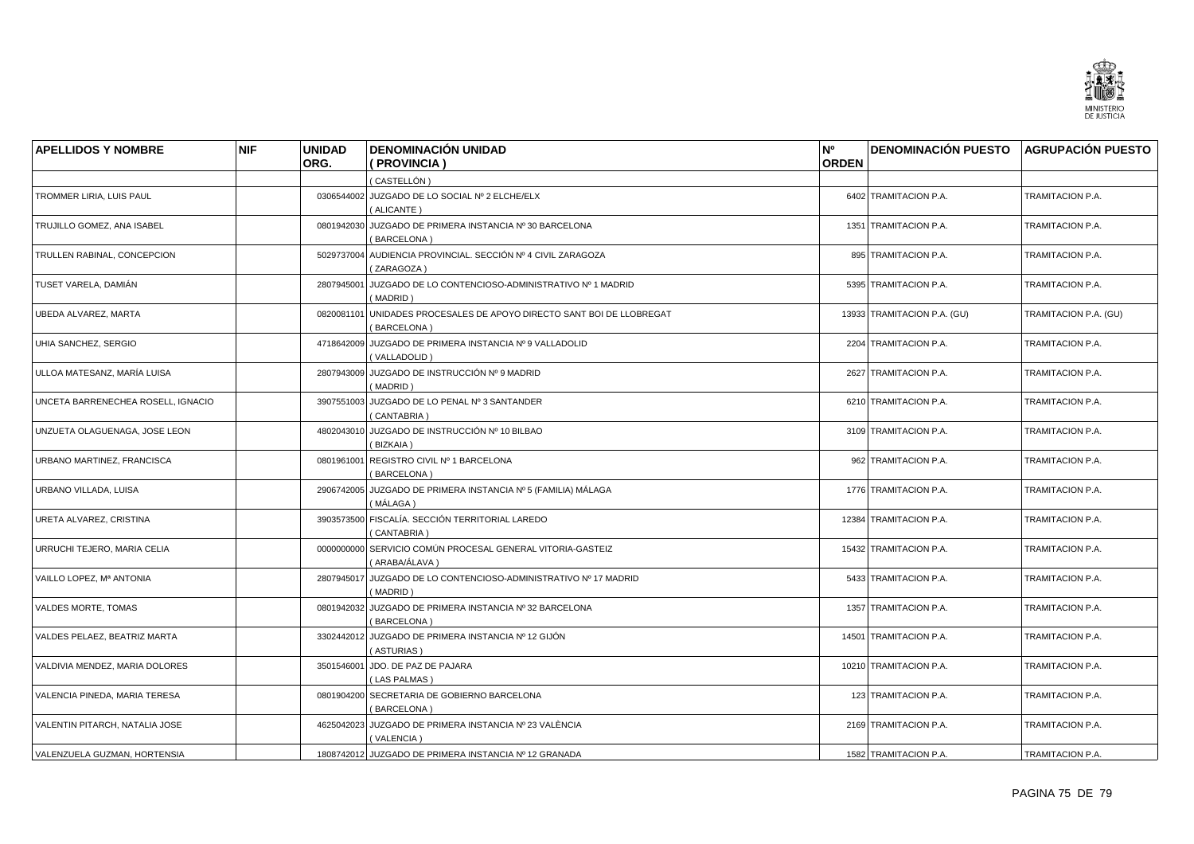

| <b>APELLIDOS Y NOMBRE</b>          | <b>NIF</b> | <b>UNIDAD</b> | <b>DENOMINACIÓN UNIDAD</b>                                                           | N°           | <b>DENOMINACIÓN PUESTO AGRUPACIÓN PUESTO</b> |                       |
|------------------------------------|------------|---------------|--------------------------------------------------------------------------------------|--------------|----------------------------------------------|-----------------------|
|                                    |            | ORG.          | ( PROVINCIA )                                                                        | <b>ORDEN</b> |                                              |                       |
|                                    |            |               | (CASTELLÓN)                                                                          |              |                                              |                       |
| TROMMER LIRIA, LUIS PAUL           |            |               | 0306544002 JUZGADO DE LO SOCIAL Nº 2 ELCHE/ELX<br>(ALICANTE)                         |              | 6402 TRAMITACION P.A.                        | TRAMITACION P.A.      |
| TRUJILLO GOMEZ, ANA ISABEL         |            |               | 0801942030 JUZGADO DE PRIMERA INSTANCIA Nº 30 BARCELONA<br>(BARCELONA)               |              | 1351 TRAMITACION P.A.                        | TRAMITACION P.A.      |
| TRULLEN RABINAL, CONCEPCION        |            |               | 5029737004 AUDIENCIA PROVINCIAL. SECCIÓN Nº 4 CIVIL ZARAGOZA<br>(ZARAGOZA)           |              | 895 TRAMITACION P.A.                         | TRAMITACION P.A.      |
| TUSET VARELA, DAMIÁN               |            | 2807945001    | JUZGADO DE LO CONTENCIOSO-ADMINISTRATIVO Nº 1 MADRID<br>(MADRID)                     |              | 5395 TRAMITACION P.A.                        | TRAMITACION P.A.      |
| UBEDA ALVAREZ, MARTA               |            |               | 0820081101 UNIDADES PROCESALES DE APOYO DIRECTO SANT BOI DE LLOBREGAT<br>(BARCELONA) |              | 13933 TRAMITACION P.A. (GU)                  | TRAMITACION P.A. (GU) |
| UHIA SANCHEZ, SERGIO               |            |               | 4718642009 JUZGADO DE PRIMERA INSTANCIA Nº 9 VALLADOLID<br>(VALLADOLID)              |              | 2204 TRAMITACION P.A.                        | TRAMITACION P.A.      |
| ULLOA MATESANZ, MARÍA LUISA        |            |               | 2807943009 JUZGADO DE INSTRUCCIÓN Nº 9 MADRID<br>(MADRID)                            |              | 2627 TRAMITACION P.A.                        | TRAMITACION P.A.      |
| UNCETA BARRENECHEA ROSELL, IGNACIO |            |               | 3907551003 JUZGADO DE LO PENAL Nº 3 SANTANDER<br>(CANTABRIA)                         |              | 6210 TRAMITACION P.A.                        | TRAMITACION P.A.      |
| UNZUETA OLAGUENAGA, JOSE LEON      |            |               | 4802043010 JUZGADO DE INSTRUCCIÓN Nº 10 BILBAO<br>(BIZKAIA)                          |              | 3109 TRAMITACION P.A.                        | TRAMITACION P.A.      |
| URBANO MARTINEZ, FRANCISCA         |            |               | 0801961001 REGISTRO CIVIL Nº 1 BARCELONA<br>(BARCELONA)                              |              | 962 TRAMITACION P.A.                         | TRAMITACION P.A.      |
| URBANO VILLADA, LUISA              |            |               | 2906742005 JUZGADO DE PRIMERA INSTANCIA Nº 5 (FAMILIA) MÁLAGA<br>(MÁLAGA)            |              | 1776 TRAMITACION P.A.                        | TRAMITACION P.A.      |
| URETA ALVAREZ, CRISTINA            |            |               | 3903573500 FISCALÍA. SECCIÓN TERRITORIAL LAREDO<br>(CANTABRIA)                       |              | 12384 TRAMITACION P.A.                       | TRAMITACION P.A.      |
| URRUCHI TEJERO, MARIA CELIA        |            |               | 0000000000 SERVICIO COMÚN PROCESAL GENERAL VITORIA-GASTEIZ<br>(ARABA/ÁLAVA)          |              | 15432 TRAMITACION P.A.                       | TRAMITACION P.A.      |
| VAILLO LOPEZ, Mª ANTONIA           |            |               | 2807945017 JUZGADO DE LO CONTENCIOSO-ADMINISTRATIVO Nº 17 MADRID<br>(MADRID)         |              | 5433 TRAMITACION P.A.                        | TRAMITACION P.A.      |
| <b>VALDES MORTE, TOMAS</b>         |            | 0801942032    | JUZGADO DE PRIMERA INSTANCIA Nº 32 BARCELONA<br>(BARCELONA)                          |              | 1357 TRAMITACION P.A.                        | TRAMITACION P.A.      |
| VALDES PELAEZ, BEATRIZ MARTA       |            |               | 3302442012 JUZGADO DE PRIMERA INSTANCIA Nº 12 GIJÓN<br>(ASTURIAS)                    |              | 14501 TRAMITACION P.A.                       | TRAMITACION P.A.      |
| VALDIVIA MENDEZ, MARIA DOLORES     |            |               | 3501546001 JDO. DE PAZ DE PAJARA<br>(LAS PALMAS)                                     |              | 10210 TRAMITACION P.A.                       | TRAMITACION P.A.      |
| VALENCIA PINEDA, MARIA TERESA      |            |               | 0801904200 SECRETARIA DE GOBIERNO BARCELONA<br>(BARCELONA)                           |              | 123 TRAMITACION P.A.                         | TRAMITACION P.A.      |
| VALENTIN PITARCH, NATALIA JOSE     |            |               | 4625042023 JUZGADO DE PRIMERA INSTANCIA Nº 23 VALÈNCIA<br>(VALENCIA)                 |              | 2169 TRAMITACION P.A.                        | TRAMITACION P.A.      |
| VALENZUELA GUZMAN, HORTENSIA       |            |               | 1808742012 JUZGADO DE PRIMERA INSTANCIA Nº 12 GRANADA                                |              | 1582 TRAMITACION P.A.                        | TRAMITACION P.A.      |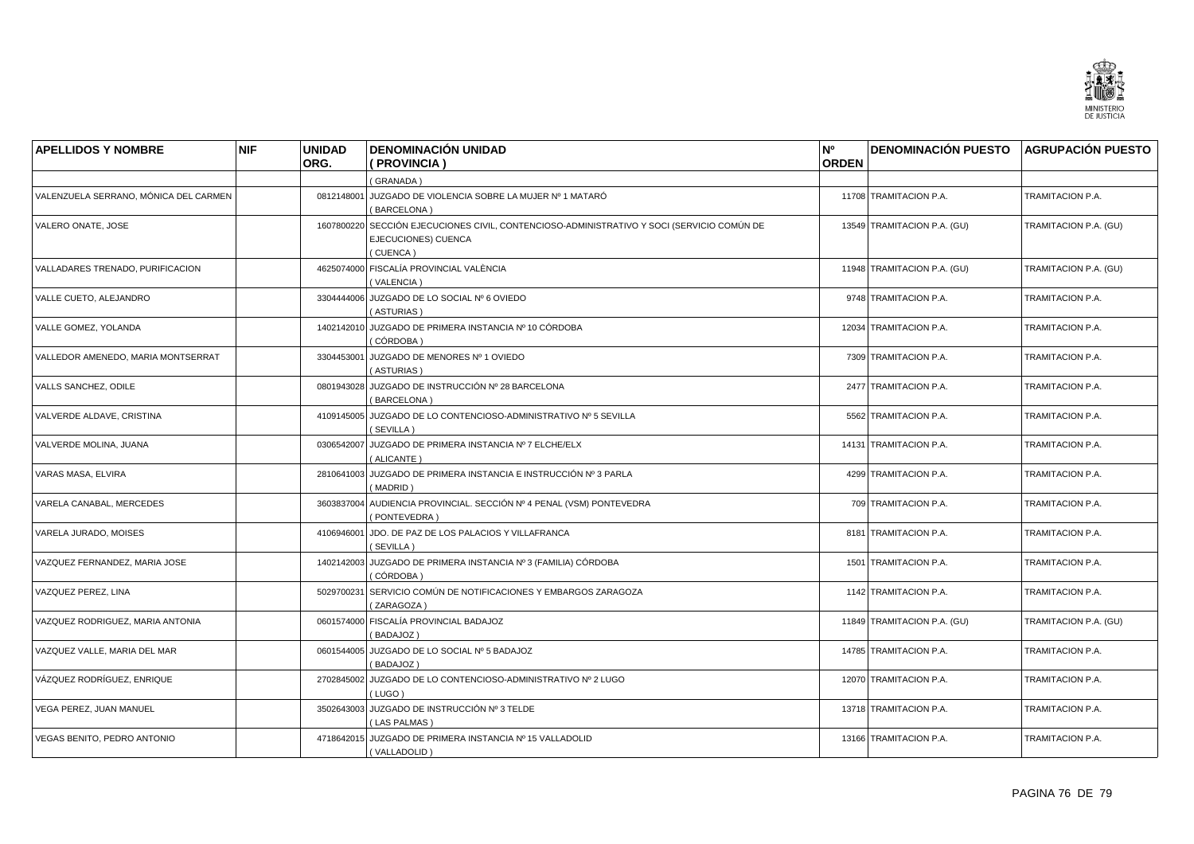

| <b>APELLIDOS Y NOMBRE</b>               | <b>NIF</b> | <b>UNIDAD</b> | <b>DENOMINACIÓN UNIDAD</b>                                                                                                    | N°           | <b>DENOMINACIÓN PUESTO</b>  | <b>AGRUPACIÓN PUESTO</b> |
|-----------------------------------------|------------|---------------|-------------------------------------------------------------------------------------------------------------------------------|--------------|-----------------------------|--------------------------|
|                                         |            | ORG.          | ( PROVINCIA )                                                                                                                 | <b>ORDEN</b> |                             |                          |
|                                         |            |               | (GRANADA)                                                                                                                     |              |                             |                          |
| VALENZUELA SERRANO, MÓNICA DEL CARMEN   |            |               | 0812148001 JUZGADO DE VIOLENCIA SOBRE LA MUJER Nº 1 MATARÓ<br>(BARCELONA)                                                     |              | 11708 TRAMITACION P.A.      | TRAMITACION P.A.         |
| VALERO ONATE, JOSE                      |            |               | 1607800220 SECCIÓN EJECUCIONES CIVIL, CONTENCIOSO-ADMINISTRATIVO Y SOCI (SERVICIO COMÚN DE<br>EJECUCIONES) CUENCA<br>(CUENCA) |              | 13549 TRAMITACION P.A. (GU) | TRAMITACION P.A. (GU)    |
| <b>VALLADARES TRENADO, PURIFICACION</b> |            |               | 4625074000 FISCALÍA PROVINCIAL VALÈNCIA<br>(VALENCIA)                                                                         |              | 11948 TRAMITACION P.A. (GU) | TRAMITACION P.A. (GU)    |
| VALLE CUETO, ALEJANDRO                  |            |               | 3304444006 JUZGADO DE LO SOCIAL Nº 6 OVIEDO<br>(ASTURIAS)                                                                     |              | 9748 TRAMITACION P.A.       | TRAMITACION P.A.         |
| VALLE GOMEZ, YOLANDA                    |            |               | 1402142010 JUZGADO DE PRIMERA INSTANCIA Nº 10 CÓRDOBA<br>(CÓRDOBA)                                                            |              | 12034 TRAMITACION P.A.      | TRAMITACION P.A.         |
| VALLEDOR AMENEDO, MARIA MONTSERRAT      |            | 3304453001    | JUZGADO DE MENORES Nº 1 OVIEDO<br>(ASTURIAS)                                                                                  |              | 7309 TRAMITACION P.A.       | TRAMITACION P.A.         |
| VALLS SANCHEZ, ODILE                    |            |               | 0801943028 JUZGADO DE INSTRUCCIÓN Nº 28 BARCELONA<br>(BARCELONA)                                                              |              | 2477 TRAMITACION P.A.       | TRAMITACION P.A.         |
| VALVERDE ALDAVE, CRISTINA               |            |               | 4109145005 JUZGADO DE LO CONTENCIOSO-ADMINISTRATIVO Nº 5 SEVILLA<br>(SEVILLA)                                                 |              | 5562 TRAMITACION P.A.       | TRAMITACION P.A.         |
| VALVERDE MOLINA, JUANA                  |            |               | 0306542007 JUZGADO DE PRIMERA INSTANCIA Nº 7 ELCHE/ELX<br>(ALICANTE)                                                          |              | 14131 TRAMITACION P.A.      | TRAMITACION P.A.         |
| VARAS MASA, ELVIRA                      |            |               | 2810641003 JUZGADO DE PRIMERA INSTANCIA E INSTRUCCIÓN Nº 3 PARLA<br>(MADRID)                                                  |              | 4299 TRAMITACION P.A.       | TRAMITACION P.A.         |
| VARELA CANABAL, MERCEDES                |            |               | 3603837004 AUDIENCIA PROVINCIAL. SECCIÓN Nº 4 PENAL (VSM) PONTEVEDRA<br>PONTEVEDRA)                                           |              | 709 TRAMITACION P.A.        | TRAMITACION P.A.         |
| VARELA JURADO, MOISES                   |            | 4106946001    | JDO. DE PAZ DE LOS PALACIOS Y VILLAFRANCA<br>(SEVILLA)                                                                        |              | 8181 TRAMITACION P.A.       | TRAMITACION P.A.         |
| VAZQUEZ FERNANDEZ, MARIA JOSE           |            |               | 1402142003 JUZGADO DE PRIMERA INSTANCIA Nº 3 (FAMILIA) CÓRDOBA<br>(CÓRDOBA)                                                   |              | 1501 TRAMITACION P.A.       | TRAMITACION P.A.         |
| VAZQUEZ PEREZ, LINA                     |            |               | 5029700231 SERVICIO COMÚN DE NOTIFICACIONES Y EMBARGOS ZARAGOZA<br>(ZARAGOZA)                                                 |              | 1142 TRAMITACION P.A.       | TRAMITACION P.A.         |
| VAZQUEZ RODRIGUEZ, MARIA ANTONIA        |            |               | 0601574000 FISCALÍA PROVINCIAL BADAJOZ<br>(BADAJOZ)                                                                           |              | 11849 TRAMITACION P.A. (GU) | TRAMITACION P.A. (GU)    |
| VAZQUEZ VALLE, MARIA DEL MAR            |            |               | 0601544005 JUZGADO DE LO SOCIAL Nº 5 BADAJOZ<br>BADAJOZ)                                                                      |              | 14785 TRAMITACION P.A.      | TRAMITACION P.A.         |
| VÁZQUEZ RODRÍGUEZ. ENRIQUE              |            | 2702845002    | JUZGADO DE LO CONTENCIOSO-ADMINISTRATIVO Nº 2 LUGO<br>(LUGO)                                                                  |              | 12070 TRAMITACION P.A.      | TRAMITACION P.A.         |
| VEGA PEREZ, JUAN MANUEL                 |            |               | 3502643003 JUZGADO DE INSTRUCCIÓN Nº 3 TELDE<br>(LAS PALMAS)                                                                  |              | 13718 TRAMITACION P.A.      | TRAMITACION P.A.         |
| VEGAS BENITO, PEDRO ANTONIO             |            |               | 4718642015 JUZGADO DE PRIMERA INSTANCIA Nº 15 VALLADOLID<br>(VALLADOLID)                                                      |              | 13166 TRAMITACION P.A.      | <b>TRAMITACION P.A.</b>  |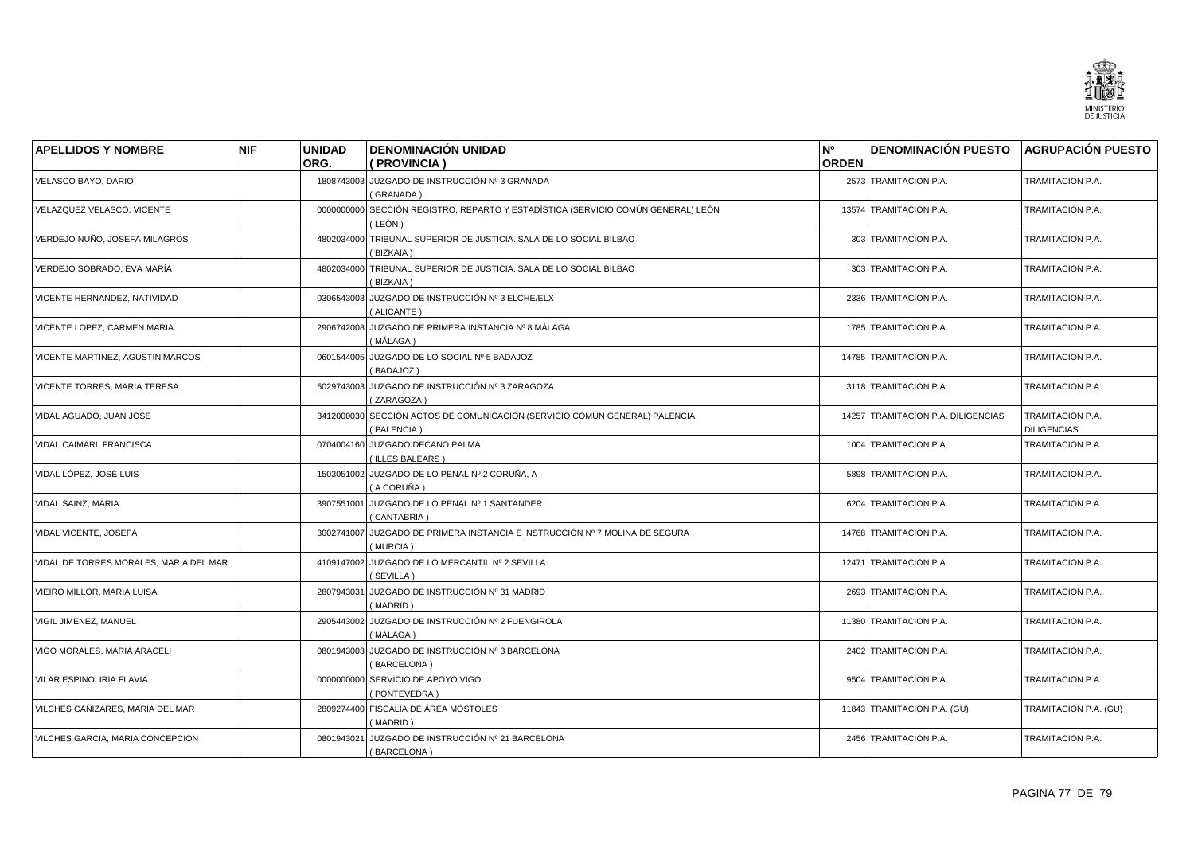

| <b>APELLIDOS Y NOMBRE</b>              | <b>NIF</b> | <b>UNIDAD</b> | <b>DENOMINACIÓN UNIDAD</b>                                                        | N°           | <b>DENOMINACIÓN PUESTO</b>         | <b>AGRUPACIÓN PUESTO</b>               |
|----------------------------------------|------------|---------------|-----------------------------------------------------------------------------------|--------------|------------------------------------|----------------------------------------|
|                                        |            | ORG.          | (PROVINCIA)                                                                       | <b>ORDEN</b> |                                    |                                        |
| VELASCO BAYO, DARIO                    |            |               | 1808743003 JUZGADO DE INSTRUCCIÓN Nº 3 GRANADA<br>(GRANADA)                       |              | 2573 TRAMITACION P.A.              | TRAMITACION P.A.                       |
| VELAZQUEZ VELASCO, VICENTE             |            | 0000000000    | SECCIÓN REGISTRO, REPARTO Y ESTADÍSTICA (SERVICIO COMÚN GENERAL) LEÓN<br>( LEÓN ) |              | 13574 TRAMITACION P.A.             | TRAMITACION P.A.                       |
| VERDEJO NUÑO, JOSEFA MILAGROS          |            |               | 4802034000 TRIBUNAL SUPERIOR DE JUSTICIA. SALA DE LO SOCIAL BILBAO<br>(BIZKAIA)   |              | 303 TRAMITACION P.A.               | TRAMITACION P.A.                       |
| VERDEJO SOBRADO, EVA MARÍA             |            | 4802034000    | TRIBUNAL SUPERIOR DE JUSTICIA. SALA DE LO SOCIAL BILBAO<br>(BIZKAIA)              |              | 303 TRAMITACION P.A.               | TRAMITACION P.A.                       |
| VICENTE HERNANDEZ, NATIVIDAD           |            |               | 0306543003 JUZGADO DE INSTRUCCIÓN Nº 3 ELCHE/ELX<br>(ALICANTE)                    |              | 2336 TRAMITACION P.A.              | TRAMITACION P.A.                       |
| VICENTE LOPEZ, CARMEN MARIA            |            | 2906742008    | JUZGADO DE PRIMERA INSTANCIA Nº 8 MÁLAGA<br>(MÁLAGA)                              |              | 1785 TRAMITACION P.A.              | TRAMITACION P.A.                       |
| VICENTE MARTINEZ, AGUSTIN MARCOS       |            | 0601544005    | JUZGADO DE LO SOCIAL Nº 5 BADAJOZ<br>(BADAJOZ)                                    |              | 14785 TRAMITACION P.A.             | TRAMITACION P.A.                       |
| VICENTE TORRES, MARIA TERESA           |            |               | 5029743003 JUZGADO DE INSTRUCCIÓN Nº 3 ZARAGOZA<br>(ZARAGOZA)                     |              | 3118 TRAMITACION P.A.              | TRAMITACION P.A.                       |
| VIDAL AGUADO, JUAN JOSE                |            | 3412000030    | SECCIÓN ACTOS DE COMUNICACIÓN (SERVICIO COMÚN GENERAL) PALENCIA<br>(PALENCIA)     |              | 14257 TRAMITACION P.A. DILIGENCIAS | TRAMITACION P.A.<br><b>DILIGENCIAS</b> |
| VIDAL CAIMARI, FRANCISCA               |            |               | 0704004160 JUZGADO DECANO PALMA<br>(ILLES BALEARS)                                |              | 1004 TRAMITACION P.A.              | TRAMITACION P.A.                       |
| VIDAL LÓPEZ, JOSÉ LUIS                 |            |               | 1503051002 JUZGADO DE LO PENAL Nº 2 CORUÑA, A<br>(A CORUÑA)                       |              | 5898 TRAMITACION P.A.              | TRAMITACION P.A.                       |
| VIDAL SAINZ, MARIA                     |            | 3907551001    | JUZGADO DE LO PENAL Nº 1 SANTANDER<br>(CANTABRIA)                                 |              | 6204 TRAMITACION P.A.              | TRAMITACION P.A.                       |
| VIDAL VICENTE, JOSEFA                  |            | 3002741007    | JUZGADO DE PRIMERA INSTANCIA E INSTRUCCIÓN Nº 7 MOLINA DE SEGURA<br>(MURCIA)      |              | 14768 TRAMITACION P.A.             | TRAMITACION P.A.                       |
| VIDAL DE TORRES MORALES, MARIA DEL MAR |            |               | 4109147002 JUZGADO DE LO MERCANTIL Nº 2 SEVILLA<br>(SEVILLA)                      |              | 12471 TRAMITACION P.A.             | TRAMITACION P.A.                       |
| VIEIRO MILLOR, MARIA LUISA             |            | 2807943031    | JUZGADO DE INSTRUCCIÓN Nº 31 MADRID<br>(MADRID)                                   |              | 2693 TRAMITACION P.A.              | TRAMITACION P.A.                       |
| VIGIL JIMENEZ, MANUEL                  |            | 2905443002    | JUZGADO DE INSTRUCCIÓN Nº 2 FUENGIROLA<br>(MÁLAGA)                                |              | 11380 TRAMITACION P.A.             | TRAMITACION P.A.                       |
| VIGO MORALES, MARIA ARACELI            |            |               | 0801943003 JUZGADO DE INSTRUCCIÓN Nº 3 BARCELONA<br>(BARCELONA)                   |              | 2402 TRAMITACION P.A.              | TRAMITACION P.A.                       |
| VILAR ESPINO, IRIA FLAVIA              |            | 0000000000    | SERVICIO DE APOYO VIGO<br>(PONTEVEDRA)                                            |              | 9504 TRAMITACION P.A.              | TRAMITACION P.A.                       |
| VILCHES CAÑIZARES, MARÍA DEL MAR       |            |               | 2809274400 FISCALÍA DE ÁREA MÓSTOLES<br>(MADRID)                                  |              | 11843 TRAMITACION P.A. (GU)        | TRAMITACION P.A. (GU)                  |
| VILCHES GARCIA, MARIA CONCEPCION       |            | 0801943021    | JUZGADO DE INSTRUCCIÓN Nº 21 BARCELONA<br>(BARCELONA)                             |              | 2456 TRAMITACION P.A.              | TRAMITACION P.A.                       |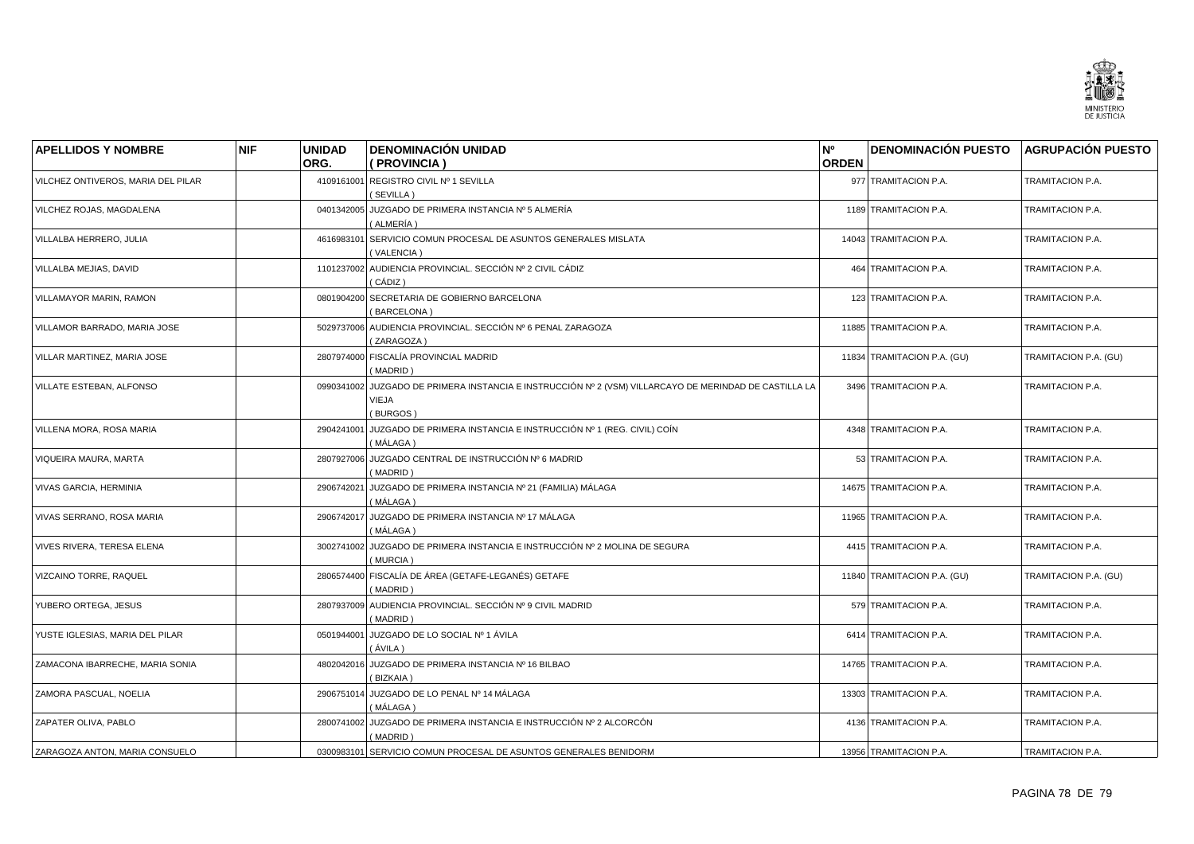

| <b>APELLIDOS Y NOMBRE</b>          | <b>NIF</b> | <b>UNIDAD</b> | <b>DENOMINACIÓN UNIDAD</b>                                                                                       | N°           | <b>DENOMINACIÓN PUESTO</b>  | <b>AGRUPACIÓN PUESTO</b> |
|------------------------------------|------------|---------------|------------------------------------------------------------------------------------------------------------------|--------------|-----------------------------|--------------------------|
|                                    |            | ORG.          | ( PROVINCIA )                                                                                                    | <b>ORDEN</b> |                             |                          |
| VILCHEZ ONTIVEROS, MARIA DEL PILAR |            | 4109161001    | REGISTRO CIVIL Nº 1 SEVILLA<br>(SEVILLA)                                                                         |              | 977 TRAMITACION P.A.        | TRAMITACION P.A.         |
| VILCHEZ ROJAS, MAGDALENA           |            | 0401342005    | JUZGADO DE PRIMERA INSTANCIA Nº 5 ALMERÍA<br>(ALMERÍA)                                                           |              | 1189 TRAMITACION P.A.       | TRAMITACION P.A.         |
| VILLALBA HERRERO, JULIA            |            | 4616983101    | SERVICIO COMUN PROCESAL DE ASUNTOS GENERALES MISLATA<br>(VALENCIA)                                               |              | 14043 TRAMITACION P.A.      | TRAMITACION P.A.         |
| VILLALBA MEJIAS, DAVID             |            |               | 1101237002 AUDIENCIA PROVINCIAL. SECCIÓN Nº 2 CIVIL CÁDIZ<br>( CÁDIZ )                                           |              | 464 TRAMITACION P.A.        | TRAMITACION P.A.         |
| VILLAMAYOR MARIN, RAMON            |            |               | 0801904200 SECRETARIA DE GOBIERNO BARCELONA<br>(BARCELONA)                                                       |              | 123 TRAMITACION P.A.        | TRAMITACION P.A.         |
| VILLAMOR BARRADO, MARIA JOSE       |            |               | 5029737006 AUDIENCIA PROVINCIAL. SECCIÓN Nº 6 PENAL ZARAGOZA<br>(ZARAGOZA)                                       |              | 11885 TRAMITACION P.A.      | TRAMITACION P.A.         |
| VILLAR MARTINEZ, MARIA JOSE        |            | 2807974000    | FISCALÍA PROVINCIAL MADRID<br>(MADRID)                                                                           |              | 11834 TRAMITACION P.A. (GU) | TRAMITACION P.A. (GU)    |
| VILLATE ESTEBAN, ALFONSO           |            | 0990341002    | JUZGADO DE PRIMERA INSTANCIA E INSTRUCCIÓN Nº 2 (VSM) VILLARCAYO DE MERINDAD DE CASTILLA LA<br>VIEJA<br>(BURGOS) |              | 3496 TRAMITACION P.A.       | TRAMITACION P.A.         |
| VILLENA MORA, ROSA MARIA           |            | 2904241001    | JUZGADO DE PRIMERA INSTANCIA E INSTRUCCIÓN Nº 1 (REG. CIVIL) COÍN<br>(MÁLAGA)                                    |              | 4348 TRAMITACION P.A.       | TRAMITACION P.A.         |
| VIQUEIRA MAURA, MARTA              |            | 2807927006    | JUZGADO CENTRAL DE INSTRUCCIÓN Nº 6 MADRID<br>(MADRID)                                                           |              | 53 TRAMITACION P.A.         | TRAMITACION P.A.         |
| VIVAS GARCIA, HERMINIA             |            | 2906742021    | JUZGADO DE PRIMERA INSTANCIA № 21 (FAMILIA) MÁLAGA<br>( MÁLAGA )                                                 |              | 14675 TRAMITACION P.A.      | TRAMITACION P.A.         |
| VIVAS SERRANO, ROSA MARIA          |            | 2906742017    | JUZGADO DE PRIMERA INSTANCIA Nº 17 MÁLAGA<br>( MÁLAGA )                                                          |              | 11965 TRAMITACION P.A.      | TRAMITACION P.A.         |
| VIVES RIVERA, TERESA ELENA         |            | 3002741002    | JUZGADO DE PRIMERA INSTANCIA E INSTRUCCIÓN Nº 2 MOLINA DE SEGURA<br>(MURCIA)                                     |              | 4415 TRAMITACION P.A.       | TRAMITACION P.A.         |
| <b>VIZCAINO TORRE, RAQUEL</b>      |            |               | 2806574400 FISCALÍA DE ÁREA (GETAFE-LEGANÉS) GETAFE<br>(MADRID)                                                  |              | 11840 TRAMITACION P.A. (GU) | TRAMITACION P.A. (GU)    |
| YUBERO ORTEGA, JESUS               |            | 2807937009    | AUDIENCIA PROVINCIAL. SECCIÓN Nº 9 CIVIL MADRID<br>(MADRID)                                                      |              | 579 TRAMITACION P.A.        | TRAMITACION P.A.         |
| YUSTE IGLESIAS, MARIA DEL PILAR    |            | 0501944001    | JUZGADO DE LO SOCIAL Nº 1 ÁVILA<br>(ÁVILA)                                                                       |              | 6414 TRAMITACION P.A.       | TRAMITACION P.A.         |
| ZAMACONA IBARRECHE, MARIA SONIA    |            | 4802042016    | JUZGADO DE PRIMERA INSTANCIA Nº 16 BILBAO<br>(BIZKAIA)                                                           |              | 14765 TRAMITACION P.A.      | TRAMITACION P.A.         |
| ZAMORA PASCUAL, NOELIA             |            |               | 2906751014 JUZGADO DE LO PENAL Nº 14 MÁLAGA<br>(MÁLAGA)                                                          |              | 13303 TRAMITACION P.A.      | TRAMITACION P.A.         |
| ZAPATER OLIVA, PABLO               |            |               | 2800741002 JUZGADO DE PRIMERA INSTANCIA E INSTRUCCIÓN Nº 2 ALCORCÓN<br>(MADRID)                                  |              | 4136 TRAMITACION P.A.       | TRAMITACION P.A.         |
| ZARAGOZA ANTON, MARIA CONSUELO     |            |               | 0300983101 SERVICIO COMUN PROCESAL DE ASUNTOS GENERALES BENIDORM                                                 |              | 13956 TRAMITACION P.A.      | TRAMITACION P.A.         |